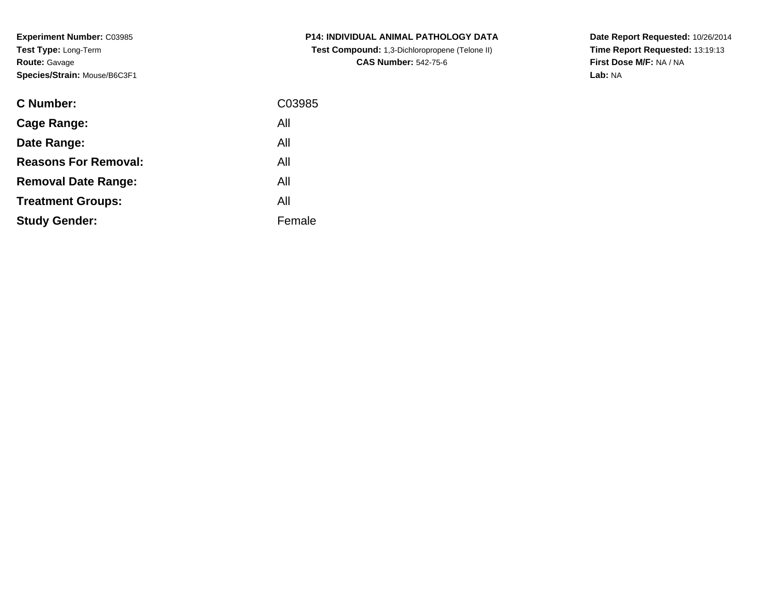**Experiment Number:** C03985**Test Type:** Long-Term**Route:** Gavage**Species/Strain:** Mouse/B6C3F1

| <b>C Number:</b>            | C03985 |
|-----------------------------|--------|
| <b>Cage Range:</b>          | All    |
| Date Range:                 | All    |
| <b>Reasons For Removal:</b> | All    |
| <b>Removal Date Range:</b>  | All    |
| <b>Treatment Groups:</b>    | All    |
| <b>Study Gender:</b>        | Female |
|                             |        |

**P14: INDIVIDUAL ANIMAL PATHOLOGY DATA Test Compound:** 1,3-Dichloropropene (Telone II)**CAS Number:** 542-75-6

**Date Report Requested:** 10/26/2014 **Time Report Requested:** 13:19:13**First Dose M/F:** NA / NA**Lab:** NA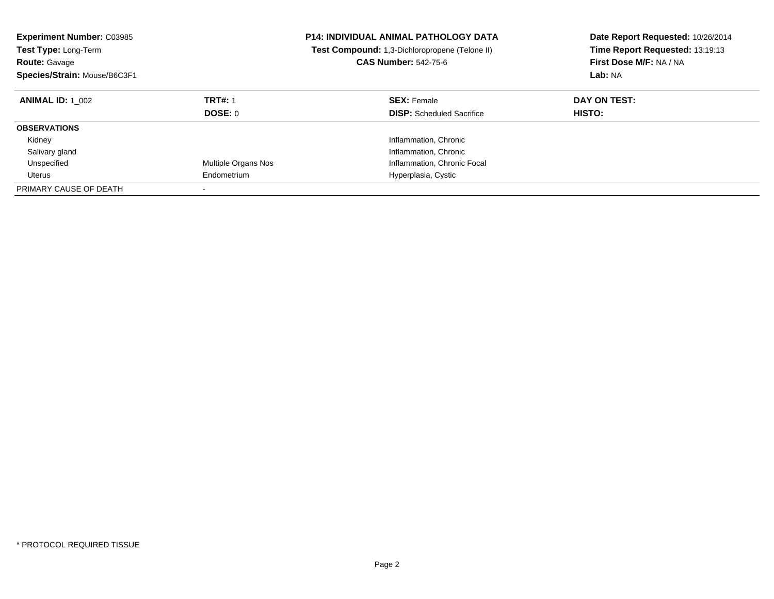| <b>Experiment Number: C03985</b><br><b>Test Type: Long-Term</b><br><b>Route: Gavage</b><br>Species/Strain: Mouse/B6C3F1 |                                  | <b>P14: INDIVIDUAL ANIMAL PATHOLOGY DATA</b><br>Test Compound: 1,3-Dichloropropene (Telone II)<br><b>CAS Number: 542-75-6</b> | Date Report Requested: 10/26/2014<br>Time Report Requested: 13:19:13<br>First Dose M/F: NA / NA<br>Lab: NA |
|-------------------------------------------------------------------------------------------------------------------------|----------------------------------|-------------------------------------------------------------------------------------------------------------------------------|------------------------------------------------------------------------------------------------------------|
| <b>ANIMAL ID:</b> 1 002                                                                                                 | <b>TRT#: 1</b><br><b>DOSE: 0</b> | <b>SEX: Female</b><br><b>DISP:</b> Scheduled Sacrifice                                                                        | DAY ON TEST:<br><b>HISTO:</b>                                                                              |
| <b>OBSERVATIONS</b>                                                                                                     |                                  |                                                                                                                               |                                                                                                            |
| Kidney                                                                                                                  |                                  | Inflammation, Chronic                                                                                                         |                                                                                                            |
| Salivary gland                                                                                                          |                                  | Inflammation, Chronic                                                                                                         |                                                                                                            |
| Unspecified                                                                                                             | Multiple Organs Nos              | Inflammation, Chronic Focal                                                                                                   |                                                                                                            |
| Uterus                                                                                                                  | Endometrium                      | Hyperplasia, Cystic                                                                                                           |                                                                                                            |
| PRIMARY CAUSE OF DEATH                                                                                                  |                                  |                                                                                                                               |                                                                                                            |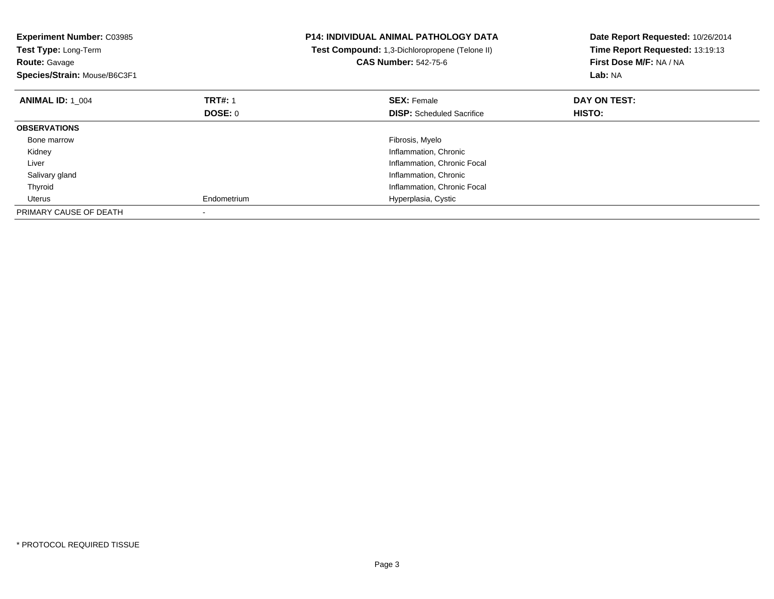| <b>Experiment Number: C03985</b><br>Test Type: Long-Term<br><b>Route: Gavage</b><br>Species/Strain: Mouse/B6C3F1 |                | <b>P14: INDIVIDUAL ANIMAL PATHOLOGY DATA</b><br>Test Compound: 1,3-Dichloropropene (Telone II)<br><b>CAS Number: 542-75-6</b> | Date Report Requested: 10/26/2014<br>Time Report Requested: 13:19:13<br>First Dose M/F: NA / NA<br>Lab: NA |
|------------------------------------------------------------------------------------------------------------------|----------------|-------------------------------------------------------------------------------------------------------------------------------|------------------------------------------------------------------------------------------------------------|
| <b>ANIMAL ID: 1 004</b>                                                                                          | <b>TRT#: 1</b> | <b>SEX: Female</b>                                                                                                            | DAY ON TEST:                                                                                               |
|                                                                                                                  | DOSE: 0        | <b>DISP:</b> Scheduled Sacrifice                                                                                              | <b>HISTO:</b>                                                                                              |
| <b>OBSERVATIONS</b>                                                                                              |                |                                                                                                                               |                                                                                                            |
| Bone marrow                                                                                                      |                | Fibrosis, Myelo                                                                                                               |                                                                                                            |
| Kidney                                                                                                           |                | Inflammation, Chronic                                                                                                         |                                                                                                            |
| Liver                                                                                                            |                | Inflammation, Chronic Focal                                                                                                   |                                                                                                            |
| Salivary gland                                                                                                   |                | Inflammation, Chronic                                                                                                         |                                                                                                            |
| Thyroid                                                                                                          |                | Inflammation, Chronic Focal                                                                                                   |                                                                                                            |
| Uterus                                                                                                           | Endometrium    | Hyperplasia, Cystic                                                                                                           |                                                                                                            |
| PRIMARY CAUSE OF DEATH                                                                                           |                |                                                                                                                               |                                                                                                            |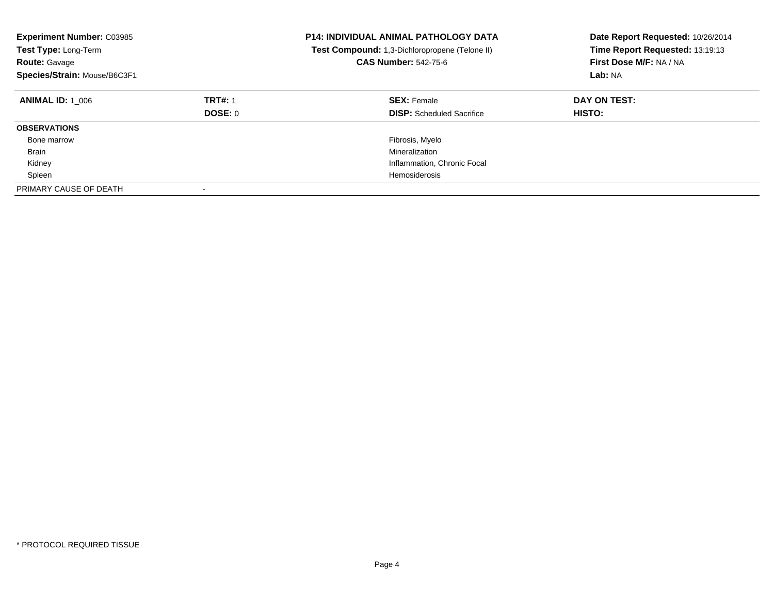| <b>Experiment Number: C03985</b><br><b>Test Type: Long-Term</b><br><b>Route: Gavage</b><br>Species/Strain: Mouse/B6C3F1 |                           | <b>P14: INDIVIDUAL ANIMAL PATHOLOGY DATA</b><br>Test Compound: 1,3-Dichloropropene (Telone II)<br><b>CAS Number: 542-75-6</b> | Date Report Requested: 10/26/2014<br>Time Report Requested: 13:19:13<br>First Dose M/F: NA / NA<br>Lab: NA |
|-------------------------------------------------------------------------------------------------------------------------|---------------------------|-------------------------------------------------------------------------------------------------------------------------------|------------------------------------------------------------------------------------------------------------|
| <b>ANIMAL ID: 1 006</b>                                                                                                 | <b>TRT#: 1</b><br>DOSE: 0 | <b>SEX: Female</b><br><b>DISP:</b> Scheduled Sacrifice                                                                        | DAY ON TEST:<br><b>HISTO:</b>                                                                              |
| <b>OBSERVATIONS</b>                                                                                                     |                           |                                                                                                                               |                                                                                                            |
| Bone marrow                                                                                                             |                           | Fibrosis, Myelo                                                                                                               |                                                                                                            |
| <b>Brain</b>                                                                                                            |                           | Mineralization                                                                                                                |                                                                                                            |
| Kidney                                                                                                                  |                           | Inflammation, Chronic Focal                                                                                                   |                                                                                                            |
| Spleen                                                                                                                  |                           | Hemosiderosis                                                                                                                 |                                                                                                            |
| PRIMARY CAUSE OF DEATH                                                                                                  |                           |                                                                                                                               |                                                                                                            |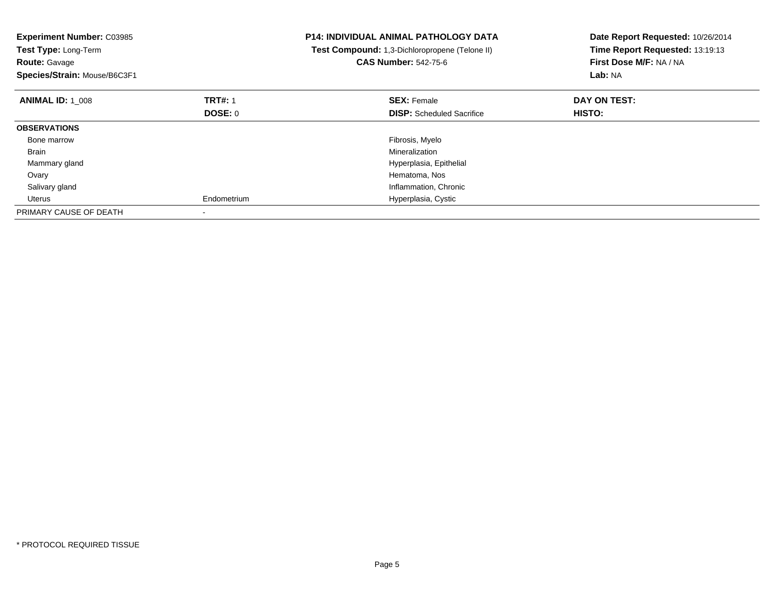| <b>Experiment Number: C03985</b><br>Test Type: Long-Term<br><b>Route: Gavage</b><br>Species/Strain: Mouse/B6C3F1 |                | <b>P14: INDIVIDUAL ANIMAL PATHOLOGY DATA</b><br>Test Compound: 1,3-Dichloropropene (Telone II)<br><b>CAS Number: 542-75-6</b> | Date Report Requested: 10/26/2014<br>Time Report Requested: 13:19:13<br>First Dose M/F: NA / NA<br>Lab: NA |
|------------------------------------------------------------------------------------------------------------------|----------------|-------------------------------------------------------------------------------------------------------------------------------|------------------------------------------------------------------------------------------------------------|
| <b>ANIMAL ID: 1 008</b>                                                                                          | <b>TRT#: 1</b> | <b>SEX: Female</b>                                                                                                            | DAY ON TEST:                                                                                               |
|                                                                                                                  | DOSE: 0        | <b>DISP:</b> Scheduled Sacrifice                                                                                              | HISTO:                                                                                                     |
| <b>OBSERVATIONS</b>                                                                                              |                |                                                                                                                               |                                                                                                            |
| Bone marrow                                                                                                      |                | Fibrosis, Myelo                                                                                                               |                                                                                                            |
| Brain                                                                                                            |                | Mineralization                                                                                                                |                                                                                                            |
| Mammary gland                                                                                                    |                | Hyperplasia, Epithelial                                                                                                       |                                                                                                            |
| Ovary                                                                                                            |                | Hematoma, Nos                                                                                                                 |                                                                                                            |
| Salivary gland                                                                                                   |                | Inflammation, Chronic                                                                                                         |                                                                                                            |
| Uterus                                                                                                           | Endometrium    | Hyperplasia, Cystic                                                                                                           |                                                                                                            |
| PRIMARY CAUSE OF DEATH                                                                                           |                |                                                                                                                               |                                                                                                            |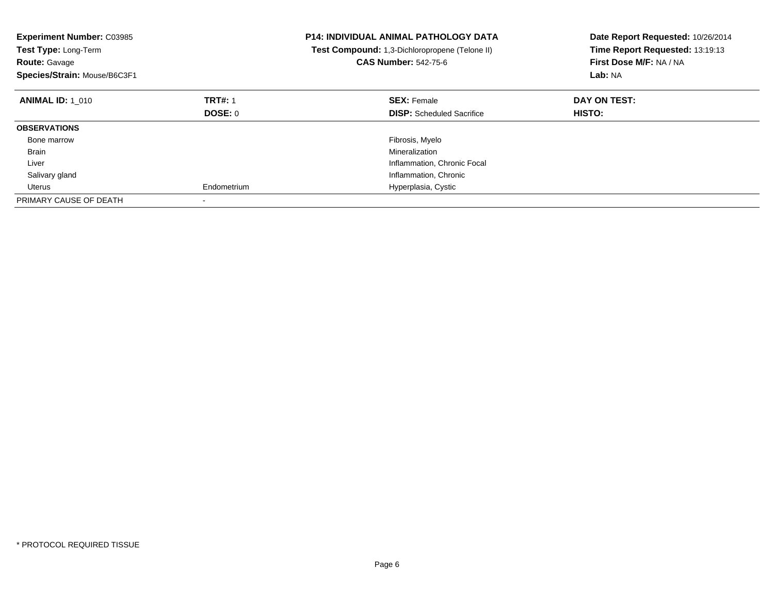| <b>Experiment Number: C03985</b><br>Test Type: Long-Term<br><b>Route: Gavage</b><br>Species/Strain: Mouse/B6C3F1 |                | <b>P14: INDIVIDUAL ANIMAL PATHOLOGY DATA</b><br>Test Compound: 1,3-Dichloropropene (Telone II)<br><b>CAS Number: 542-75-6</b> | Date Report Requested: 10/26/2014<br>Time Report Requested: 13:19:13<br>First Dose M/F: NA / NA<br>Lab: NA |
|------------------------------------------------------------------------------------------------------------------|----------------|-------------------------------------------------------------------------------------------------------------------------------|------------------------------------------------------------------------------------------------------------|
| <b>ANIMAL ID: 1 010</b>                                                                                          | <b>TRT#: 1</b> | <b>SEX: Female</b>                                                                                                            | DAY ON TEST:                                                                                               |
|                                                                                                                  | <b>DOSE: 0</b> | <b>DISP:</b> Scheduled Sacrifice                                                                                              | <b>HISTO:</b>                                                                                              |
| <b>OBSERVATIONS</b>                                                                                              |                |                                                                                                                               |                                                                                                            |
| Bone marrow                                                                                                      |                | Fibrosis, Myelo                                                                                                               |                                                                                                            |
| Brain                                                                                                            |                | Mineralization                                                                                                                |                                                                                                            |
| Liver                                                                                                            |                | Inflammation, Chronic Focal                                                                                                   |                                                                                                            |
| Salivary gland                                                                                                   |                | Inflammation, Chronic                                                                                                         |                                                                                                            |
| Uterus                                                                                                           | Endometrium    | Hyperplasia, Cystic                                                                                                           |                                                                                                            |
| PRIMARY CAUSE OF DEATH                                                                                           |                |                                                                                                                               |                                                                                                            |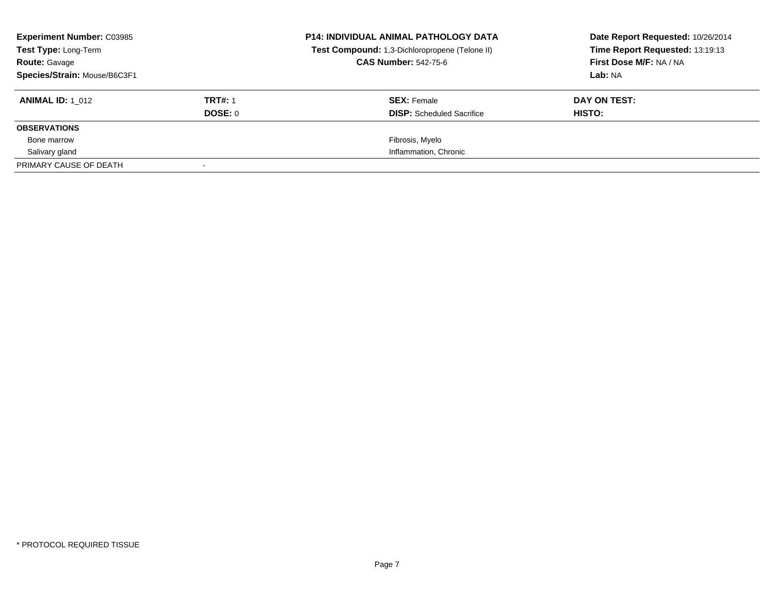| <b>Experiment Number: C03985</b><br><b>Test Type: Long-Term</b> |                | <b>P14: INDIVIDUAL ANIMAL PATHOLOGY DATA</b><br>Test Compound: 1,3-Dichloropropene (Telone II)<br><b>CAS Number: 542-75-6</b> | Date Report Requested: 10/26/2014<br>Time Report Requested: 13:19:13<br>First Dose M/F: NA / NA |
|-----------------------------------------------------------------|----------------|-------------------------------------------------------------------------------------------------------------------------------|-------------------------------------------------------------------------------------------------|
| <b>Route: Gavage</b>                                            |                |                                                                                                                               |                                                                                                 |
| Species/Strain: Mouse/B6C3F1                                    |                |                                                                                                                               | Lab: NA                                                                                         |
| <b>ANIMAL ID: 1 012</b>                                         | <b>TRT#: 1</b> | <b>SEX: Female</b>                                                                                                            | DAY ON TEST:                                                                                    |
|                                                                 | DOSE: 0        | <b>DISP:</b> Scheduled Sacrifice                                                                                              | HISTO:                                                                                          |
| <b>OBSERVATIONS</b>                                             |                |                                                                                                                               |                                                                                                 |
| Bone marrow                                                     |                | Fibrosis, Myelo                                                                                                               |                                                                                                 |
| Salivary gland                                                  |                | Inflammation, Chronic                                                                                                         |                                                                                                 |
| PRIMARY CAUSE OF DEATH                                          |                |                                                                                                                               |                                                                                                 |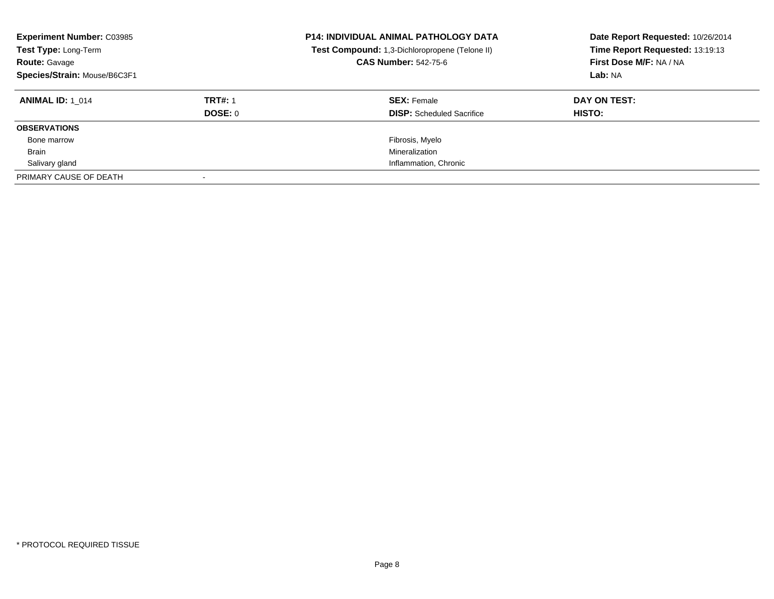| <b>Experiment Number: C03985</b><br>Test Type: Long-Term<br><b>Route: Gavage</b><br>Species/Strain: Mouse/B6C3F1 |                | <b>P14: INDIVIDUAL ANIMAL PATHOLOGY DATA</b><br>Test Compound: 1,3-Dichloropropene (Telone II)<br><b>CAS Number: 542-75-6</b> | Date Report Requested: 10/26/2014<br>Time Report Requested: 13:19:13<br>First Dose M/F: NA / NA<br>Lab: NA |
|------------------------------------------------------------------------------------------------------------------|----------------|-------------------------------------------------------------------------------------------------------------------------------|------------------------------------------------------------------------------------------------------------|
| <b>ANIMAL ID: 1 014</b>                                                                                          | <b>TRT#: 1</b> | <b>SEX: Female</b>                                                                                                            | DAY ON TEST:                                                                                               |
|                                                                                                                  | DOSE: 0        | <b>DISP:</b> Scheduled Sacrifice                                                                                              | HISTO:                                                                                                     |
| <b>OBSERVATIONS</b>                                                                                              |                |                                                                                                                               |                                                                                                            |
| Bone marrow                                                                                                      |                | Fibrosis, Myelo                                                                                                               |                                                                                                            |
| <b>Brain</b>                                                                                                     |                | Mineralization                                                                                                                |                                                                                                            |
| Salivary gland                                                                                                   |                | Inflammation, Chronic                                                                                                         |                                                                                                            |
| PRIMARY CAUSE OF DEATH                                                                                           |                |                                                                                                                               |                                                                                                            |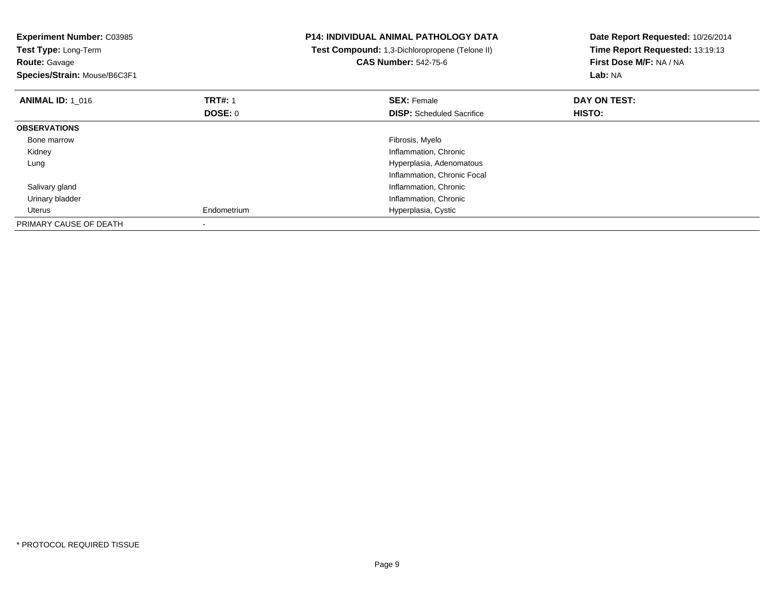| <b>Experiment Number: C03985</b><br>Test Type: Long-Term<br><b>Route: Gavage</b><br>Species/Strain: Mouse/B6C3F1 |                                  | <b>P14: INDIVIDUAL ANIMAL PATHOLOGY DATA</b><br>Test Compound: 1,3-Dichloropropene (Telone II)<br><b>CAS Number: 542-75-6</b> | Date Report Requested: 10/26/2014<br>Time Report Requested: 13:19:13<br>First Dose M/F: NA / NA<br>Lab: NA |
|------------------------------------------------------------------------------------------------------------------|----------------------------------|-------------------------------------------------------------------------------------------------------------------------------|------------------------------------------------------------------------------------------------------------|
| <b>ANIMAL ID: 1 016</b>                                                                                          | <b>TRT#: 1</b><br><b>DOSE: 0</b> | <b>SEX: Female</b><br><b>DISP:</b> Scheduled Sacrifice                                                                        | DAY ON TEST:<br>HISTO:                                                                                     |
| <b>OBSERVATIONS</b>                                                                                              |                                  |                                                                                                                               |                                                                                                            |
| Bone marrow                                                                                                      |                                  | Fibrosis, Myelo                                                                                                               |                                                                                                            |
| Kidney                                                                                                           |                                  | Inflammation, Chronic                                                                                                         |                                                                                                            |
| Lung                                                                                                             |                                  | Hyperplasia, Adenomatous                                                                                                      |                                                                                                            |
|                                                                                                                  |                                  | Inflammation, Chronic Focal                                                                                                   |                                                                                                            |
| Salivary gland                                                                                                   |                                  | Inflammation, Chronic                                                                                                         |                                                                                                            |
| Urinary bladder                                                                                                  |                                  | Inflammation, Chronic                                                                                                         |                                                                                                            |
| Uterus                                                                                                           | Endometrium                      | Hyperplasia, Cystic                                                                                                           |                                                                                                            |
| PRIMARY CAUSE OF DEATH                                                                                           |                                  |                                                                                                                               |                                                                                                            |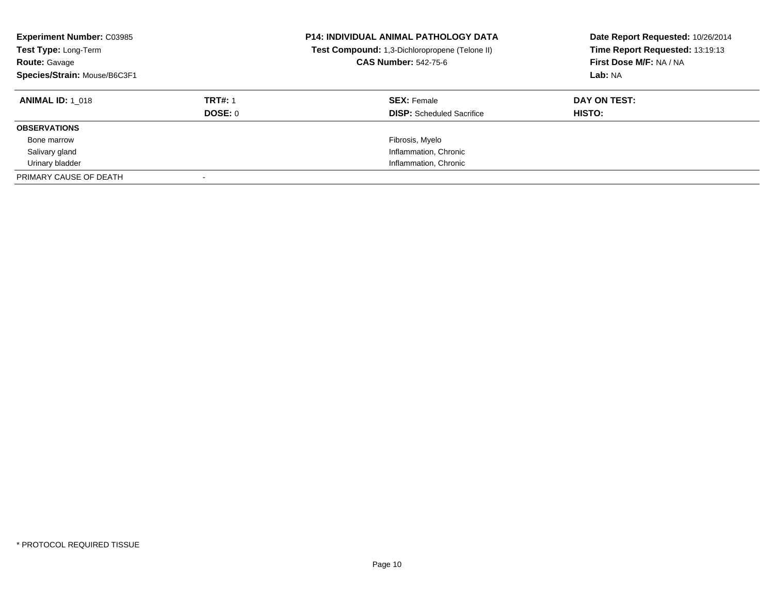| <b>Experiment Number: C03985</b><br>Test Type: Long-Term<br><b>Route: Gavage</b><br>Species/Strain: Mouse/B6C3F1 |                | <b>P14: INDIVIDUAL ANIMAL PATHOLOGY DATA</b><br>Test Compound: 1,3-Dichloropropene (Telone II)<br><b>CAS Number: 542-75-6</b> | Date Report Requested: 10/26/2014<br>Time Report Requested: 13:19:13<br>First Dose M/F: NA / NA<br>Lab: NA |
|------------------------------------------------------------------------------------------------------------------|----------------|-------------------------------------------------------------------------------------------------------------------------------|------------------------------------------------------------------------------------------------------------|
| <b>ANIMAL ID: 1 018</b>                                                                                          | <b>TRT#: 1</b> | <b>SEX: Female</b>                                                                                                            | DAY ON TEST:                                                                                               |
|                                                                                                                  | DOSE: 0        | <b>DISP:</b> Scheduled Sacrifice                                                                                              | <b>HISTO:</b>                                                                                              |
| <b>OBSERVATIONS</b>                                                                                              |                |                                                                                                                               |                                                                                                            |
| Bone marrow                                                                                                      |                | Fibrosis, Myelo                                                                                                               |                                                                                                            |
| Salivary gland                                                                                                   |                | Inflammation, Chronic                                                                                                         |                                                                                                            |
| Urinary bladder                                                                                                  |                | Inflammation, Chronic                                                                                                         |                                                                                                            |
| PRIMARY CAUSE OF DEATH                                                                                           |                |                                                                                                                               |                                                                                                            |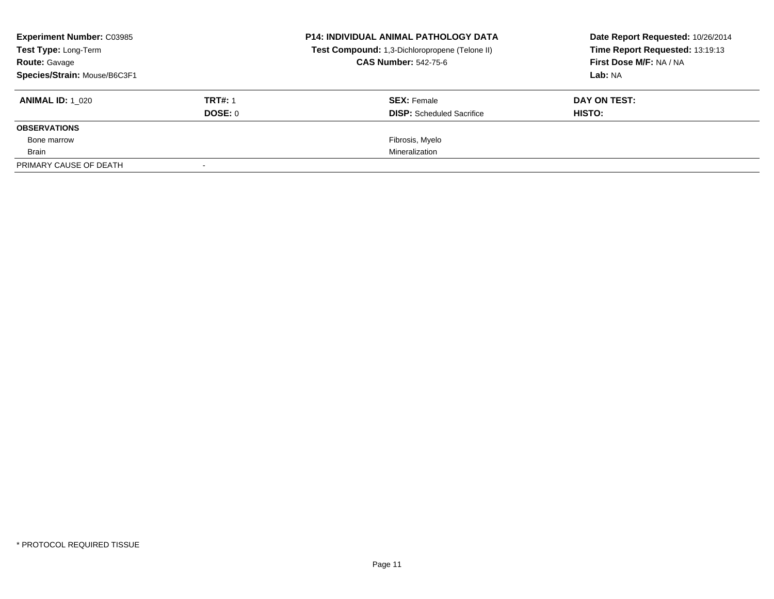| <b>Experiment Number: C03985</b><br><b>Test Type: Long-Term</b> |                | <b>P14: INDIVIDUAL ANIMAL PATHOLOGY DATA</b><br>Test Compound: 1,3-Dichloropropene (Telone II) | Date Report Requested: 10/26/2014<br>Time Report Requested: 13:19:13<br>First Dose M/F: NA / NA |
|-----------------------------------------------------------------|----------------|------------------------------------------------------------------------------------------------|-------------------------------------------------------------------------------------------------|
| <b>Route: Gavage</b>                                            |                | <b>CAS Number: 542-75-6</b>                                                                    |                                                                                                 |
| Species/Strain: Mouse/B6C3F1                                    |                |                                                                                                | Lab: NA                                                                                         |
| <b>ANIMAL ID: 1 020</b>                                         | <b>TRT#: 1</b> | <b>SEX: Female</b>                                                                             | DAY ON TEST:                                                                                    |
|                                                                 | DOSE: 0        | <b>DISP:</b> Scheduled Sacrifice                                                               | HISTO:                                                                                          |
| <b>OBSERVATIONS</b>                                             |                |                                                                                                |                                                                                                 |
| Bone marrow                                                     |                | Fibrosis, Myelo                                                                                |                                                                                                 |
| Brain                                                           |                | Mineralization                                                                                 |                                                                                                 |
| PRIMARY CAUSE OF DEATH                                          |                |                                                                                                |                                                                                                 |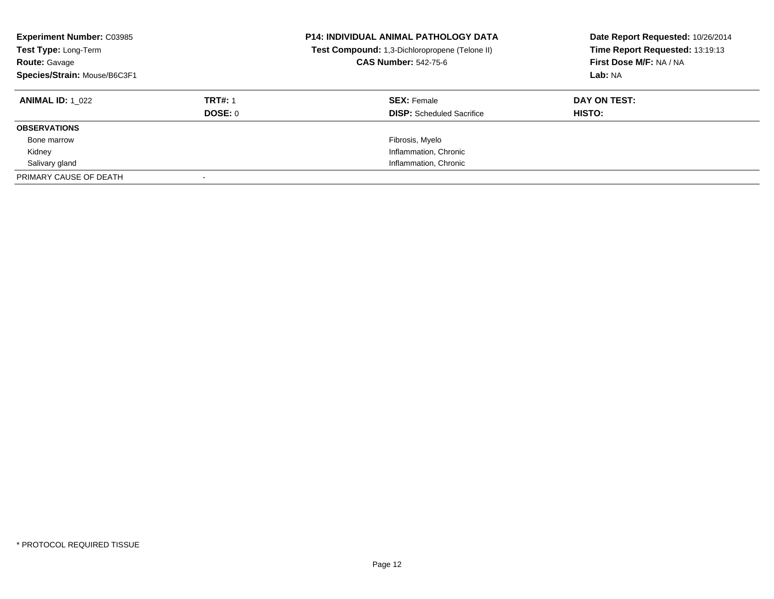| <b>Experiment Number: C03985</b><br>Test Type: Long-Term<br><b>Route: Gavage</b><br>Species/Strain: Mouse/B6C3F1 |                | <b>P14: INDIVIDUAL ANIMAL PATHOLOGY DATA</b><br>Test Compound: 1,3-Dichloropropene (Telone II)<br><b>CAS Number: 542-75-6</b> | Date Report Requested: 10/26/2014<br>Time Report Requested: 13:19:13<br>First Dose M/F: NA / NA<br>Lab: NA |
|------------------------------------------------------------------------------------------------------------------|----------------|-------------------------------------------------------------------------------------------------------------------------------|------------------------------------------------------------------------------------------------------------|
| <b>ANIMAL ID: 1 022</b>                                                                                          | <b>TRT#: 1</b> | <b>SEX: Female</b>                                                                                                            | DAY ON TEST:                                                                                               |
|                                                                                                                  | DOSE: 0        | <b>DISP:</b> Scheduled Sacrifice                                                                                              | HISTO:                                                                                                     |
| <b>OBSERVATIONS</b>                                                                                              |                |                                                                                                                               |                                                                                                            |
| Bone marrow                                                                                                      |                | Fibrosis, Myelo                                                                                                               |                                                                                                            |
| Kidney                                                                                                           |                | Inflammation, Chronic                                                                                                         |                                                                                                            |
| Salivary gland                                                                                                   |                | Inflammation, Chronic                                                                                                         |                                                                                                            |
| PRIMARY CAUSE OF DEATH                                                                                           |                |                                                                                                                               |                                                                                                            |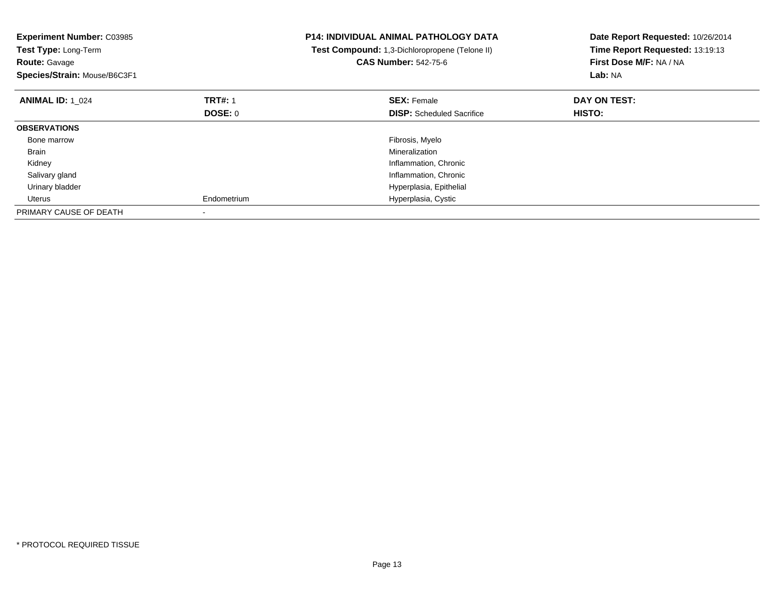| <b>Experiment Number: C03985</b><br>Test Type: Long-Term<br><b>Route: Gavage</b><br>Species/Strain: Mouse/B6C3F1 |                | <b>P14: INDIVIDUAL ANIMAL PATHOLOGY DATA</b><br>Test Compound: 1,3-Dichloropropene (Telone II)<br><b>CAS Number: 542-75-6</b> | Date Report Requested: 10/26/2014<br>Time Report Requested: 13:19:13<br>First Dose M/F: NA / NA<br>Lab: NA |
|------------------------------------------------------------------------------------------------------------------|----------------|-------------------------------------------------------------------------------------------------------------------------------|------------------------------------------------------------------------------------------------------------|
| <b>ANIMAL ID: 1 024</b>                                                                                          | <b>TRT#: 1</b> | <b>SEX: Female</b>                                                                                                            | DAY ON TEST:                                                                                               |
|                                                                                                                  | DOSE: 0        | <b>DISP:</b> Scheduled Sacrifice                                                                                              | HISTO:                                                                                                     |
| <b>OBSERVATIONS</b>                                                                                              |                |                                                                                                                               |                                                                                                            |
| Bone marrow                                                                                                      |                | Fibrosis, Myelo                                                                                                               |                                                                                                            |
| Brain                                                                                                            |                | Mineralization                                                                                                                |                                                                                                            |
| Kidney                                                                                                           |                | Inflammation, Chronic                                                                                                         |                                                                                                            |
| Salivary gland                                                                                                   |                | Inflammation, Chronic                                                                                                         |                                                                                                            |
| Urinary bladder                                                                                                  |                | Hyperplasia, Epithelial                                                                                                       |                                                                                                            |
| Uterus                                                                                                           | Endometrium    | Hyperplasia, Cystic                                                                                                           |                                                                                                            |
| PRIMARY CAUSE OF DEATH                                                                                           |                |                                                                                                                               |                                                                                                            |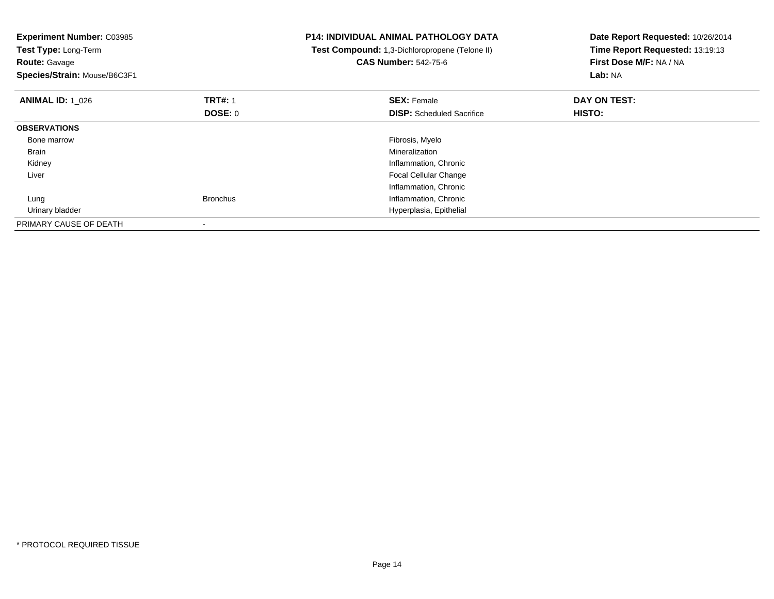| <b>Experiment Number: C03985</b><br>Test Type: Long-Term<br><b>Route: Gavage</b><br>Species/Strain: Mouse/B6C3F1 |                                  | <b>P14: INDIVIDUAL ANIMAL PATHOLOGY DATA</b><br>Test Compound: 1,3-Dichloropropene (Telone II)<br><b>CAS Number: 542-75-6</b> | Date Report Requested: 10/26/2014<br>Time Report Requested: 13:19:13<br>First Dose M/F: NA / NA<br>Lab: NA |
|------------------------------------------------------------------------------------------------------------------|----------------------------------|-------------------------------------------------------------------------------------------------------------------------------|------------------------------------------------------------------------------------------------------------|
| <b>ANIMAL ID: 1 026</b>                                                                                          | <b>TRT#: 1</b><br><b>DOSE: 0</b> | <b>SEX: Female</b><br><b>DISP:</b> Scheduled Sacrifice                                                                        | DAY ON TEST:<br>HISTO:                                                                                     |
| <b>OBSERVATIONS</b>                                                                                              |                                  |                                                                                                                               |                                                                                                            |
| Bone marrow                                                                                                      |                                  | Fibrosis, Myelo                                                                                                               |                                                                                                            |
| <b>Brain</b>                                                                                                     |                                  | Mineralization                                                                                                                |                                                                                                            |
| Kidney                                                                                                           |                                  | Inflammation, Chronic                                                                                                         |                                                                                                            |
| Liver                                                                                                            |                                  | Focal Cellular Change                                                                                                         |                                                                                                            |
|                                                                                                                  |                                  | Inflammation, Chronic                                                                                                         |                                                                                                            |
| Lung                                                                                                             | <b>Bronchus</b>                  | Inflammation, Chronic                                                                                                         |                                                                                                            |
| Urinary bladder                                                                                                  |                                  | Hyperplasia, Epithelial                                                                                                       |                                                                                                            |
| PRIMARY CAUSE OF DEATH                                                                                           |                                  |                                                                                                                               |                                                                                                            |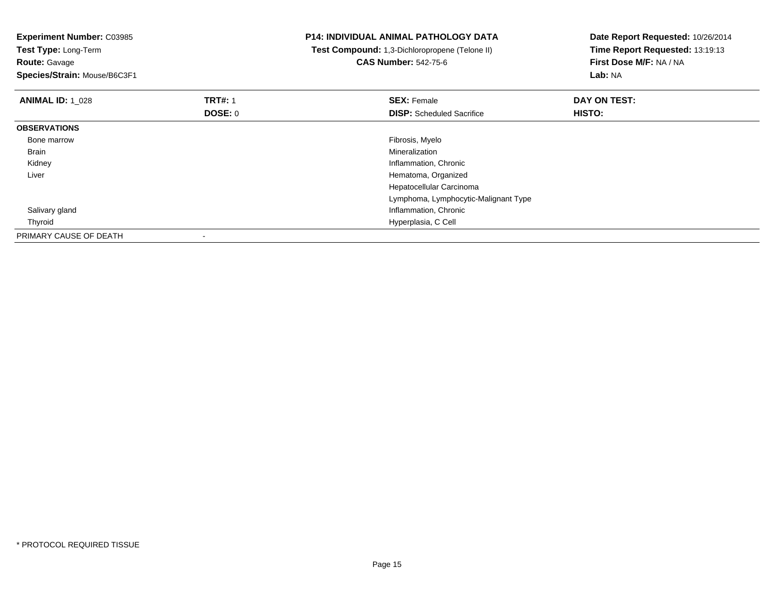| <b>Experiment Number: C03985</b><br>Test Type: Long-Term<br><b>Route: Gavage</b><br>Species/Strain: Mouse/B6C3F1 |                                  | <b>P14: INDIVIDUAL ANIMAL PATHOLOGY DATA</b><br>Test Compound: 1,3-Dichloropropene (Telone II)<br><b>CAS Number: 542-75-6</b> | Date Report Requested: 10/26/2014<br>Time Report Requested: 13:19:13<br>First Dose M/F: NA / NA<br>Lab: NA |
|------------------------------------------------------------------------------------------------------------------|----------------------------------|-------------------------------------------------------------------------------------------------------------------------------|------------------------------------------------------------------------------------------------------------|
| <b>ANIMAL ID:</b> 1 028                                                                                          | <b>TRT#: 1</b><br><b>DOSE: 0</b> | <b>SEX: Female</b><br><b>DISP:</b> Scheduled Sacrifice                                                                        | DAY ON TEST:<br>HISTO:                                                                                     |
| <b>OBSERVATIONS</b>                                                                                              |                                  |                                                                                                                               |                                                                                                            |
| Bone marrow                                                                                                      |                                  | Fibrosis, Myelo                                                                                                               |                                                                                                            |
| Brain                                                                                                            |                                  | Mineralization                                                                                                                |                                                                                                            |
| Kidney                                                                                                           |                                  | Inflammation, Chronic                                                                                                         |                                                                                                            |
| Liver                                                                                                            |                                  | Hematoma, Organized                                                                                                           |                                                                                                            |
|                                                                                                                  |                                  | Hepatocellular Carcinoma                                                                                                      |                                                                                                            |
|                                                                                                                  |                                  | Lymphoma, Lymphocytic-Malignant Type                                                                                          |                                                                                                            |
| Salivary gland                                                                                                   |                                  | Inflammation, Chronic                                                                                                         |                                                                                                            |
| Thyroid                                                                                                          |                                  | Hyperplasia, C Cell                                                                                                           |                                                                                                            |
| PRIMARY CAUSE OF DEATH                                                                                           |                                  |                                                                                                                               |                                                                                                            |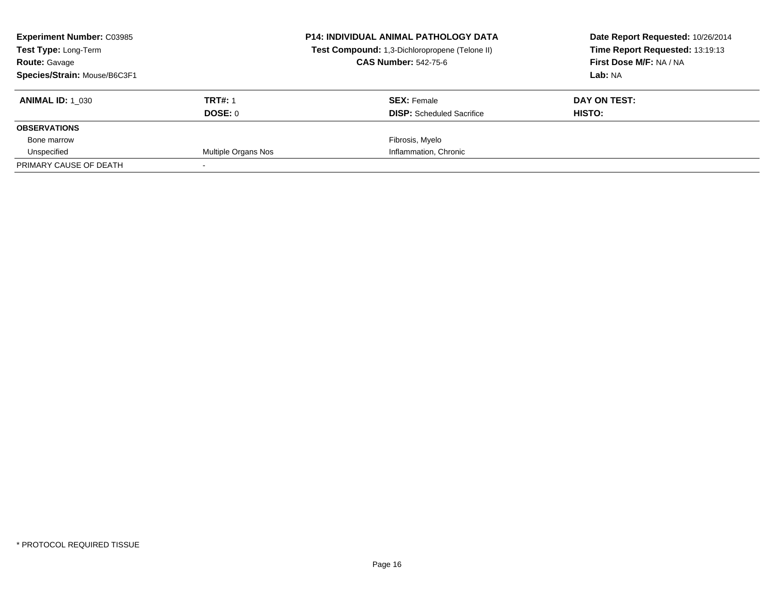| <b>Experiment Number: C03985</b><br><b>Test Type: Long-Term</b> |                     | <b>P14: INDIVIDUAL ANIMAL PATHOLOGY DATA</b><br>Test Compound: 1,3-Dichloropropene (Telone II) | Date Report Requested: 10/26/2014<br>Time Report Requested: 13:19:13 |
|-----------------------------------------------------------------|---------------------|------------------------------------------------------------------------------------------------|----------------------------------------------------------------------|
| <b>Route: Gavage</b>                                            |                     | <b>CAS Number: 542-75-6</b>                                                                    | First Dose M/F: NA / NA                                              |
| Species/Strain: Mouse/B6C3F1                                    |                     |                                                                                                | Lab: NA                                                              |
| <b>ANIMAL ID: 1 030</b>                                         | <b>TRT#: 1</b>      | <b>SEX: Female</b>                                                                             | DAY ON TEST:                                                         |
|                                                                 | DOSE: 0             | <b>DISP:</b> Scheduled Sacrifice                                                               | HISTO:                                                               |
| <b>OBSERVATIONS</b>                                             |                     |                                                                                                |                                                                      |
| Bone marrow                                                     |                     | Fibrosis, Myelo                                                                                |                                                                      |
| Unspecified                                                     | Multiple Organs Nos | Inflammation, Chronic                                                                          |                                                                      |
| PRIMARY CAUSE OF DEATH                                          |                     |                                                                                                |                                                                      |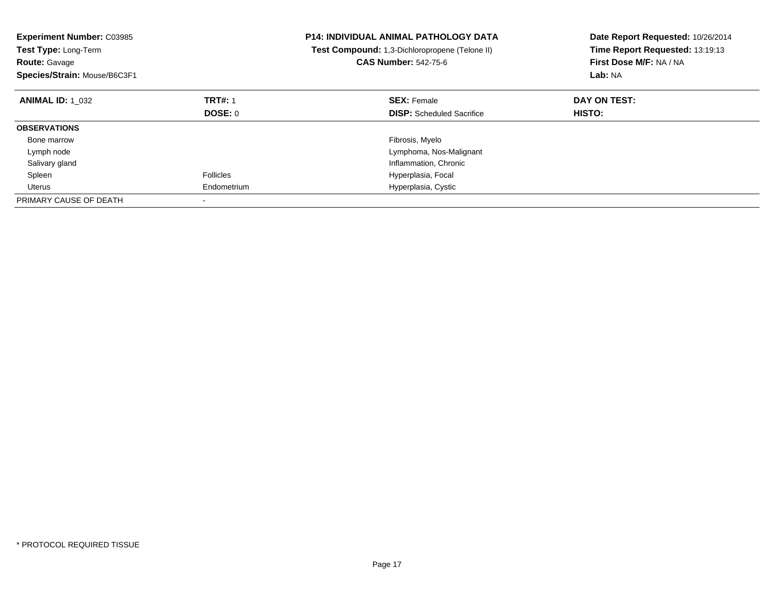| <b>Experiment Number: C03985</b><br>Test Type: Long-Term<br><b>Route: Gavage</b><br>Species/Strain: Mouse/B6C3F1 |                  | <b>P14: INDIVIDUAL ANIMAL PATHOLOGY DATA</b><br>Test Compound: 1,3-Dichloropropene (Telone II)<br><b>CAS Number: 542-75-6</b> | Date Report Requested: 10/26/2014<br>Time Report Requested: 13:19:13<br>First Dose M/F: NA / NA<br>Lab: NA |
|------------------------------------------------------------------------------------------------------------------|------------------|-------------------------------------------------------------------------------------------------------------------------------|------------------------------------------------------------------------------------------------------------|
| <b>ANIMAL ID: 1 032</b>                                                                                          | <b>TRT#: 1</b>   | <b>SEX: Female</b>                                                                                                            | DAY ON TEST:                                                                                               |
|                                                                                                                  | DOSE: 0          | <b>DISP:</b> Scheduled Sacrifice                                                                                              | <b>HISTO:</b>                                                                                              |
| <b>OBSERVATIONS</b>                                                                                              |                  |                                                                                                                               |                                                                                                            |
| Bone marrow                                                                                                      |                  | Fibrosis, Myelo                                                                                                               |                                                                                                            |
| Lymph node                                                                                                       |                  | Lymphoma, Nos-Malignant                                                                                                       |                                                                                                            |
| Salivary gland                                                                                                   |                  | Inflammation, Chronic                                                                                                         |                                                                                                            |
| Spleen                                                                                                           | <b>Follicles</b> | Hyperplasia, Focal                                                                                                            |                                                                                                            |
| Uterus                                                                                                           | Endometrium      | Hyperplasia, Cystic                                                                                                           |                                                                                                            |
| PRIMARY CAUSE OF DEATH                                                                                           |                  |                                                                                                                               |                                                                                                            |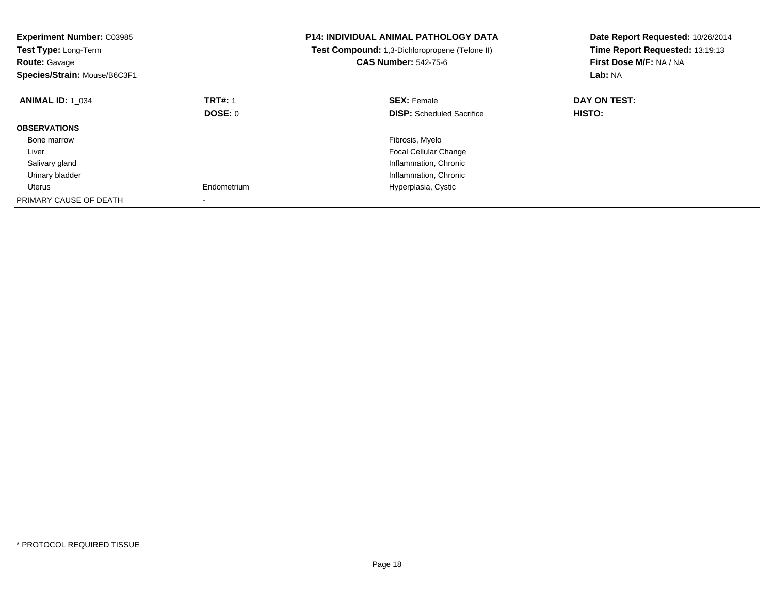| <b>Experiment Number: C03985</b><br>Test Type: Long-Term<br><b>Route: Gavage</b><br>Species/Strain: Mouse/B6C3F1 |                | <b>P14: INDIVIDUAL ANIMAL PATHOLOGY DATA</b><br>Test Compound: 1,3-Dichloropropene (Telone II)<br><b>CAS Number: 542-75-6</b> | Date Report Requested: 10/26/2014<br>Time Report Requested: 13:19:13<br>First Dose M/F: NA / NA<br>Lab: NA |
|------------------------------------------------------------------------------------------------------------------|----------------|-------------------------------------------------------------------------------------------------------------------------------|------------------------------------------------------------------------------------------------------------|
| <b>ANIMAL ID: 1 034</b>                                                                                          | <b>TRT#: 1</b> | <b>SEX: Female</b>                                                                                                            | DAY ON TEST:                                                                                               |
|                                                                                                                  | DOSE: 0        | <b>DISP:</b> Scheduled Sacrifice                                                                                              | <b>HISTO:</b>                                                                                              |
| <b>OBSERVATIONS</b>                                                                                              |                |                                                                                                                               |                                                                                                            |
| Bone marrow                                                                                                      |                | Fibrosis, Myelo                                                                                                               |                                                                                                            |
| Liver                                                                                                            |                | <b>Focal Cellular Change</b>                                                                                                  |                                                                                                            |
| Salivary gland                                                                                                   |                | Inflammation, Chronic                                                                                                         |                                                                                                            |
| Urinary bladder                                                                                                  |                | Inflammation, Chronic                                                                                                         |                                                                                                            |
| Uterus                                                                                                           | Endometrium    | Hyperplasia, Cystic                                                                                                           |                                                                                                            |
| PRIMARY CAUSE OF DEATH                                                                                           |                |                                                                                                                               |                                                                                                            |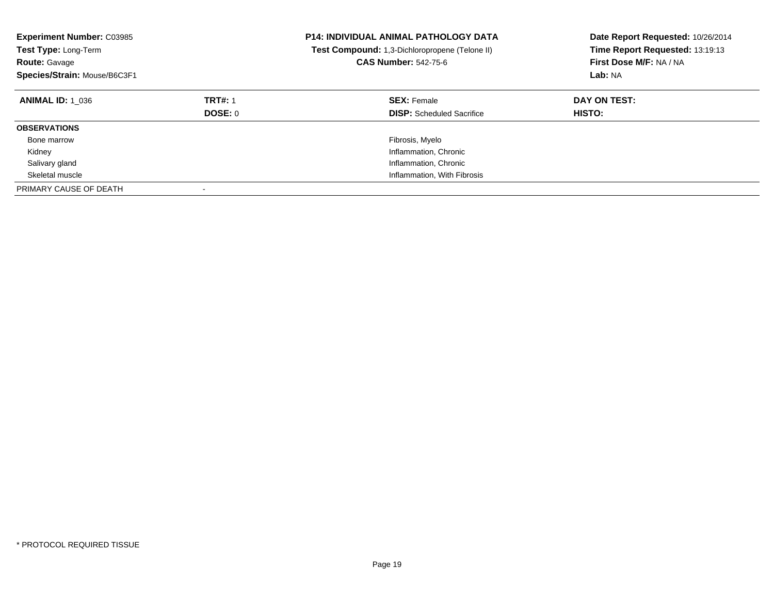| <b>Experiment Number: C03985</b><br><b>Test Type: Long-Term</b><br><b>Route: Gavage</b><br>Species/Strain: Mouse/B6C3F1 |                           | <b>P14: INDIVIDUAL ANIMAL PATHOLOGY DATA</b><br>Test Compound: 1,3-Dichloropropene (Telone II)<br><b>CAS Number: 542-75-6</b> | Date Report Requested: 10/26/2014<br>Time Report Requested: 13:19:13<br>First Dose M/F: NA / NA<br>Lab: NA |
|-------------------------------------------------------------------------------------------------------------------------|---------------------------|-------------------------------------------------------------------------------------------------------------------------------|------------------------------------------------------------------------------------------------------------|
| <b>ANIMAL ID: 1 036</b>                                                                                                 | <b>TRT#: 1</b><br>DOSE: 0 | <b>SEX: Female</b><br><b>DISP:</b> Scheduled Sacrifice                                                                        | DAY ON TEST:<br><b>HISTO:</b>                                                                              |
| <b>OBSERVATIONS</b>                                                                                                     |                           |                                                                                                                               |                                                                                                            |
| Bone marrow                                                                                                             |                           | Fibrosis, Myelo                                                                                                               |                                                                                                            |
| Kidney                                                                                                                  |                           | Inflammation, Chronic                                                                                                         |                                                                                                            |
| Salivary gland                                                                                                          |                           | Inflammation, Chronic                                                                                                         |                                                                                                            |
| Skeletal muscle                                                                                                         |                           | Inflammation, With Fibrosis                                                                                                   |                                                                                                            |
| PRIMARY CAUSE OF DEATH                                                                                                  |                           |                                                                                                                               |                                                                                                            |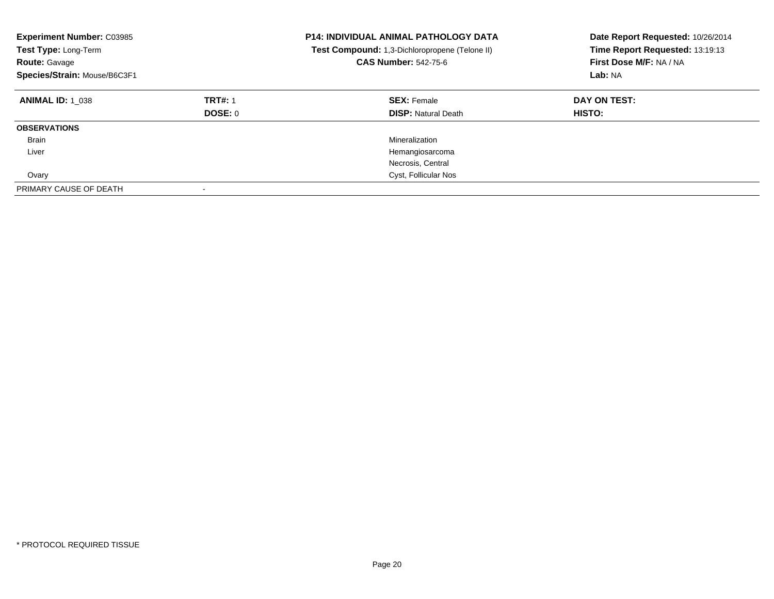| <b>Experiment Number: C03985</b><br>Test Type: Long-Term<br><b>Route: Gavage</b><br>Species/Strain: Mouse/B6C3F1 |                           | <b>P14: INDIVIDUAL ANIMAL PATHOLOGY DATA</b><br>Test Compound: 1,3-Dichloropropene (Telone II)<br><b>CAS Number: 542-75-6</b> | Date Report Requested: 10/26/2014<br>Time Report Requested: 13:19:13<br>First Dose M/F: NA / NA<br>Lab: NA |
|------------------------------------------------------------------------------------------------------------------|---------------------------|-------------------------------------------------------------------------------------------------------------------------------|------------------------------------------------------------------------------------------------------------|
| <b>ANIMAL ID: 1 038</b>                                                                                          | <b>TRT#: 1</b><br>DOSE: 0 | <b>SEX: Female</b><br><b>DISP:</b> Natural Death                                                                              | DAY ON TEST:<br>HISTO:                                                                                     |
| <b>OBSERVATIONS</b>                                                                                              |                           |                                                                                                                               |                                                                                                            |
| Brain                                                                                                            |                           | Mineralization                                                                                                                |                                                                                                            |
| Liver                                                                                                            |                           | Hemangiosarcoma                                                                                                               |                                                                                                            |
|                                                                                                                  |                           | Necrosis, Central                                                                                                             |                                                                                                            |
| Ovary                                                                                                            |                           | Cyst, Follicular Nos                                                                                                          |                                                                                                            |
| PRIMARY CAUSE OF DEATH                                                                                           |                           |                                                                                                                               |                                                                                                            |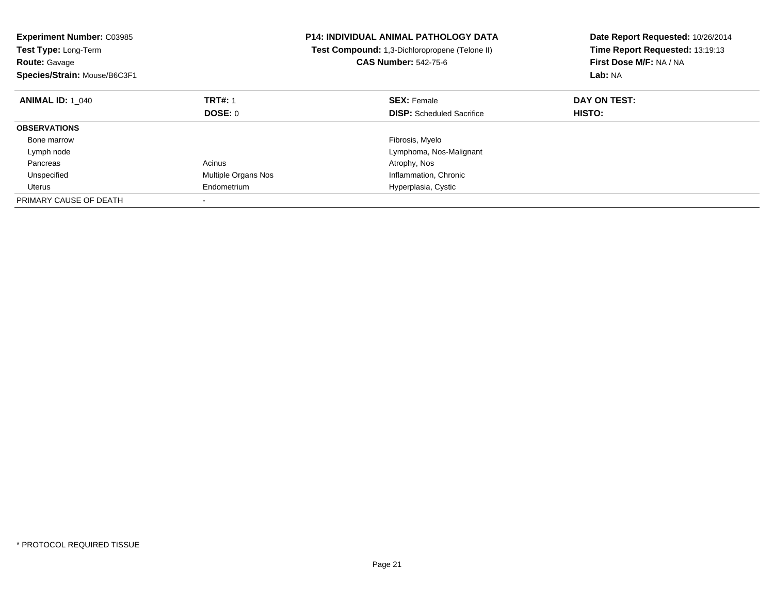| <b>Experiment Number: C03985</b><br>Test Type: Long-Term<br><b>Route: Gavage</b><br>Species/Strain: Mouse/B6C3F1 |                     | <b>P14: INDIVIDUAL ANIMAL PATHOLOGY DATA</b><br>Test Compound: 1,3-Dichloropropene (Telone II)<br><b>CAS Number: 542-75-6</b> | Date Report Requested: 10/26/2014<br>Time Report Requested: 13:19:13<br>First Dose M/F: NA / NA<br>Lab: NA |
|------------------------------------------------------------------------------------------------------------------|---------------------|-------------------------------------------------------------------------------------------------------------------------------|------------------------------------------------------------------------------------------------------------|
| <b>ANIMAL ID: 1 040</b>                                                                                          | <b>TRT#: 1</b>      | <b>SEX: Female</b>                                                                                                            | DAY ON TEST:                                                                                               |
|                                                                                                                  | <b>DOSE: 0</b>      | <b>DISP:</b> Scheduled Sacrifice                                                                                              | HISTO:                                                                                                     |
| <b>OBSERVATIONS</b>                                                                                              |                     |                                                                                                                               |                                                                                                            |
| Bone marrow                                                                                                      |                     | Fibrosis, Myelo                                                                                                               |                                                                                                            |
| Lymph node                                                                                                       |                     | Lymphoma, Nos-Malignant                                                                                                       |                                                                                                            |
| Pancreas                                                                                                         | Acinus              | Atrophy, Nos                                                                                                                  |                                                                                                            |
| Unspecified                                                                                                      | Multiple Organs Nos | Inflammation, Chronic                                                                                                         |                                                                                                            |
| Uterus                                                                                                           | Endometrium         | Hyperplasia, Cystic                                                                                                           |                                                                                                            |
| PRIMARY CAUSE OF DEATH                                                                                           |                     |                                                                                                                               |                                                                                                            |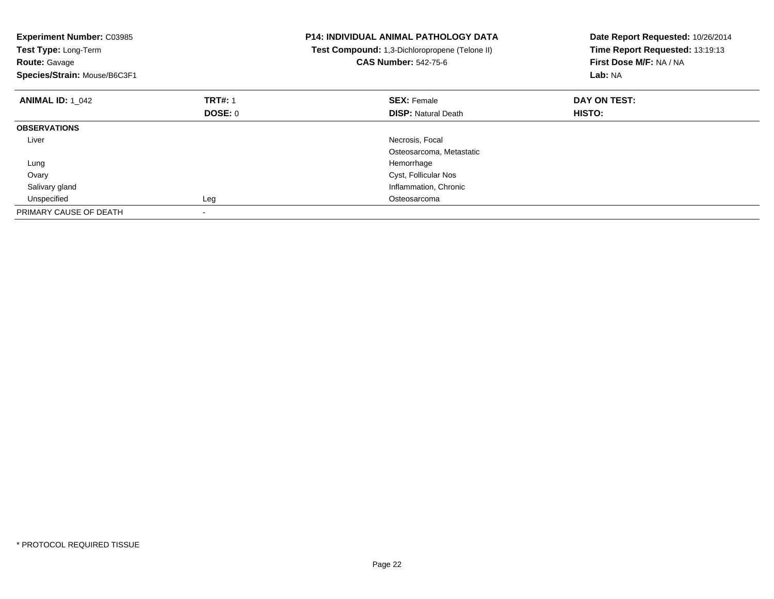| <b>Experiment Number: C03985</b><br>Test Type: Long-Term<br><b>Route: Gavage</b><br>Species/Strain: Mouse/B6C3F1 |                | <b>P14: INDIVIDUAL ANIMAL PATHOLOGY DATA</b><br>Test Compound: 1,3-Dichloropropene (Telone II)<br><b>CAS Number: 542-75-6</b> | Date Report Requested: 10/26/2014<br>Time Report Requested: 13:19:13<br>First Dose M/F: NA / NA<br><b>Lab: NA</b> |
|------------------------------------------------------------------------------------------------------------------|----------------|-------------------------------------------------------------------------------------------------------------------------------|-------------------------------------------------------------------------------------------------------------------|
| <b>ANIMAL ID: 1 042</b>                                                                                          | <b>TRT#: 1</b> | <b>SEX: Female</b>                                                                                                            | DAY ON TEST:                                                                                                      |
|                                                                                                                  | DOSE: 0        | <b>DISP: Natural Death</b>                                                                                                    | <b>HISTO:</b>                                                                                                     |
| <b>OBSERVATIONS</b>                                                                                              |                |                                                                                                                               |                                                                                                                   |
| Liver                                                                                                            |                | Necrosis, Focal                                                                                                               |                                                                                                                   |
|                                                                                                                  |                | Osteosarcoma, Metastatic                                                                                                      |                                                                                                                   |
| Lung                                                                                                             |                | Hemorrhage                                                                                                                    |                                                                                                                   |
| Ovary                                                                                                            |                | Cyst, Follicular Nos                                                                                                          |                                                                                                                   |
| Salivary gland                                                                                                   |                | Inflammation, Chronic                                                                                                         |                                                                                                                   |
| Unspecified                                                                                                      | Leg            | Osteosarcoma                                                                                                                  |                                                                                                                   |
| PRIMARY CAUSE OF DEATH                                                                                           |                |                                                                                                                               |                                                                                                                   |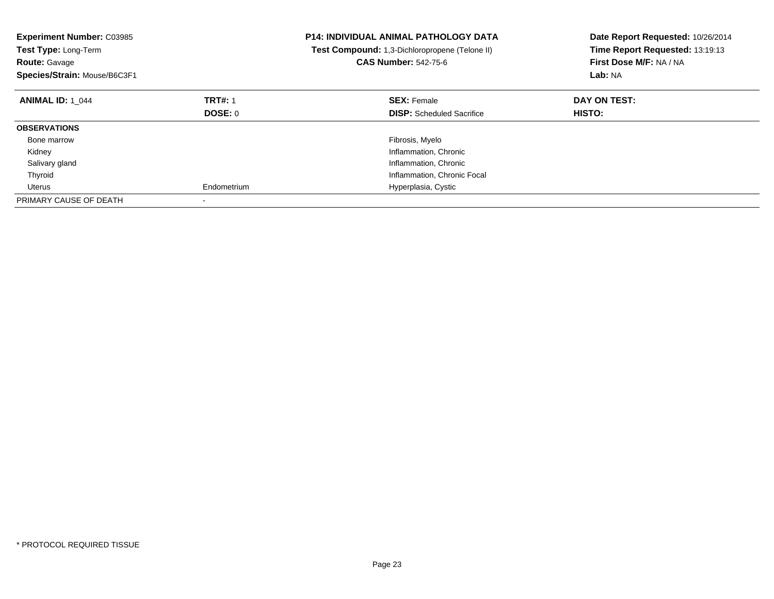| <b>Experiment Number: C03985</b><br>Test Type: Long-Term<br><b>Route: Gavage</b><br>Species/Strain: Mouse/B6C3F1 |                | <b>P14: INDIVIDUAL ANIMAL PATHOLOGY DATA</b><br>Test Compound: 1,3-Dichloropropene (Telone II)<br><b>CAS Number: 542-75-6</b> | Date Report Requested: 10/26/2014<br>Time Report Requested: 13:19:13<br>First Dose M/F: NA / NA<br>Lab: NA |
|------------------------------------------------------------------------------------------------------------------|----------------|-------------------------------------------------------------------------------------------------------------------------------|------------------------------------------------------------------------------------------------------------|
| <b>ANIMAL ID: 1 044</b>                                                                                          | <b>TRT#: 1</b> | <b>SEX: Female</b>                                                                                                            | DAY ON TEST:                                                                                               |
|                                                                                                                  | DOSE: 0        | <b>DISP:</b> Scheduled Sacrifice                                                                                              | <b>HISTO:</b>                                                                                              |
| <b>OBSERVATIONS</b>                                                                                              |                |                                                                                                                               |                                                                                                            |
| Bone marrow                                                                                                      |                | Fibrosis, Myelo                                                                                                               |                                                                                                            |
| Kidney                                                                                                           |                | Inflammation, Chronic                                                                                                         |                                                                                                            |
| Salivary gland                                                                                                   |                | Inflammation, Chronic                                                                                                         |                                                                                                            |
| Thyroid                                                                                                          |                | Inflammation, Chronic Focal                                                                                                   |                                                                                                            |
| Uterus                                                                                                           | Endometrium    | Hyperplasia, Cystic                                                                                                           |                                                                                                            |
| PRIMARY CAUSE OF DEATH                                                                                           |                |                                                                                                                               |                                                                                                            |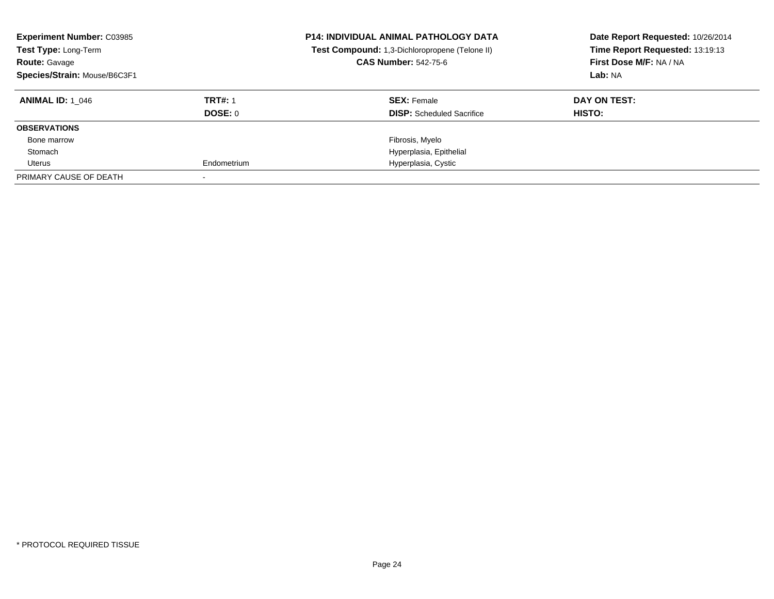| <b>Experiment Number: C03985</b><br>Test Type: Long-Term<br><b>Route: Gavage</b><br>Species/Strain: Mouse/B6C3F1 |                | <b>P14: INDIVIDUAL ANIMAL PATHOLOGY DATA</b><br>Test Compound: 1,3-Dichloropropene (Telone II)<br><b>CAS Number: 542-75-6</b> | Date Report Requested: 10/26/2014<br>Time Report Requested: 13:19:13<br>First Dose M/F: NA / NA<br>Lab: NA |
|------------------------------------------------------------------------------------------------------------------|----------------|-------------------------------------------------------------------------------------------------------------------------------|------------------------------------------------------------------------------------------------------------|
| <b>ANIMAL ID: 1 046</b>                                                                                          | <b>TRT#: 1</b> | <b>SEX: Female</b>                                                                                                            | DAY ON TEST:                                                                                               |
|                                                                                                                  | <b>DOSE: 0</b> | <b>DISP:</b> Scheduled Sacrifice                                                                                              | HISTO:                                                                                                     |
| <b>OBSERVATIONS</b>                                                                                              |                |                                                                                                                               |                                                                                                            |
| Bone marrow                                                                                                      |                | Fibrosis, Myelo                                                                                                               |                                                                                                            |
| Stomach                                                                                                          |                | Hyperplasia, Epithelial                                                                                                       |                                                                                                            |
| Uterus                                                                                                           | Endometrium    | Hyperplasia, Cystic                                                                                                           |                                                                                                            |
| PRIMARY CAUSE OF DEATH                                                                                           |                |                                                                                                                               |                                                                                                            |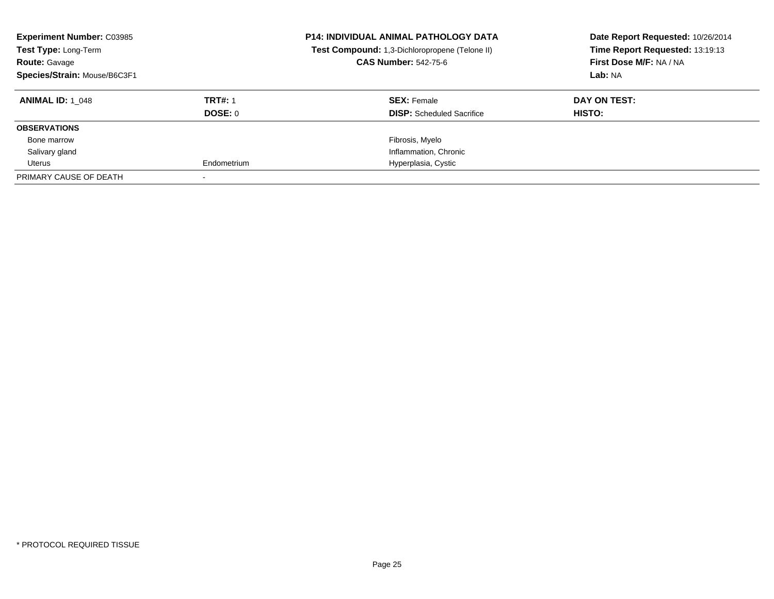| <b>Experiment Number: C03985</b><br>Test Type: Long-Term<br><b>Route: Gavage</b><br>Species/Strain: Mouse/B6C3F1 |                | <b>P14: INDIVIDUAL ANIMAL PATHOLOGY DATA</b><br>Test Compound: 1,3-Dichloropropene (Telone II)<br><b>CAS Number: 542-75-6</b> | Date Report Requested: 10/26/2014<br>Time Report Requested: 13:19:13<br>First Dose M/F: NA / NA<br>Lab: NA |
|------------------------------------------------------------------------------------------------------------------|----------------|-------------------------------------------------------------------------------------------------------------------------------|------------------------------------------------------------------------------------------------------------|
| <b>ANIMAL ID: 1 048</b>                                                                                          | <b>TRT#: 1</b> | <b>SEX: Female</b>                                                                                                            | DAY ON TEST:                                                                                               |
|                                                                                                                  | <b>DOSE: 0</b> | <b>DISP:</b> Scheduled Sacrifice                                                                                              | HISTO:                                                                                                     |
| <b>OBSERVATIONS</b>                                                                                              |                |                                                                                                                               |                                                                                                            |
| Bone marrow                                                                                                      |                | Fibrosis, Myelo                                                                                                               |                                                                                                            |
| Salivary gland                                                                                                   |                | Inflammation, Chronic                                                                                                         |                                                                                                            |
| Uterus                                                                                                           | Endometrium    | Hyperplasia, Cystic                                                                                                           |                                                                                                            |
| PRIMARY CAUSE OF DEATH                                                                                           |                |                                                                                                                               |                                                                                                            |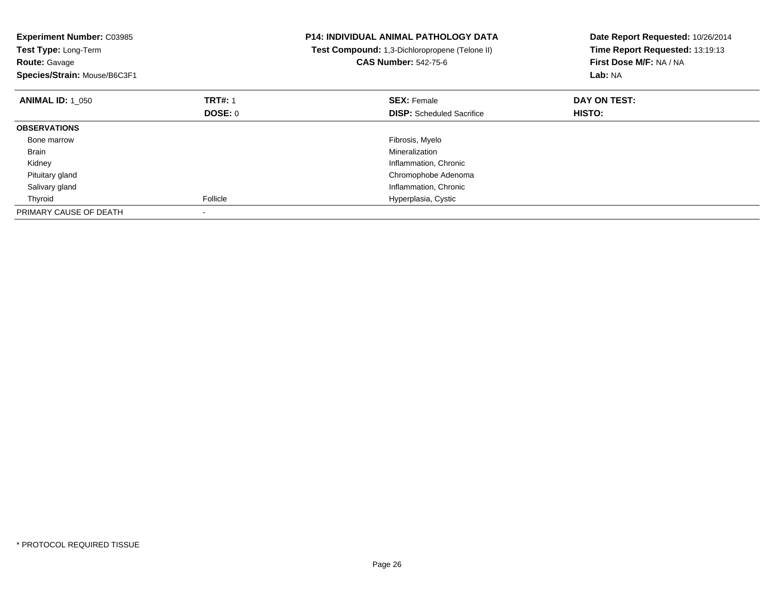| <b>Experiment Number: C03985</b><br>Test Type: Long-Term<br><b>Route: Gavage</b><br>Species/Strain: Mouse/B6C3F1 |                | <b>P14: INDIVIDUAL ANIMAL PATHOLOGY DATA</b><br>Test Compound: 1,3-Dichloropropene (Telone II)<br><b>CAS Number: 542-75-6</b> | Date Report Requested: 10/26/2014<br>Time Report Requested: 13:19:13<br>First Dose M/F: NA / NA<br>Lab: NA |
|------------------------------------------------------------------------------------------------------------------|----------------|-------------------------------------------------------------------------------------------------------------------------------|------------------------------------------------------------------------------------------------------------|
| <b>ANIMAL ID: 1 050</b>                                                                                          | <b>TRT#: 1</b> | <b>SEX: Female</b>                                                                                                            | DAY ON TEST:                                                                                               |
|                                                                                                                  | <b>DOSE: 0</b> | <b>DISP:</b> Scheduled Sacrifice                                                                                              | HISTO:                                                                                                     |
| <b>OBSERVATIONS</b>                                                                                              |                |                                                                                                                               |                                                                                                            |
| Bone marrow                                                                                                      |                | Fibrosis, Myelo                                                                                                               |                                                                                                            |
| Brain                                                                                                            |                | Mineralization                                                                                                                |                                                                                                            |
| Kidney                                                                                                           |                | Inflammation, Chronic                                                                                                         |                                                                                                            |
| Pituitary gland                                                                                                  |                | Chromophobe Adenoma                                                                                                           |                                                                                                            |
| Salivary gland                                                                                                   |                | Inflammation, Chronic                                                                                                         |                                                                                                            |
| Thyroid                                                                                                          | Follicle       | Hyperplasia, Cystic                                                                                                           |                                                                                                            |
| PRIMARY CAUSE OF DEATH                                                                                           |                |                                                                                                                               |                                                                                                            |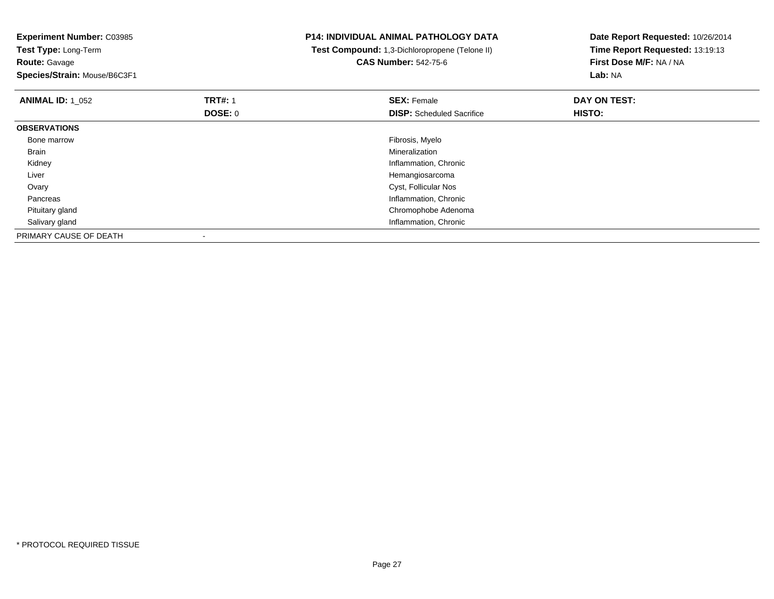| <b>Experiment Number: C03985</b> |                | <b>P14: INDIVIDUAL ANIMAL PATHOLOGY DATA</b>   | Date Report Requested: 10/26/2014 |
|----------------------------------|----------------|------------------------------------------------|-----------------------------------|
| Test Type: Long-Term             |                | Test Compound: 1,3-Dichloropropene (Telone II) | Time Report Requested: 13:19:13   |
| <b>Route: Gavage</b>             |                | <b>CAS Number: 542-75-6</b>                    | First Dose M/F: NA / NA           |
| Species/Strain: Mouse/B6C3F1     |                |                                                | Lab: NA                           |
| <b>ANIMAL ID: 1 052</b>          | <b>TRT#: 1</b> | <b>SEX: Female</b>                             | DAY ON TEST:                      |
|                                  | DOSE: 0        | <b>DISP:</b> Scheduled Sacrifice               | <b>HISTO:</b>                     |
| <b>OBSERVATIONS</b>              |                |                                                |                                   |
| Bone marrow                      |                | Fibrosis, Myelo                                |                                   |
| Brain                            |                | Mineralization                                 |                                   |
| Kidney                           |                | Inflammation, Chronic                          |                                   |
| Liver                            |                | Hemangiosarcoma                                |                                   |
| Ovary                            |                | Cyst, Follicular Nos                           |                                   |
| Pancreas                         |                | Inflammation, Chronic                          |                                   |
| Pituitary gland                  |                | Chromophobe Adenoma                            |                                   |
| Salivary gland                   |                | Inflammation, Chronic                          |                                   |
| PRIMARY CAUSE OF DEATH           |                |                                                |                                   |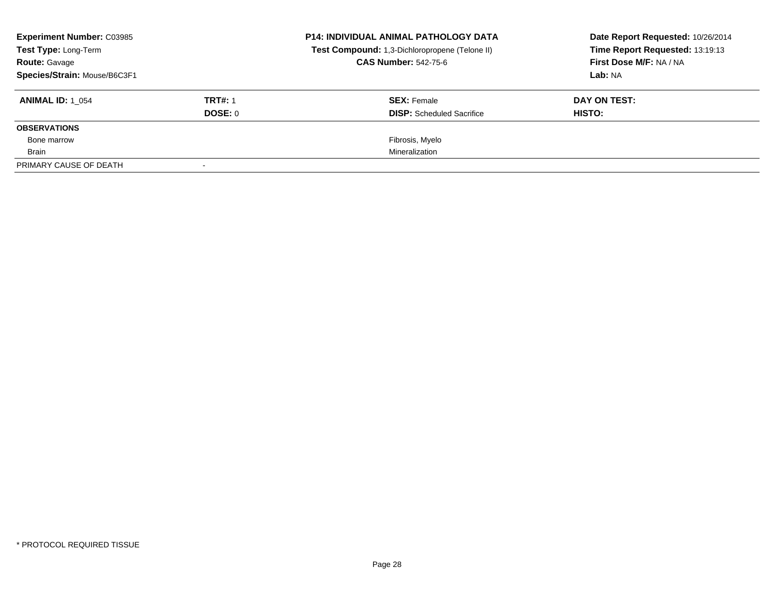| <b>Experiment Number: C03985</b><br><b>Test Type: Long-Term</b> |                | <b>P14: INDIVIDUAL ANIMAL PATHOLOGY DATA</b><br>Test Compound: 1,3-Dichloropropene (Telone II) | Date Report Requested: 10/26/2014<br>Time Report Requested: 13:19:13 |
|-----------------------------------------------------------------|----------------|------------------------------------------------------------------------------------------------|----------------------------------------------------------------------|
| <b>Route: Gavage</b>                                            |                | <b>CAS Number: 542-75-6</b>                                                                    | First Dose M/F: NA / NA                                              |
| Species/Strain: Mouse/B6C3F1                                    |                |                                                                                                | Lab: NA                                                              |
| <b>ANIMAL ID: 1 054</b>                                         | <b>TRT#: 1</b> | <b>SEX: Female</b>                                                                             | DAY ON TEST:                                                         |
|                                                                 | DOSE: 0        | <b>DISP:</b> Scheduled Sacrifice                                                               | HISTO:                                                               |
| <b>OBSERVATIONS</b>                                             |                |                                                                                                |                                                                      |
| Bone marrow                                                     |                | Fibrosis, Myelo                                                                                |                                                                      |
| Brain                                                           |                | Mineralization                                                                                 |                                                                      |
| PRIMARY CAUSE OF DEATH                                          |                |                                                                                                |                                                                      |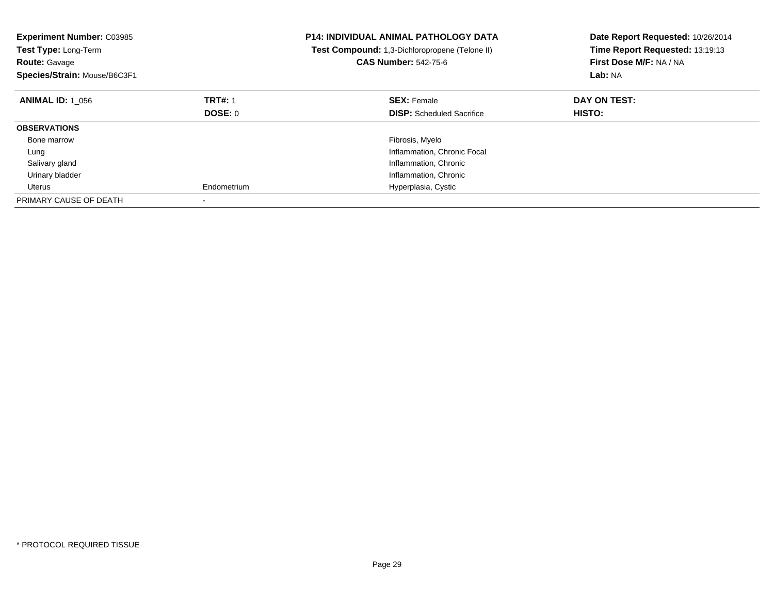| <b>Experiment Number: C03985</b><br>Test Type: Long-Term<br><b>Route: Gavage</b><br>Species/Strain: Mouse/B6C3F1 |                | <b>P14: INDIVIDUAL ANIMAL PATHOLOGY DATA</b><br>Test Compound: 1,3-Dichloropropene (Telone II)<br><b>CAS Number: 542-75-6</b> | Date Report Requested: 10/26/2014<br>Time Report Requested: 13:19:13<br>First Dose M/F: NA / NA<br>Lab: NA |
|------------------------------------------------------------------------------------------------------------------|----------------|-------------------------------------------------------------------------------------------------------------------------------|------------------------------------------------------------------------------------------------------------|
| <b>ANIMAL ID: 1 056</b>                                                                                          | <b>TRT#: 1</b> | <b>SEX: Female</b>                                                                                                            | DAY ON TEST:                                                                                               |
|                                                                                                                  | <b>DOSE: 0</b> | <b>DISP:</b> Scheduled Sacrifice                                                                                              | <b>HISTO:</b>                                                                                              |
| <b>OBSERVATIONS</b>                                                                                              |                |                                                                                                                               |                                                                                                            |
| Bone marrow                                                                                                      |                | Fibrosis, Myelo                                                                                                               |                                                                                                            |
| Lung                                                                                                             |                | Inflammation, Chronic Focal                                                                                                   |                                                                                                            |
| Salivary gland                                                                                                   |                | Inflammation, Chronic                                                                                                         |                                                                                                            |
| Urinary bladder                                                                                                  |                | Inflammation, Chronic                                                                                                         |                                                                                                            |
| Uterus                                                                                                           | Endometrium    | Hyperplasia, Cystic                                                                                                           |                                                                                                            |
| PRIMARY CAUSE OF DEATH                                                                                           |                |                                                                                                                               |                                                                                                            |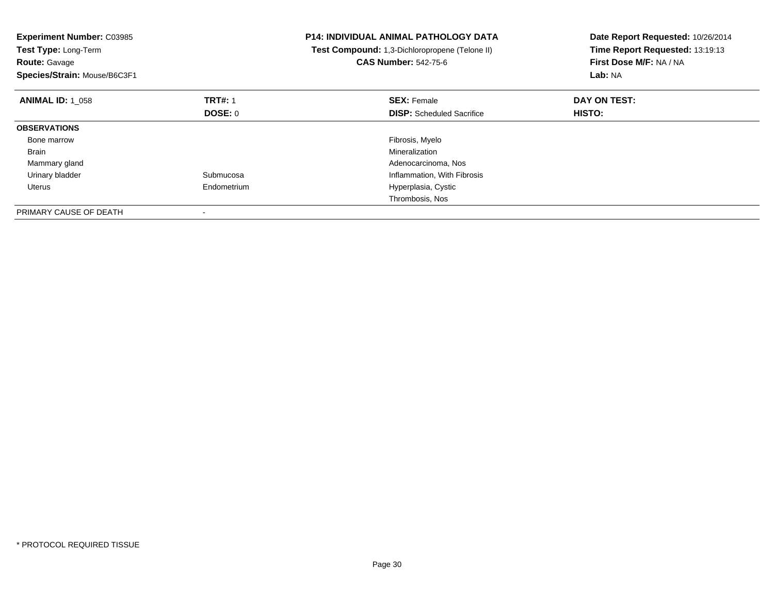| <b>Experiment Number: C03985</b><br>Test Type: Long-Term<br><b>Route: Gavage</b><br>Species/Strain: Mouse/B6C3F1 |                | <b>P14: INDIVIDUAL ANIMAL PATHOLOGY DATA</b><br>Test Compound: 1,3-Dichloropropene (Telone II)<br><b>CAS Number: 542-75-6</b> | Date Report Requested: 10/26/2014<br>Time Report Requested: 13:19:13<br>First Dose M/F: NA / NA<br>Lab: NA |
|------------------------------------------------------------------------------------------------------------------|----------------|-------------------------------------------------------------------------------------------------------------------------------|------------------------------------------------------------------------------------------------------------|
| <b>ANIMAL ID: 1 058</b>                                                                                          | <b>TRT#: 1</b> | <b>SEX: Female</b>                                                                                                            | DAY ON TEST:                                                                                               |
|                                                                                                                  | DOSE: 0        | <b>DISP:</b> Scheduled Sacrifice                                                                                              | <b>HISTO:</b>                                                                                              |
| <b>OBSERVATIONS</b>                                                                                              |                |                                                                                                                               |                                                                                                            |
| Bone marrow                                                                                                      |                | Fibrosis, Myelo                                                                                                               |                                                                                                            |
| Brain                                                                                                            |                | Mineralization                                                                                                                |                                                                                                            |
| Mammary gland                                                                                                    |                | Adenocarcinoma, Nos                                                                                                           |                                                                                                            |
| Urinary bladder                                                                                                  | Submucosa      | Inflammation, With Fibrosis                                                                                                   |                                                                                                            |
| Uterus                                                                                                           | Endometrium    | Hyperplasia, Cystic                                                                                                           |                                                                                                            |
|                                                                                                                  |                | Thrombosis, Nos                                                                                                               |                                                                                                            |
| PRIMARY CAUSE OF DEATH                                                                                           |                |                                                                                                                               |                                                                                                            |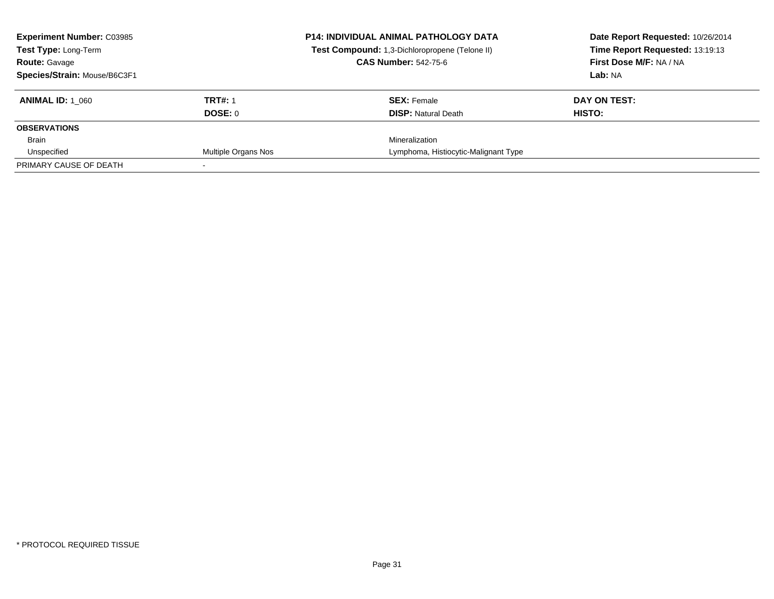| <b>Experiment Number: C03985</b><br><b>Test Type: Long-Term</b> |                     | <b>P14: INDIVIDUAL ANIMAL PATHOLOGY DATA</b><br>Test Compound: 1,3-Dichloropropene (Telone II) | Date Report Requested: 10/26/2014<br>Time Report Requested: 13:19:13 |
|-----------------------------------------------------------------|---------------------|------------------------------------------------------------------------------------------------|----------------------------------------------------------------------|
| <b>Route: Gavage</b>                                            |                     | <b>CAS Number: 542-75-6</b>                                                                    | First Dose M/F: NA / NA                                              |
| Species/Strain: Mouse/B6C3F1                                    |                     |                                                                                                | Lab: NA                                                              |
| <b>ANIMAL ID: 1 060</b>                                         | <b>TRT#: 1</b>      | <b>SEX: Female</b>                                                                             | DAY ON TEST:                                                         |
|                                                                 | DOSE: 0             | <b>DISP:</b> Natural Death                                                                     | HISTO:                                                               |
| <b>OBSERVATIONS</b>                                             |                     |                                                                                                |                                                                      |
| Brain                                                           |                     | Mineralization                                                                                 |                                                                      |
| Unspecified                                                     | Multiple Organs Nos | Lymphoma, Histiocytic-Malignant Type                                                           |                                                                      |
| PRIMARY CAUSE OF DEATH                                          |                     |                                                                                                |                                                                      |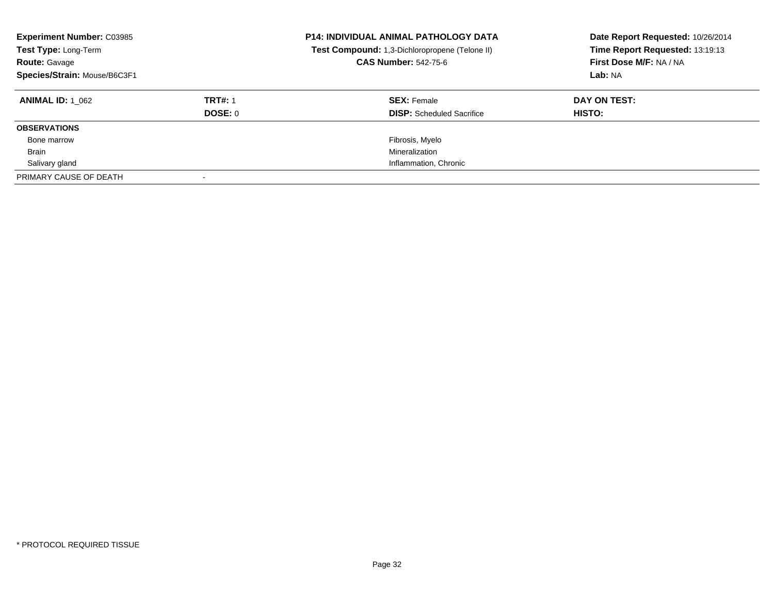| <b>Experiment Number: C03985</b><br>Test Type: Long-Term<br><b>Route: Gavage</b><br>Species/Strain: Mouse/B6C3F1 |                | <b>P14: INDIVIDUAL ANIMAL PATHOLOGY DATA</b><br>Test Compound: 1,3-Dichloropropene (Telone II)<br><b>CAS Number: 542-75-6</b> | Date Report Requested: 10/26/2014<br>Time Report Requested: 13:19:13<br>First Dose M/F: NA / NA<br>Lab: NA |
|------------------------------------------------------------------------------------------------------------------|----------------|-------------------------------------------------------------------------------------------------------------------------------|------------------------------------------------------------------------------------------------------------|
| <b>ANIMAL ID: 1 062</b>                                                                                          | <b>TRT#: 1</b> | <b>SEX: Female</b>                                                                                                            | DAY ON TEST:                                                                                               |
|                                                                                                                  | DOSE: 0        | <b>DISP:</b> Scheduled Sacrifice                                                                                              | HISTO:                                                                                                     |
| <b>OBSERVATIONS</b>                                                                                              |                |                                                                                                                               |                                                                                                            |
| Bone marrow                                                                                                      |                | Fibrosis, Myelo                                                                                                               |                                                                                                            |
| <b>Brain</b>                                                                                                     |                | Mineralization                                                                                                                |                                                                                                            |
| Salivary gland                                                                                                   |                | Inflammation, Chronic                                                                                                         |                                                                                                            |
| PRIMARY CAUSE OF DEATH                                                                                           |                |                                                                                                                               |                                                                                                            |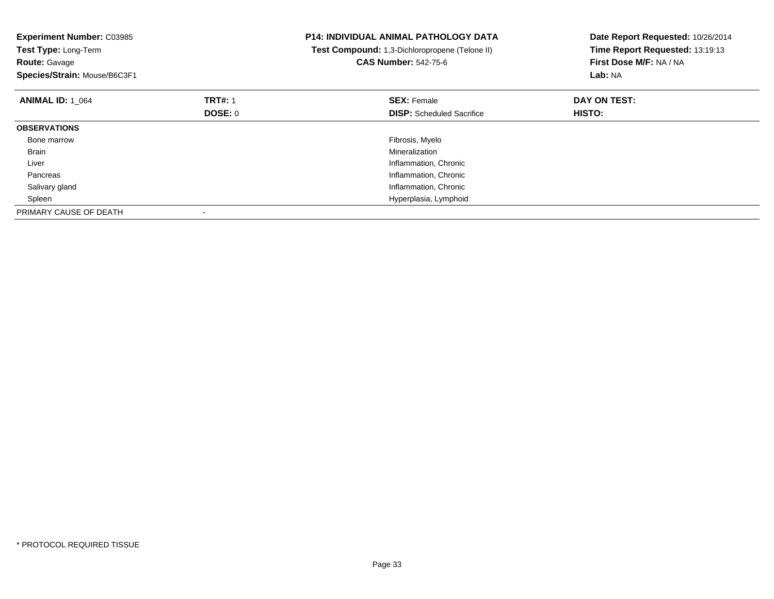| <b>Experiment Number: C03985</b><br>Test Type: Long-Term<br><b>Route: Gavage</b><br>Species/Strain: Mouse/B6C3F1 |                | <b>P14: INDIVIDUAL ANIMAL PATHOLOGY DATA</b><br>Test Compound: 1,3-Dichloropropene (Telone II)<br><b>CAS Number: 542-75-6</b> | Date Report Requested: 10/26/2014<br>Time Report Requested: 13:19:13<br>First Dose M/F: NA / NA<br>Lab: NA |
|------------------------------------------------------------------------------------------------------------------|----------------|-------------------------------------------------------------------------------------------------------------------------------|------------------------------------------------------------------------------------------------------------|
| <b>ANIMAL ID: 1 064</b>                                                                                          | <b>TRT#: 1</b> | <b>SEX: Female</b>                                                                                                            | DAY ON TEST:                                                                                               |
|                                                                                                                  | DOSE: 0        | <b>DISP:</b> Scheduled Sacrifice                                                                                              | <b>HISTO:</b>                                                                                              |
| <b>OBSERVATIONS</b>                                                                                              |                |                                                                                                                               |                                                                                                            |
| Bone marrow                                                                                                      |                | Fibrosis, Myelo                                                                                                               |                                                                                                            |
| <b>Brain</b>                                                                                                     |                | Mineralization                                                                                                                |                                                                                                            |
| Liver                                                                                                            |                | Inflammation, Chronic                                                                                                         |                                                                                                            |
| Pancreas                                                                                                         |                | Inflammation, Chronic                                                                                                         |                                                                                                            |
| Salivary gland                                                                                                   |                | Inflammation, Chronic                                                                                                         |                                                                                                            |
| Spleen                                                                                                           |                | Hyperplasia, Lymphoid                                                                                                         |                                                                                                            |
| PRIMARY CAUSE OF DEATH                                                                                           |                |                                                                                                                               |                                                                                                            |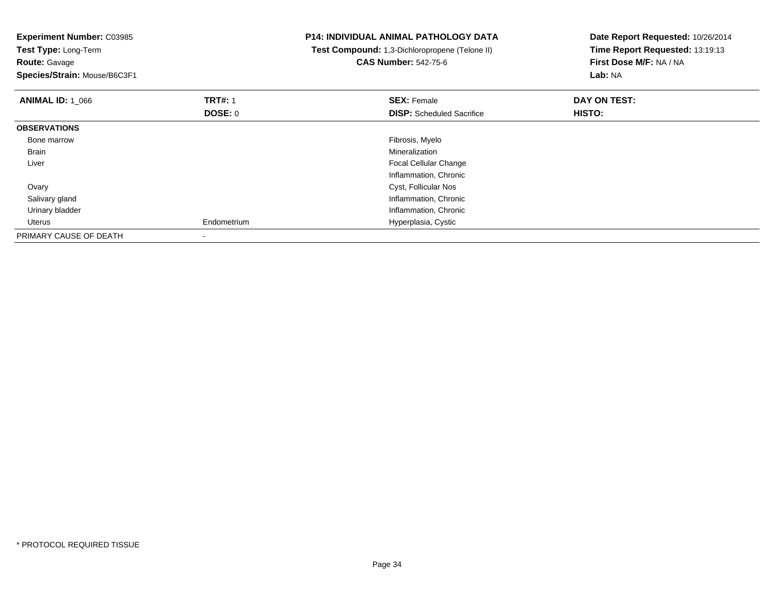| <b>Experiment Number: C03985</b><br>Test Type: Long-Term<br><b>Route: Gavage</b><br>Species/Strain: Mouse/B6C3F1 |                | <b>P14: INDIVIDUAL ANIMAL PATHOLOGY DATA</b><br>Test Compound: 1,3-Dichloropropene (Telone II)<br><b>CAS Number: 542-75-6</b> | Date Report Requested: 10/26/2014<br>Time Report Requested: 13:19:13<br>First Dose M/F: NA / NA<br>Lab: NA |
|------------------------------------------------------------------------------------------------------------------|----------------|-------------------------------------------------------------------------------------------------------------------------------|------------------------------------------------------------------------------------------------------------|
| <b>ANIMAL ID: 1 066</b>                                                                                          | <b>TRT#: 1</b> | <b>SEX: Female</b>                                                                                                            | DAY ON TEST:                                                                                               |
|                                                                                                                  | DOSE: 0        | <b>DISP:</b> Scheduled Sacrifice                                                                                              | HISTO:                                                                                                     |
| <b>OBSERVATIONS</b>                                                                                              |                |                                                                                                                               |                                                                                                            |
| Bone marrow                                                                                                      |                | Fibrosis, Myelo                                                                                                               |                                                                                                            |
| Brain                                                                                                            |                | Mineralization                                                                                                                |                                                                                                            |
| Liver                                                                                                            |                | Focal Cellular Change                                                                                                         |                                                                                                            |
|                                                                                                                  |                | Inflammation, Chronic                                                                                                         |                                                                                                            |
| Ovary                                                                                                            |                | Cyst, Follicular Nos                                                                                                          |                                                                                                            |
| Salivary gland                                                                                                   |                | Inflammation, Chronic                                                                                                         |                                                                                                            |
| Urinary bladder                                                                                                  |                | Inflammation, Chronic                                                                                                         |                                                                                                            |
| Uterus                                                                                                           | Endometrium    | Hyperplasia, Cystic                                                                                                           |                                                                                                            |
| PRIMARY CAUSE OF DEATH                                                                                           |                |                                                                                                                               |                                                                                                            |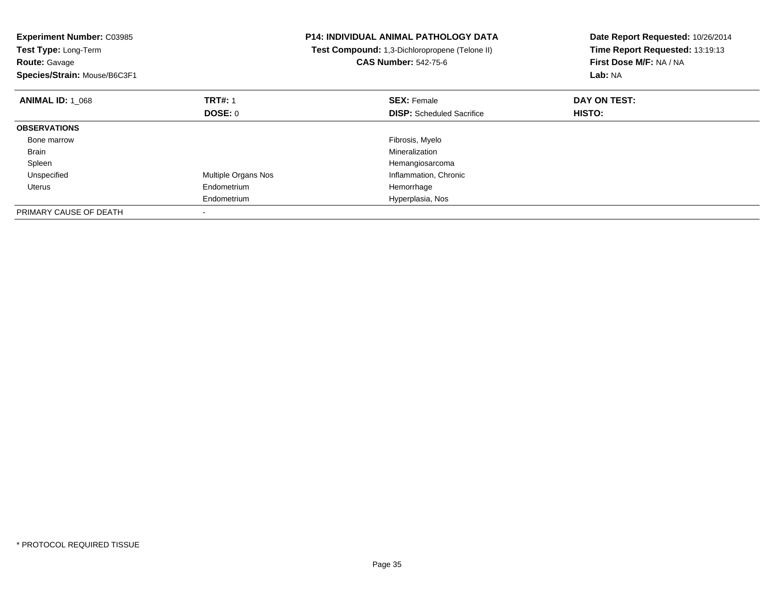| <b>Experiment Number: C03985</b><br>Test Type: Long-Term<br><b>Route: Gavage</b><br>Species/Strain: Mouse/B6C3F1 |                     | <b>P14: INDIVIDUAL ANIMAL PATHOLOGY DATA</b><br>Test Compound: 1,3-Dichloropropene (Telone II)<br><b>CAS Number: 542-75-6</b> | Date Report Requested: 10/26/2014<br>Time Report Requested: 13:19:13<br>First Dose M/F: NA / NA<br>Lab: NA |
|------------------------------------------------------------------------------------------------------------------|---------------------|-------------------------------------------------------------------------------------------------------------------------------|------------------------------------------------------------------------------------------------------------|
| <b>ANIMAL ID: 1_068</b>                                                                                          | <b>TRT#: 1</b>      | <b>SEX: Female</b>                                                                                                            | DAY ON TEST:                                                                                               |
|                                                                                                                  | DOSE: 0             | <b>DISP:</b> Scheduled Sacrifice                                                                                              | <b>HISTO:</b>                                                                                              |
| <b>OBSERVATIONS</b>                                                                                              |                     |                                                                                                                               |                                                                                                            |
| Bone marrow                                                                                                      |                     | Fibrosis, Myelo                                                                                                               |                                                                                                            |
| Brain                                                                                                            |                     | Mineralization                                                                                                                |                                                                                                            |
| Spleen                                                                                                           |                     | Hemangiosarcoma                                                                                                               |                                                                                                            |
| Unspecified                                                                                                      | Multiple Organs Nos | Inflammation, Chronic                                                                                                         |                                                                                                            |
| Uterus                                                                                                           | Endometrium         | Hemorrhage                                                                                                                    |                                                                                                            |
|                                                                                                                  | Endometrium         | Hyperplasia, Nos                                                                                                              |                                                                                                            |
| PRIMARY CAUSE OF DEATH                                                                                           |                     |                                                                                                                               |                                                                                                            |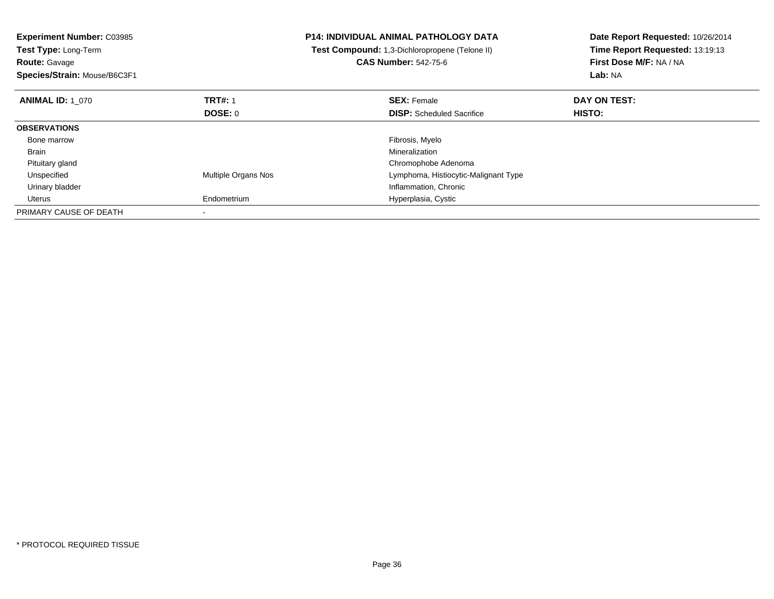| <b>Experiment Number: C03985</b><br>Test Type: Long-Term<br><b>Route: Gavage</b><br>Species/Strain: Mouse/B6C3F1 |                     | <b>P14: INDIVIDUAL ANIMAL PATHOLOGY DATA</b><br>Test Compound: 1,3-Dichloropropene (Telone II)<br><b>CAS Number: 542-75-6</b> | Date Report Requested: 10/26/2014<br>Time Report Requested: 13:19:13<br>First Dose M/F: NA / NA<br>Lab: NA |
|------------------------------------------------------------------------------------------------------------------|---------------------|-------------------------------------------------------------------------------------------------------------------------------|------------------------------------------------------------------------------------------------------------|
| <b>ANIMAL ID: 1 070</b>                                                                                          | <b>TRT#: 1</b>      | <b>SEX: Female</b>                                                                                                            | DAY ON TEST:                                                                                               |
|                                                                                                                  | DOSE: 0             | <b>DISP:</b> Scheduled Sacrifice                                                                                              | HISTO:                                                                                                     |
| <b>OBSERVATIONS</b>                                                                                              |                     |                                                                                                                               |                                                                                                            |
| Bone marrow                                                                                                      |                     | Fibrosis, Myelo                                                                                                               |                                                                                                            |
| Brain                                                                                                            |                     | Mineralization                                                                                                                |                                                                                                            |
| Pituitary gland                                                                                                  |                     | Chromophobe Adenoma                                                                                                           |                                                                                                            |
| Unspecified                                                                                                      | Multiple Organs Nos | Lymphoma, Histiocytic-Malignant Type                                                                                          |                                                                                                            |
| Urinary bladder                                                                                                  |                     | Inflammation, Chronic                                                                                                         |                                                                                                            |
| Uterus                                                                                                           | Endometrium         | Hyperplasia, Cystic                                                                                                           |                                                                                                            |
| PRIMARY CAUSE OF DEATH                                                                                           |                     |                                                                                                                               |                                                                                                            |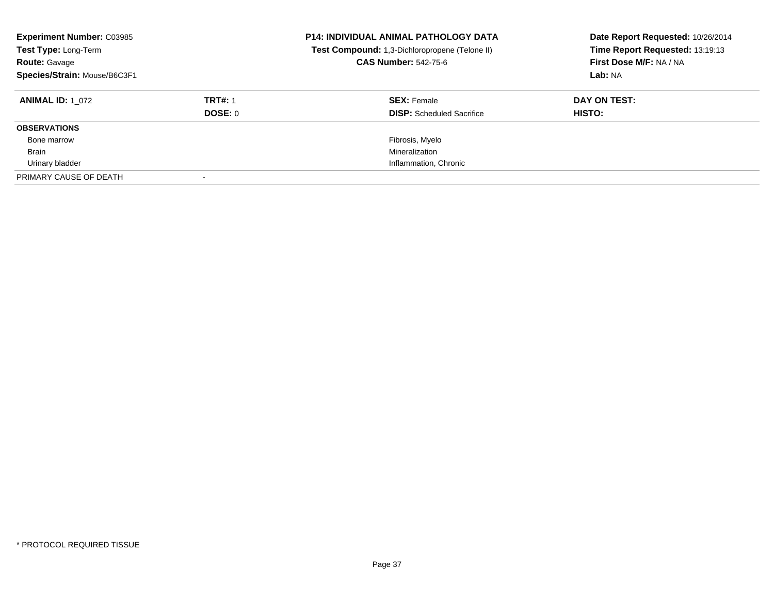| <b>Experiment Number: C03985</b><br>Test Type: Long-Term<br><b>Route: Gavage</b><br>Species/Strain: Mouse/B6C3F1 |                | <b>P14: INDIVIDUAL ANIMAL PATHOLOGY DATA</b><br>Test Compound: 1,3-Dichloropropene (Telone II)<br><b>CAS Number: 542-75-6</b> | Date Report Requested: 10/26/2014<br>Time Report Requested: 13:19:13<br>First Dose M/F: NA / NA<br>Lab: NA |
|------------------------------------------------------------------------------------------------------------------|----------------|-------------------------------------------------------------------------------------------------------------------------------|------------------------------------------------------------------------------------------------------------|
| <b>ANIMAL ID: 1 072</b>                                                                                          | <b>TRT#: 1</b> | <b>SEX: Female</b>                                                                                                            | DAY ON TEST:                                                                                               |
|                                                                                                                  | DOSE: 0        | <b>DISP:</b> Scheduled Sacrifice                                                                                              | HISTO:                                                                                                     |
| <b>OBSERVATIONS</b>                                                                                              |                |                                                                                                                               |                                                                                                            |
| Bone marrow                                                                                                      |                | Fibrosis, Myelo                                                                                                               |                                                                                                            |
| <b>Brain</b>                                                                                                     |                | Mineralization                                                                                                                |                                                                                                            |
| Urinary bladder                                                                                                  |                | Inflammation, Chronic                                                                                                         |                                                                                                            |
| PRIMARY CAUSE OF DEATH                                                                                           |                |                                                                                                                               |                                                                                                            |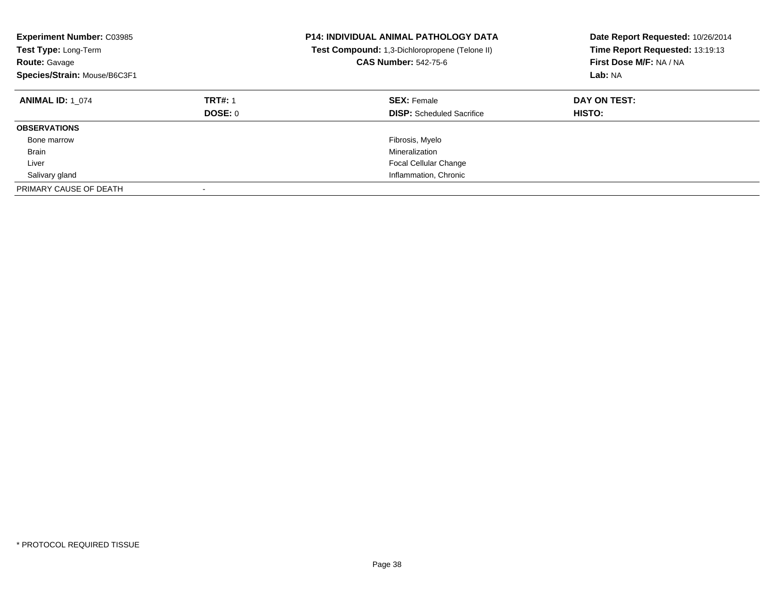| <b>Experiment Number: C03985</b><br><b>Test Type: Long-Term</b><br><b>Route: Gavage</b><br>Species/Strain: Mouse/B6C3F1 |                           | <b>P14: INDIVIDUAL ANIMAL PATHOLOGY DATA</b><br>Test Compound: 1,3-Dichloropropene (Telone II)<br><b>CAS Number: 542-75-6</b> | Date Report Requested: 10/26/2014<br>Time Report Requested: 13:19:13<br>First Dose M/F: NA / NA<br>Lab: NA |
|-------------------------------------------------------------------------------------------------------------------------|---------------------------|-------------------------------------------------------------------------------------------------------------------------------|------------------------------------------------------------------------------------------------------------|
| <b>ANIMAL ID: 1 074</b>                                                                                                 | <b>TRT#: 1</b><br>DOSE: 0 | <b>SEX: Female</b><br><b>DISP:</b> Scheduled Sacrifice                                                                        | DAY ON TEST:<br><b>HISTO:</b>                                                                              |
| <b>OBSERVATIONS</b>                                                                                                     |                           |                                                                                                                               |                                                                                                            |
| Bone marrow                                                                                                             |                           | Fibrosis, Myelo                                                                                                               |                                                                                                            |
| <b>Brain</b>                                                                                                            |                           | Mineralization                                                                                                                |                                                                                                            |
| Liver                                                                                                                   |                           | <b>Focal Cellular Change</b>                                                                                                  |                                                                                                            |
| Salivary gland                                                                                                          |                           | Inflammation, Chronic                                                                                                         |                                                                                                            |
| PRIMARY CAUSE OF DEATH                                                                                                  |                           |                                                                                                                               |                                                                                                            |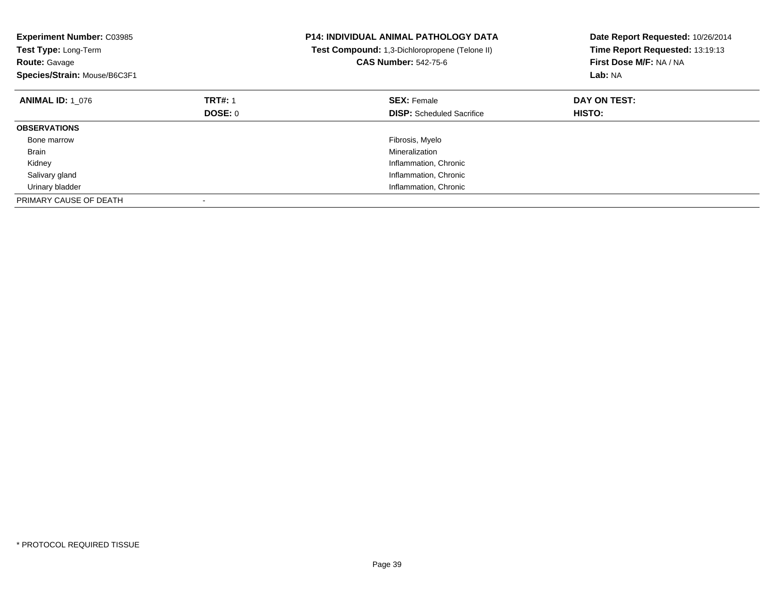| <b>Experiment Number: C03985</b><br>Test Type: Long-Term<br><b>Route: Gavage</b><br>Species/Strain: Mouse/B6C3F1 |                | <b>P14: INDIVIDUAL ANIMAL PATHOLOGY DATA</b><br>Test Compound: 1,3-Dichloropropene (Telone II)<br><b>CAS Number: 542-75-6</b> | Date Report Requested: 10/26/2014<br>Time Report Requested: 13:19:13<br>First Dose M/F: NA / NA<br>Lab: NA |
|------------------------------------------------------------------------------------------------------------------|----------------|-------------------------------------------------------------------------------------------------------------------------------|------------------------------------------------------------------------------------------------------------|
| <b>ANIMAL ID: 1 076</b>                                                                                          | <b>TRT#: 1</b> | <b>SEX: Female</b>                                                                                                            | DAY ON TEST:                                                                                               |
|                                                                                                                  | DOSE: 0        | <b>DISP:</b> Scheduled Sacrifice                                                                                              | <b>HISTO:</b>                                                                                              |
| <b>OBSERVATIONS</b>                                                                                              |                |                                                                                                                               |                                                                                                            |
| Bone marrow                                                                                                      |                | Fibrosis, Myelo                                                                                                               |                                                                                                            |
| Brain                                                                                                            |                | Mineralization                                                                                                                |                                                                                                            |
| Kidney                                                                                                           |                | Inflammation, Chronic                                                                                                         |                                                                                                            |
| Salivary gland                                                                                                   |                | Inflammation, Chronic                                                                                                         |                                                                                                            |
| Urinary bladder                                                                                                  |                | Inflammation, Chronic                                                                                                         |                                                                                                            |
| PRIMARY CAUSE OF DEATH                                                                                           |                |                                                                                                                               |                                                                                                            |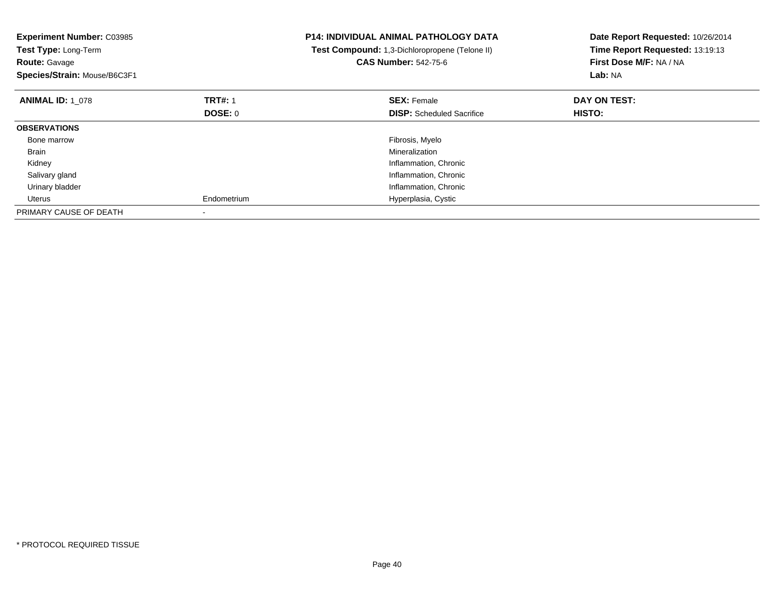| <b>Experiment Number: C03985</b><br>Test Type: Long-Term<br><b>Route: Gavage</b><br>Species/Strain: Mouse/B6C3F1 |                | <b>P14: INDIVIDUAL ANIMAL PATHOLOGY DATA</b><br>Test Compound: 1,3-Dichloropropene (Telone II)<br><b>CAS Number: 542-75-6</b> | Date Report Requested: 10/26/2014<br>Time Report Requested: 13:19:13<br>First Dose M/F: NA / NA<br>Lab: NA |
|------------------------------------------------------------------------------------------------------------------|----------------|-------------------------------------------------------------------------------------------------------------------------------|------------------------------------------------------------------------------------------------------------|
| <b>ANIMAL ID: 1 078</b>                                                                                          | <b>TRT#: 1</b> | <b>SEX: Female</b>                                                                                                            | DAY ON TEST:                                                                                               |
|                                                                                                                  | DOSE: 0        | <b>DISP:</b> Scheduled Sacrifice                                                                                              | HISTO:                                                                                                     |
| <b>OBSERVATIONS</b>                                                                                              |                |                                                                                                                               |                                                                                                            |
| Bone marrow                                                                                                      |                | Fibrosis, Myelo                                                                                                               |                                                                                                            |
| Brain                                                                                                            |                | Mineralization                                                                                                                |                                                                                                            |
| Kidney                                                                                                           |                | Inflammation, Chronic                                                                                                         |                                                                                                            |
| Salivary gland                                                                                                   |                | Inflammation, Chronic                                                                                                         |                                                                                                            |
| Urinary bladder                                                                                                  |                | Inflammation, Chronic                                                                                                         |                                                                                                            |
| Uterus                                                                                                           | Endometrium    | Hyperplasia, Cystic                                                                                                           |                                                                                                            |
| PRIMARY CAUSE OF DEATH                                                                                           |                |                                                                                                                               |                                                                                                            |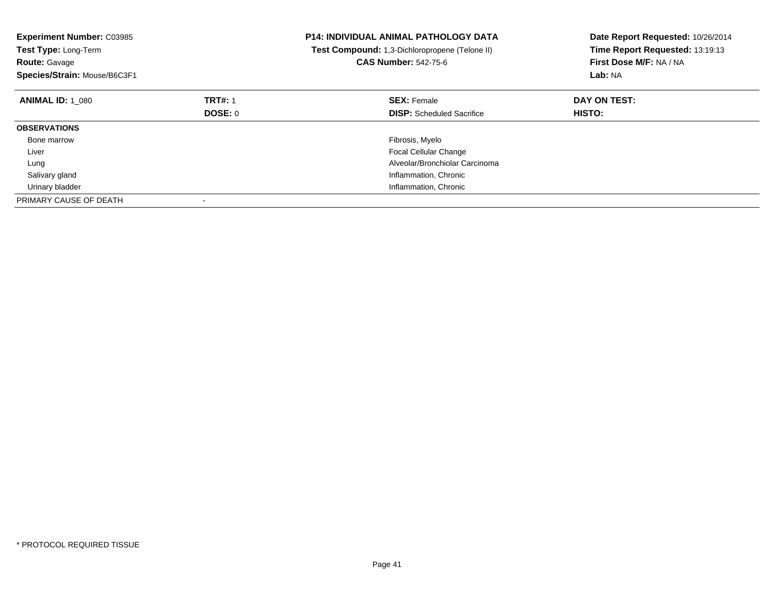| <b>Experiment Number: C03985</b><br><b>Test Type: Long-Term</b><br><b>Route: Gavage</b><br>Species/Strain: Mouse/B6C3F1 |                | <b>P14: INDIVIDUAL ANIMAL PATHOLOGY DATA</b><br>Test Compound: 1,3-Dichloropropene (Telone II)<br><b>CAS Number: 542-75-6</b> | Date Report Requested: 10/26/2014<br>Time Report Requested: 13:19:13<br>First Dose M/F: NA / NA<br>Lab: NA |
|-------------------------------------------------------------------------------------------------------------------------|----------------|-------------------------------------------------------------------------------------------------------------------------------|------------------------------------------------------------------------------------------------------------|
| <b>ANIMAL ID: 1 080</b>                                                                                                 | <b>TRT#: 1</b> | <b>SEX: Female</b>                                                                                                            | DAY ON TEST:                                                                                               |
|                                                                                                                         | <b>DOSE: 0</b> | <b>DISP:</b> Scheduled Sacrifice                                                                                              | <b>HISTO:</b>                                                                                              |
| <b>OBSERVATIONS</b>                                                                                                     |                |                                                                                                                               |                                                                                                            |
| Bone marrow                                                                                                             |                | Fibrosis, Myelo                                                                                                               |                                                                                                            |
| Liver                                                                                                                   |                | <b>Focal Cellular Change</b>                                                                                                  |                                                                                                            |
| Lung                                                                                                                    |                | Alveolar/Bronchiolar Carcinoma                                                                                                |                                                                                                            |
| Salivary gland                                                                                                          |                | Inflammation, Chronic                                                                                                         |                                                                                                            |
| Urinary bladder                                                                                                         |                | Inflammation, Chronic                                                                                                         |                                                                                                            |
| PRIMARY CAUSE OF DEATH                                                                                                  |                |                                                                                                                               |                                                                                                            |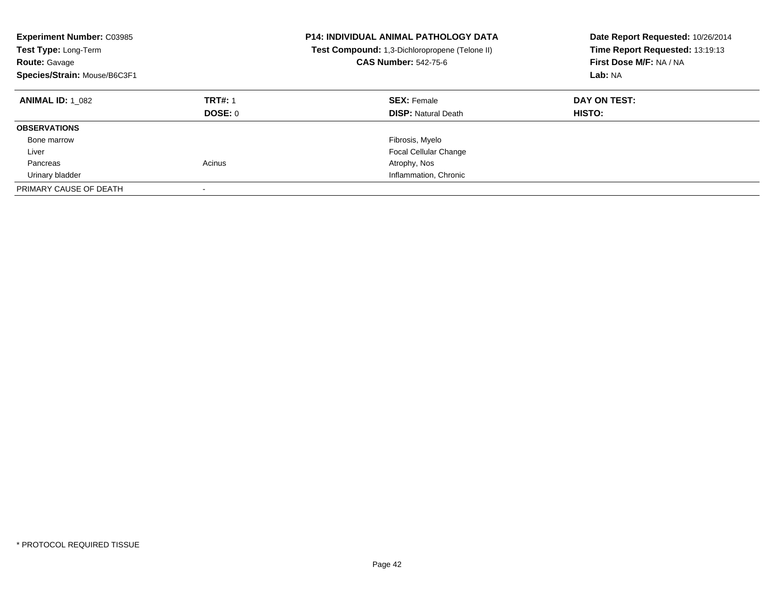| <b>Experiment Number: C03985</b><br><b>Test Type: Long-Term</b><br><b>Route: Gavage</b><br>Species/Strain: Mouse/B6C3F1 |                           | <b>P14: INDIVIDUAL ANIMAL PATHOLOGY DATA</b><br>Test Compound: 1,3-Dichloropropene (Telone II)<br><b>CAS Number: 542-75-6</b> | Date Report Requested: 10/26/2014<br>Time Report Requested: 13:19:13<br>First Dose M/F: NA / NA<br>Lab: NA |
|-------------------------------------------------------------------------------------------------------------------------|---------------------------|-------------------------------------------------------------------------------------------------------------------------------|------------------------------------------------------------------------------------------------------------|
| <b>ANIMAL ID: 1 082</b>                                                                                                 | <b>TRT#: 1</b><br>DOSE: 0 | <b>SEX: Female</b><br><b>DISP:</b> Natural Death                                                                              | DAY ON TEST:<br><b>HISTO:</b>                                                                              |
| <b>OBSERVATIONS</b>                                                                                                     |                           |                                                                                                                               |                                                                                                            |
| Bone marrow                                                                                                             |                           | Fibrosis, Myelo                                                                                                               |                                                                                                            |
| Liver                                                                                                                   |                           | <b>Focal Cellular Change</b>                                                                                                  |                                                                                                            |
| Pancreas                                                                                                                | Acinus                    | Atrophy, Nos                                                                                                                  |                                                                                                            |
| Urinary bladder                                                                                                         |                           | Inflammation, Chronic                                                                                                         |                                                                                                            |
| PRIMARY CAUSE OF DEATH                                                                                                  |                           |                                                                                                                               |                                                                                                            |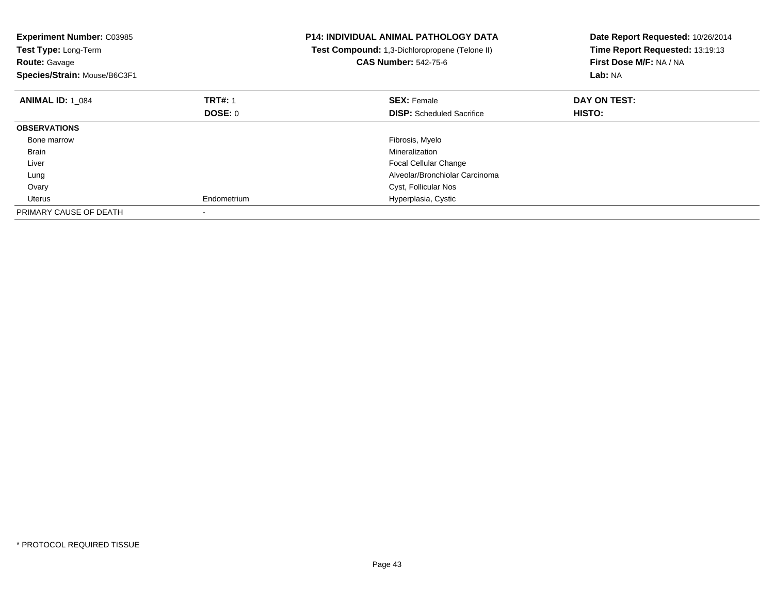| <b>Experiment Number: C03985</b><br>Test Type: Long-Term<br><b>Route: Gavage</b><br>Species/Strain: Mouse/B6C3F1 |                | <b>P14: INDIVIDUAL ANIMAL PATHOLOGY DATA</b><br>Test Compound: 1,3-Dichloropropene (Telone II)<br><b>CAS Number: 542-75-6</b> | Date Report Requested: 10/26/2014<br>Time Report Requested: 13:19:13<br>First Dose M/F: NA / NA<br>Lab: NA |
|------------------------------------------------------------------------------------------------------------------|----------------|-------------------------------------------------------------------------------------------------------------------------------|------------------------------------------------------------------------------------------------------------|
| <b>ANIMAL ID: 1 084</b>                                                                                          | <b>TRT#: 1</b> | <b>SEX: Female</b>                                                                                                            | DAY ON TEST:                                                                                               |
|                                                                                                                  | DOSE: 0        | <b>DISP:</b> Scheduled Sacrifice                                                                                              | <b>HISTO:</b>                                                                                              |
| <b>OBSERVATIONS</b>                                                                                              |                |                                                                                                                               |                                                                                                            |
| Bone marrow                                                                                                      |                | Fibrosis, Myelo                                                                                                               |                                                                                                            |
| Brain                                                                                                            |                | Mineralization                                                                                                                |                                                                                                            |
| Liver                                                                                                            |                | <b>Focal Cellular Change</b>                                                                                                  |                                                                                                            |
| Lung                                                                                                             |                | Alveolar/Bronchiolar Carcinoma                                                                                                |                                                                                                            |
| Ovary                                                                                                            |                | Cyst, Follicular Nos                                                                                                          |                                                                                                            |
| Uterus                                                                                                           | Endometrium    | Hyperplasia, Cystic                                                                                                           |                                                                                                            |
| PRIMARY CAUSE OF DEATH                                                                                           |                |                                                                                                                               |                                                                                                            |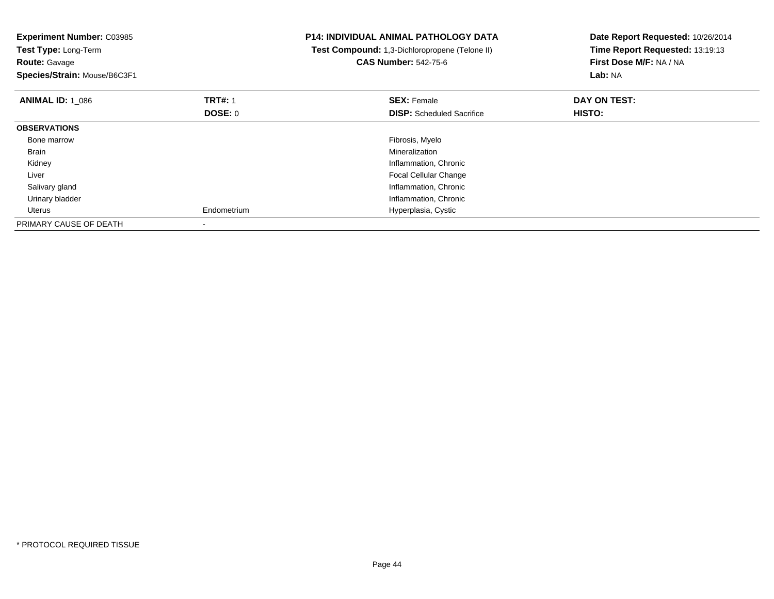| <b>Experiment Number: C03985</b><br>Test Type: Long-Term<br><b>Route: Gavage</b><br>Species/Strain: Mouse/B6C3F1 |                | <b>P14: INDIVIDUAL ANIMAL PATHOLOGY DATA</b><br>Test Compound: 1,3-Dichloropropene (Telone II)<br><b>CAS Number: 542-75-6</b> | Date Report Requested: 10/26/2014<br>Time Report Requested: 13:19:13<br>First Dose M/F: NA / NA<br>Lab: NA |
|------------------------------------------------------------------------------------------------------------------|----------------|-------------------------------------------------------------------------------------------------------------------------------|------------------------------------------------------------------------------------------------------------|
| <b>ANIMAL ID: 1 086</b>                                                                                          | <b>TRT#: 1</b> | <b>SEX: Female</b>                                                                                                            | DAY ON TEST:                                                                                               |
|                                                                                                                  | DOSE: 0        | <b>DISP:</b> Scheduled Sacrifice                                                                                              | <b>HISTO:</b>                                                                                              |
| <b>OBSERVATIONS</b>                                                                                              |                |                                                                                                                               |                                                                                                            |
| Bone marrow                                                                                                      |                | Fibrosis, Myelo                                                                                                               |                                                                                                            |
| <b>Brain</b>                                                                                                     |                | Mineralization                                                                                                                |                                                                                                            |
| Kidney                                                                                                           |                | Inflammation, Chronic                                                                                                         |                                                                                                            |
| Liver                                                                                                            |                | <b>Focal Cellular Change</b>                                                                                                  |                                                                                                            |
| Salivary gland                                                                                                   |                | Inflammation, Chronic                                                                                                         |                                                                                                            |
| Urinary bladder                                                                                                  |                | Inflammation, Chronic                                                                                                         |                                                                                                            |
| Uterus                                                                                                           | Endometrium    | Hyperplasia, Cystic                                                                                                           |                                                                                                            |
| PRIMARY CAUSE OF DEATH                                                                                           |                |                                                                                                                               |                                                                                                            |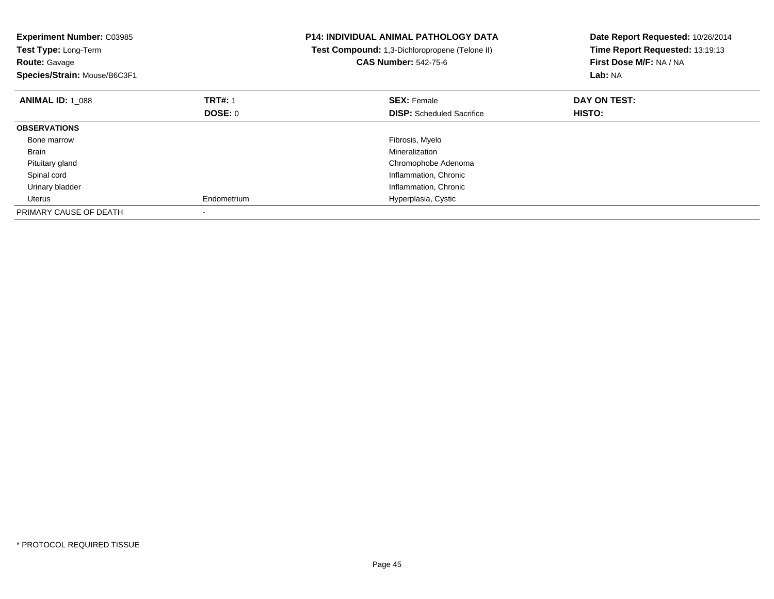| <b>Experiment Number: C03985</b><br>Test Type: Long-Term<br><b>Route: Gavage</b><br>Species/Strain: Mouse/B6C3F1 |                | <b>P14: INDIVIDUAL ANIMAL PATHOLOGY DATA</b><br>Test Compound: 1,3-Dichloropropene (Telone II)<br><b>CAS Number: 542-75-6</b> | Date Report Requested: 10/26/2014<br>Time Report Requested: 13:19:13<br>First Dose M/F: NA / NA<br>Lab: NA |
|------------------------------------------------------------------------------------------------------------------|----------------|-------------------------------------------------------------------------------------------------------------------------------|------------------------------------------------------------------------------------------------------------|
| <b>ANIMAL ID: 1 088</b>                                                                                          | <b>TRT#: 1</b> | <b>SEX: Female</b>                                                                                                            | DAY ON TEST:                                                                                               |
|                                                                                                                  | DOSE: 0        | <b>DISP:</b> Scheduled Sacrifice                                                                                              | <b>HISTO:</b>                                                                                              |
| <b>OBSERVATIONS</b>                                                                                              |                |                                                                                                                               |                                                                                                            |
| Bone marrow                                                                                                      |                | Fibrosis, Myelo                                                                                                               |                                                                                                            |
| Brain                                                                                                            |                | Mineralization                                                                                                                |                                                                                                            |
| Pituitary gland                                                                                                  |                | Chromophobe Adenoma                                                                                                           |                                                                                                            |
| Spinal cord                                                                                                      |                | Inflammation, Chronic                                                                                                         |                                                                                                            |
| Urinary bladder                                                                                                  |                | Inflammation, Chronic                                                                                                         |                                                                                                            |
| Uterus                                                                                                           | Endometrium    | Hyperplasia, Cystic                                                                                                           |                                                                                                            |
| PRIMARY CAUSE OF DEATH                                                                                           |                |                                                                                                                               |                                                                                                            |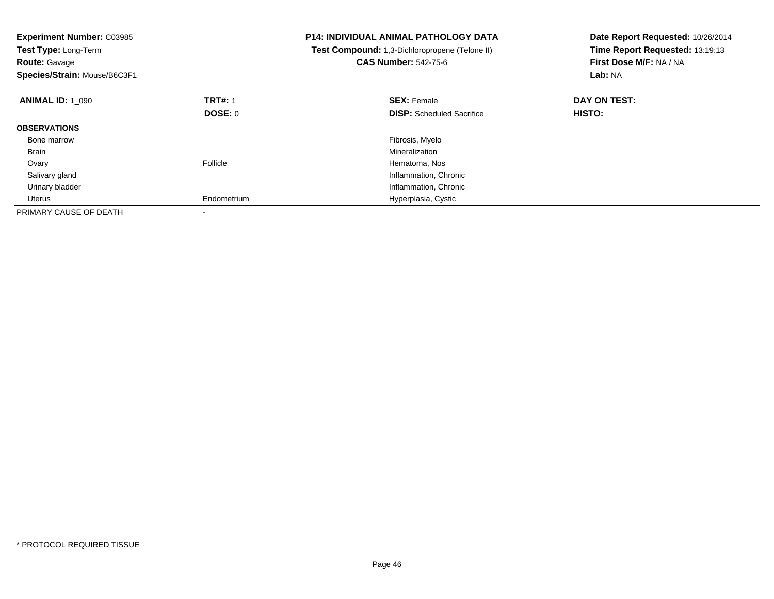| <b>Experiment Number: C03985</b><br>Test Type: Long-Term<br><b>Route: Gavage</b><br>Species/Strain: Mouse/B6C3F1 |                | <b>P14: INDIVIDUAL ANIMAL PATHOLOGY DATA</b><br>Test Compound: 1,3-Dichloropropene (Telone II)<br><b>CAS Number: 542-75-6</b> | Date Report Requested: 10/26/2014<br>Time Report Requested: 13:19:13<br>First Dose M/F: NA / NA<br>Lab: NA |
|------------------------------------------------------------------------------------------------------------------|----------------|-------------------------------------------------------------------------------------------------------------------------------|------------------------------------------------------------------------------------------------------------|
| <b>ANIMAL ID: 1 090</b>                                                                                          | <b>TRT#: 1</b> | <b>SEX: Female</b>                                                                                                            | DAY ON TEST:                                                                                               |
|                                                                                                                  | DOSE: 0        | <b>DISP:</b> Scheduled Sacrifice                                                                                              | <b>HISTO:</b>                                                                                              |
| <b>OBSERVATIONS</b>                                                                                              |                |                                                                                                                               |                                                                                                            |
| Bone marrow                                                                                                      |                | Fibrosis, Myelo                                                                                                               |                                                                                                            |
| Brain                                                                                                            |                | Mineralization                                                                                                                |                                                                                                            |
| Ovary                                                                                                            | Follicle       | Hematoma, Nos                                                                                                                 |                                                                                                            |
| Salivary gland                                                                                                   |                | Inflammation, Chronic                                                                                                         |                                                                                                            |
| Urinary bladder                                                                                                  |                | Inflammation, Chronic                                                                                                         |                                                                                                            |
| Uterus                                                                                                           | Endometrium    | Hyperplasia, Cystic                                                                                                           |                                                                                                            |
| PRIMARY CAUSE OF DEATH                                                                                           |                |                                                                                                                               |                                                                                                            |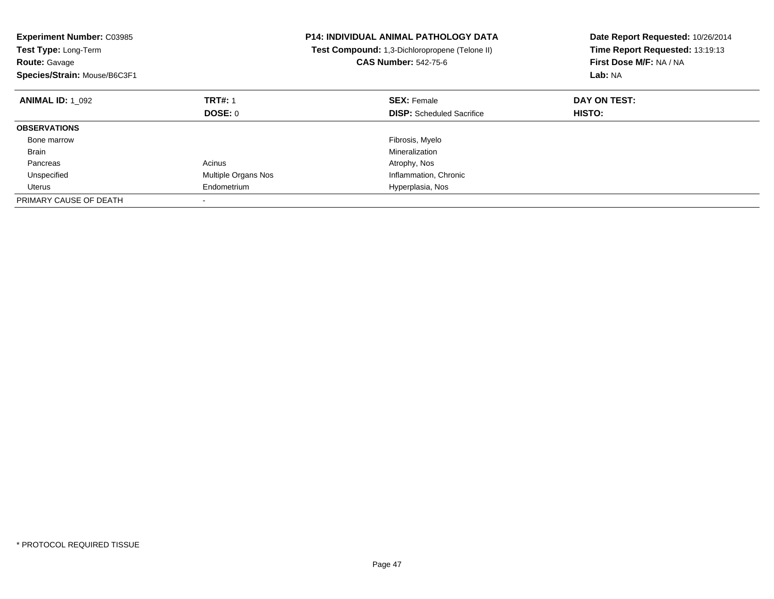| <b>Experiment Number: C03985</b><br>Test Type: Long-Term<br><b>Route: Gavage</b><br>Species/Strain: Mouse/B6C3F1 |                          | <b>P14: INDIVIDUAL ANIMAL PATHOLOGY DATA</b><br>Test Compound: 1,3-Dichloropropene (Telone II)<br><b>CAS Number: 542-75-6</b> | Date Report Requested: 10/26/2014<br>Time Report Requested: 13:19:13<br>First Dose M/F: NA / NA<br>Lab: NA |
|------------------------------------------------------------------------------------------------------------------|--------------------------|-------------------------------------------------------------------------------------------------------------------------------|------------------------------------------------------------------------------------------------------------|
| <b>ANIMAL ID: 1 092</b>                                                                                          | <b>TRT#: 1</b>           | <b>SEX: Female</b>                                                                                                            | DAY ON TEST:                                                                                               |
|                                                                                                                  | <b>DOSE: 0</b>           | <b>DISP:</b> Scheduled Sacrifice                                                                                              | <b>HISTO:</b>                                                                                              |
| <b>OBSERVATIONS</b>                                                                                              |                          |                                                                                                                               |                                                                                                            |
| Bone marrow                                                                                                      |                          | Fibrosis, Myelo                                                                                                               |                                                                                                            |
| <b>Brain</b>                                                                                                     |                          | Mineralization                                                                                                                |                                                                                                            |
| Pancreas                                                                                                         | Acinus                   | Atrophy, Nos                                                                                                                  |                                                                                                            |
| Unspecified                                                                                                      | Multiple Organs Nos      | Inflammation, Chronic                                                                                                         |                                                                                                            |
| Uterus                                                                                                           | Endometrium              | Hyperplasia, Nos                                                                                                              |                                                                                                            |
| PRIMARY CAUSE OF DEATH                                                                                           | $\overline{\phantom{a}}$ |                                                                                                                               |                                                                                                            |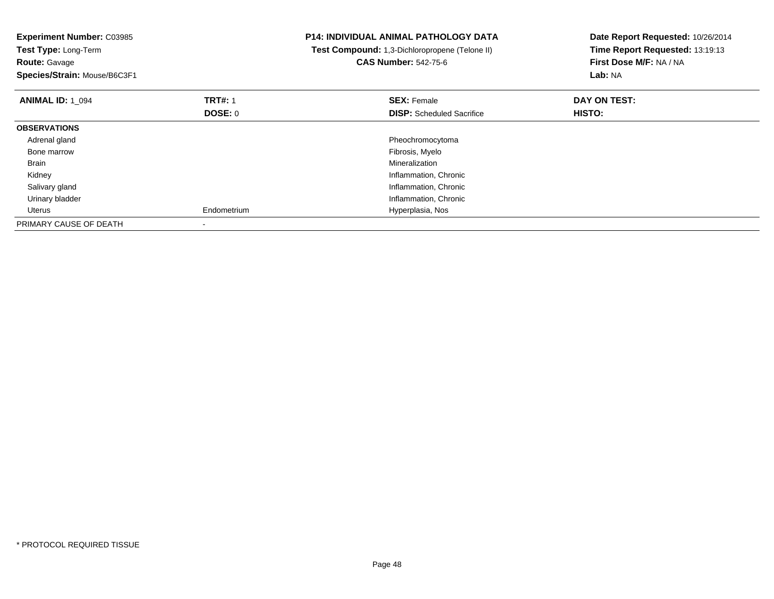| <b>Experiment Number: C03985</b><br>Test Type: Long-Term<br><b>Route: Gavage</b><br>Species/Strain: Mouse/B6C3F1 |                | <b>P14: INDIVIDUAL ANIMAL PATHOLOGY DATA</b><br>Test Compound: 1,3-Dichloropropene (Telone II)<br><b>CAS Number: 542-75-6</b> | Date Report Requested: 10/26/2014<br>Time Report Requested: 13:19:13<br>First Dose M/F: NA / NA<br>Lab: NA |
|------------------------------------------------------------------------------------------------------------------|----------------|-------------------------------------------------------------------------------------------------------------------------------|------------------------------------------------------------------------------------------------------------|
| <b>ANIMAL ID: 1 094</b>                                                                                          | <b>TRT#: 1</b> | <b>SEX: Female</b>                                                                                                            | DAY ON TEST:                                                                                               |
|                                                                                                                  | <b>DOSE: 0</b> | <b>DISP:</b> Scheduled Sacrifice                                                                                              | <b>HISTO:</b>                                                                                              |
| <b>OBSERVATIONS</b>                                                                                              |                |                                                                                                                               |                                                                                                            |
| Adrenal gland                                                                                                    |                | Pheochromocytoma                                                                                                              |                                                                                                            |
| Bone marrow                                                                                                      |                | Fibrosis, Myelo                                                                                                               |                                                                                                            |
| Brain                                                                                                            |                | Mineralization                                                                                                                |                                                                                                            |
| Kidney                                                                                                           |                | Inflammation, Chronic                                                                                                         |                                                                                                            |
| Salivary gland                                                                                                   |                | Inflammation, Chronic                                                                                                         |                                                                                                            |
| Urinary bladder                                                                                                  |                | Inflammation, Chronic                                                                                                         |                                                                                                            |
| Uterus                                                                                                           | Endometrium    | Hyperplasia, Nos                                                                                                              |                                                                                                            |
| PRIMARY CAUSE OF DEATH                                                                                           |                |                                                                                                                               |                                                                                                            |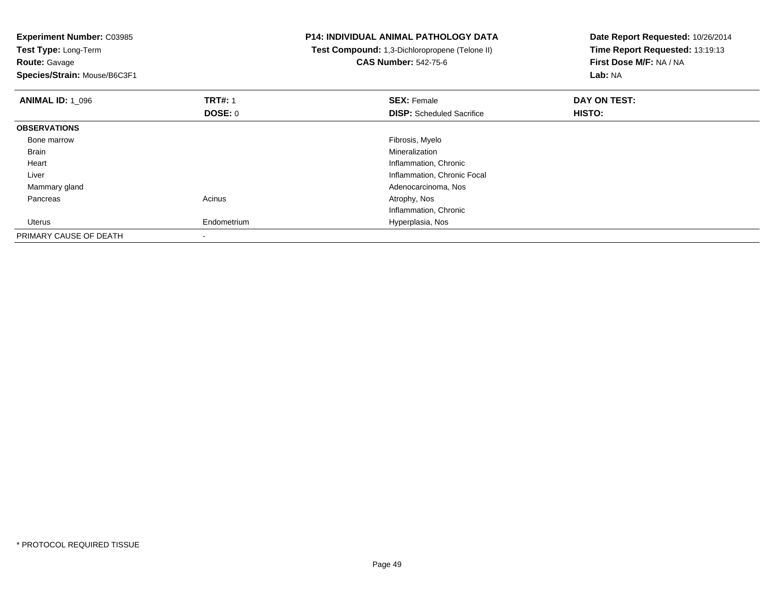**Experiment Number:** C03985**Test Type:** Long-Term**Route:** Gavage **Species/Strain:** Mouse/B6C3F1**P14: INDIVIDUAL ANIMAL PATHOLOGY DATA Test Compound:** 1,3-Dichloropropene (Telone II)**CAS Number:** 542-75-6**Date Report Requested:** 10/26/2014**Time Report Requested:** 13:19:13**First Dose M/F:** NA / NA**Lab:** NA**ANIMAL ID:** 1\_096**6 DAY ON TEST:** 1 **SEX:** Female **SEX: Female DAY ON TEST: DOSE:** 0**DISP:** Scheduled Sacrifice **HISTO: OBSERVATIONS** Bone marroww which is a state of the state of the state of the state of the state of the Fibrosis, Myelo state of the state of the state of the state of the state of the state of the state of the state of the state of the state of th Brainn and the control of the control of the control of the control of the control of the control of the control of the control of the control of the control of the control of the control of the control of the control of the co Heart Inflammation, Chronic**Inflammation, Chronic Focal**  Liver Mammary gland Adenocarcinoma, Nos Pancreass and the contract of the contract of the contract of the contract of the contract  $\mathsf{A}$  at  $\mathsf{A}$  and  $\mathsf{A}$  and  $\mathsf{A}$  and  $\mathsf{A}$  and  $\mathsf{A}$  are contract of  $\mathsf{A}$  and  $\mathsf{A}$  and  $\mathsf{A}$  are contract of Inflammation, Chronic Uterus Endometrium Hyperplasia, Nos PRIMARY CAUSE OF DEATH-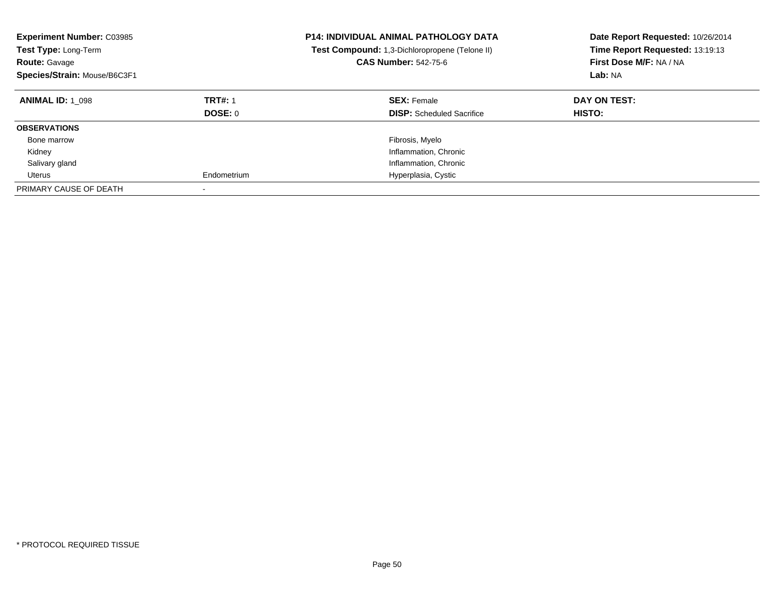| <b>Experiment Number: C03985</b><br><b>Test Type: Long-Term</b><br><b>Route: Gavage</b><br>Species/Strain: Mouse/B6C3F1 |                           | <b>P14: INDIVIDUAL ANIMAL PATHOLOGY DATA</b><br>Test Compound: 1,3-Dichloropropene (Telone II)<br><b>CAS Number: 542-75-6</b> | Date Report Requested: 10/26/2014<br>Time Report Requested: 13:19:13<br>First Dose M/F: NA / NA<br>Lab: NA |
|-------------------------------------------------------------------------------------------------------------------------|---------------------------|-------------------------------------------------------------------------------------------------------------------------------|------------------------------------------------------------------------------------------------------------|
| <b>ANIMAL ID: 1 098</b>                                                                                                 | <b>TRT#: 1</b><br>DOSE: 0 | <b>SEX: Female</b><br><b>DISP:</b> Scheduled Sacrifice                                                                        | DAY ON TEST:<br>HISTO:                                                                                     |
| <b>OBSERVATIONS</b>                                                                                                     |                           |                                                                                                                               |                                                                                                            |
| Bone marrow                                                                                                             |                           | Fibrosis, Myelo                                                                                                               |                                                                                                            |
| Kidney                                                                                                                  |                           | Inflammation, Chronic                                                                                                         |                                                                                                            |
| Salivary gland                                                                                                          |                           | Inflammation, Chronic                                                                                                         |                                                                                                            |
| Uterus                                                                                                                  | Endometrium               | Hyperplasia, Cystic                                                                                                           |                                                                                                            |
| PRIMARY CAUSE OF DEATH                                                                                                  |                           |                                                                                                                               |                                                                                                            |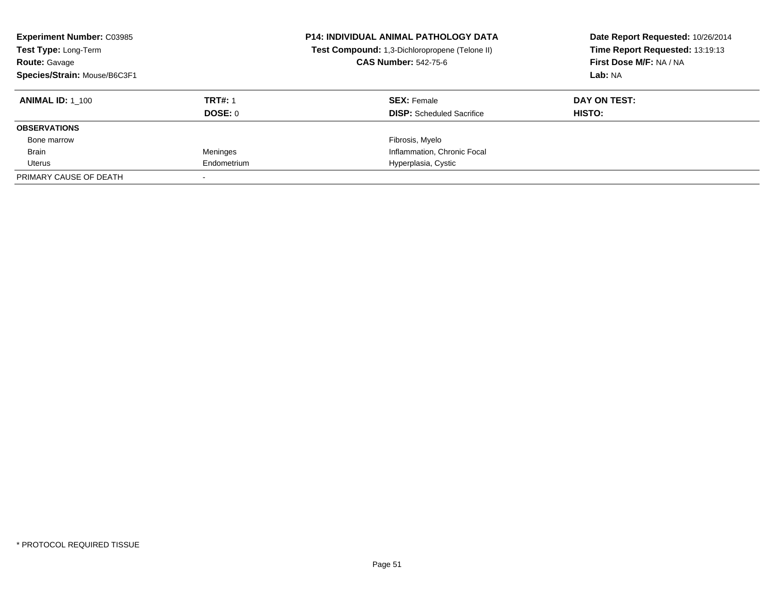| <b>Experiment Number: C03985</b><br>Test Type: Long-Term<br><b>Route: Gavage</b><br>Species/Strain: Mouse/B6C3F1 |                | <b>P14: INDIVIDUAL ANIMAL PATHOLOGY DATA</b><br>Test Compound: 1,3-Dichloropropene (Telone II)<br><b>CAS Number: 542-75-6</b> | Date Report Requested: 10/26/2014<br>Time Report Requested: 13:19:13<br>First Dose M/F: NA / NA<br>Lab: NA |
|------------------------------------------------------------------------------------------------------------------|----------------|-------------------------------------------------------------------------------------------------------------------------------|------------------------------------------------------------------------------------------------------------|
| <b>ANIMAL ID: 1 100</b>                                                                                          | <b>TRT#: 1</b> | <b>SEX: Female</b>                                                                                                            | DAY ON TEST:                                                                                               |
|                                                                                                                  | DOSE: 0        | <b>DISP:</b> Scheduled Sacrifice                                                                                              | HISTO:                                                                                                     |
| <b>OBSERVATIONS</b>                                                                                              |                |                                                                                                                               |                                                                                                            |
| Bone marrow                                                                                                      |                | Fibrosis, Myelo                                                                                                               |                                                                                                            |
| Brain                                                                                                            | Meninges       | Inflammation, Chronic Focal                                                                                                   |                                                                                                            |
| Uterus                                                                                                           | Endometrium    | Hyperplasia, Cystic                                                                                                           |                                                                                                            |
| PRIMARY CAUSE OF DEATH                                                                                           |                |                                                                                                                               |                                                                                                            |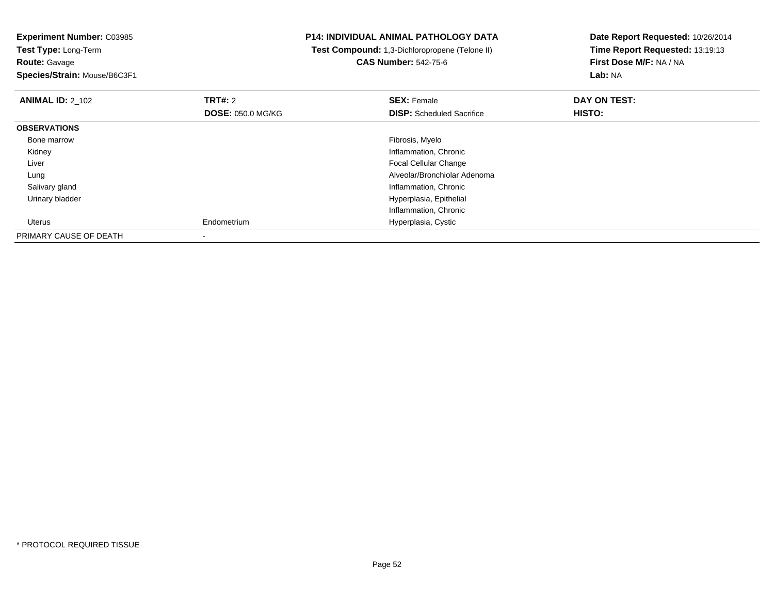**Experiment Number:** C03985**Test Type:** Long-Term**Route:** Gavage **Species/Strain:** Mouse/B6C3F1**P14: INDIVIDUAL ANIMAL PATHOLOGY DATA Test Compound:** 1,3-Dichloropropene (Telone II)**CAS Number:** 542-75-6**Date Report Requested:** 10/26/2014**Time Report Requested:** 13:19:13**First Dose M/F:** NA / NA**Lab:** NA**ANIMAL ID:** 2\_102**TRT#:** 2 **SEX:** Female **DAY ON TEST: DOSE:** 050.0 MG/KG**DISP:** Scheduled Sacrifice **HISTO: OBSERVATIONS** Bone marroww which is a state of the state of the state of the state of the state of the Fibrosis, Myelo state of the state of the state of the state of the state of the state of the state of the state of the state of the state of th Kidney Inflammation, Chronic Liver Focal Cellular Change Alveolar/Bronchiolar Adenoma Lung Salivary gland Inflammation, Chronic Urinary bladder Hyperplasia, Epithelial Inflammation, Chronic Uterus Endometrium Hyperplasia, Cystic PRIMARY CAUSE OF DEATH-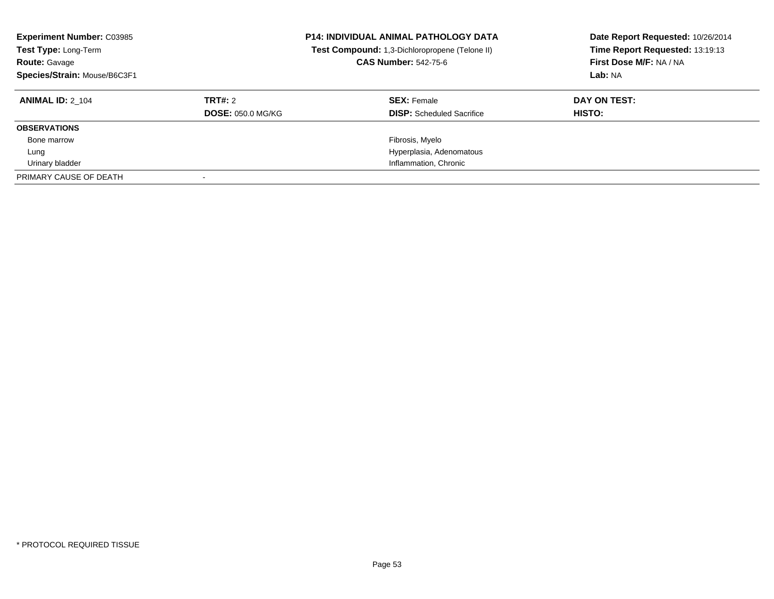| <b>Experiment Number: C03985</b><br>Test Type: Long-Term<br><b>Route: Gavage</b><br>Species/Strain: Mouse/B6C3F1 |                                     | <b>P14: INDIVIDUAL ANIMAL PATHOLOGY DATA</b><br>Test Compound: 1,3-Dichloropropene (Telone II)<br><b>CAS Number: 542-75-6</b> | Date Report Requested: 10/26/2014<br>Time Report Requested: 13:19:13<br>First Dose M/F: NA / NA<br>Lab: NA |
|------------------------------------------------------------------------------------------------------------------|-------------------------------------|-------------------------------------------------------------------------------------------------------------------------------|------------------------------------------------------------------------------------------------------------|
| <b>ANIMAL ID: 2 104</b>                                                                                          | TRT#: 2<br><b>DOSE: 050.0 MG/KG</b> | <b>SEX: Female</b><br><b>DISP:</b> Scheduled Sacrifice                                                                        | DAY ON TEST:<br>HISTO:                                                                                     |
| <b>OBSERVATIONS</b>                                                                                              |                                     |                                                                                                                               |                                                                                                            |
| Bone marrow                                                                                                      |                                     | Fibrosis, Myelo                                                                                                               |                                                                                                            |
| Lung                                                                                                             |                                     | Hyperplasia, Adenomatous                                                                                                      |                                                                                                            |
| Urinary bladder                                                                                                  |                                     | Inflammation, Chronic                                                                                                         |                                                                                                            |
| PRIMARY CAUSE OF DEATH                                                                                           |                                     |                                                                                                                               |                                                                                                            |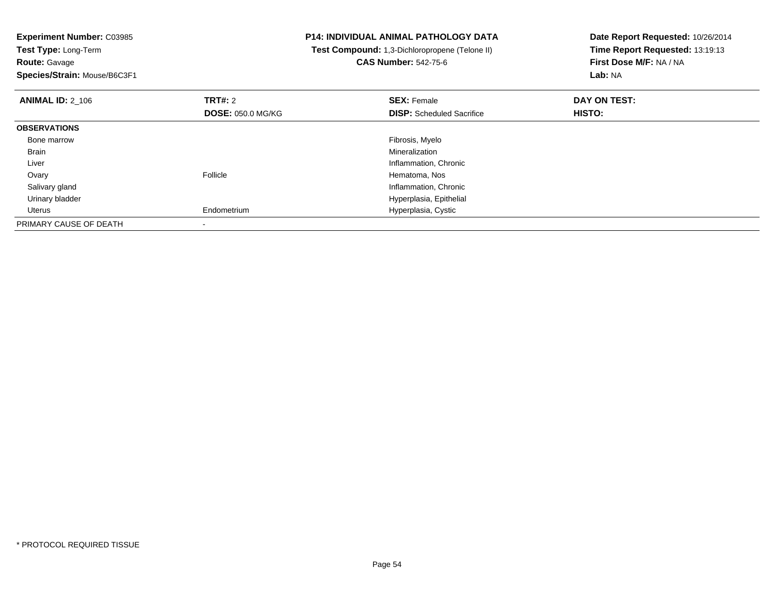**Experiment Number:** C03985**Test Type:** Long-Term**Route:** Gavage **Species/Strain:** Mouse/B6C3F1**P14: INDIVIDUAL ANIMAL PATHOLOGY DATA Test Compound:** 1,3-Dichloropropene (Telone II)**CAS Number:** 542-75-6**Date Report Requested:** 10/26/2014**Time Report Requested:** 13:19:13**First Dose M/F:** NA / NA**Lab:** NA**ANIMAL ID:** 2\_106**6 DAY ON TEST: TRT#:** 2 **SEX:** Female **SEX:** Female **DOSE:** 050.0 MG/KG**DISP:** Scheduled Sacrifice **HISTO: OBSERVATIONS** Bone marroww which is a state of the state of the state of the state of the state of the Fibrosis, Myelo state of the state of the state of the state of the state of the state of the state of the state of the state of the state of th Brainn and the control of the control of the control of the control of the control of the control of the control of the control of the control of the control of the control of the control of the control of the control of the co Liver Inflammation, Chronic**Ovary** y **Follicle** Follicle **Hematoma, Nos**  Salivary gland Inflammation, Chronic Urinary bladder Hyperplasia, Epithelial Uterus Endometrium Hyperplasia, Cystic PRIMARY CAUSE OF DEATH-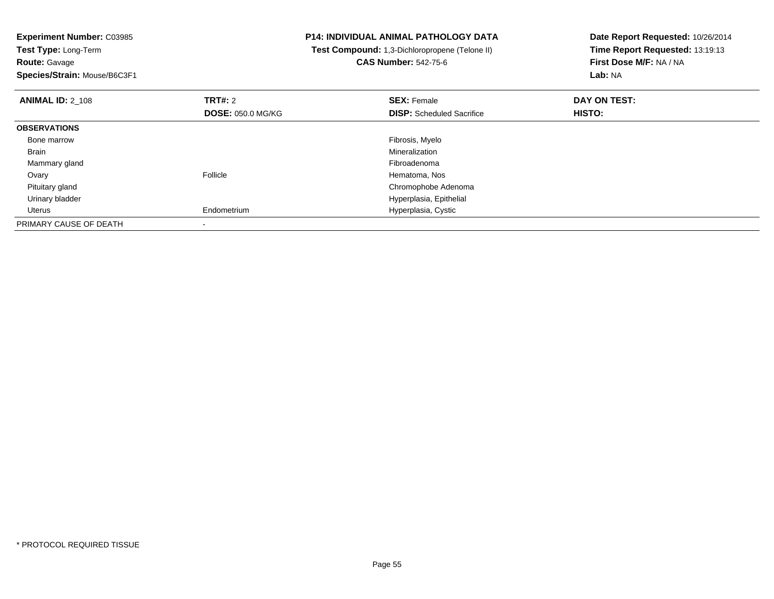**Experiment Number:** C03985**Test Type:** Long-Term**Route:** Gavage **Species/Strain:** Mouse/B6C3F1**P14: INDIVIDUAL ANIMAL PATHOLOGY DATA Test Compound:** 1,3-Dichloropropene (Telone II)**CAS Number:** 542-75-6**Date Report Requested:** 10/26/2014**Time Report Requested:** 13:19:13**First Dose M/F:** NA / NA**Lab:** NA**ANIMAL ID:** 2\_108**REX:** Female **DAY ON TEST: CONSIST: SEX:** Female **DAY ON TEST: DOSE:** 050.0 MG/KG**DISP:** Scheduled Sacrifice **HISTO: OBSERVATIONS** Bone marroww which is a state of the state of the state of the state of the state of the Fibrosis, Myelo state of the state of the state of the state of the state of the state of the state of the state of the state of the state of th Brainn and the control of the control of the control of the control of the control of the control of the control of the control of the control of the control of the control of the control of the control of the control of the co Mammary glandd and the control of the control of the control of the control of the control of the control of the control of the control of the control of the control of the control of the control of the control of the control of the co Ovaryy **Follicle** Follicle **Hematoma, Nos**  Pituitary gland Chromophobe Adenoma Urinary bladder Hyperplasia, Epithelial Uterus Endometrium Hyperplasia, Cystic PRIMARY CAUSE OF DEATH-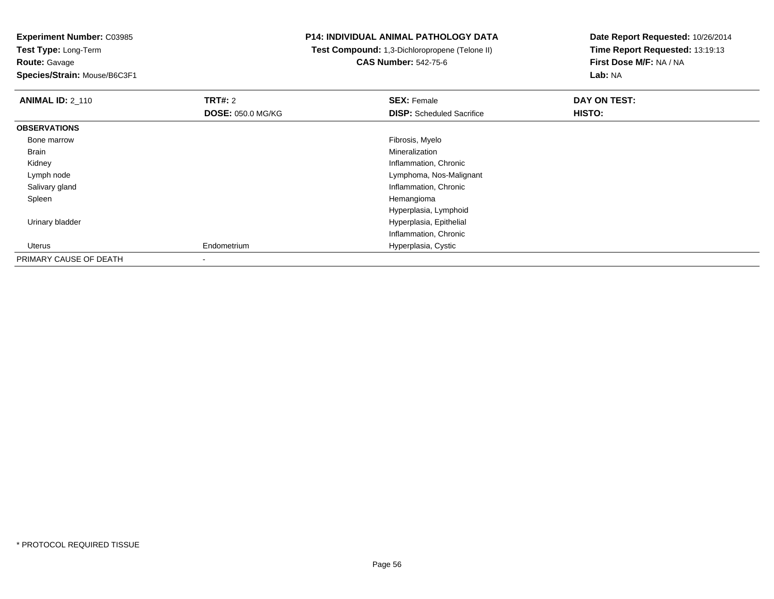**Experiment Number:** C03985**Test Type:** Long-Term

**Route:** Gavage

**Species/Strain:** Mouse/B6C3F1

## **P14: INDIVIDUAL ANIMAL PATHOLOGY DATA**

 **Test Compound:** 1,3-Dichloropropene (Telone II)**CAS Number:** 542-75-6

**Date Report Requested:** 10/26/2014**Time Report Requested:** 13:19:13**First Dose M/F:** NA / NA**Lab:** NA

| <b>ANIMAL ID: 2 110</b> | TRT#: 2                  | <b>SEX: Female</b>               | DAY ON TEST: |  |
|-------------------------|--------------------------|----------------------------------|--------------|--|
|                         | <b>DOSE: 050.0 MG/KG</b> | <b>DISP:</b> Scheduled Sacrifice | HISTO:       |  |
| <b>OBSERVATIONS</b>     |                          |                                  |              |  |
| Bone marrow             |                          | Fibrosis, Myelo                  |              |  |
| Brain                   |                          | Mineralization                   |              |  |
| Kidney                  |                          | Inflammation, Chronic            |              |  |
| Lymph node              |                          | Lymphoma, Nos-Malignant          |              |  |
| Salivary gland          |                          | Inflammation, Chronic            |              |  |
| Spleen                  |                          | Hemangioma                       |              |  |
|                         |                          | Hyperplasia, Lymphoid            |              |  |
| Urinary bladder         |                          | Hyperplasia, Epithelial          |              |  |
|                         |                          | Inflammation, Chronic            |              |  |
| Uterus                  | Endometrium              | Hyperplasia, Cystic              |              |  |
| PRIMARY CAUSE OF DEATH  | $\blacksquare$           |                                  |              |  |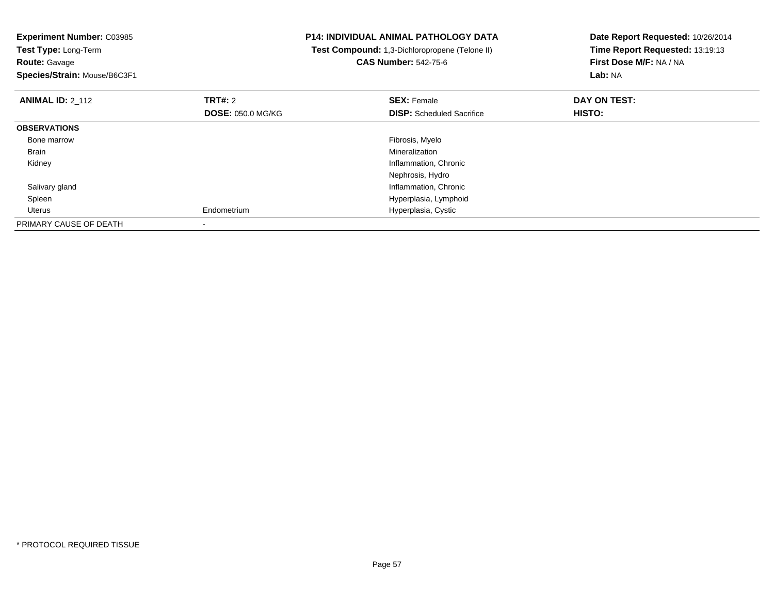| <b>Experiment Number: C03985</b><br>Test Type: Long-Term |                          | <b>P14: INDIVIDUAL ANIMAL PATHOLOGY DATA</b><br>Test Compound: 1,3-Dichloropropene (Telone II) | Date Report Requested: 10/26/2014<br>Time Report Requested: 13:19:13 |
|----------------------------------------------------------|--------------------------|------------------------------------------------------------------------------------------------|----------------------------------------------------------------------|
| <b>Route: Gavage</b>                                     |                          | <b>CAS Number: 542-75-6</b>                                                                    | First Dose M/F: NA / NA                                              |
| Species/Strain: Mouse/B6C3F1                             |                          |                                                                                                | Lab: NA                                                              |
| <b>ANIMAL ID: 2_112</b>                                  | <b>TRT#: 2</b>           | <b>SEX: Female</b>                                                                             | DAY ON TEST:                                                         |
|                                                          | <b>DOSE: 050.0 MG/KG</b> | <b>DISP:</b> Scheduled Sacrifice                                                               | HISTO:                                                               |
| <b>OBSERVATIONS</b>                                      |                          |                                                                                                |                                                                      |
| Bone marrow                                              |                          | Fibrosis, Myelo                                                                                |                                                                      |
| Brain                                                    |                          | Mineralization                                                                                 |                                                                      |
| Kidney                                                   |                          | Inflammation, Chronic                                                                          |                                                                      |
|                                                          |                          | Nephrosis, Hydro                                                                               |                                                                      |
| Salivary gland                                           |                          | Inflammation, Chronic                                                                          |                                                                      |
| Spleen                                                   |                          | Hyperplasia, Lymphoid                                                                          |                                                                      |
| Uterus                                                   | Endometrium              | Hyperplasia, Cystic                                                                            |                                                                      |
| PRIMARY CAUSE OF DEATH                                   |                          |                                                                                                |                                                                      |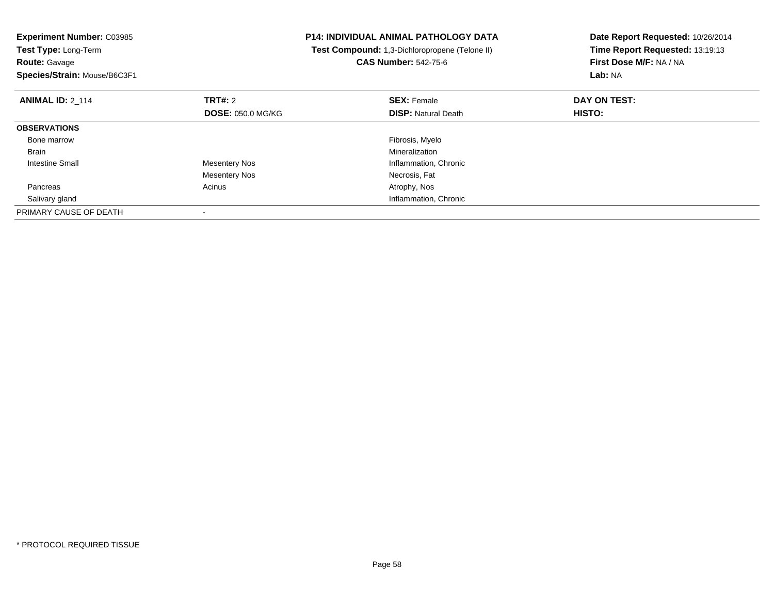| <b>Experiment Number: C03985</b><br>Test Type: Long-Term<br><b>Route: Gavage</b><br>Species/Strain: Mouse/B6C3F1 |                          | <b>P14: INDIVIDUAL ANIMAL PATHOLOGY DATA</b><br>Test Compound: 1,3-Dichloropropene (Telone II)<br><b>CAS Number: 542-75-6</b> | Date Report Requested: 10/26/2014<br>Time Report Requested: 13:19:13<br>First Dose M/F: NA / NA<br>Lab: NA |
|------------------------------------------------------------------------------------------------------------------|--------------------------|-------------------------------------------------------------------------------------------------------------------------------|------------------------------------------------------------------------------------------------------------|
| <b>ANIMAL ID: 2 114</b>                                                                                          | TRT#: 2                  | <b>SEX: Female</b>                                                                                                            | DAY ON TEST:                                                                                               |
|                                                                                                                  | <b>DOSE: 050.0 MG/KG</b> | <b>DISP: Natural Death</b>                                                                                                    | HISTO:                                                                                                     |
| <b>OBSERVATIONS</b>                                                                                              |                          |                                                                                                                               |                                                                                                            |
| Bone marrow                                                                                                      |                          | Fibrosis, Myelo                                                                                                               |                                                                                                            |
| <b>Brain</b>                                                                                                     |                          | Mineralization                                                                                                                |                                                                                                            |
| Intestine Small                                                                                                  | <b>Mesentery Nos</b>     | Inflammation, Chronic                                                                                                         |                                                                                                            |
|                                                                                                                  | <b>Mesentery Nos</b>     | Necrosis, Fat                                                                                                                 |                                                                                                            |
| Pancreas                                                                                                         | Acinus                   | Atrophy, Nos                                                                                                                  |                                                                                                            |
| Salivary gland                                                                                                   |                          | Inflammation, Chronic                                                                                                         |                                                                                                            |
| PRIMARY CAUSE OF DEATH                                                                                           |                          |                                                                                                                               |                                                                                                            |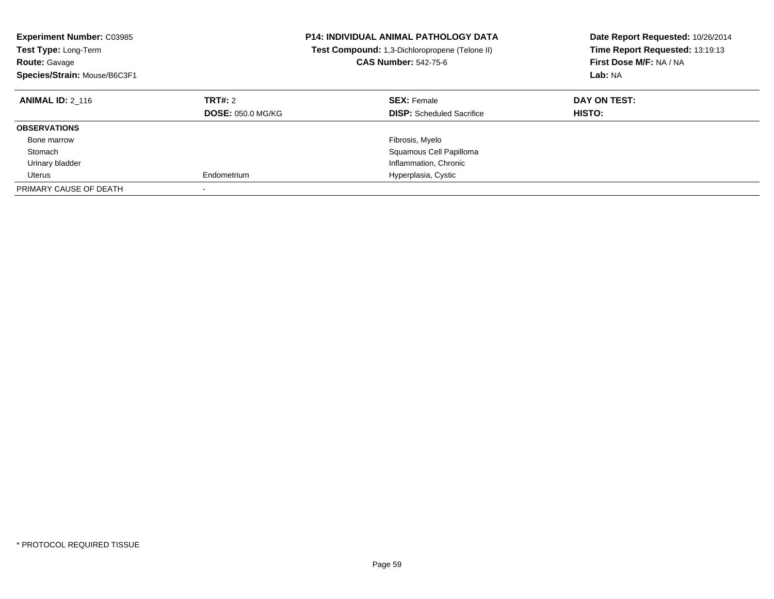| <b>Experiment Number: C03985</b><br><b>Test Type: Long-Term</b><br><b>Route: Gavage</b><br>Species/Strain: Mouse/B6C3F1 |                                     | <b>P14: INDIVIDUAL ANIMAL PATHOLOGY DATA</b><br><b>Test Compound:</b> 1,3-Dichloropropene (Telone II)<br><b>CAS Number: 542-75-6</b> | Date Report Requested: 10/26/2014<br>Time Report Requested: 13:19:13<br>First Dose M/F: NA / NA<br>Lab: NA |
|-------------------------------------------------------------------------------------------------------------------------|-------------------------------------|--------------------------------------------------------------------------------------------------------------------------------------|------------------------------------------------------------------------------------------------------------|
| <b>ANIMAL ID: 2 116</b>                                                                                                 | TRT#: 2<br><b>DOSE: 050.0 MG/KG</b> | <b>SEX: Female</b><br><b>DISP:</b> Scheduled Sacrifice                                                                               | DAY ON TEST:<br>HISTO:                                                                                     |
| <b>OBSERVATIONS</b>                                                                                                     |                                     |                                                                                                                                      |                                                                                                            |
| Bone marrow                                                                                                             |                                     | Fibrosis, Myelo                                                                                                                      |                                                                                                            |
| Stomach                                                                                                                 |                                     | Squamous Cell Papilloma                                                                                                              |                                                                                                            |
| Urinary bladder                                                                                                         |                                     | Inflammation, Chronic                                                                                                                |                                                                                                            |
| Uterus                                                                                                                  | Endometrium                         | Hyperplasia, Cystic                                                                                                                  |                                                                                                            |
| PRIMARY CAUSE OF DEATH                                                                                                  |                                     |                                                                                                                                      |                                                                                                            |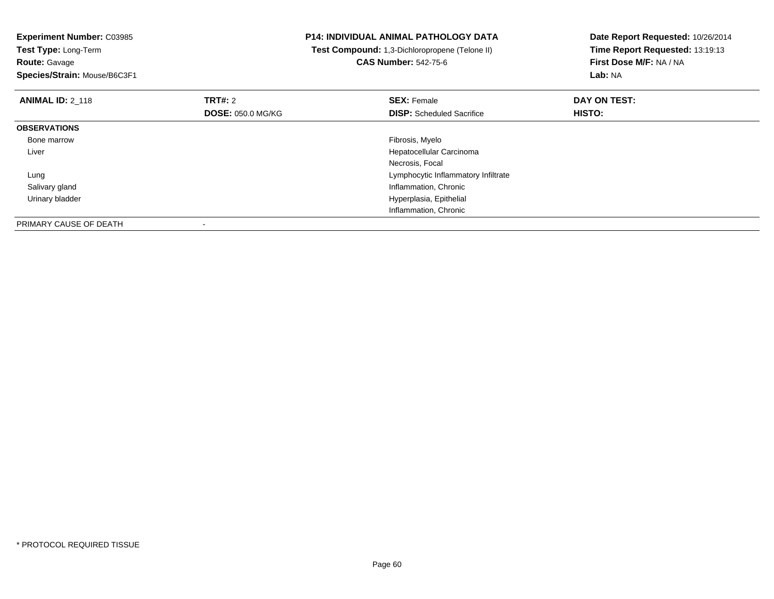| <b>Experiment Number: C03985</b><br>Test Type: Long-Term |                          | <b>P14: INDIVIDUAL ANIMAL PATHOLOGY DATA</b><br>Test Compound: 1,3-Dichloropropene (Telone II) | Date Report Requested: 10/26/2014<br>Time Report Requested: 13:19:13 |
|----------------------------------------------------------|--------------------------|------------------------------------------------------------------------------------------------|----------------------------------------------------------------------|
| <b>Route: Gavage</b>                                     |                          | <b>CAS Number: 542-75-6</b>                                                                    | First Dose M/F: NA / NA                                              |
| Species/Strain: Mouse/B6C3F1                             |                          |                                                                                                | Lab: NA                                                              |
| <b>ANIMAL ID: 2 118</b>                                  | <b>TRT#:</b> 2           | <b>SEX: Female</b>                                                                             | DAY ON TEST:                                                         |
|                                                          | <b>DOSE: 050.0 MG/KG</b> | <b>DISP:</b> Scheduled Sacrifice                                                               | <b>HISTO:</b>                                                        |
| <b>OBSERVATIONS</b>                                      |                          |                                                                                                |                                                                      |
| Bone marrow                                              |                          | Fibrosis, Myelo                                                                                |                                                                      |
| Liver                                                    |                          | Hepatocellular Carcinoma                                                                       |                                                                      |
|                                                          |                          | Necrosis, Focal                                                                                |                                                                      |
| Lung                                                     |                          | Lymphocytic Inflammatory Infiltrate                                                            |                                                                      |
| Salivary gland                                           |                          | Inflammation, Chronic                                                                          |                                                                      |
| Urinary bladder                                          |                          | Hyperplasia, Epithelial                                                                        |                                                                      |
|                                                          |                          | Inflammation, Chronic                                                                          |                                                                      |
| PRIMARY CAUSE OF DEATH                                   |                          |                                                                                                |                                                                      |

-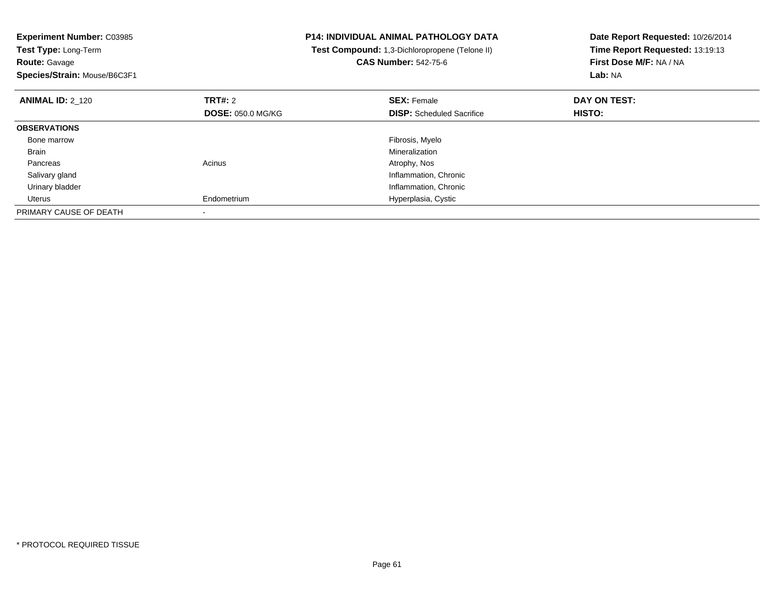| <b>Experiment Number: C03985</b><br>Test Type: Long-Term<br><b>Route: Gavage</b><br>Species/Strain: Mouse/B6C3F1 |                          | <b>P14: INDIVIDUAL ANIMAL PATHOLOGY DATA</b><br>Test Compound: 1,3-Dichloropropene (Telone II)<br><b>CAS Number: 542-75-6</b> | Date Report Requested: 10/26/2014<br>Time Report Requested: 13:19:13<br>First Dose M/F: NA / NA<br>Lab: NA |
|------------------------------------------------------------------------------------------------------------------|--------------------------|-------------------------------------------------------------------------------------------------------------------------------|------------------------------------------------------------------------------------------------------------|
| <b>ANIMAL ID: 2 120</b>                                                                                          | TRT#: 2                  | <b>SEX: Female</b>                                                                                                            | DAY ON TEST:                                                                                               |
|                                                                                                                  | <b>DOSE: 050.0 MG/KG</b> | <b>DISP:</b> Scheduled Sacrifice                                                                                              | <b>HISTO:</b>                                                                                              |
| <b>OBSERVATIONS</b>                                                                                              |                          |                                                                                                                               |                                                                                                            |
| Bone marrow                                                                                                      |                          | Fibrosis, Myelo                                                                                                               |                                                                                                            |
| Brain                                                                                                            |                          | Mineralization                                                                                                                |                                                                                                            |
| Pancreas                                                                                                         | Acinus                   | Atrophy, Nos                                                                                                                  |                                                                                                            |
| Salivary gland                                                                                                   |                          | Inflammation, Chronic                                                                                                         |                                                                                                            |
| Urinary bladder                                                                                                  |                          | Inflammation, Chronic                                                                                                         |                                                                                                            |
| Uterus                                                                                                           | Endometrium              | Hyperplasia, Cystic                                                                                                           |                                                                                                            |
| PRIMARY CAUSE OF DEATH                                                                                           |                          |                                                                                                                               |                                                                                                            |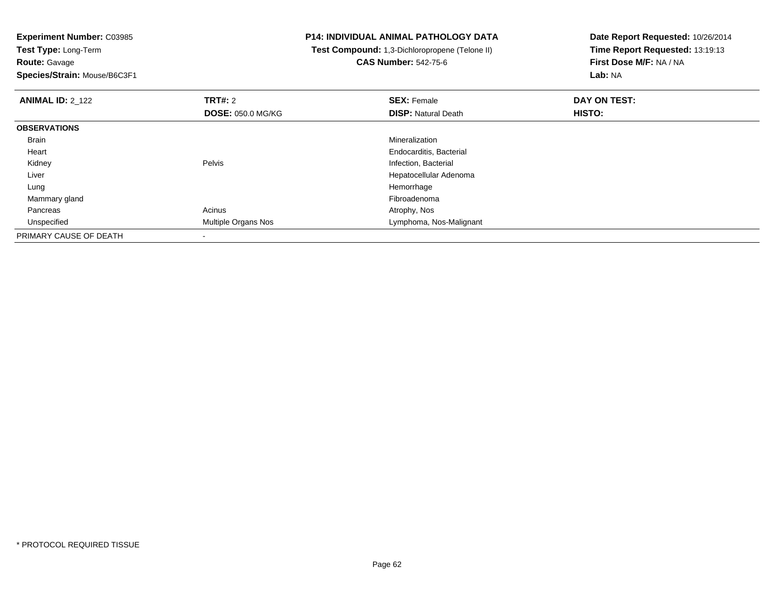**Experiment Number:** C03985**Test Type:** Long-Term**Route:** Gavage

## **Species/Strain:** Mouse/B6C3F1

## **P14: INDIVIDUAL ANIMAL PATHOLOGY DATA**

 **Test Compound:** 1,3-Dichloropropene (Telone II)**CAS Number:** 542-75-6

**Date Report Requested:** 10/26/2014**Time Report Requested:** 13:19:13**First Dose M/F:** NA / NA**Lab:** NA

| <b>ANIMAL ID: 2 122</b> | TRT#: 2                  | <b>SEX: Female</b>         | DAY ON TEST:  |  |
|-------------------------|--------------------------|----------------------------|---------------|--|
|                         | <b>DOSE: 050.0 MG/KG</b> | <b>DISP: Natural Death</b> | <b>HISTO:</b> |  |
| <b>OBSERVATIONS</b>     |                          |                            |               |  |
| Brain                   |                          | Mineralization             |               |  |
| Heart                   |                          | Endocarditis, Bacterial    |               |  |
| Kidney                  | Pelvis                   | Infection, Bacterial       |               |  |
| Liver                   |                          | Hepatocellular Adenoma     |               |  |
| Lung                    |                          | Hemorrhage                 |               |  |
| Mammary gland           |                          | Fibroadenoma               |               |  |
| Pancreas                | Acinus                   | Atrophy, Nos               |               |  |
| Unspecified             | Multiple Organs Nos      | Lymphoma, Nos-Malignant    |               |  |
| PRIMARY CAUSE OF DEATH  |                          |                            |               |  |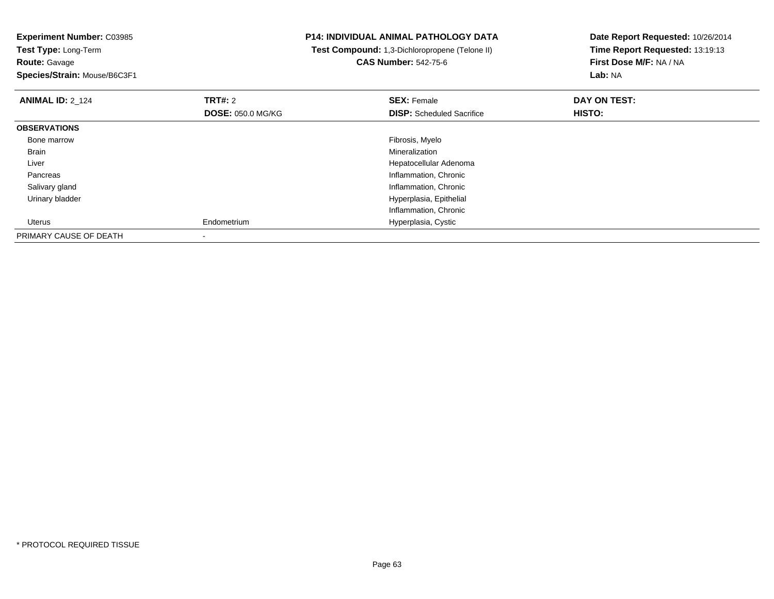**Experiment Number:** C03985**Test Type:** Long-Term**Route:** Gavage **Species/Strain:** Mouse/B6C3F1**P14: INDIVIDUAL ANIMAL PATHOLOGY DATA Test Compound:** 1,3-Dichloropropene (Telone II)**CAS Number:** 542-75-6**Date Report Requested:** 10/26/2014**Time Report Requested:** 13:19:13**First Dose M/F:** NA / NA**Lab:** NA**ANIMAL ID:** 2\_124**TRT#:** 2 **SEX:** Female **DAY ON TEST: DOSE:** 050.0 MG/KG**DISP:** Scheduled Sacrifice **HISTO: OBSERVATIONS** Bone marroww which is a state of the state of the state of the state of the state of the Fibrosis, Myelo state of the state of the state of the state of the state of the state of the state of the state of the state of the state of th Brainn and the control of the control of the control of the control of the control of the control of the control of the control of the control of the control of the control of the control of the control of the control of the co Liver Hepatocellular Adenoma Pancreas Inflammation, Chronic Salivary gland Inflammation, Chronic Urinary bladder Hyperplasia, Epithelial Inflammation, Chronic Uterus Endometrium Hyperplasia, Cystic PRIMARY CAUSE OF DEATH

-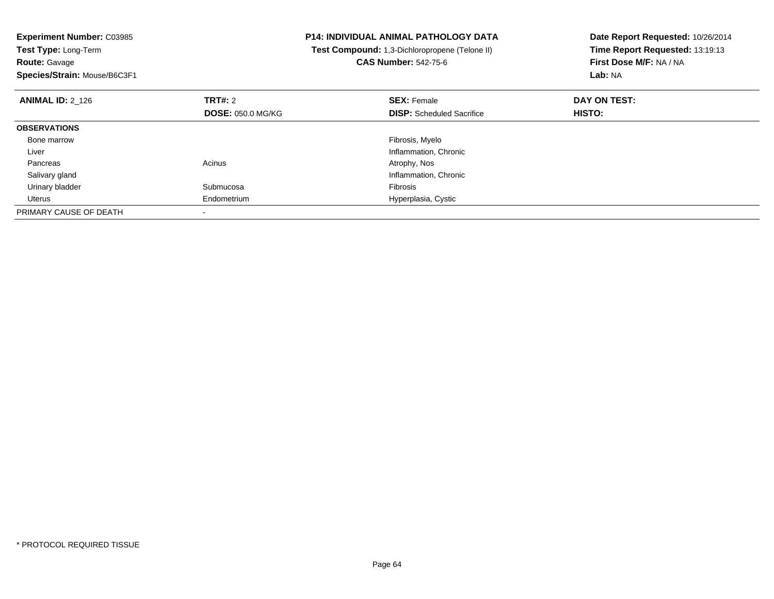| <b>Experiment Number: C03985</b><br>Test Type: Long-Term<br><b>Route: Gavage</b><br>Species/Strain: Mouse/B6C3F1 |                                            | <b>P14: INDIVIDUAL ANIMAL PATHOLOGY DATA</b><br>Test Compound: 1,3-Dichloropropene (Telone II)<br><b>CAS Number: 542-75-6</b> | Date Report Requested: 10/26/2014<br>Time Report Requested: 13:19:13<br>First Dose M/F: NA / NA<br>Lab: NA |
|------------------------------------------------------------------------------------------------------------------|--------------------------------------------|-------------------------------------------------------------------------------------------------------------------------------|------------------------------------------------------------------------------------------------------------|
| <b>ANIMAL ID: 2 126</b>                                                                                          | <b>TRT#: 2</b><br><b>DOSE: 050.0 MG/KG</b> | <b>SEX: Female</b><br><b>DISP:</b> Scheduled Sacrifice                                                                        | DAY ON TEST:<br>HISTO:                                                                                     |
| <b>OBSERVATIONS</b>                                                                                              |                                            |                                                                                                                               |                                                                                                            |
| Bone marrow                                                                                                      |                                            | Fibrosis, Myelo                                                                                                               |                                                                                                            |
| Liver                                                                                                            |                                            | Inflammation, Chronic                                                                                                         |                                                                                                            |
| Pancreas                                                                                                         | Acinus                                     | Atrophy, Nos                                                                                                                  |                                                                                                            |
| Salivary gland                                                                                                   |                                            | Inflammation, Chronic                                                                                                         |                                                                                                            |
| Urinary bladder                                                                                                  | Submucosa                                  | <b>Fibrosis</b>                                                                                                               |                                                                                                            |
| Uterus                                                                                                           | Endometrium                                | Hyperplasia, Cystic                                                                                                           |                                                                                                            |
| PRIMARY CAUSE OF DEATH                                                                                           |                                            |                                                                                                                               |                                                                                                            |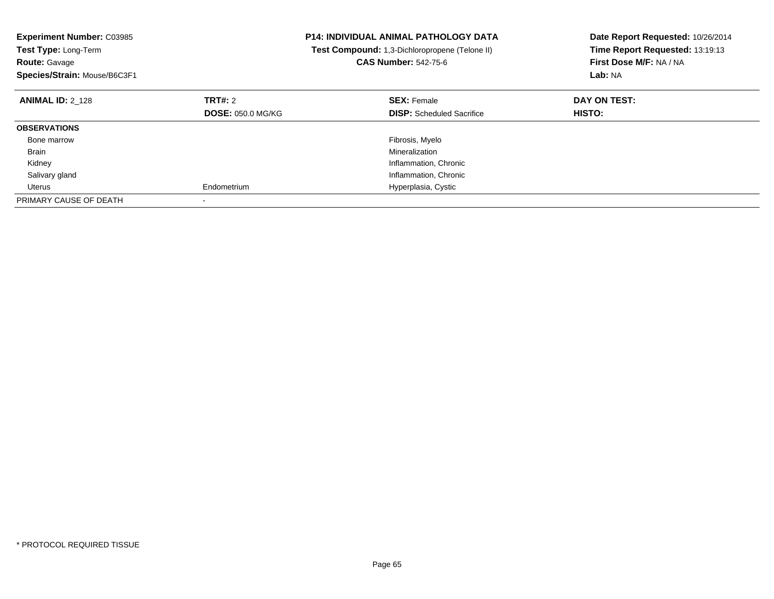| <b>Experiment Number: C03985</b><br><b>Test Type: Long-Term</b><br><b>Route: Gavage</b><br>Species/Strain: Mouse/B6C3F1 |                          | <b>P14: INDIVIDUAL ANIMAL PATHOLOGY DATA</b><br>Test Compound: 1,3-Dichloropropene (Telone II)<br><b>CAS Number: 542-75-6</b> | Date Report Requested: 10/26/2014<br>Time Report Requested: 13:19:13<br>First Dose M/F: NA / NA<br>Lab: NA |
|-------------------------------------------------------------------------------------------------------------------------|--------------------------|-------------------------------------------------------------------------------------------------------------------------------|------------------------------------------------------------------------------------------------------------|
| <b>ANIMAL ID: 2 128</b>                                                                                                 | TRT#: 2                  | <b>SEX: Female</b>                                                                                                            | DAY ON TEST:                                                                                               |
|                                                                                                                         | <b>DOSE: 050.0 MG/KG</b> | <b>DISP:</b> Scheduled Sacrifice                                                                                              | <b>HISTO:</b>                                                                                              |
| <b>OBSERVATIONS</b>                                                                                                     |                          |                                                                                                                               |                                                                                                            |
| Bone marrow                                                                                                             |                          | Fibrosis, Myelo                                                                                                               |                                                                                                            |
| Brain                                                                                                                   |                          | Mineralization                                                                                                                |                                                                                                            |
| Kidney                                                                                                                  |                          | Inflammation, Chronic                                                                                                         |                                                                                                            |
| Salivary gland                                                                                                          |                          | Inflammation, Chronic                                                                                                         |                                                                                                            |
| Uterus                                                                                                                  | Endometrium              | Hyperplasia, Cystic                                                                                                           |                                                                                                            |
| PRIMARY CAUSE OF DEATH                                                                                                  |                          |                                                                                                                               |                                                                                                            |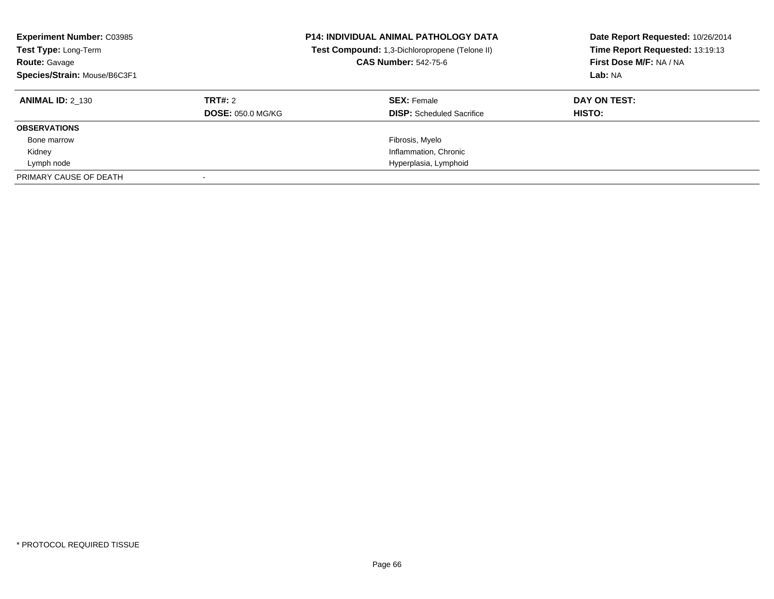| <b>Experiment Number: C03985</b><br>Test Type: Long-Term<br><b>Route: Gavage</b><br>Species/Strain: Mouse/B6C3F1 |                                     | <b>P14: INDIVIDUAL ANIMAL PATHOLOGY DATA</b><br>Test Compound: 1,3-Dichloropropene (Telone II)<br><b>CAS Number: 542-75-6</b> | Date Report Requested: 10/26/2014<br>Time Report Requested: 13:19:13<br>First Dose M/F: NA / NA<br>Lab: NA |
|------------------------------------------------------------------------------------------------------------------|-------------------------------------|-------------------------------------------------------------------------------------------------------------------------------|------------------------------------------------------------------------------------------------------------|
| <b>ANIMAL ID: 2 130</b>                                                                                          | TRT#: 2<br><b>DOSE: 050.0 MG/KG</b> | <b>SEX: Female</b><br><b>DISP:</b> Scheduled Sacrifice                                                                        | DAY ON TEST:<br>HISTO:                                                                                     |
| <b>OBSERVATIONS</b>                                                                                              |                                     |                                                                                                                               |                                                                                                            |
| Bone marrow                                                                                                      |                                     | Fibrosis, Myelo                                                                                                               |                                                                                                            |
| Kidney                                                                                                           |                                     | Inflammation, Chronic                                                                                                         |                                                                                                            |
| Lymph node                                                                                                       |                                     | Hyperplasia, Lymphoid                                                                                                         |                                                                                                            |
| PRIMARY CAUSE OF DEATH                                                                                           |                                     |                                                                                                                               |                                                                                                            |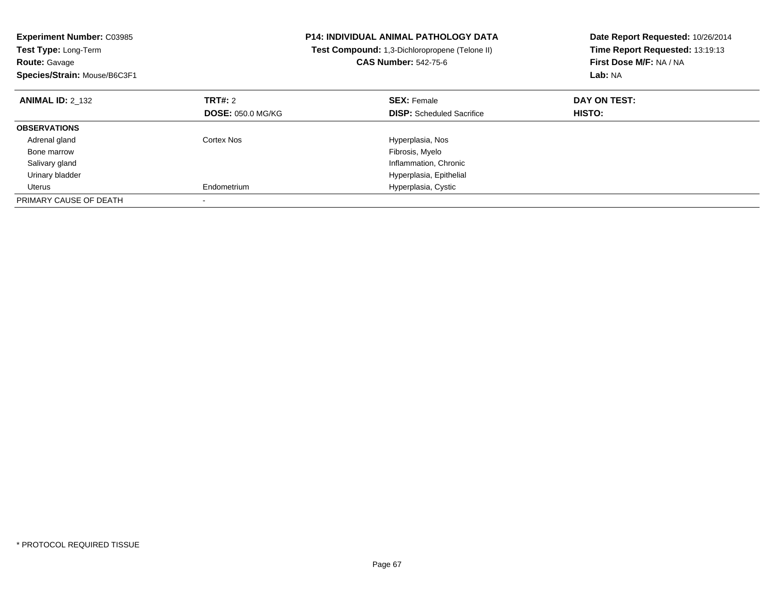| <b>Experiment Number: C03985</b><br>Test Type: Long-Term<br><b>Route: Gavage</b><br>Species/Strain: Mouse/B6C3F1 |                          | <b>P14: INDIVIDUAL ANIMAL PATHOLOGY DATA</b><br>Test Compound: 1,3-Dichloropropene (Telone II)<br><b>CAS Number: 542-75-6</b> | Date Report Requested: 10/26/2014<br>Time Report Requested: 13:19:13<br>First Dose M/F: NA / NA<br>Lab: NA |
|------------------------------------------------------------------------------------------------------------------|--------------------------|-------------------------------------------------------------------------------------------------------------------------------|------------------------------------------------------------------------------------------------------------|
| <b>ANIMAL ID: 2 132</b>                                                                                          | <b>TRT#: 2</b>           | <b>SEX: Female</b>                                                                                                            | DAY ON TEST:                                                                                               |
|                                                                                                                  | <b>DOSE: 050.0 MG/KG</b> | <b>DISP:</b> Scheduled Sacrifice                                                                                              | HISTO:                                                                                                     |
| <b>OBSERVATIONS</b>                                                                                              |                          |                                                                                                                               |                                                                                                            |
| Adrenal gland                                                                                                    | Cortex Nos               | Hyperplasia, Nos                                                                                                              |                                                                                                            |
| Bone marrow                                                                                                      |                          | Fibrosis, Myelo                                                                                                               |                                                                                                            |
| Salivary gland                                                                                                   |                          | Inflammation, Chronic                                                                                                         |                                                                                                            |
| Urinary bladder                                                                                                  |                          | Hyperplasia, Epithelial                                                                                                       |                                                                                                            |
| Uterus                                                                                                           | Endometrium              | Hyperplasia, Cystic                                                                                                           |                                                                                                            |
| PRIMARY CAUSE OF DEATH                                                                                           |                          |                                                                                                                               |                                                                                                            |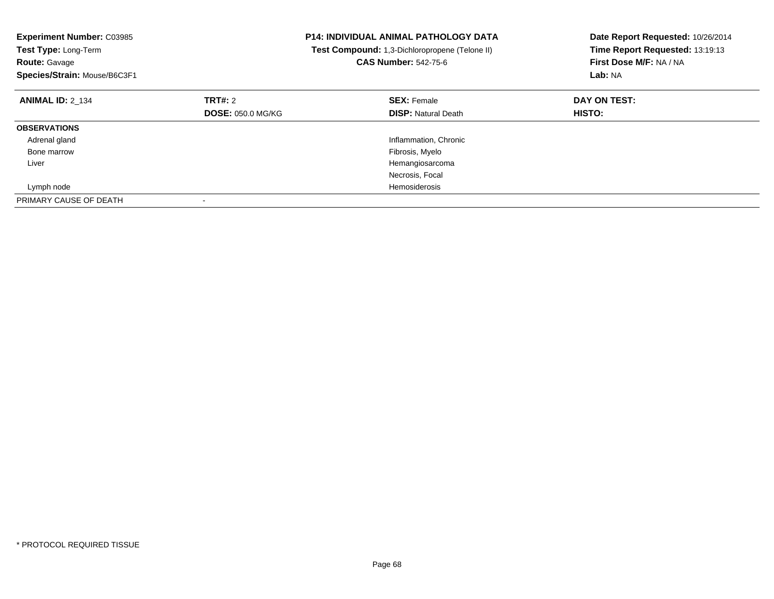| <b>Experiment Number: C03985</b><br>Test Type: Long-Term<br><b>Route: Gavage</b><br>Species/Strain: Mouse/B6C3F1 |                          | <b>P14: INDIVIDUAL ANIMAL PATHOLOGY DATA</b><br>Test Compound: 1,3-Dichloropropene (Telone II)<br><b>CAS Number: 542-75-6</b> | Date Report Requested: 10/26/2014<br>Time Report Requested: 13:19:13<br>First Dose M/F: NA / NA<br>Lab: NA |
|------------------------------------------------------------------------------------------------------------------|--------------------------|-------------------------------------------------------------------------------------------------------------------------------|------------------------------------------------------------------------------------------------------------|
| <b>ANIMAL ID: 2 134</b>                                                                                          | <b>TRT#: 2</b>           | <b>SEX: Female</b>                                                                                                            | DAY ON TEST:                                                                                               |
|                                                                                                                  | <b>DOSE: 050.0 MG/KG</b> | <b>DISP: Natural Death</b>                                                                                                    | <b>HISTO:</b>                                                                                              |
| <b>OBSERVATIONS</b>                                                                                              |                          |                                                                                                                               |                                                                                                            |
| Adrenal gland                                                                                                    |                          | Inflammation, Chronic                                                                                                         |                                                                                                            |
| Bone marrow                                                                                                      |                          | Fibrosis, Myelo                                                                                                               |                                                                                                            |
| Liver                                                                                                            |                          | Hemangiosarcoma                                                                                                               |                                                                                                            |
|                                                                                                                  |                          | Necrosis, Focal                                                                                                               |                                                                                                            |
| Lymph node                                                                                                       |                          | Hemosiderosis                                                                                                                 |                                                                                                            |
| PRIMARY CAUSE OF DEATH                                                                                           |                          |                                                                                                                               |                                                                                                            |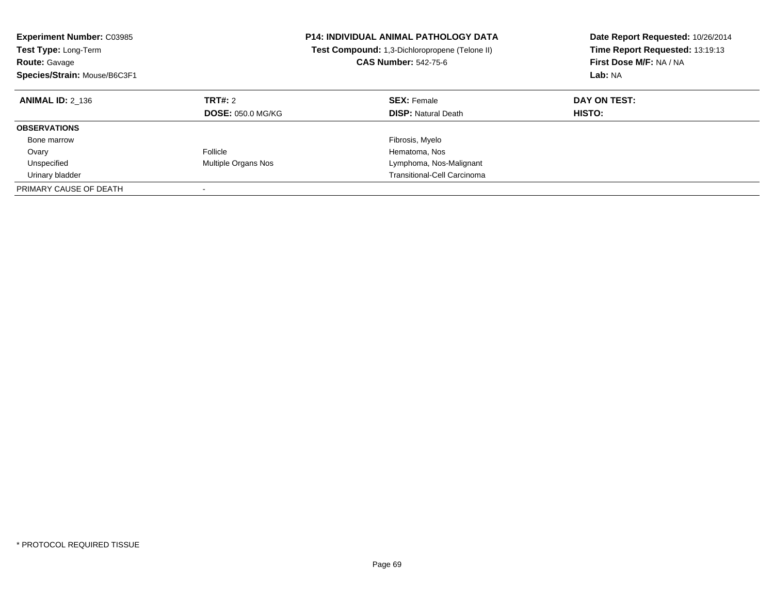| <b>Experiment Number: C03985</b><br><b>Test Type: Long-Term</b><br><b>Route: Gavage</b><br>Species/Strain: Mouse/B6C3F1 |                                            | <b>P14: INDIVIDUAL ANIMAL PATHOLOGY DATA</b><br>Test Compound: 1,3-Dichloropropene (Telone II)<br><b>CAS Number: 542-75-6</b> | Date Report Requested: 10/26/2014<br>Time Report Requested: 13:19:13<br>First Dose M/F: NA / NA<br>Lab: NA |
|-------------------------------------------------------------------------------------------------------------------------|--------------------------------------------|-------------------------------------------------------------------------------------------------------------------------------|------------------------------------------------------------------------------------------------------------|
| <b>ANIMAL ID: 2 136</b>                                                                                                 | <b>TRT#: 2</b><br><b>DOSE: 050.0 MG/KG</b> | <b>SEX: Female</b><br><b>DISP:</b> Natural Death                                                                              | DAY ON TEST:<br><b>HISTO:</b>                                                                              |
| <b>OBSERVATIONS</b>                                                                                                     |                                            |                                                                                                                               |                                                                                                            |
| Bone marrow                                                                                                             |                                            | Fibrosis, Myelo                                                                                                               |                                                                                                            |
| Ovary                                                                                                                   | Follicle                                   | Hematoma, Nos                                                                                                                 |                                                                                                            |
| Unspecified                                                                                                             | Multiple Organs Nos                        | Lymphoma, Nos-Malignant                                                                                                       |                                                                                                            |
| Urinary bladder                                                                                                         |                                            | Transitional-Cell Carcinoma                                                                                                   |                                                                                                            |
| PRIMARY CAUSE OF DEATH                                                                                                  |                                            |                                                                                                                               |                                                                                                            |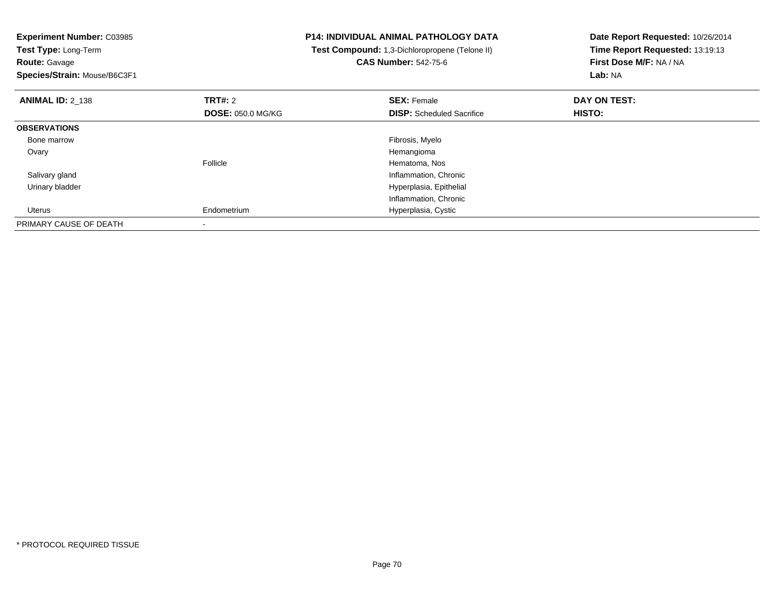| <b>Experiment Number: C03985</b><br>Test Type: Long-Term<br><b>Route: Gavage</b><br>Species/Strain: Mouse/B6C3F1 |                          | <b>P14: INDIVIDUAL ANIMAL PATHOLOGY DATA</b><br>Test Compound: 1,3-Dichloropropene (Telone II)<br><b>CAS Number: 542-75-6</b> | Date Report Requested: 10/26/2014<br>Time Report Requested: 13:19:13<br>First Dose M/F: NA / NA<br>Lab: NA |
|------------------------------------------------------------------------------------------------------------------|--------------------------|-------------------------------------------------------------------------------------------------------------------------------|------------------------------------------------------------------------------------------------------------|
| <b>ANIMAL ID: 2 138</b>                                                                                          | <b>TRT#: 2</b>           | <b>SEX: Female</b>                                                                                                            | DAY ON TEST:                                                                                               |
|                                                                                                                  | <b>DOSE: 050.0 MG/KG</b> | <b>DISP:</b> Scheduled Sacrifice                                                                                              | HISTO:                                                                                                     |
| <b>OBSERVATIONS</b>                                                                                              |                          |                                                                                                                               |                                                                                                            |
| Bone marrow                                                                                                      |                          | Fibrosis, Myelo                                                                                                               |                                                                                                            |
| Ovary                                                                                                            |                          | Hemangioma                                                                                                                    |                                                                                                            |
|                                                                                                                  | Follicle                 | Hematoma, Nos                                                                                                                 |                                                                                                            |
| Salivary gland                                                                                                   |                          | Inflammation, Chronic                                                                                                         |                                                                                                            |
| Urinary bladder                                                                                                  |                          | Hyperplasia, Epithelial                                                                                                       |                                                                                                            |
|                                                                                                                  |                          | Inflammation, Chronic                                                                                                         |                                                                                                            |
| Uterus                                                                                                           | Endometrium              | Hyperplasia, Cystic                                                                                                           |                                                                                                            |
| PRIMARY CAUSE OF DEATH                                                                                           |                          |                                                                                                                               |                                                                                                            |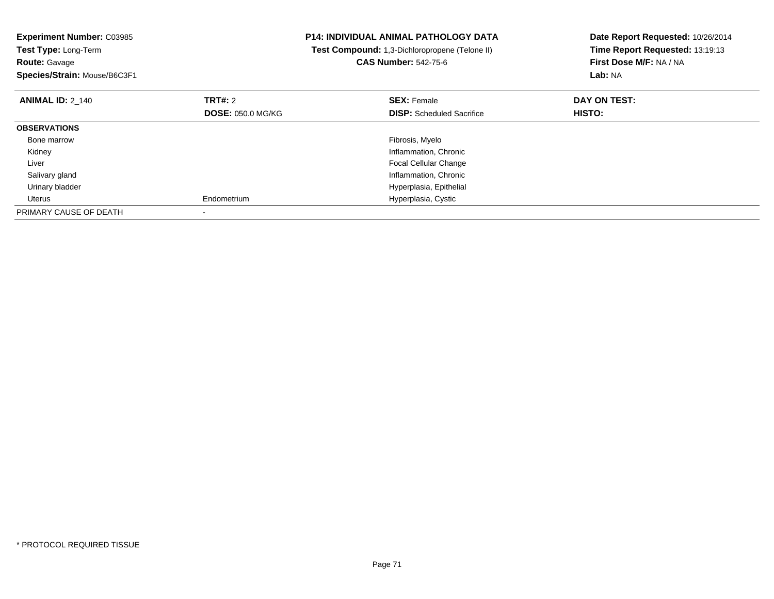| <b>Experiment Number: C03985</b><br>Test Type: Long-Term<br><b>Route: Gavage</b><br>Species/Strain: Mouse/B6C3F1 |                          | <b>P14: INDIVIDUAL ANIMAL PATHOLOGY DATA</b><br>Test Compound: 1,3-Dichloropropene (Telone II)<br><b>CAS Number: 542-75-6</b> | Date Report Requested: 10/26/2014<br>Time Report Requested: 13:19:13<br>First Dose M/F: NA / NA<br>Lab: NA |
|------------------------------------------------------------------------------------------------------------------|--------------------------|-------------------------------------------------------------------------------------------------------------------------------|------------------------------------------------------------------------------------------------------------|
| <b>ANIMAL ID: 2 140</b>                                                                                          | TRT#: 2                  | <b>SEX: Female</b>                                                                                                            | DAY ON TEST:                                                                                               |
|                                                                                                                  | <b>DOSE: 050.0 MG/KG</b> | <b>DISP:</b> Scheduled Sacrifice                                                                                              | HISTO:                                                                                                     |
| <b>OBSERVATIONS</b>                                                                                              |                          |                                                                                                                               |                                                                                                            |
| Bone marrow                                                                                                      |                          | Fibrosis, Myelo                                                                                                               |                                                                                                            |
| Kidney                                                                                                           |                          | Inflammation, Chronic                                                                                                         |                                                                                                            |
| Liver                                                                                                            |                          | <b>Focal Cellular Change</b>                                                                                                  |                                                                                                            |
| Salivary gland                                                                                                   |                          | Inflammation, Chronic                                                                                                         |                                                                                                            |
| Urinary bladder                                                                                                  |                          | Hyperplasia, Epithelial                                                                                                       |                                                                                                            |
| Uterus                                                                                                           | Endometrium              | Hyperplasia, Cystic                                                                                                           |                                                                                                            |
| PRIMARY CAUSE OF DEATH                                                                                           |                          |                                                                                                                               |                                                                                                            |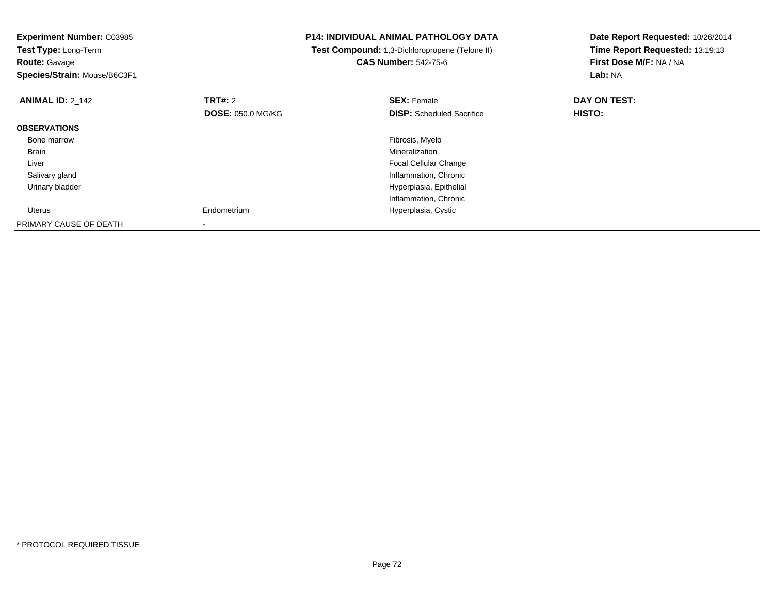| <b>Experiment Number: C03985</b><br>Test Type: Long-Term<br><b>Route: Gavage</b><br>Species/Strain: Mouse/B6C3F1 |                                            | <b>P14: INDIVIDUAL ANIMAL PATHOLOGY DATA</b><br>Test Compound: 1,3-Dichloropropene (Telone II)<br><b>CAS Number: 542-75-6</b> | Date Report Requested: 10/26/2014<br>Time Report Requested: 13:19:13<br>First Dose M/F: NA / NA<br>Lab: NA |
|------------------------------------------------------------------------------------------------------------------|--------------------------------------------|-------------------------------------------------------------------------------------------------------------------------------|------------------------------------------------------------------------------------------------------------|
| <b>ANIMAL ID: 2_142</b>                                                                                          | <b>TRT#: 2</b><br><b>DOSE: 050.0 MG/KG</b> | <b>SEX: Female</b><br><b>DISP:</b> Scheduled Sacrifice                                                                        | DAY ON TEST:<br><b>HISTO:</b>                                                                              |
| <b>OBSERVATIONS</b>                                                                                              |                                            |                                                                                                                               |                                                                                                            |
| Bone marrow                                                                                                      |                                            | Fibrosis, Myelo                                                                                                               |                                                                                                            |
| Brain                                                                                                            |                                            | Mineralization                                                                                                                |                                                                                                            |
| Liver                                                                                                            |                                            | <b>Focal Cellular Change</b>                                                                                                  |                                                                                                            |
| Salivary gland                                                                                                   |                                            | Inflammation, Chronic                                                                                                         |                                                                                                            |
| Urinary bladder                                                                                                  |                                            | Hyperplasia, Epithelial                                                                                                       |                                                                                                            |
|                                                                                                                  |                                            | Inflammation, Chronic                                                                                                         |                                                                                                            |
| Uterus                                                                                                           | Endometrium                                | Hyperplasia, Cystic                                                                                                           |                                                                                                            |
| PRIMARY CAUSE OF DEATH                                                                                           |                                            |                                                                                                                               |                                                                                                            |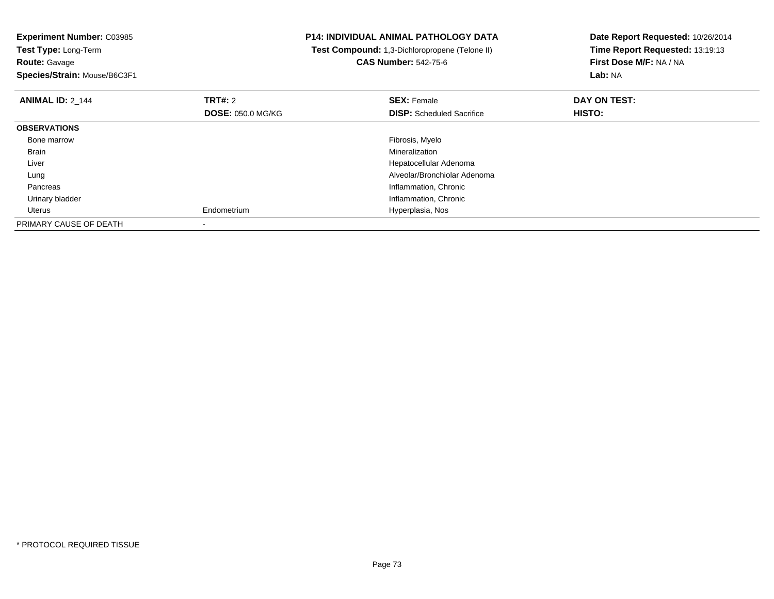**Experiment Number:** C03985**Test Type:** Long-Term**Route:** Gavage **Species/Strain:** Mouse/B6C3F1**P14: INDIVIDUAL ANIMAL PATHOLOGY DATA Test Compound:** 1,3-Dichloropropene (Telone II)**CAS Number:** 542-75-6**Date Report Requested:** 10/26/2014**Time Report Requested:** 13:19:13**First Dose M/F:** NA / NA**Lab:** NA**ANIMAL ID:** 2\_144**TRT#:** 2 **SEX:** Female **DAY ON TEST: DOSE:** 050.0 MG/KG**DISP:** Scheduled Sacrifice **HISTO: OBSERVATIONS** Bone marroww which is a state of the state of the state of the state of the state of the Fibrosis, Myelo state of the state of the state of the state of the state of the state of the state of the state of the state of the state of th Brainn and the control of the control of the control of the control of the control of the control of the control of the control of the control of the control of the control of the control of the control of the control of the co Liver Hepatocellular Adenoma Alveolar/Bronchiolar Adenoma Lung Pancreas Inflammation, Chronic Urinary bladder Inflammation, Chronic Uterus Endometrium Hyperplasia, Nos PRIMARY CAUSE OF DEATH-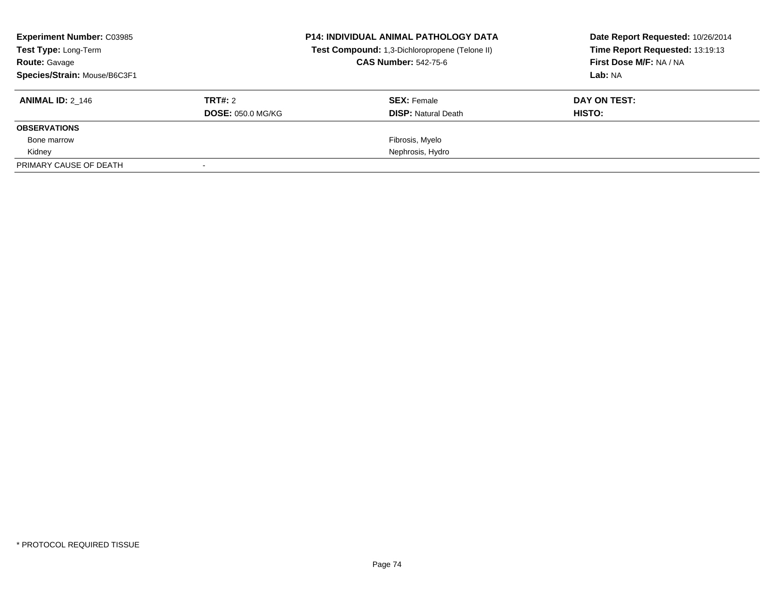| <b>Experiment Number: C03985</b><br>Test Type: Long-Term<br><b>Route: Gavage</b><br>Species/Strain: Mouse/B6C3F1 |                                            | <b>P14: INDIVIDUAL ANIMAL PATHOLOGY DATA</b><br>Test Compound: 1,3-Dichloropropene (Telone II)<br><b>CAS Number: 542-75-6</b> | Date Report Requested: 10/26/2014<br>Time Report Requested: 13:19:13<br>First Dose M/F: NA / NA<br>Lab: NA |
|------------------------------------------------------------------------------------------------------------------|--------------------------------------------|-------------------------------------------------------------------------------------------------------------------------------|------------------------------------------------------------------------------------------------------------|
| <b>ANIMAL ID: 2 146</b>                                                                                          | <b>TRT#: 2</b><br><b>DOSE: 050.0 MG/KG</b> | <b>SEX: Female</b><br><b>DISP: Natural Death</b>                                                                              | DAY ON TEST:<br>HISTO:                                                                                     |
| <b>OBSERVATIONS</b>                                                                                              |                                            |                                                                                                                               |                                                                                                            |
| Bone marrow                                                                                                      |                                            | Fibrosis, Myelo                                                                                                               |                                                                                                            |
| Kidney                                                                                                           |                                            | Nephrosis, Hydro                                                                                                              |                                                                                                            |
| PRIMARY CAUSE OF DEATH                                                                                           |                                            |                                                                                                                               |                                                                                                            |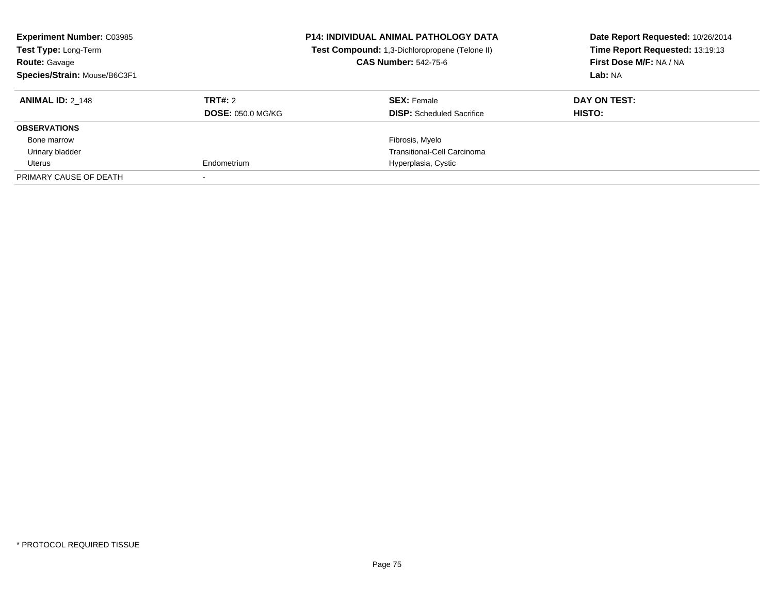| <b>Experiment Number: C03985</b><br>Test Type: Long-Term<br><b>Route: Gavage</b><br>Species/Strain: Mouse/B6C3F1 |                          | <b>P14: INDIVIDUAL ANIMAL PATHOLOGY DATA</b><br>Test Compound: 1,3-Dichloropropene (Telone II)<br><b>CAS Number: 542-75-6</b> | Date Report Requested: 10/26/2014<br>Time Report Requested: 13:19:13<br>First Dose M/F: NA / NA<br>Lab: NA |
|------------------------------------------------------------------------------------------------------------------|--------------------------|-------------------------------------------------------------------------------------------------------------------------------|------------------------------------------------------------------------------------------------------------|
| <b>ANIMAL ID: 2 148</b>                                                                                          | TRT#: 2                  | <b>SEX: Female</b>                                                                                                            | DAY ON TEST:                                                                                               |
|                                                                                                                  | <b>DOSE: 050.0 MG/KG</b> | <b>DISP:</b> Scheduled Sacrifice                                                                                              | HISTO:                                                                                                     |
| <b>OBSERVATIONS</b>                                                                                              |                          |                                                                                                                               |                                                                                                            |
| Bone marrow                                                                                                      |                          | Fibrosis, Myelo                                                                                                               |                                                                                                            |
| Urinary bladder                                                                                                  |                          | Transitional-Cell Carcinoma                                                                                                   |                                                                                                            |
| Uterus                                                                                                           | Endometrium              | Hyperplasia, Cystic                                                                                                           |                                                                                                            |
| PRIMARY CAUSE OF DEATH                                                                                           |                          |                                                                                                                               |                                                                                                            |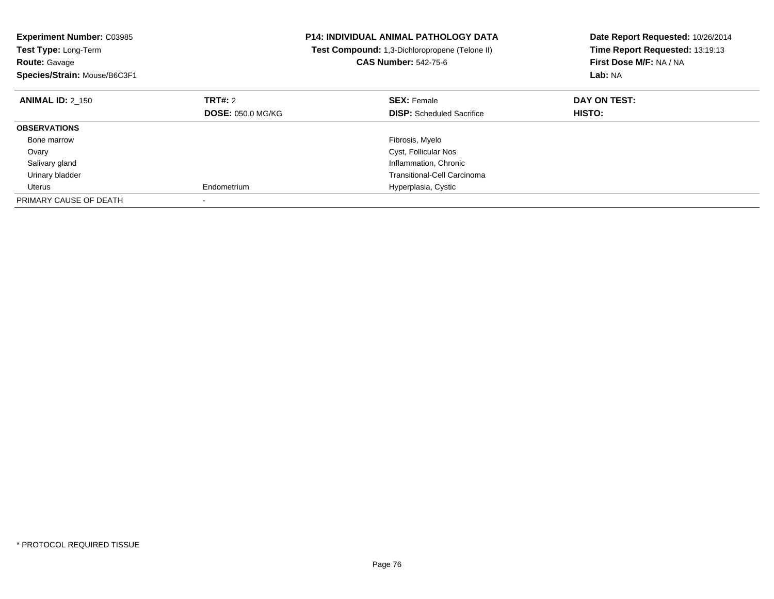| <b>Experiment Number: C03985</b><br><b>P14: INDIVIDUAL ANIMAL PATHOLOGY DATA</b><br>Test Compound: 1,3-Dichloropropene (Telone II)<br><b>Test Type: Long-Term</b><br><b>CAS Number: 542-75-6</b><br><b>Route: Gavage</b> |                          |                                    | Date Report Requested: 10/26/2014<br>Time Report Requested: 13:19:13<br>First Dose M/F: NA / NA |
|--------------------------------------------------------------------------------------------------------------------------------------------------------------------------------------------------------------------------|--------------------------|------------------------------------|-------------------------------------------------------------------------------------------------|
| Species/Strain: Mouse/B6C3F1                                                                                                                                                                                             |                          |                                    | Lab: NA                                                                                         |
| <b>ANIMAL ID: 2 150</b>                                                                                                                                                                                                  | TRT#: 2                  | <b>SEX: Female</b>                 | DAY ON TEST:                                                                                    |
|                                                                                                                                                                                                                          | <b>DOSE: 050.0 MG/KG</b> | <b>DISP:</b> Scheduled Sacrifice   | HISTO:                                                                                          |
| <b>OBSERVATIONS</b>                                                                                                                                                                                                      |                          |                                    |                                                                                                 |
| Bone marrow                                                                                                                                                                                                              |                          | Fibrosis, Myelo                    |                                                                                                 |
| Ovary                                                                                                                                                                                                                    |                          | Cyst, Follicular Nos               |                                                                                                 |
| Salivary gland                                                                                                                                                                                                           |                          | Inflammation, Chronic              |                                                                                                 |
| Urinary bladder                                                                                                                                                                                                          |                          | <b>Transitional-Cell Carcinoma</b> |                                                                                                 |
| Uterus                                                                                                                                                                                                                   | Endometrium              | Hyperplasia, Cystic                |                                                                                                 |
| PRIMARY CAUSE OF DEATH                                                                                                                                                                                                   |                          |                                    |                                                                                                 |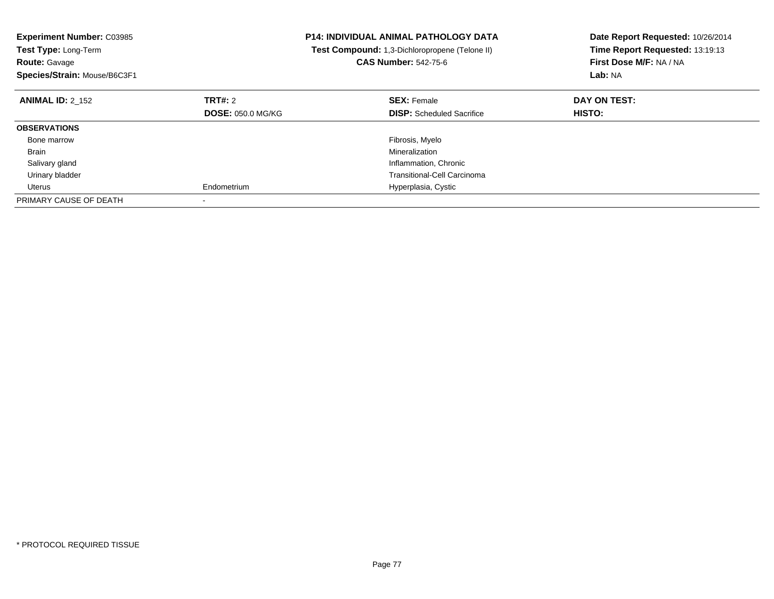| <b>Experiment Number: C03985</b><br><b>Test Type: Long-Term</b><br><b>Route: Gavage</b><br>Species/Strain: Mouse/B6C3F1 | <b>P14: INDIVIDUAL ANIMAL PATHOLOGY DATA</b><br>Test Compound: 1,3-Dichloropropene (Telone II)<br><b>CAS Number: 542-75-6</b> |                                  | Date Report Requested: 10/26/2014<br>Time Report Requested: 13:19:13<br>First Dose M/F: NA / NA<br>Lab: NA |
|-------------------------------------------------------------------------------------------------------------------------|-------------------------------------------------------------------------------------------------------------------------------|----------------------------------|------------------------------------------------------------------------------------------------------------|
| <b>ANIMAL ID: 2 152</b>                                                                                                 | TRT#: 2                                                                                                                       | <b>SEX: Female</b>               | DAY ON TEST:                                                                                               |
|                                                                                                                         | <b>DOSE: 050.0 MG/KG</b>                                                                                                      | <b>DISP:</b> Scheduled Sacrifice | HISTO:                                                                                                     |
| <b>OBSERVATIONS</b>                                                                                                     |                                                                                                                               |                                  |                                                                                                            |
| Bone marrow                                                                                                             |                                                                                                                               | Fibrosis, Myelo                  |                                                                                                            |
| Brain                                                                                                                   |                                                                                                                               | Mineralization                   |                                                                                                            |
| Salivary gland                                                                                                          |                                                                                                                               | Inflammation, Chronic            |                                                                                                            |
| Urinary bladder                                                                                                         |                                                                                                                               | Transitional-Cell Carcinoma      |                                                                                                            |
| Uterus                                                                                                                  | Endometrium                                                                                                                   | Hyperplasia, Cystic              |                                                                                                            |
| PRIMARY CAUSE OF DEATH                                                                                                  |                                                                                                                               |                                  |                                                                                                            |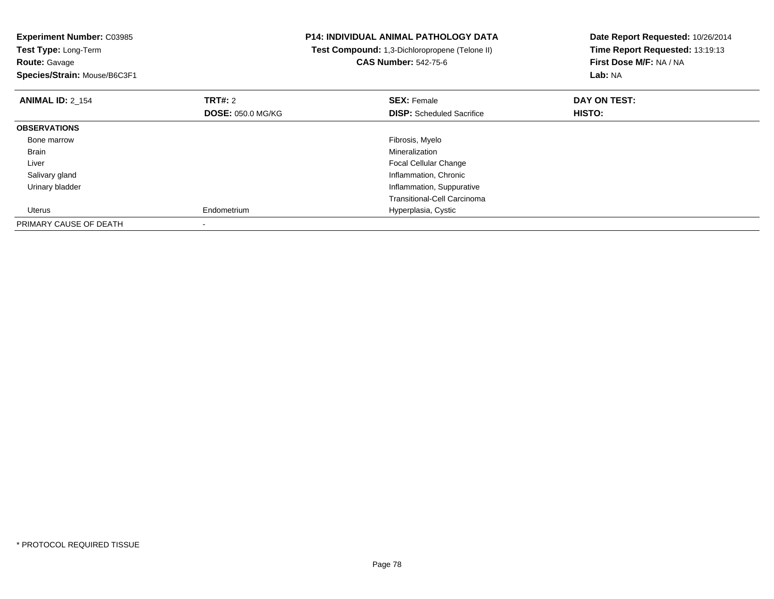**Experiment Number:** C03985**Test Type:** Long-Term**Route:** Gavage **Species/Strain:** Mouse/B6C3F1**P14: INDIVIDUAL ANIMAL PATHOLOGY DATA Test Compound:** 1,3-Dichloropropene (Telone II)**CAS Number:** 542-75-6**Date Report Requested:** 10/26/2014**Time Report Requested:** 13:19:13**First Dose M/F:** NA / NA**Lab:** NA**ANIMAL ID:** 2\_154**TRT#:** 2 **SEX:** Female **DAY ON TEST: DOSE:** 050.0 MG/KG**DISP:** Scheduled Sacrifice **HISTO: OBSERVATIONS** Bone marroww which is a state of the state of the state of the state of the state of the Fibrosis, Myelo state of the state of the state of the state of the state of the state of the state of the state of the state of the state of th Brainn and the control of the control of the control of the control of the control of the control of the control of the control of the control of the control of the control of the control of the control of the control of the co Liver Focal Cellular Change**Inflammation, Chronic**  Salivary gland Urinary bladder Inflammation, Suppurative Transitional-Cell Carcinoma Uterus Endometrium Hyperplasia, Cystic PRIMARY CAUSE OF DEATH-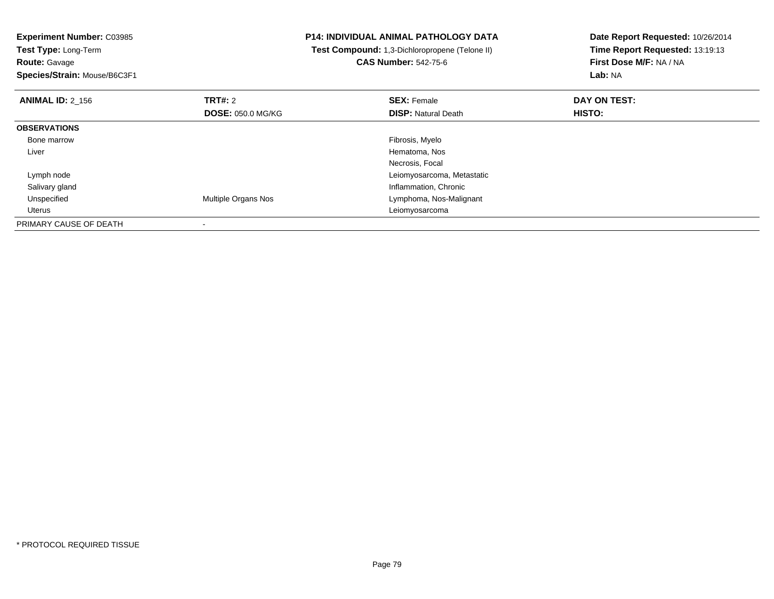**Experiment Number:** C03985**Test Type:** Long-Term**Route:** Gavage **Species/Strain:** Mouse/B6C3F1**P14: INDIVIDUAL ANIMAL PATHOLOGY DATA Test Compound:** 1,3-Dichloropropene (Telone II)**CAS Number:** 542-75-6**Date Report Requested:** 10/26/2014**Time Report Requested:** 13:19:13**First Dose M/F:** NA / NA**Lab:** NA**ANIMAL ID:** 2\_156**6 DAY ON TEST: TRT#:** 2 **SEX:** Female **SEX:** Female **DOSE:** 050.0 MG/KG**DISP:** Natural Death **HISTO: OBSERVATIONS** Bone marroww which is a state of the state of the state of the state of the state of the Fibrosis, Myelo state of the state of the state of the state of the state of the state of the state of the state of the state of the state of th Liver Hematoma, Nos Necrosis, Focal Lymph node Leiomyosarcoma, Metastatic Salivary glandInflammation, Chronic<br>Multiple Organs Nos UnspecifiedLymphoma, Nos-Malignant Uterus LeiomyosarcomaPRIMARY CAUSE OF DEATH-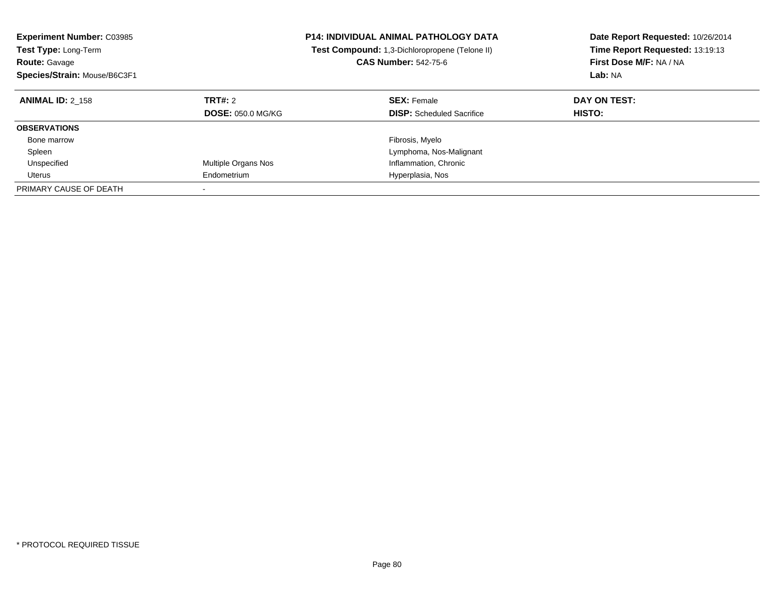| <b>P14: INDIVIDUAL ANIMAL PATHOLOGY DATA</b><br><b>Experiment Number: C03985</b><br>Test Compound: 1,3-Dichloropropene (Telone II)<br><b>Test Type: Long-Term</b><br><b>CAS Number: 542-75-6</b><br><b>Route: Gavage</b><br>Species/Strain: Mouse/B6C3F1 |                                     |                                                        | Date Report Requested: 10/26/2014<br>Time Report Requested: 13:19:13<br>First Dose M/F: NA / NA<br>Lab: NA |
|----------------------------------------------------------------------------------------------------------------------------------------------------------------------------------------------------------------------------------------------------------|-------------------------------------|--------------------------------------------------------|------------------------------------------------------------------------------------------------------------|
| <b>ANIMAL ID: 2 158</b>                                                                                                                                                                                                                                  | TRT#: 2<br><b>DOSE: 050.0 MG/KG</b> | <b>SEX: Female</b><br><b>DISP:</b> Scheduled Sacrifice | DAY ON TEST:<br><b>HISTO:</b>                                                                              |
| <b>OBSERVATIONS</b>                                                                                                                                                                                                                                      |                                     |                                                        |                                                                                                            |
| Bone marrow                                                                                                                                                                                                                                              |                                     | Fibrosis, Myelo                                        |                                                                                                            |
| Spleen                                                                                                                                                                                                                                                   |                                     | Lymphoma, Nos-Malignant                                |                                                                                                            |
| Unspecified                                                                                                                                                                                                                                              | Multiple Organs Nos                 | Inflammation, Chronic                                  |                                                                                                            |
| Uterus                                                                                                                                                                                                                                                   | Endometrium                         | Hyperplasia, Nos                                       |                                                                                                            |
| PRIMARY CAUSE OF DEATH                                                                                                                                                                                                                                   |                                     |                                                        |                                                                                                            |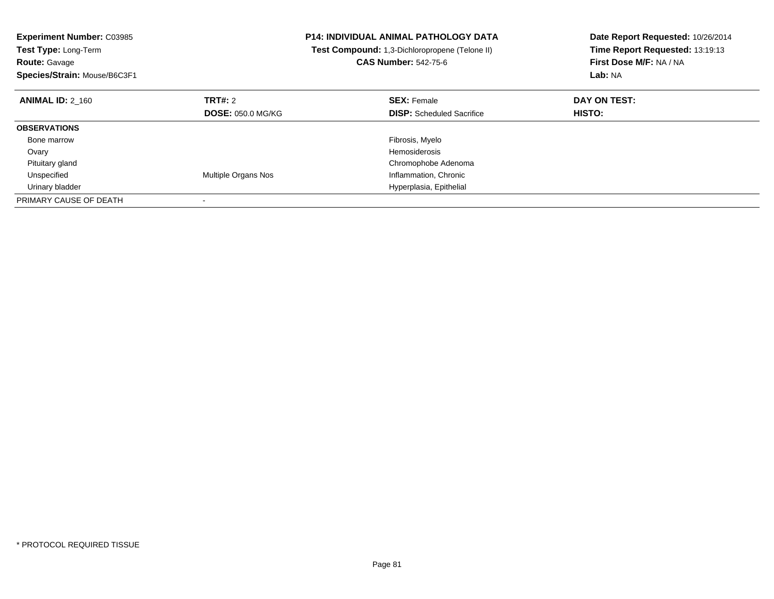| <b>Experiment Number: C03985</b><br><b>Test Type: Long-Term</b><br><b>Route: Gavage</b><br>Species/Strain: Mouse/B6C3F1 |                            | <b>P14: INDIVIDUAL ANIMAL PATHOLOGY DATA</b><br>Test Compound: 1,3-Dichloropropene (Telone II)<br><b>CAS Number: 542-75-6</b> | Date Report Requested: 10/26/2014<br>Time Report Requested: 13:19:13<br>First Dose M/F: NA / NA<br>Lab: NA |
|-------------------------------------------------------------------------------------------------------------------------|----------------------------|-------------------------------------------------------------------------------------------------------------------------------|------------------------------------------------------------------------------------------------------------|
| <b>ANIMAL ID: 2 160</b>                                                                                                 | <b>TRT#: 2</b>             | <b>SEX: Female</b>                                                                                                            | DAY ON TEST:                                                                                               |
|                                                                                                                         | <b>DOSE: 050.0 MG/KG</b>   | <b>DISP:</b> Scheduled Sacrifice                                                                                              | HISTO:                                                                                                     |
| <b>OBSERVATIONS</b>                                                                                                     |                            |                                                                                                                               |                                                                                                            |
| Bone marrow                                                                                                             |                            | Fibrosis, Myelo                                                                                                               |                                                                                                            |
| Ovary                                                                                                                   |                            | Hemosiderosis                                                                                                                 |                                                                                                            |
| Pituitary gland                                                                                                         |                            | Chromophobe Adenoma                                                                                                           |                                                                                                            |
| Unspecified                                                                                                             | <b>Multiple Organs Nos</b> | Inflammation, Chronic                                                                                                         |                                                                                                            |
| Urinary bladder                                                                                                         |                            | Hyperplasia, Epithelial                                                                                                       |                                                                                                            |
| PRIMARY CAUSE OF DEATH                                                                                                  |                            |                                                                                                                               |                                                                                                            |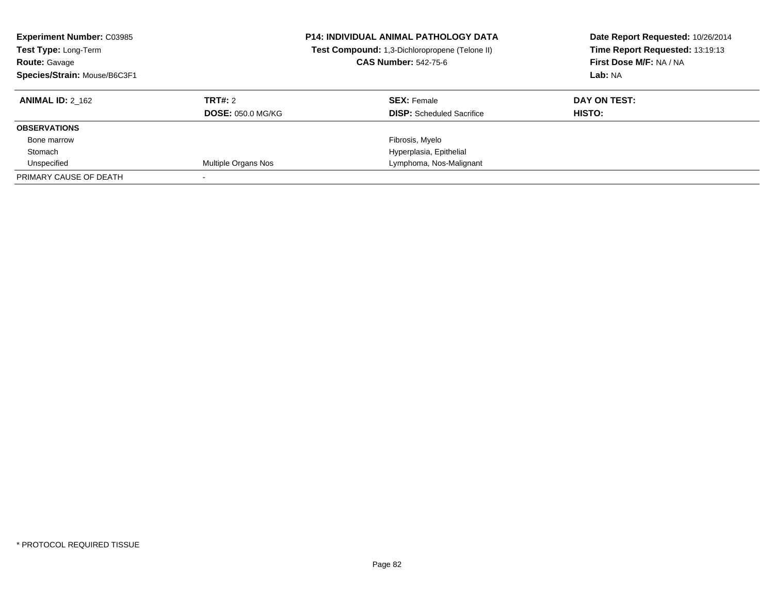| <b>Experiment Number: C03985</b><br>Test Type: Long-Term<br><b>Route: Gavage</b><br>Species/Strain: Mouse/B6C3F1 |                          | <b>P14: INDIVIDUAL ANIMAL PATHOLOGY DATA</b><br>Test Compound: 1,3-Dichloropropene (Telone II)<br><b>CAS Number: 542-75-6</b> | Date Report Requested: 10/26/2014<br>Time Report Requested: 13:19:13<br>First Dose M/F: NA / NA<br>Lab: NA |
|------------------------------------------------------------------------------------------------------------------|--------------------------|-------------------------------------------------------------------------------------------------------------------------------|------------------------------------------------------------------------------------------------------------|
| <b>ANIMAL ID: 2 162</b>                                                                                          | TRT#: 2                  | <b>SEX:</b> Female                                                                                                            | DAY ON TEST:                                                                                               |
|                                                                                                                  | <b>DOSE: 050.0 MG/KG</b> | <b>DISP:</b> Scheduled Sacrifice                                                                                              | HISTO:                                                                                                     |
| <b>OBSERVATIONS</b>                                                                                              |                          |                                                                                                                               |                                                                                                            |
| Bone marrow                                                                                                      |                          | Fibrosis, Myelo                                                                                                               |                                                                                                            |
| Stomach                                                                                                          |                          | Hyperplasia, Epithelial                                                                                                       |                                                                                                            |
| Unspecified                                                                                                      | Multiple Organs Nos      | Lymphoma, Nos-Malignant                                                                                                       |                                                                                                            |
| PRIMARY CAUSE OF DEATH                                                                                           |                          |                                                                                                                               |                                                                                                            |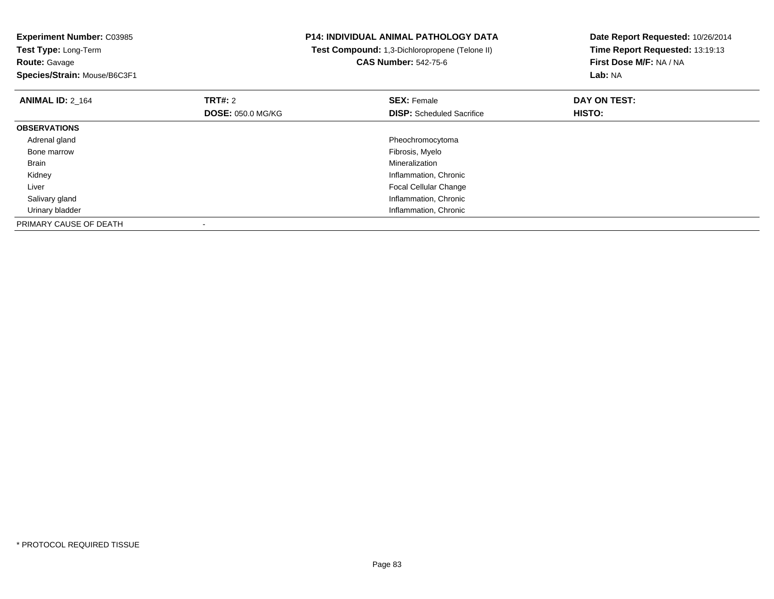**Experiment Number:** C03985**Test Type:** Long-Term**Route:** Gavage **Species/Strain:** Mouse/B6C3F1**P14: INDIVIDUAL ANIMAL PATHOLOGY DATA Test Compound:** 1,3-Dichloropropene (Telone II)**CAS Number:** 542-75-6**Date Report Requested:** 10/26/2014**Time Report Requested:** 13:19:13**First Dose M/F:** NA / NA**Lab:** NA**ANIMAL ID:** 2\_164**TRT#:** 2 **SEX:** Female **DAY ON TEST: DOSE:** 050.0 MG/KG**DISP:** Scheduled Sacrifice **HISTO: OBSERVATIONS** Adrenal glandPheochromocytoma<br>Fibrosis, Myelo Bone marroww which is a state of the state of the state of the state of the state of the Fibrosis, Myelo state of the state of the state of the state of the state of the state of the state of the state of the state of the state of th Brainn and the control of the control of the control of the control of the control of the control of the control of the control of the control of the control of the control of the control of the control of the control of the co Kidney Inflammation, Chronic Liver Focal Cellular Change**Inflammation, Chronic**  Salivary gland Urinary bladder Inflammation, ChronicPRIMARY CAUSE OF DEATH-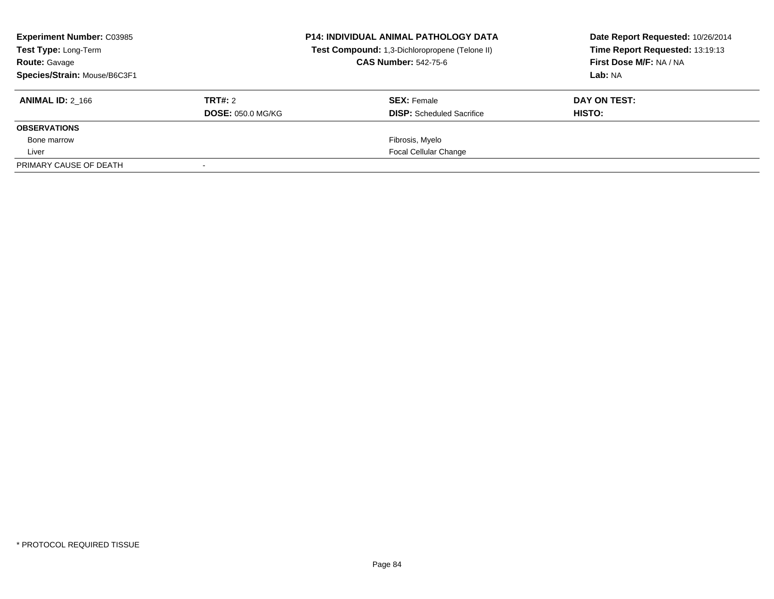| <b>Experiment Number: C03985</b><br>Test Type: Long-Term<br><b>Route: Gavage</b><br>Species/Strain: Mouse/B6C3F1 |                                     | <b>P14: INDIVIDUAL ANIMAL PATHOLOGY DATA</b><br>Test Compound: 1,3-Dichloropropene (Telone II)<br><b>CAS Number: 542-75-6</b> | Date Report Requested: 10/26/2014<br>Time Report Requested: 13:19:13<br>First Dose M/F: NA / NA<br>Lab: NA |
|------------------------------------------------------------------------------------------------------------------|-------------------------------------|-------------------------------------------------------------------------------------------------------------------------------|------------------------------------------------------------------------------------------------------------|
| <b>ANIMAL ID: 2 166</b>                                                                                          | TRT#: 2<br><b>DOSE: 050.0 MG/KG</b> | <b>SEX: Female</b><br><b>DISP:</b> Scheduled Sacrifice                                                                        | DAY ON TEST:<br>HISTO:                                                                                     |
| <b>OBSERVATIONS</b>                                                                                              |                                     |                                                                                                                               |                                                                                                            |
| Bone marrow                                                                                                      |                                     | Fibrosis, Myelo                                                                                                               |                                                                                                            |
| Liver                                                                                                            |                                     | <b>Focal Cellular Change</b>                                                                                                  |                                                                                                            |
| PRIMARY CAUSE OF DEATH                                                                                           |                                     |                                                                                                                               |                                                                                                            |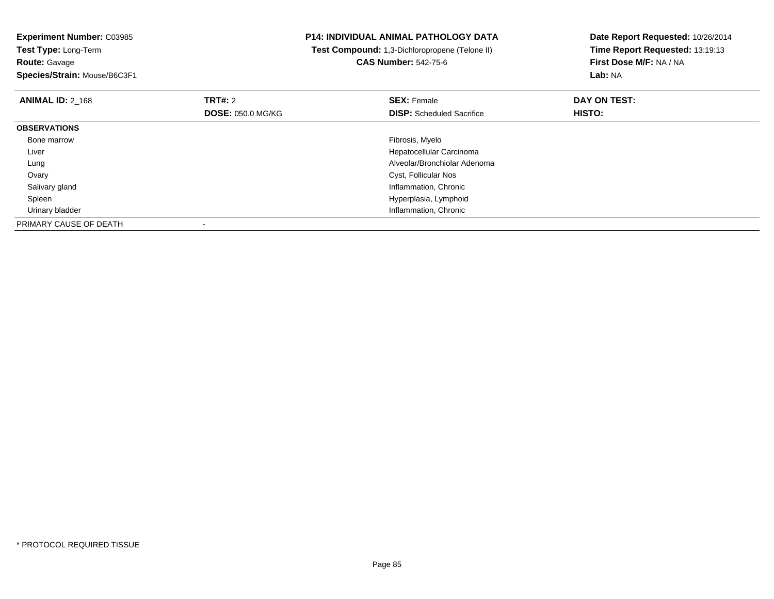**Experiment Number:** C03985**Test Type:** Long-Term**Route:** Gavage **Species/Strain:** Mouse/B6C3F1**P14: INDIVIDUAL ANIMAL PATHOLOGY DATA Test Compound:** 1,3-Dichloropropene (Telone II)**CAS Number:** 542-75-6**Date Report Requested:** 10/26/2014**Time Report Requested:** 13:19:13**First Dose M/F:** NA / NA**Lab:** NA**ANIMAL ID:** 2\_168**REX:** Female **DAY ON TEST: CONSIST: SEX:** Female **DAY ON TEST: DOSE:** 050.0 MG/KG**DISP:** Scheduled Sacrifice **HISTO: OBSERVATIONS** Bone marroww which is a state of the state of the state of the state of the state of the Fibrosis, Myelo state of the state of the state of the state of the state of the state of the state of the state of the state of the state of th Liver Hepatocellular Carcinoma Alveolar/Bronchiolar Adenoma Lung Ovary Cyst, Follicular Nos Salivary gland Inflammation, Chronic Spleen Hyperplasia, Lymphoid Urinary bladder Inflammation, ChronicPRIMARY CAUSE OF DEATH-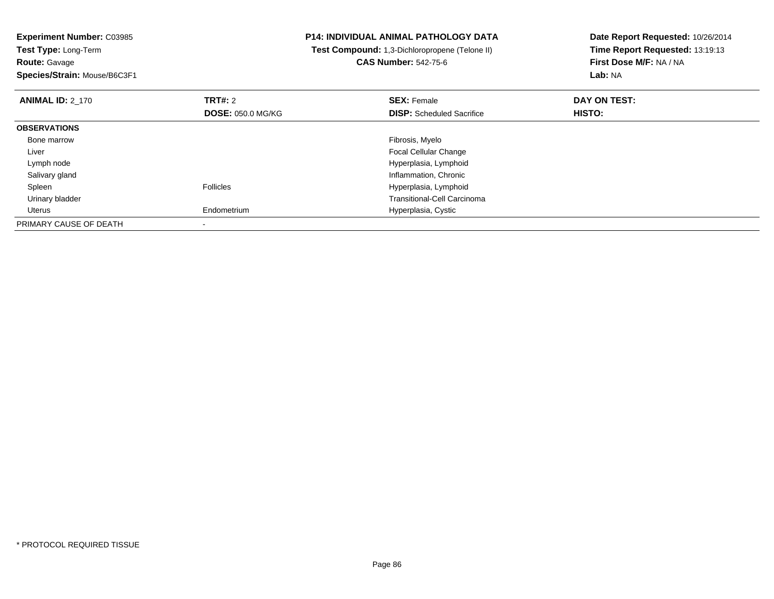**Experiment Number:** C03985**Test Type:** Long-Term**Route:** Gavage **Species/Strain:** Mouse/B6C3F1**P14: INDIVIDUAL ANIMAL PATHOLOGY DATA Test Compound:** 1,3-Dichloropropene (Telone II)**CAS Number:** 542-75-6**Date Report Requested:** 10/26/2014**Time Report Requested:** 13:19:13**First Dose M/F:** NA / NA**Lab:** NA**ANIMAL ID:** 2\_170**Communist SEX: Female DAY ON TEST: DAY ON TEST: DOSE:** 050.0 MG/KG**DISP:** Scheduled Sacrifice **HISTO: OBSERVATIONS** Bone marroww which is a state of the state of the state of the state of the state of the Fibrosis, Myelo state of the state of the state of the state of the state of the state of the state of the state of the state of the state of th Liver Focal Cellular Changee de la contradicto de la contradicto de la contradicto de la contradicto de Hyperplasia, Lymphoid e la contradicto de la contradicto de la contradicto de la contradicto de la contradicto de la contradicto de la contradict Lymph node Salivary glandInflammation, Chronic<br>
Follicles<br>
Hyperplasia, Lymphoid SpleenHyperplasia, Lymphoid Urinary bladder Transitional-Cell Carcinoma Uterus Endometrium Hyperplasia, Cystic PRIMARY CAUSE OF DEATH-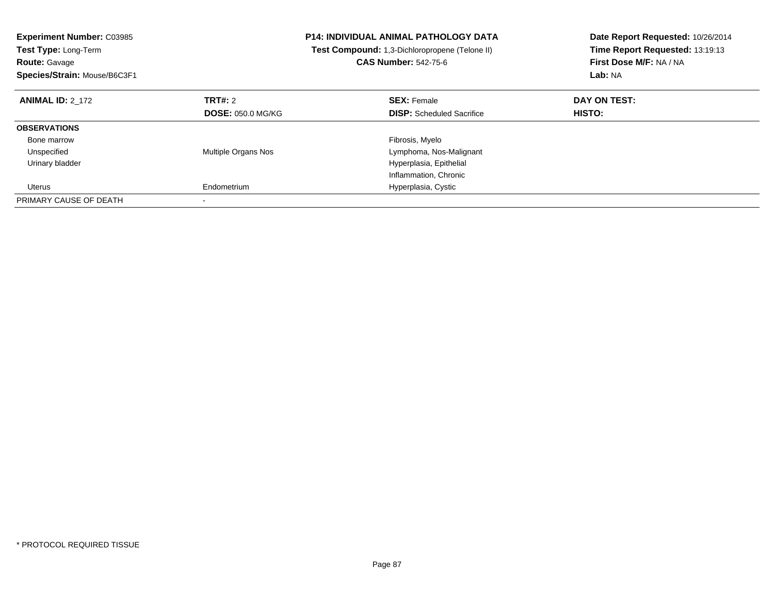| <b>Experiment Number: C03985</b><br>Test Type: Long-Term<br><b>Route: Gavage</b><br>Species/Strain: Mouse/B6C3F1 |                            | <b>P14: INDIVIDUAL ANIMAL PATHOLOGY DATA</b><br>Test Compound: 1,3-Dichloropropene (Telone II)<br><b>CAS Number: 542-75-6</b> | Date Report Requested: 10/26/2014<br>Time Report Requested: 13:19:13<br>First Dose M/F: NA / NA<br>Lab: NA |
|------------------------------------------------------------------------------------------------------------------|----------------------------|-------------------------------------------------------------------------------------------------------------------------------|------------------------------------------------------------------------------------------------------------|
| <b>ANIMAL ID: 2 172</b>                                                                                          | TRT#: 2                    | <b>SEX: Female</b>                                                                                                            | DAY ON TEST:                                                                                               |
|                                                                                                                  | <b>DOSE: 050.0 MG/KG</b>   | <b>DISP:</b> Scheduled Sacrifice                                                                                              | HISTO:                                                                                                     |
| <b>OBSERVATIONS</b>                                                                                              |                            |                                                                                                                               |                                                                                                            |
| Bone marrow                                                                                                      |                            | Fibrosis, Myelo                                                                                                               |                                                                                                            |
| Unspecified                                                                                                      | <b>Multiple Organs Nos</b> | Lymphoma, Nos-Malignant                                                                                                       |                                                                                                            |
| Urinary bladder                                                                                                  |                            | Hyperplasia, Epithelial                                                                                                       |                                                                                                            |
|                                                                                                                  |                            | Inflammation, Chronic                                                                                                         |                                                                                                            |
| Uterus                                                                                                           | Endometrium                | Hyperplasia, Cystic                                                                                                           |                                                                                                            |
| PRIMARY CAUSE OF DEATH                                                                                           |                            |                                                                                                                               |                                                                                                            |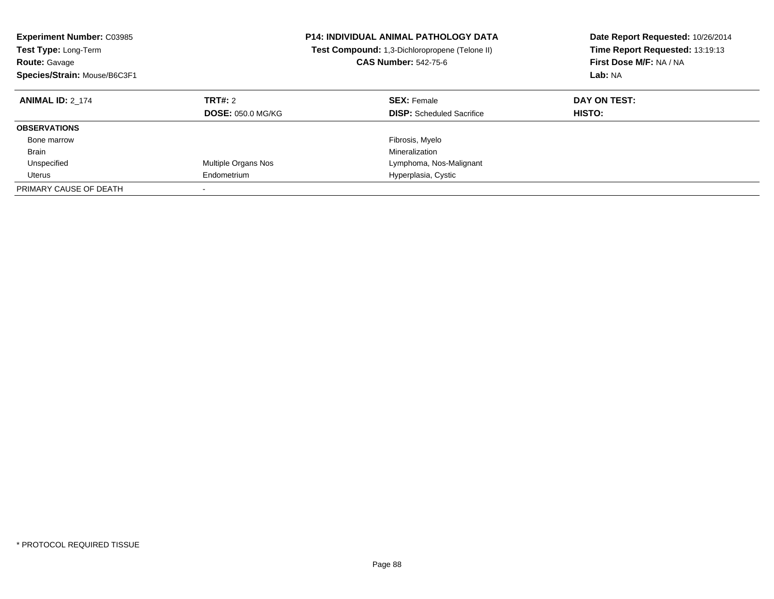| <b>Experiment Number: C03985</b><br>Test Type: Long-Term<br><b>Route: Gavage</b><br>Species/Strain: Mouse/B6C3F1 |                                     | <b>P14: INDIVIDUAL ANIMAL PATHOLOGY DATA</b><br>Test Compound: 1,3-Dichloropropene (Telone II)<br><b>CAS Number: 542-75-6</b> | Date Report Requested: 10/26/2014<br>Time Report Requested: 13:19:13<br>First Dose M/F: NA / NA<br>Lab: NA |
|------------------------------------------------------------------------------------------------------------------|-------------------------------------|-------------------------------------------------------------------------------------------------------------------------------|------------------------------------------------------------------------------------------------------------|
| <b>ANIMAL ID: 2 174</b>                                                                                          | TRT#: 2<br><b>DOSE: 050.0 MG/KG</b> | <b>SEX: Female</b><br><b>DISP:</b> Scheduled Sacrifice                                                                        | DAY ON TEST:<br>HISTO:                                                                                     |
| <b>OBSERVATIONS</b>                                                                                              |                                     |                                                                                                                               |                                                                                                            |
| Bone marrow                                                                                                      |                                     | Fibrosis, Myelo                                                                                                               |                                                                                                            |
| <b>Brain</b>                                                                                                     |                                     | Mineralization                                                                                                                |                                                                                                            |
| Unspecified                                                                                                      | Multiple Organs Nos                 | Lymphoma, Nos-Malignant                                                                                                       |                                                                                                            |
| Uterus                                                                                                           | Endometrium                         | Hyperplasia, Cystic                                                                                                           |                                                                                                            |
| PRIMARY CAUSE OF DEATH                                                                                           |                                     |                                                                                                                               |                                                                                                            |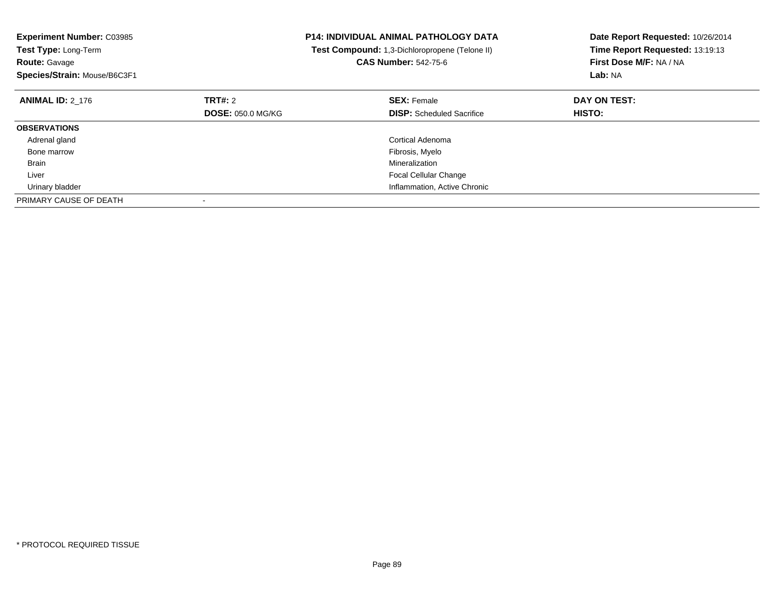| <b>Experiment Number: C03985</b><br><b>Test Type: Long-Term</b><br><b>CAS Number: 542-75-6</b><br><b>Route: Gavage</b> |                          | P14: INDIVIDUAL ANIMAL PATHOLOGY DATA<br>Test Compound: 1,3-Dichloropropene (Telone II) | Date Report Requested: 10/26/2014<br>Time Report Requested: 13:19:13<br>First Dose M/F: NA / NA |  |
|------------------------------------------------------------------------------------------------------------------------|--------------------------|-----------------------------------------------------------------------------------------|-------------------------------------------------------------------------------------------------|--|
| Species/Strain: Mouse/B6C3F1                                                                                           |                          |                                                                                         | Lab: NA                                                                                         |  |
| <b>ANIMAL ID: 2_176</b>                                                                                                | TRT#: 2                  | <b>SEX: Female</b>                                                                      | DAY ON TEST:                                                                                    |  |
|                                                                                                                        | <b>DOSE: 050.0 MG/KG</b> | <b>DISP:</b> Scheduled Sacrifice                                                        | <b>HISTO:</b>                                                                                   |  |
| <b>OBSERVATIONS</b>                                                                                                    |                          |                                                                                         |                                                                                                 |  |
| Adrenal gland                                                                                                          |                          | Cortical Adenoma                                                                        |                                                                                                 |  |
| Bone marrow                                                                                                            |                          | Fibrosis, Myelo                                                                         |                                                                                                 |  |
| <b>Brain</b>                                                                                                           |                          | Mineralization                                                                          |                                                                                                 |  |
| Liver                                                                                                                  |                          | <b>Focal Cellular Change</b>                                                            |                                                                                                 |  |
| Urinary bladder                                                                                                        |                          | Inflammation, Active Chronic                                                            |                                                                                                 |  |
| PRIMARY CAUSE OF DEATH                                                                                                 |                          |                                                                                         |                                                                                                 |  |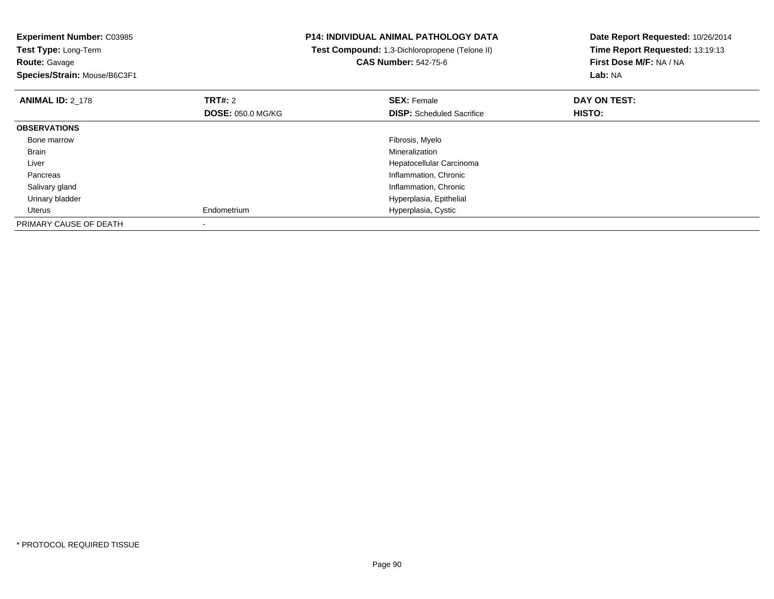| <b>Experiment Number: C03985</b> |                          | <b>P14: INDIVIDUAL ANIMAL PATHOLOGY DATA</b>   | Date Report Requested: 10/26/2014 |  |
|----------------------------------|--------------------------|------------------------------------------------|-----------------------------------|--|
| Test Type: Long-Term             |                          | Test Compound: 1,3-Dichloropropene (Telone II) | Time Report Requested: 13:19:13   |  |
| <b>Route: Gavage</b>             |                          | <b>CAS Number: 542-75-6</b>                    | First Dose M/F: NA / NA           |  |
| Species/Strain: Mouse/B6C3F1     |                          |                                                | Lab: NA                           |  |
| <b>ANIMAL ID: 2 178</b>          | <b>TRT#:</b> 2           | <b>SEX: Female</b>                             | DAY ON TEST:                      |  |
|                                  | <b>DOSE: 050.0 MG/KG</b> | <b>DISP:</b> Scheduled Sacrifice               | HISTO:                            |  |
| <b>OBSERVATIONS</b>              |                          |                                                |                                   |  |
| Bone marrow                      |                          | Fibrosis, Myelo                                |                                   |  |
| Brain                            |                          | Mineralization                                 |                                   |  |
| Liver                            |                          | Hepatocellular Carcinoma                       |                                   |  |
| Pancreas                         |                          | Inflammation, Chronic                          |                                   |  |
| Salivary gland                   |                          | Inflammation, Chronic                          |                                   |  |
| Urinary bladder                  |                          | Hyperplasia, Epithelial                        |                                   |  |
| Uterus                           | Endometrium              | Hyperplasia, Cystic                            |                                   |  |
| PRIMARY CAUSE OF DEATH           |                          |                                                |                                   |  |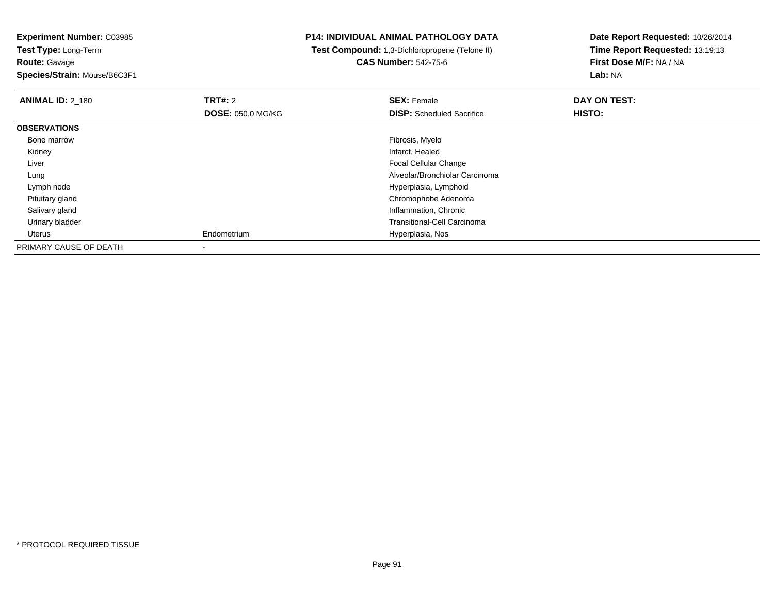**Experiment Number:** C03985**Test Type:** Long-Term

**Route:** Gavage

**Species/Strain:** Mouse/B6C3F1

## **P14: INDIVIDUAL ANIMAL PATHOLOGY DATA**

 **Test Compound:** 1,3-Dichloropropene (Telone II)**CAS Number:** 542-75-6

**Date Report Requested:** 10/26/2014**Time Report Requested:** 13:19:13**First Dose M/F:** NA / NA**Lab:** NA

| <b>ANIMAL ID: 2_180</b> | TRT#: 2                  | <b>SEX: Female</b>                 | DAY ON TEST: |  |
|-------------------------|--------------------------|------------------------------------|--------------|--|
|                         | <b>DOSE: 050.0 MG/KG</b> | <b>DISP:</b> Scheduled Sacrifice   | HISTO:       |  |
| <b>OBSERVATIONS</b>     |                          |                                    |              |  |
| Bone marrow             |                          | Fibrosis, Myelo                    |              |  |
| Kidney                  |                          | Infarct, Healed                    |              |  |
| Liver                   |                          | <b>Focal Cellular Change</b>       |              |  |
| Lung                    |                          | Alveolar/Bronchiolar Carcinoma     |              |  |
| Lymph node              |                          | Hyperplasia, Lymphoid              |              |  |
| Pituitary gland         |                          | Chromophobe Adenoma                |              |  |
| Salivary gland          |                          | Inflammation, Chronic              |              |  |
| Urinary bladder         |                          | <b>Transitional-Cell Carcinoma</b> |              |  |
| Uterus                  | Endometrium              | Hyperplasia, Nos                   |              |  |
| PRIMARY CAUSE OF DEATH  |                          |                                    |              |  |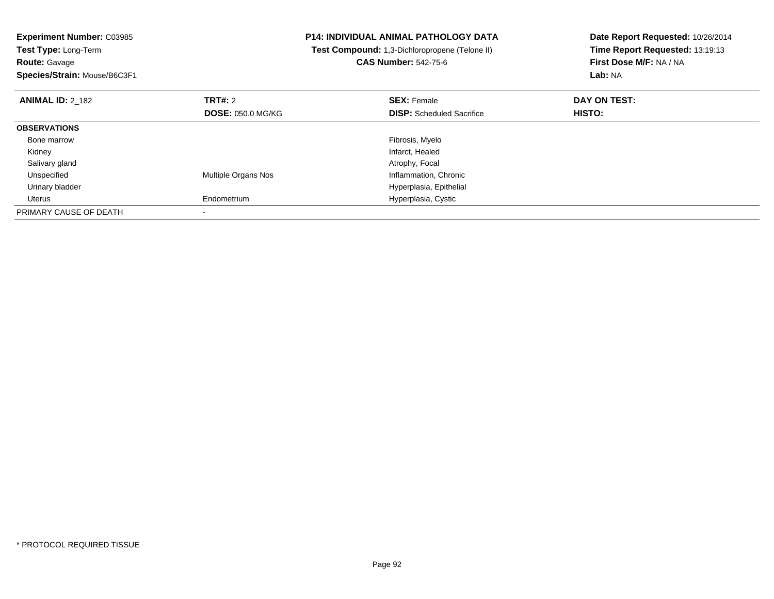| <b>Experiment Number: C03985</b><br><b>Test Type: Long-Term</b> |                          | <b>P14: INDIVIDUAL ANIMAL PATHOLOGY DATA</b>   | Date Report Requested: 10/26/2014<br>Time Report Requested: 13:19:13 |  |
|-----------------------------------------------------------------|--------------------------|------------------------------------------------|----------------------------------------------------------------------|--|
|                                                                 |                          | Test Compound: 1,3-Dichloropropene (Telone II) |                                                                      |  |
| <b>Route: Gavage</b>                                            |                          | <b>CAS Number: 542-75-6</b>                    | First Dose M/F: NA / NA                                              |  |
| Species/Strain: Mouse/B6C3F1                                    |                          |                                                | Lab: NA                                                              |  |
| <b>ANIMAL ID: 2_182</b>                                         | <b>TRT#: 2</b>           | <b>SEX: Female</b>                             | DAY ON TEST:                                                         |  |
|                                                                 | <b>DOSE: 050.0 MG/KG</b> | <b>DISP:</b> Scheduled Sacrifice               | HISTO:                                                               |  |
| <b>OBSERVATIONS</b>                                             |                          |                                                |                                                                      |  |
| Bone marrow                                                     |                          | Fibrosis, Myelo                                |                                                                      |  |
| Kidney                                                          |                          | Infarct, Healed                                |                                                                      |  |
| Salivary gland                                                  |                          | Atrophy, Focal                                 |                                                                      |  |
| Unspecified                                                     | Multiple Organs Nos      | Inflammation, Chronic                          |                                                                      |  |
| Urinary bladder                                                 |                          | Hyperplasia, Epithelial                        |                                                                      |  |
| Uterus                                                          | Endometrium              | Hyperplasia, Cystic                            |                                                                      |  |
| PRIMARY CAUSE OF DEATH                                          |                          |                                                |                                                                      |  |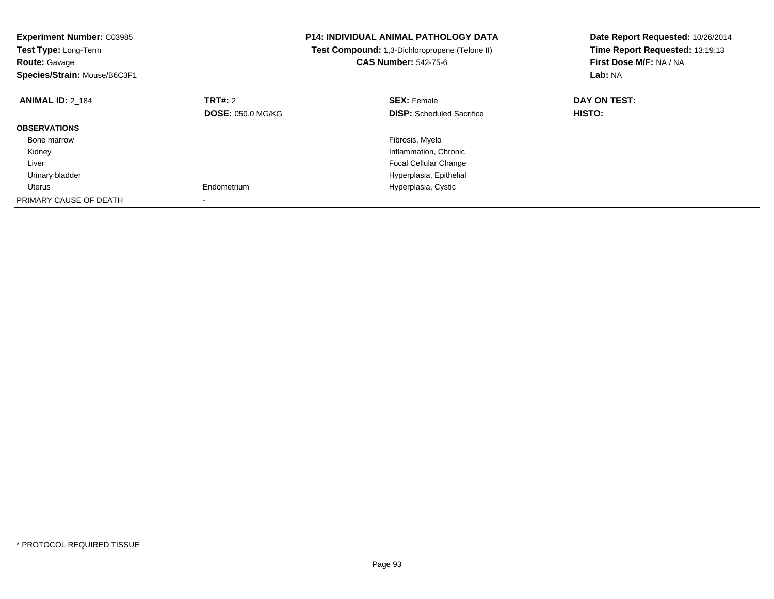| <b>Experiment Number: C03985</b><br>Test Type: Long-Term<br><b>Route: Gavage</b><br>Species/Strain: Mouse/B6C3F1 |                          | <b>P14: INDIVIDUAL ANIMAL PATHOLOGY DATA</b><br>Test Compound: 1,3-Dichloropropene (Telone II)<br><b>CAS Number: 542-75-6</b> | Date Report Requested: 10/26/2014<br>Time Report Requested: 13:19:13<br>First Dose M/F: NA / NA<br>Lab: NA |
|------------------------------------------------------------------------------------------------------------------|--------------------------|-------------------------------------------------------------------------------------------------------------------------------|------------------------------------------------------------------------------------------------------------|
| <b>ANIMAL ID: 2 184</b>                                                                                          | <b>TRT#: 2</b>           | <b>SEX: Female</b>                                                                                                            | DAY ON TEST:                                                                                               |
|                                                                                                                  | <b>DOSE: 050.0 MG/KG</b> | <b>DISP:</b> Scheduled Sacrifice                                                                                              | <b>HISTO:</b>                                                                                              |
| <b>OBSERVATIONS</b>                                                                                              |                          |                                                                                                                               |                                                                                                            |
| Bone marrow                                                                                                      |                          | Fibrosis, Myelo                                                                                                               |                                                                                                            |
| Kidney                                                                                                           |                          | Inflammation, Chronic                                                                                                         |                                                                                                            |
| Liver                                                                                                            |                          | <b>Focal Cellular Change</b>                                                                                                  |                                                                                                            |
| Urinary bladder                                                                                                  |                          | Hyperplasia, Epithelial                                                                                                       |                                                                                                            |
| Uterus                                                                                                           | Endometrium              | Hyperplasia, Cystic                                                                                                           |                                                                                                            |
| PRIMARY CAUSE OF DEATH                                                                                           |                          |                                                                                                                               |                                                                                                            |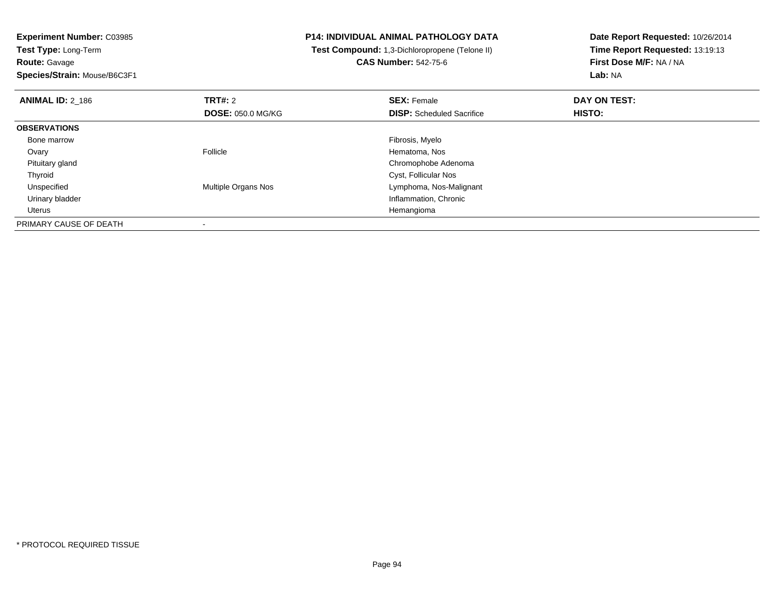**Experiment Number:** C03985**Test Type:** Long-Term

**Route:** Gavage

**Species/Strain:** Mouse/B6C3F1

## **P14: INDIVIDUAL ANIMAL PATHOLOGY DATA**

 **Test Compound:** 1,3-Dichloropropene (Telone II)**CAS Number:** 542-75-6

**Date Report Requested:** 10/26/2014**Time Report Requested:** 13:19:13**First Dose M/F:** NA / NA**Lab:** NA

| <b>ANIMAL ID: 2 186</b> | <b>TRT#: 2</b><br><b>DOSE: 050.0 MG/KG</b> | <b>SEX: Female</b><br><b>DISP:</b> Scheduled Sacrifice | DAY ON TEST:<br>HISTO: |  |
|-------------------------|--------------------------------------------|--------------------------------------------------------|------------------------|--|
| <b>OBSERVATIONS</b>     |                                            |                                                        |                        |  |
| Bone marrow             |                                            | Fibrosis, Myelo                                        |                        |  |
| Ovary                   | Follicle                                   | Hematoma, Nos                                          |                        |  |
| Pituitary gland         |                                            | Chromophobe Adenoma                                    |                        |  |
| Thyroid                 |                                            | Cyst, Follicular Nos                                   |                        |  |
| Unspecified             | Multiple Organs Nos                        | Lymphoma, Nos-Malignant                                |                        |  |
| Urinary bladder         |                                            | Inflammation, Chronic                                  |                        |  |
| Uterus                  |                                            | Hemangioma                                             |                        |  |
| PRIMARY CAUSE OF DEATH  |                                            |                                                        |                        |  |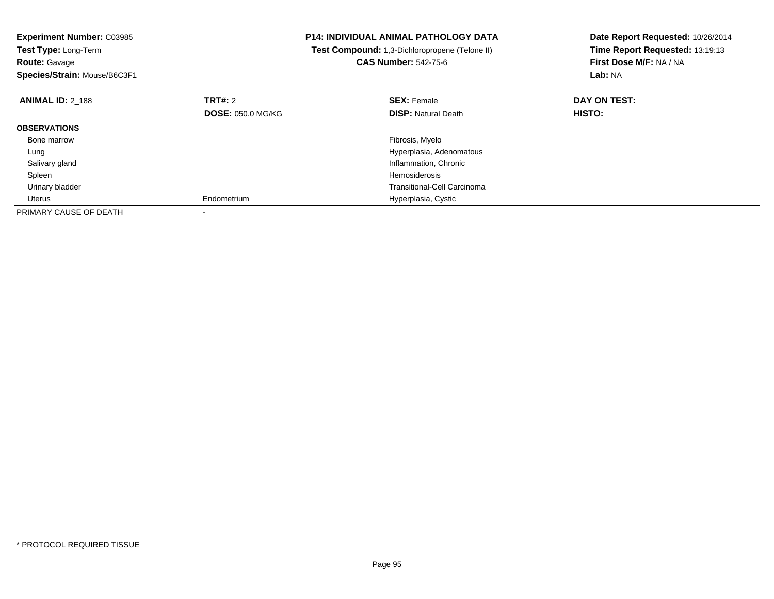| <b>Experiment Number: C03985</b><br>Test Type: Long-Term<br><b>Route: Gavage</b> |                          | <b>P14: INDIVIDUAL ANIMAL PATHOLOGY DATA</b><br>Test Compound: 1,3-Dichloropropene (Telone II)<br><b>CAS Number: 542-75-6</b> | Date Report Requested: 10/26/2014<br>Time Report Requested: 13:19:13<br>First Dose M/F: NA / NA |
|----------------------------------------------------------------------------------|--------------------------|-------------------------------------------------------------------------------------------------------------------------------|-------------------------------------------------------------------------------------------------|
| Species/Strain: Mouse/B6C3F1                                                     |                          |                                                                                                                               | Lab: NA                                                                                         |
| <b>ANIMAL ID: 2 188</b>                                                          | TRT#: 2                  | <b>SEX: Female</b>                                                                                                            | DAY ON TEST:                                                                                    |
|                                                                                  | <b>DOSE: 050.0 MG/KG</b> | <b>DISP: Natural Death</b>                                                                                                    | HISTO:                                                                                          |
| <b>OBSERVATIONS</b>                                                              |                          |                                                                                                                               |                                                                                                 |
| Bone marrow                                                                      |                          | Fibrosis, Myelo                                                                                                               |                                                                                                 |
| Lung                                                                             |                          | Hyperplasia, Adenomatous                                                                                                      |                                                                                                 |
| Salivary gland                                                                   |                          | Inflammation, Chronic                                                                                                         |                                                                                                 |
| Spleen                                                                           |                          | Hemosiderosis                                                                                                                 |                                                                                                 |
| Urinary bladder                                                                  |                          | Transitional-Cell Carcinoma                                                                                                   |                                                                                                 |
| Uterus                                                                           | Endometrium              | Hyperplasia, Cystic                                                                                                           |                                                                                                 |
| PRIMARY CAUSE OF DEATH                                                           |                          |                                                                                                                               |                                                                                                 |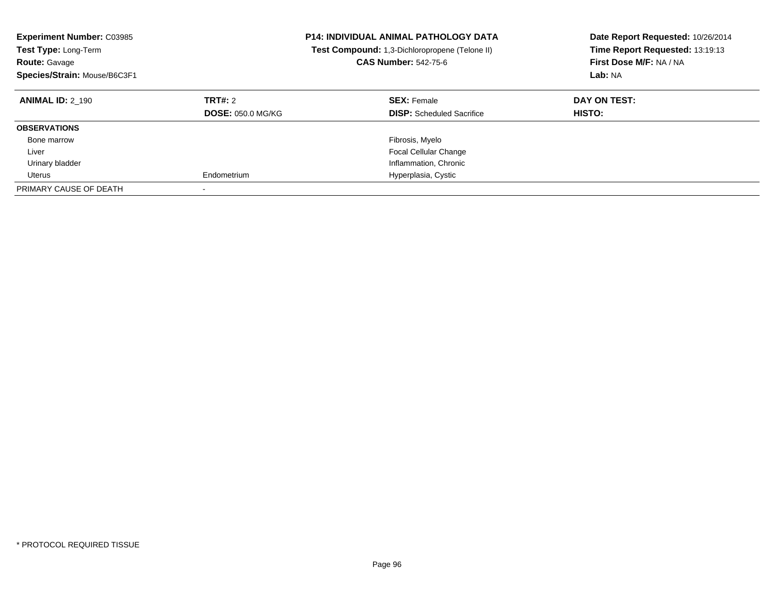| <b>Experiment Number: C03985</b><br><b>Test Type: Long-Term</b><br><b>Route: Gavage</b><br>Species/Strain: Mouse/B6C3F1 |                                     | <b>P14: INDIVIDUAL ANIMAL PATHOLOGY DATA</b><br><b>Test Compound:</b> 1,3-Dichloropropene (Telone II)<br><b>CAS Number: 542-75-6</b> | Date Report Requested: 10/26/2014<br>Time Report Requested: 13:19:13<br>First Dose M/F: NA / NA<br>Lab: NA |
|-------------------------------------------------------------------------------------------------------------------------|-------------------------------------|--------------------------------------------------------------------------------------------------------------------------------------|------------------------------------------------------------------------------------------------------------|
| <b>ANIMAL ID: 2 190</b>                                                                                                 | TRT#: 2<br><b>DOSE: 050.0 MG/KG</b> | <b>SEX: Female</b><br><b>DISP:</b> Scheduled Sacrifice                                                                               | DAY ON TEST:<br><b>HISTO:</b>                                                                              |
| <b>OBSERVATIONS</b>                                                                                                     |                                     |                                                                                                                                      |                                                                                                            |
| Bone marrow                                                                                                             |                                     | Fibrosis, Myelo                                                                                                                      |                                                                                                            |
| Liver                                                                                                                   |                                     | <b>Focal Cellular Change</b>                                                                                                         |                                                                                                            |
| Urinary bladder                                                                                                         |                                     | Inflammation, Chronic                                                                                                                |                                                                                                            |
| Uterus                                                                                                                  | Endometrium                         | Hyperplasia, Cystic                                                                                                                  |                                                                                                            |
| PRIMARY CAUSE OF DEATH                                                                                                  |                                     |                                                                                                                                      |                                                                                                            |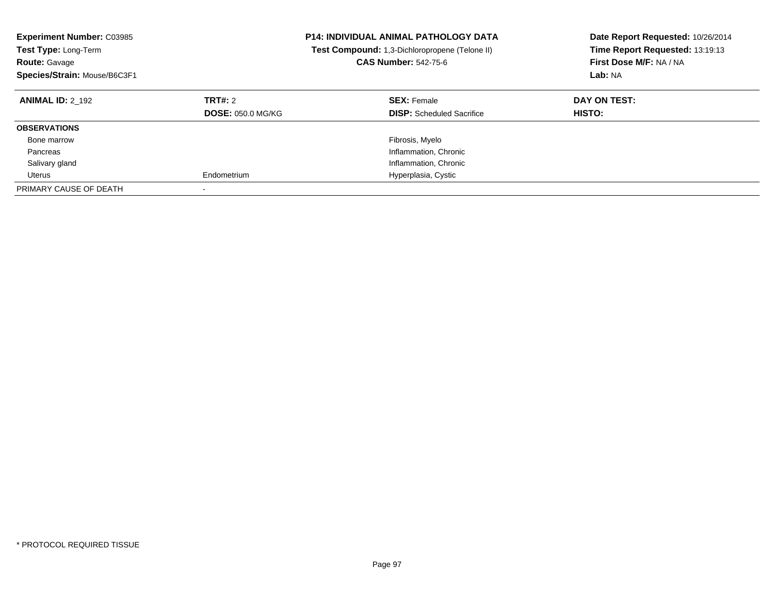| <b>Experiment Number: C03985</b><br><b>Test Type: Long-Term</b><br><b>Route: Gavage</b><br>Species/Strain: Mouse/B6C3F1 |                                     | <b>P14: INDIVIDUAL ANIMAL PATHOLOGY DATA</b><br><b>Test Compound:</b> 1,3-Dichloropropene (Telone II)<br><b>CAS Number: 542-75-6</b> | Date Report Requested: 10/26/2014<br>Time Report Requested: 13:19:13<br>First Dose M/F: NA / NA<br>Lab: NA |
|-------------------------------------------------------------------------------------------------------------------------|-------------------------------------|--------------------------------------------------------------------------------------------------------------------------------------|------------------------------------------------------------------------------------------------------------|
| <b>ANIMAL ID: 2 192</b>                                                                                                 | TRT#: 2<br><b>DOSE: 050.0 MG/KG</b> | <b>SEX: Female</b><br><b>DISP:</b> Scheduled Sacrifice                                                                               | DAY ON TEST:<br><b>HISTO:</b>                                                                              |
| <b>OBSERVATIONS</b>                                                                                                     |                                     |                                                                                                                                      |                                                                                                            |
| Bone marrow                                                                                                             |                                     | Fibrosis, Myelo                                                                                                                      |                                                                                                            |
| Pancreas                                                                                                                |                                     | Inflammation, Chronic                                                                                                                |                                                                                                            |
| Salivary gland                                                                                                          |                                     | Inflammation, Chronic                                                                                                                |                                                                                                            |
| Uterus                                                                                                                  | Endometrium                         | Hyperplasia, Cystic                                                                                                                  |                                                                                                            |
| PRIMARY CAUSE OF DEATH                                                                                                  | $\overline{\phantom{a}}$            |                                                                                                                                      |                                                                                                            |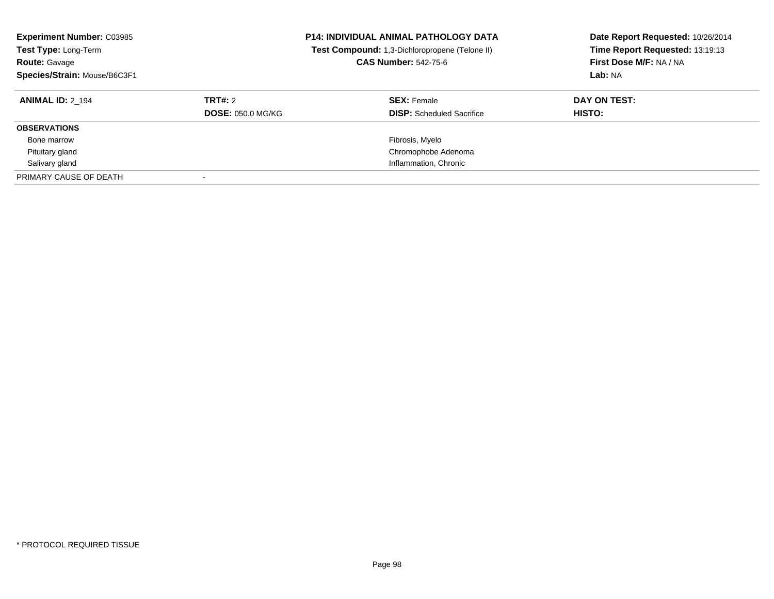| <b>Experiment Number: C03985</b><br>Test Type: Long-Term<br><b>Route: Gavage</b><br>Species/Strain: Mouse/B6C3F1 |                          | <b>P14: INDIVIDUAL ANIMAL PATHOLOGY DATA</b><br>Test Compound: 1,3-Dichloropropene (Telone II)<br><b>CAS Number: 542-75-6</b> | Date Report Requested: 10/26/2014<br>Time Report Requested: 13:19:13<br>First Dose M/F: NA / NA<br>Lab: NA |
|------------------------------------------------------------------------------------------------------------------|--------------------------|-------------------------------------------------------------------------------------------------------------------------------|------------------------------------------------------------------------------------------------------------|
| <b>ANIMAL ID: 2 194</b>                                                                                          | TRT#: 2                  | <b>SEX: Female</b>                                                                                                            | DAY ON TEST:                                                                                               |
|                                                                                                                  | <b>DOSE: 050.0 MG/KG</b> | <b>DISP:</b> Scheduled Sacrifice                                                                                              | <b>HISTO:</b>                                                                                              |
| <b>OBSERVATIONS</b>                                                                                              |                          |                                                                                                                               |                                                                                                            |
| Bone marrow                                                                                                      |                          | Fibrosis, Myelo                                                                                                               |                                                                                                            |
| Pituitary gland                                                                                                  |                          | Chromophobe Adenoma                                                                                                           |                                                                                                            |
| Salivary gland                                                                                                   |                          | Inflammation, Chronic                                                                                                         |                                                                                                            |
| PRIMARY CAUSE OF DEATH                                                                                           |                          |                                                                                                                               |                                                                                                            |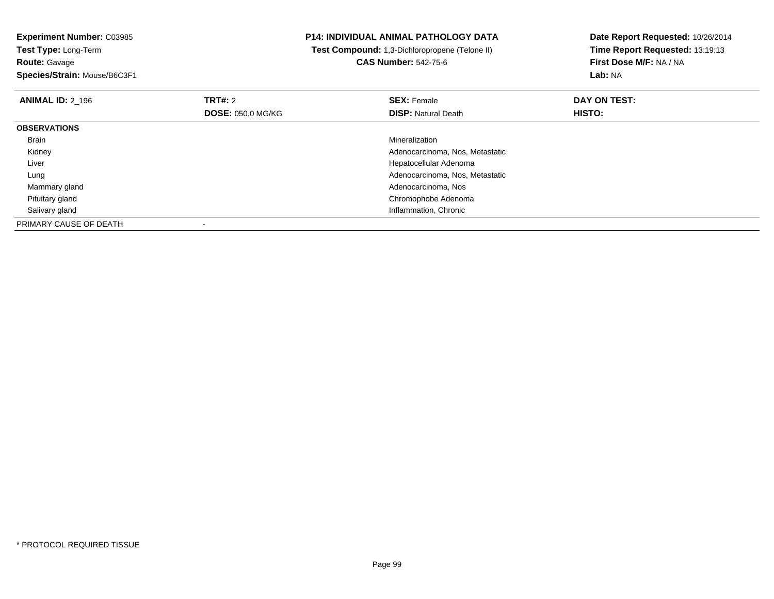**Experiment Number:** C03985**Test Type:** Long-Term**Route:** Gavage **Species/Strain:** Mouse/B6C3F1**P14: INDIVIDUAL ANIMAL PATHOLOGY DATA Test Compound:** 1,3-Dichloropropene (Telone II)**CAS Number:** 542-75-6**Date Report Requested:** 10/26/2014**Time Report Requested:** 13:19:13**First Dose M/F:** NA / NA**Lab:** NA**ANIMAL ID:** 2\_196**6 DAY ON TEST: TRT#:** 2 **SEX:** Female **SEX:** Female **DOSE:** 050.0 MG/KG**DISP:** Natural Death **HISTO: OBSERVATIONS** Brainn and the control of the control of the control of the control of the control of the control of the control of the control of the control of the control of the control of the control of the control of the control of the co Kidney Adenocarcinoma, Nos, Metastatic Liver Hepatocellular Adenoma Adenocarcinoma, Nos, Metastatic Lung Mammary gland Adenocarcinoma, Nos Pituitary gland Chromophobe Adenoma Salivary gland Inflammation, Chronic PRIMARY CAUSE OF DEATH-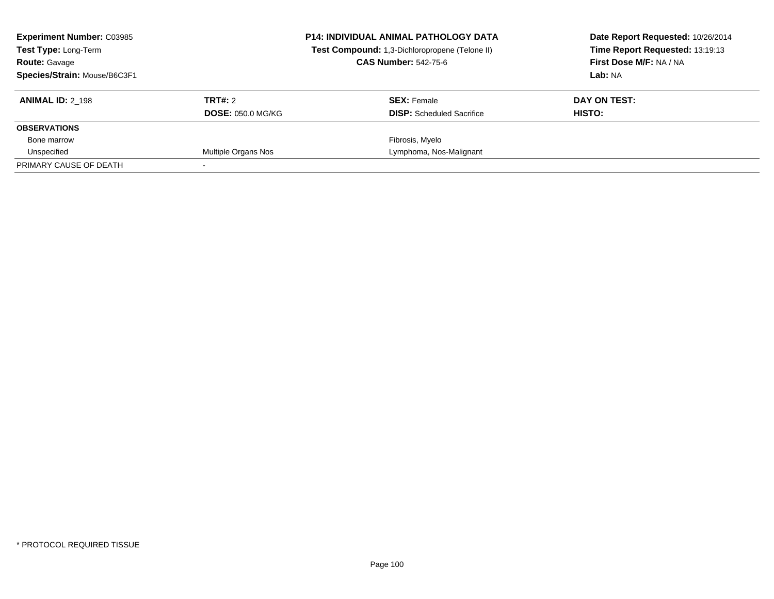| <b>Experiment Number: C03985</b><br><b>Test Type: Long-Term</b><br><b>Route: Gavage</b><br>Species/Strain: Mouse/B6C3F1 |                                     | <b>P14: INDIVIDUAL ANIMAL PATHOLOGY DATA</b><br>Test Compound: 1,3-Dichloropropene (Telone II)<br><b>CAS Number: 542-75-6</b> | Date Report Requested: 10/26/2014<br>Time Report Requested: 13:19:13<br>First Dose M/F: NA / NA<br>Lab: NA |
|-------------------------------------------------------------------------------------------------------------------------|-------------------------------------|-------------------------------------------------------------------------------------------------------------------------------|------------------------------------------------------------------------------------------------------------|
| <b>ANIMAL ID: 2 198</b>                                                                                                 | TRT#: 2<br><b>DOSE: 050.0 MG/KG</b> | <b>SEX: Female</b><br><b>DISP:</b> Scheduled Sacrifice                                                                        | DAY ON TEST:<br>HISTO:                                                                                     |
| <b>OBSERVATIONS</b>                                                                                                     |                                     |                                                                                                                               |                                                                                                            |
| Bone marrow                                                                                                             |                                     | Fibrosis, Myelo                                                                                                               |                                                                                                            |
| Unspecified                                                                                                             | Multiple Organs Nos                 | Lymphoma, Nos-Malignant                                                                                                       |                                                                                                            |
| PRIMARY CAUSE OF DEATH                                                                                                  |                                     |                                                                                                                               |                                                                                                            |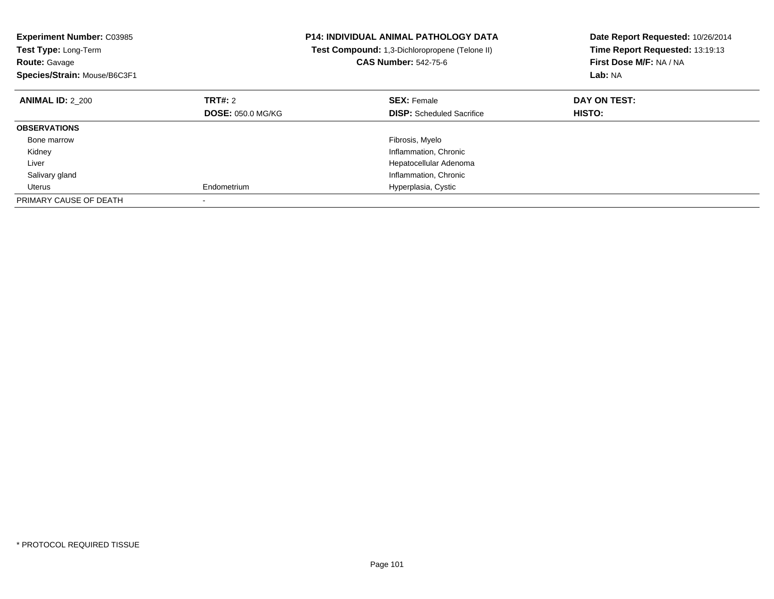| <b>Experiment Number: C03985</b><br><b>Test Type: Long-Term</b><br><b>Route: Gavage</b><br>Species/Strain: Mouse/B6C3F1 |                          | <b>P14: INDIVIDUAL ANIMAL PATHOLOGY DATA</b><br>Test Compound: 1,3-Dichloropropene (Telone II)<br><b>CAS Number: 542-75-6</b> | Date Report Requested: 10/26/2014<br>Time Report Requested: 13:19:13<br>First Dose M/F: NA / NA<br>Lab: NA |
|-------------------------------------------------------------------------------------------------------------------------|--------------------------|-------------------------------------------------------------------------------------------------------------------------------|------------------------------------------------------------------------------------------------------------|
| <b>ANIMAL ID: 2 200</b>                                                                                                 | TRT#: 2                  | <b>SEX: Female</b>                                                                                                            | DAY ON TEST:                                                                                               |
|                                                                                                                         | <b>DOSE: 050.0 MG/KG</b> | <b>DISP:</b> Scheduled Sacrifice                                                                                              | HISTO:                                                                                                     |
| <b>OBSERVATIONS</b>                                                                                                     |                          |                                                                                                                               |                                                                                                            |
| Bone marrow                                                                                                             |                          | Fibrosis, Myelo                                                                                                               |                                                                                                            |
| Kidney                                                                                                                  |                          | Inflammation, Chronic                                                                                                         |                                                                                                            |
| Liver                                                                                                                   |                          | Hepatocellular Adenoma                                                                                                        |                                                                                                            |
| Salivary gland                                                                                                          |                          | Inflammation, Chronic                                                                                                         |                                                                                                            |
| Uterus                                                                                                                  | Endometrium              | Hyperplasia, Cystic                                                                                                           |                                                                                                            |
| PRIMARY CAUSE OF DEATH                                                                                                  |                          |                                                                                                                               |                                                                                                            |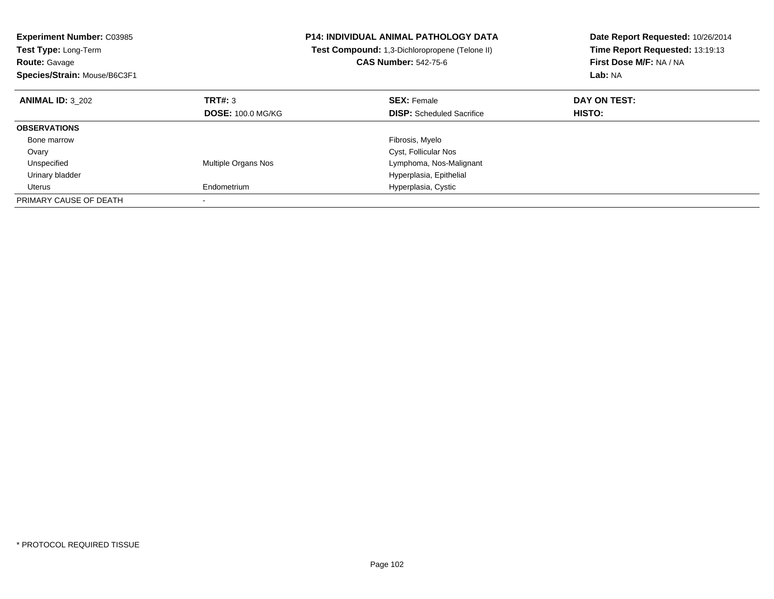| <b>Experiment Number: C03985</b><br>Test Type: Long-Term<br><b>Route: Gavage</b> |                          | <b>P14: INDIVIDUAL ANIMAL PATHOLOGY DATA</b><br>Test Compound: 1,3-Dichloropropene (Telone II)<br><b>CAS Number: 542-75-6</b> | Date Report Requested: 10/26/2014<br>Time Report Requested: 13:19:13<br>First Dose M/F: NA / NA |
|----------------------------------------------------------------------------------|--------------------------|-------------------------------------------------------------------------------------------------------------------------------|-------------------------------------------------------------------------------------------------|
| Species/Strain: Mouse/B6C3F1                                                     |                          |                                                                                                                               | Lab: NA                                                                                         |
| <b>ANIMAL ID: 3 202</b>                                                          | TRT#: 3                  | <b>SEX: Female</b>                                                                                                            | DAY ON TEST:                                                                                    |
|                                                                                  | <b>DOSE: 100.0 MG/KG</b> | <b>DISP:</b> Scheduled Sacrifice                                                                                              | <b>HISTO:</b>                                                                                   |
| <b>OBSERVATIONS</b>                                                              |                          |                                                                                                                               |                                                                                                 |
| Bone marrow                                                                      |                          | Fibrosis, Myelo                                                                                                               |                                                                                                 |
| Ovary                                                                            |                          | Cyst, Follicular Nos                                                                                                          |                                                                                                 |
| Unspecified                                                                      | Multiple Organs Nos      | Lymphoma, Nos-Malignant                                                                                                       |                                                                                                 |
| Urinary bladder                                                                  |                          | Hyperplasia, Epithelial                                                                                                       |                                                                                                 |
| Uterus                                                                           | Endometrium              | Hyperplasia, Cystic                                                                                                           |                                                                                                 |
| PRIMARY CAUSE OF DEATH                                                           |                          |                                                                                                                               |                                                                                                 |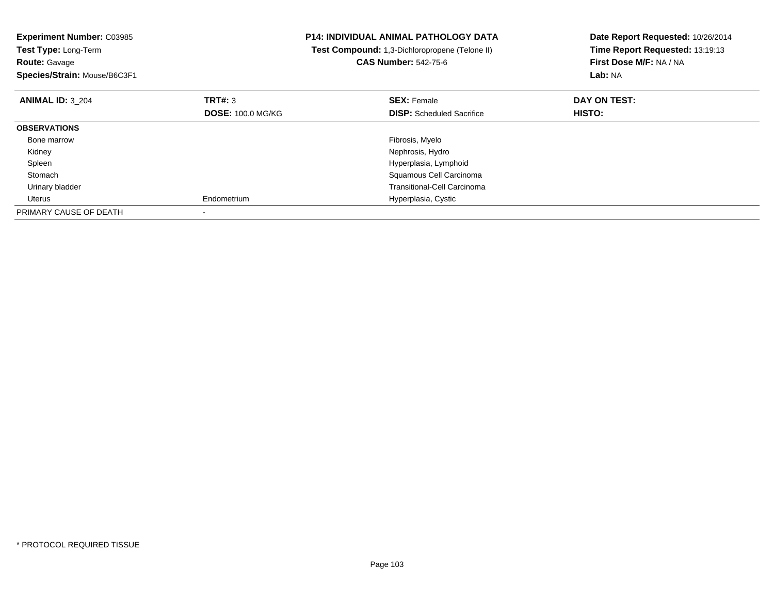| <b>Experiment Number: C03985</b><br>Test Type: Long-Term<br><b>Route: Gavage</b><br>Species/Strain: Mouse/B6C3F1 |                          | <b>P14: INDIVIDUAL ANIMAL PATHOLOGY DATA</b><br>Test Compound: 1,3-Dichloropropene (Telone II)<br><b>CAS Number: 542-75-6</b> | Date Report Requested: 10/26/2014<br>Time Report Requested: 13:19:13<br>First Dose M/F: NA / NA<br><b>Lab: NA</b> |
|------------------------------------------------------------------------------------------------------------------|--------------------------|-------------------------------------------------------------------------------------------------------------------------------|-------------------------------------------------------------------------------------------------------------------|
| <b>ANIMAL ID: 3 204</b>                                                                                          | TRT#: 3                  | <b>SEX: Female</b>                                                                                                            | DAY ON TEST:                                                                                                      |
|                                                                                                                  | <b>DOSE: 100.0 MG/KG</b> | <b>DISP:</b> Scheduled Sacrifice                                                                                              | HISTO:                                                                                                            |
| <b>OBSERVATIONS</b>                                                                                              |                          |                                                                                                                               |                                                                                                                   |
| Bone marrow                                                                                                      |                          | Fibrosis, Myelo                                                                                                               |                                                                                                                   |
| Kidney                                                                                                           |                          | Nephrosis, Hydro                                                                                                              |                                                                                                                   |
| Spleen                                                                                                           |                          | Hyperplasia, Lymphoid                                                                                                         |                                                                                                                   |
| Stomach                                                                                                          |                          | Squamous Cell Carcinoma                                                                                                       |                                                                                                                   |
| Urinary bladder                                                                                                  |                          | <b>Transitional-Cell Carcinoma</b>                                                                                            |                                                                                                                   |
| Uterus                                                                                                           | Endometrium              | Hyperplasia, Cystic                                                                                                           |                                                                                                                   |
| PRIMARY CAUSE OF DEATH                                                                                           |                          |                                                                                                                               |                                                                                                                   |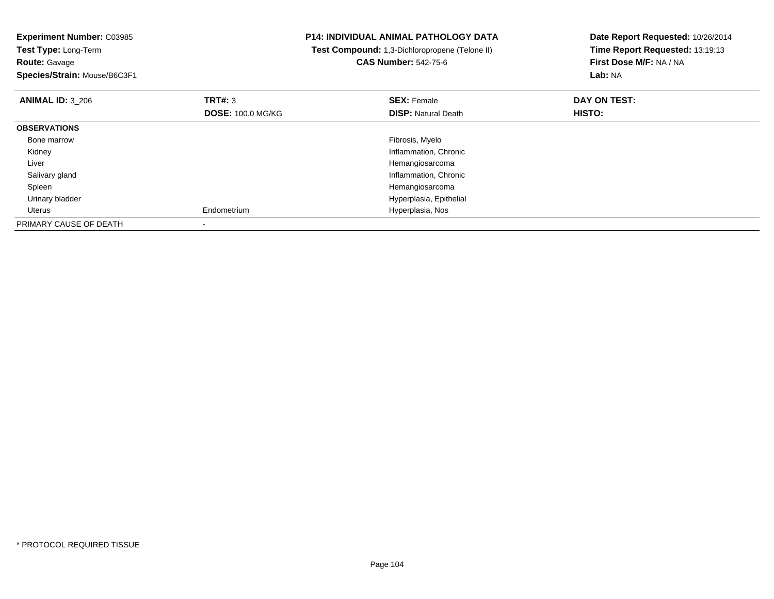**Experiment Number:** C03985**Test Type:** Long-Term**Route:** Gavage **Species/Strain:** Mouse/B6C3F1**P14: INDIVIDUAL ANIMAL PATHOLOGY DATA Test Compound:** 1,3-Dichloropropene (Telone II)**CAS Number:** 542-75-6**Date Report Requested:** 10/26/2014**Time Report Requested:** 13:19:13**First Dose M/F:** NA / NA**Lab:** NA**ANIMAL ID:** 3\_206**6 DAY ON TEST: TRT#:** 3 **SEX: Female SEX: Female DAY ON TEST: DOSE:** 100.0 MG/KG**DISP:** Natural Death **HISTO: OBSERVATIONS** Bone marroww which is a state of the state of the state of the state of the state of the Fibrosis, Myelo state of the state of the state of the state of the state of the state of the state of the state of the state of the state of th Kidney Inflammation, Chronic Liver Hemangiosarcoma**Inflammation, Chronic**  Salivary gland Spleen Hemangiosarcoma Urinary bladder Hyperplasia, Epithelial Uterus Endometrium Hyperplasia, Nos PRIMARY CAUSE OF DEATH-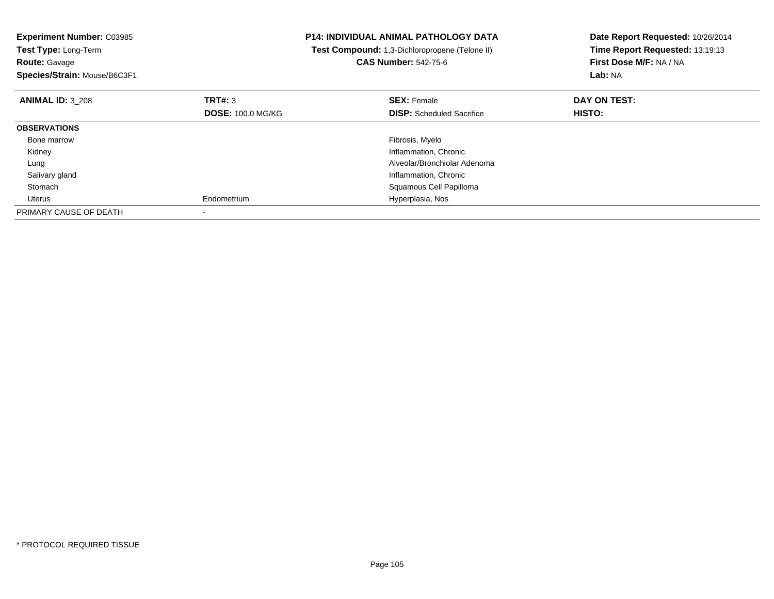| <b>Experiment Number: C03985</b><br>Test Type: Long-Term<br><b>Route: Gavage</b><br>Species/Strain: Mouse/B6C3F1 |                          | <b>P14: INDIVIDUAL ANIMAL PATHOLOGY DATA</b><br>Test Compound: 1,3-Dichloropropene (Telone II)<br><b>CAS Number: 542-75-6</b> | Date Report Requested: 10/26/2014<br>Time Report Requested: 13:19:13<br>First Dose M/F: NA / NA<br>Lab: NA |  |
|------------------------------------------------------------------------------------------------------------------|--------------------------|-------------------------------------------------------------------------------------------------------------------------------|------------------------------------------------------------------------------------------------------------|--|
| <b>ANIMAL ID: 3 208</b>                                                                                          | TRT#: 3                  | <b>SEX: Female</b>                                                                                                            | DAY ON TEST:                                                                                               |  |
|                                                                                                                  | <b>DOSE: 100.0 MG/KG</b> | <b>DISP:</b> Scheduled Sacrifice                                                                                              | HISTO:                                                                                                     |  |
| <b>OBSERVATIONS</b>                                                                                              |                          |                                                                                                                               |                                                                                                            |  |
| Bone marrow                                                                                                      |                          | Fibrosis, Myelo                                                                                                               |                                                                                                            |  |
| Kidney                                                                                                           |                          | Inflammation, Chronic                                                                                                         |                                                                                                            |  |
| Lung                                                                                                             |                          | Alveolar/Bronchiolar Adenoma                                                                                                  |                                                                                                            |  |
| Salivary gland                                                                                                   |                          | Inflammation, Chronic                                                                                                         |                                                                                                            |  |
| Stomach                                                                                                          |                          | Squamous Cell Papilloma                                                                                                       |                                                                                                            |  |
| Uterus                                                                                                           | Endometrium              | Hyperplasia, Nos                                                                                                              |                                                                                                            |  |
| PRIMARY CAUSE OF DEATH                                                                                           |                          |                                                                                                                               |                                                                                                            |  |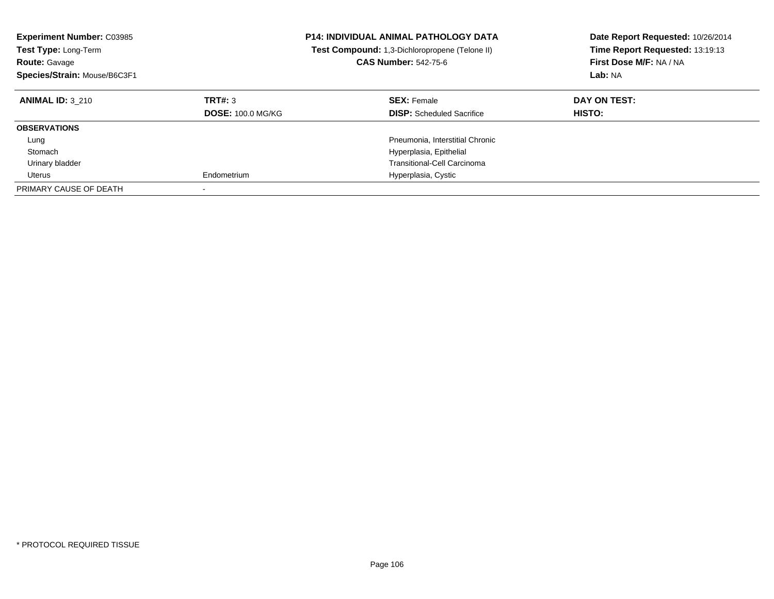| <b>Experiment Number: C03985</b><br><b>Test Type: Long-Term</b><br><b>Route: Gavage</b><br>Species/Strain: Mouse/B6C3F1 |                                     | <b>P14: INDIVIDUAL ANIMAL PATHOLOGY DATA</b><br><b>Test Compound:</b> 1,3-Dichloropropene (Telone II)<br><b>CAS Number: 542-75-6</b> | Date Report Requested: 10/26/2014<br>Time Report Requested: 13:19:13<br>First Dose M/F: NA / NA<br>Lab: NA |  |
|-------------------------------------------------------------------------------------------------------------------------|-------------------------------------|--------------------------------------------------------------------------------------------------------------------------------------|------------------------------------------------------------------------------------------------------------|--|
| <b>ANIMAL ID: 3 210</b>                                                                                                 | TRT#: 3<br><b>DOSE: 100.0 MG/KG</b> | <b>SEX: Female</b><br><b>DISP:</b> Scheduled Sacrifice                                                                               | DAY ON TEST:<br><b>HISTO:</b>                                                                              |  |
| <b>OBSERVATIONS</b>                                                                                                     |                                     |                                                                                                                                      |                                                                                                            |  |
| Lung                                                                                                                    |                                     | Pneumonia, Interstitial Chronic                                                                                                      |                                                                                                            |  |
| Stomach                                                                                                                 |                                     | Hyperplasia, Epithelial                                                                                                              |                                                                                                            |  |
| Urinary bladder                                                                                                         |                                     | <b>Transitional-Cell Carcinoma</b>                                                                                                   |                                                                                                            |  |
| Uterus                                                                                                                  | Endometrium                         | Hyperplasia, Cystic                                                                                                                  |                                                                                                            |  |
| PRIMARY CAUSE OF DEATH                                                                                                  | $\overline{\phantom{a}}$            |                                                                                                                                      |                                                                                                            |  |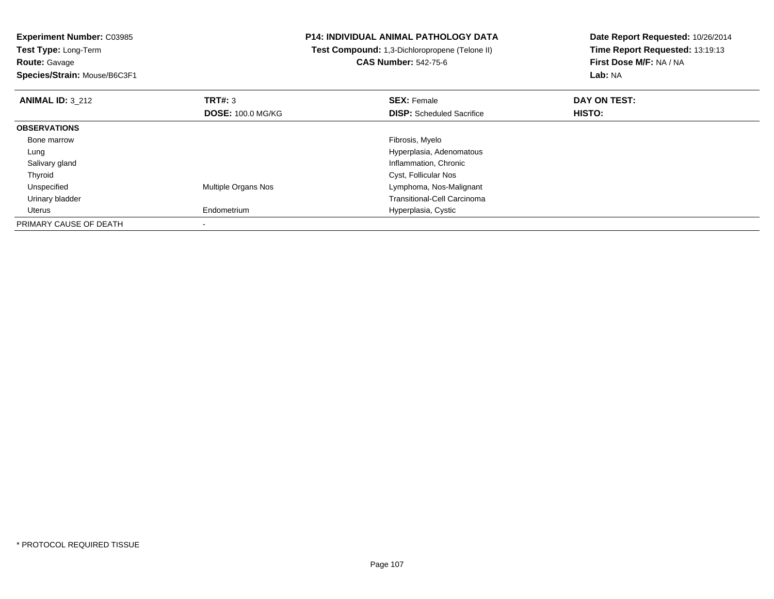**Experiment Number:** C03985**Test Type:** Long-Term**Route:** Gavage

**Species/Strain:** Mouse/B6C3F1

## **P14: INDIVIDUAL ANIMAL PATHOLOGY DATA**

 **Test Compound:** 1,3-Dichloropropene (Telone II)**CAS Number:** 542-75-6

**Date Report Requested:** 10/26/2014**Time Report Requested:** 13:19:13**First Dose M/F:** NA / NA**Lab:** NA

| <b>ANIMAL ID: 3 212</b> | TRT#: 3<br><b>DOSE: 100.0 MG/KG</b> | <b>SEX: Female</b><br><b>DISP:</b> Scheduled Sacrifice | DAY ON TEST:<br>HISTO: |  |
|-------------------------|-------------------------------------|--------------------------------------------------------|------------------------|--|
|                         |                                     |                                                        |                        |  |
| <b>OBSERVATIONS</b>     |                                     |                                                        |                        |  |
| Bone marrow             |                                     | Fibrosis, Myelo                                        |                        |  |
| Lung                    |                                     | Hyperplasia, Adenomatous                               |                        |  |
| Salivary gland          |                                     | Inflammation, Chronic                                  |                        |  |
| Thyroid                 |                                     | Cyst, Follicular Nos                                   |                        |  |
| Unspecified             | Multiple Organs Nos                 | Lymphoma, Nos-Malignant                                |                        |  |
| Urinary bladder         |                                     | <b>Transitional-Cell Carcinoma</b>                     |                        |  |
| Uterus                  | Endometrium                         | Hyperplasia, Cystic                                    |                        |  |
| PRIMARY CAUSE OF DEATH  |                                     |                                                        |                        |  |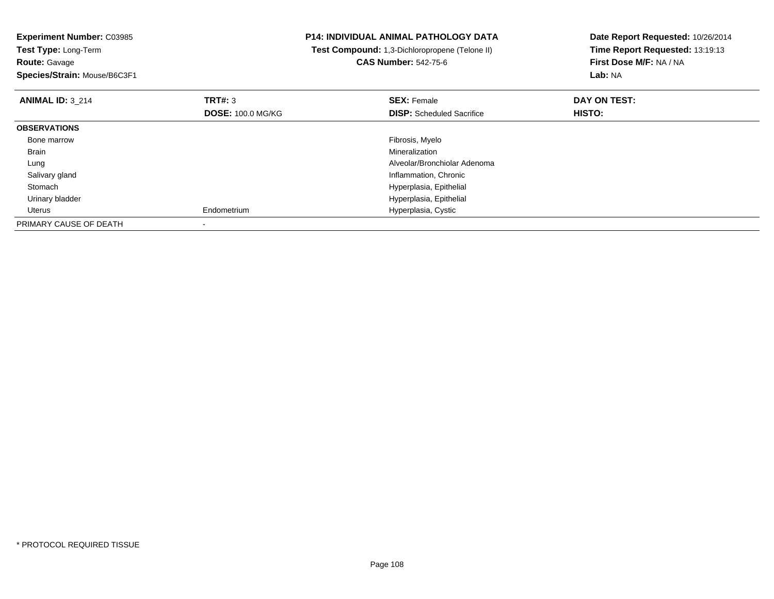**Experiment Number:** C03985**Test Type:** Long-Term**Route:** Gavage **Species/Strain:** Mouse/B6C3F1**P14: INDIVIDUAL ANIMAL PATHOLOGY DATA Test Compound:** 1,3-Dichloropropene (Telone II)**CAS Number:** 542-75-6**Date Report Requested:** 10/26/2014**Time Report Requested:** 13:19:13**First Dose M/F:** NA / NA**Lab:** NA**ANIMAL ID:** 3\_214**TRT#:** 3 **SEX:** Female **DAY ON TEST: DOSE:** 100.0 MG/KG**DISP:** Scheduled Sacrifice **HISTO: OBSERVATIONS** Bone marroww which is a state of the state of the state of the state of the state of the Fibrosis, Myelo state of the state of the state of the state of the state of the state of the state of the state of the state of the state of th Brainn and the control of the control of the control of the control of the control of the control of the control of the control of the control of the control of the control of the control of the control of the control of the co Lung Alveolar/Bronchiolar Adenoma Salivary gland Inflammation, Chronic Stomach Hyperplasia, Epithelial Urinary bladder Hyperplasia, Epithelial Uterus Endometrium Hyperplasia, Cystic PRIMARY CAUSE OF DEATH-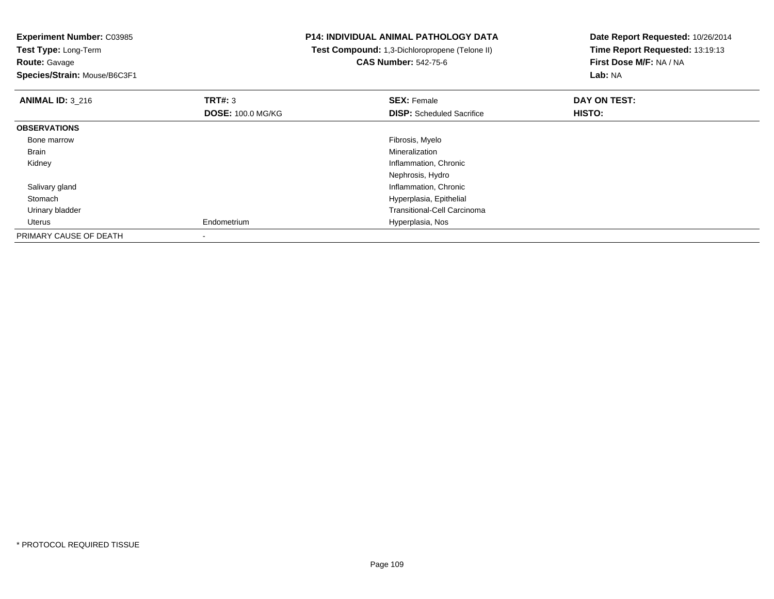**Route:** Gavage

**Species/Strain:** Mouse/B6C3F1

## **P14: INDIVIDUAL ANIMAL PATHOLOGY DATA**

 **Test Compound:** 1,3-Dichloropropene (Telone II)**CAS Number:** 542-75-6

| <b>ANIMAL ID: 3 216</b> | TRT#: 3                  | <b>SEX: Female</b>                 | DAY ON TEST: |  |
|-------------------------|--------------------------|------------------------------------|--------------|--|
|                         | <b>DOSE: 100.0 MG/KG</b> | <b>DISP:</b> Scheduled Sacrifice   | HISTO:       |  |
| <b>OBSERVATIONS</b>     |                          |                                    |              |  |
| Bone marrow             |                          | Fibrosis, Myelo                    |              |  |
| Brain                   |                          | Mineralization                     |              |  |
| Kidney                  |                          | Inflammation, Chronic              |              |  |
|                         |                          | Nephrosis, Hydro                   |              |  |
| Salivary gland          |                          | Inflammation, Chronic              |              |  |
| Stomach                 |                          | Hyperplasia, Epithelial            |              |  |
| Urinary bladder         |                          | <b>Transitional-Cell Carcinoma</b> |              |  |
| Uterus                  | Endometrium              | Hyperplasia, Nos                   |              |  |
| PRIMARY CAUSE OF DEATH  |                          |                                    |              |  |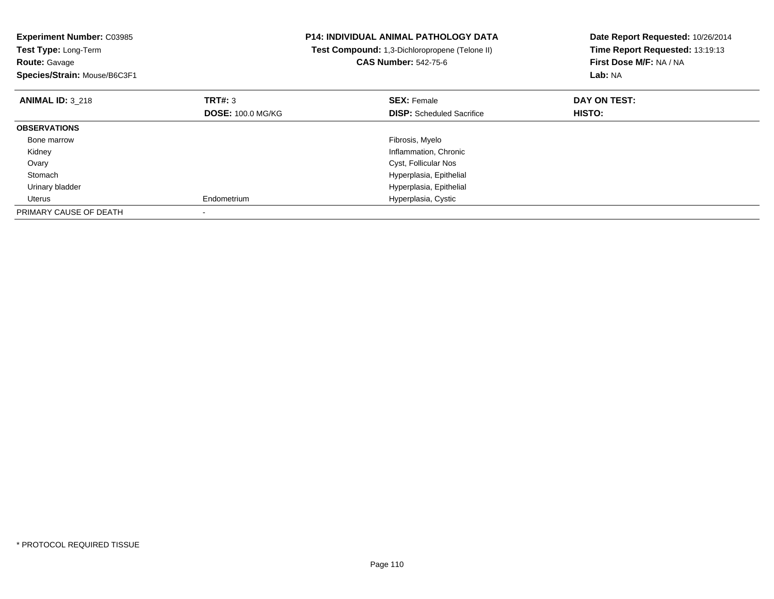| <b>Experiment Number: C03985</b><br>Test Type: Long-Term<br><b>Route: Gavage</b><br>Species/Strain: Mouse/B6C3F1 |                          | <b>P14: INDIVIDUAL ANIMAL PATHOLOGY DATA</b><br>Test Compound: 1,3-Dichloropropene (Telone II)<br><b>CAS Number: 542-75-6</b> | Date Report Requested: 10/26/2014<br>Time Report Requested: 13:19:13<br>First Dose M/F: NA / NA<br>Lab: NA |
|------------------------------------------------------------------------------------------------------------------|--------------------------|-------------------------------------------------------------------------------------------------------------------------------|------------------------------------------------------------------------------------------------------------|
| <b>ANIMAL ID: 3 218</b>                                                                                          | TRT#: 3                  | <b>SEX: Female</b>                                                                                                            | DAY ON TEST:                                                                                               |
|                                                                                                                  | <b>DOSE: 100.0 MG/KG</b> | <b>DISP:</b> Scheduled Sacrifice                                                                                              | HISTO:                                                                                                     |
| <b>OBSERVATIONS</b>                                                                                              |                          |                                                                                                                               |                                                                                                            |
| Bone marrow                                                                                                      |                          | Fibrosis, Myelo                                                                                                               |                                                                                                            |
| Kidney                                                                                                           |                          | Inflammation, Chronic                                                                                                         |                                                                                                            |
| Ovary                                                                                                            |                          | Cyst, Follicular Nos                                                                                                          |                                                                                                            |
| Stomach                                                                                                          |                          | Hyperplasia, Epithelial                                                                                                       |                                                                                                            |
| Urinary bladder                                                                                                  |                          | Hyperplasia, Epithelial                                                                                                       |                                                                                                            |
| Uterus                                                                                                           | Endometrium              | Hyperplasia, Cystic                                                                                                           |                                                                                                            |
| PRIMARY CAUSE OF DEATH                                                                                           |                          |                                                                                                                               |                                                                                                            |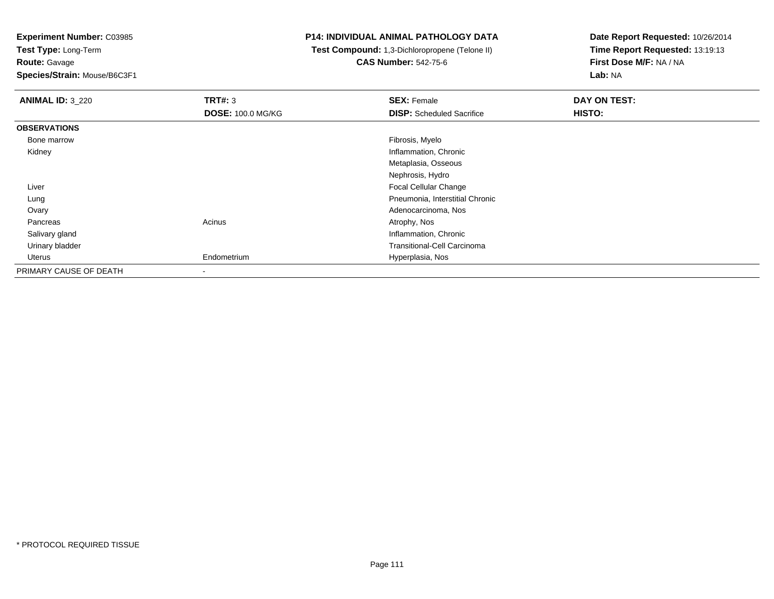**Experiment Number:** C03985

**Test Type:** Long-Term**Route:** Gavage

**Species/Strain:** Mouse/B6C3F1

## **P14: INDIVIDUAL ANIMAL PATHOLOGY DATA**

 **Test Compound:** 1,3-Dichloropropene (Telone II)**CAS Number:** 542-75-6

| <b>ANIMAL ID: 3_220</b> | TRT#: 3                  | <b>SEX: Female</b>               | DAY ON TEST: |
|-------------------------|--------------------------|----------------------------------|--------------|
|                         | <b>DOSE: 100.0 MG/KG</b> | <b>DISP:</b> Scheduled Sacrifice | HISTO:       |
| <b>OBSERVATIONS</b>     |                          |                                  |              |
| Bone marrow             |                          | Fibrosis, Myelo                  |              |
| Kidney                  |                          | Inflammation, Chronic            |              |
|                         |                          | Metaplasia, Osseous              |              |
|                         |                          | Nephrosis, Hydro                 |              |
| Liver                   |                          | <b>Focal Cellular Change</b>     |              |
| Lung                    |                          | Pneumonia, Interstitial Chronic  |              |
| Ovary                   |                          | Adenocarcinoma, Nos              |              |
| Pancreas                | Acinus                   | Atrophy, Nos                     |              |
| Salivary gland          |                          | Inflammation, Chronic            |              |
| Urinary bladder         |                          | Transitional-Cell Carcinoma      |              |
| Uterus                  | Endometrium              | Hyperplasia, Nos                 |              |
| PRIMARY CAUSE OF DEATH  |                          |                                  |              |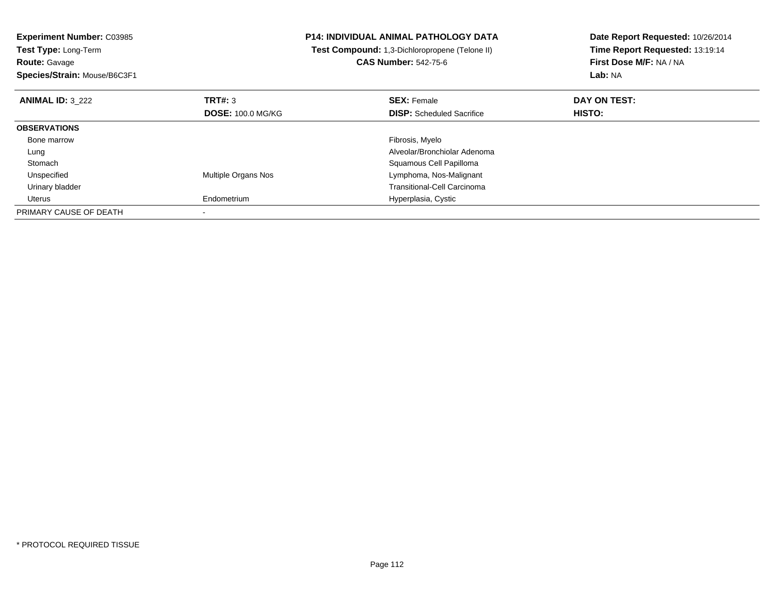**Experiment Number:** C03985**Test Type:** Long-Term**Route:** Gavage **Species/Strain:** Mouse/B6C3F1**P14: INDIVIDUAL ANIMAL PATHOLOGY DATA Test Compound:** 1,3-Dichloropropene (Telone II)**CAS Number:** 542-75-6**Date Report Requested:** 10/26/2014**Time Report Requested:** 13:19:14**First Dose M/F:** NA / NA**Lab:** NA**ANIMAL ID:** 3\_222 **TRT#:** <sup>3</sup> **SEX:** Female **DAY ON TEST: DOSE:** 100.0 MG/KG**DISP:** Scheduled Sacrifice **HISTO: OBSERVATIONS** Bone marroww which is a state of the state of the state of the state of the state of the Fibrosis, Myelo state of the state of the state of the state of the state of the state of the state of the state of the state of the state of th Lung Alveolar/Bronchiolar Adenoma StomachSquamous Cell Papilloma<br>Multiple Organs Nos<br>Lymphoma, Nos-Malignan UnspecifiedLymphoma, Nos-Malignant Urinary bladder Transitional-Cell Carcinoma Uterus Endometrium Hyperplasia, Cystic PRIMARY CAUSE OF DEATH-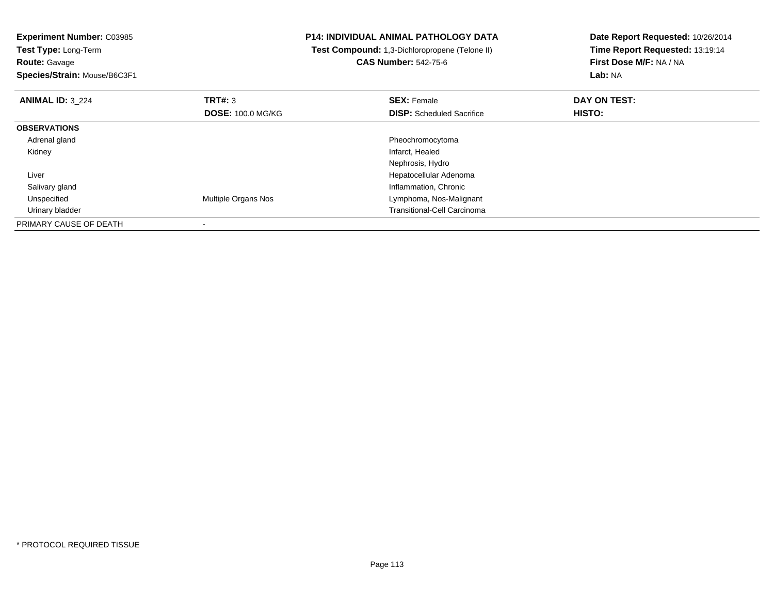**Experiment Number:** C03985**Test Type:** Long-Term**Route:** Gavage **Species/Strain:** Mouse/B6C3F1**P14: INDIVIDUAL ANIMAL PATHOLOGY DATA Test Compound:** 1,3-Dichloropropene (Telone II)**CAS Number:** 542-75-6**Date Report Requested:** 10/26/2014**Time Report Requested:** 13:19:14**First Dose M/F:** NA / NA**Lab:** NA**ANIMAL ID:** 3\_224**TRT#:** 3 **SEX:** Female **DAY ON TEST: DOSE:** 100.0 MG/KG**DISP:** Scheduled Sacrifice **HISTO: OBSERVATIONS** Adrenal glandPheochromocytoma<br>Infarct, Healed Kidneyy which is a state of the control of the control of the control of the control of the control of the control of the control of the control of the control of the control of the control of the control of the control of the c Nephrosis, Hydro Hepatocellular Adenoma Liver Salivary glandInflammation, Chronic<br>Multiple Organs Nos<br>Lymphoma, Nos-Malig UnspecifiedLymphoma, Nos-Malignant Urinary bladder Transitional-Cell CarcinomaPRIMARY CAUSE OF DEATH-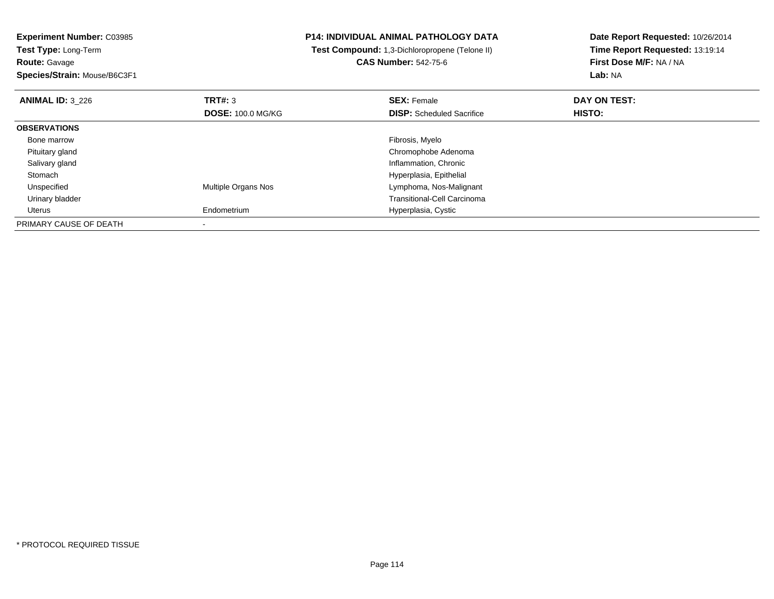**Experiment Number:** C03985**Test Type:** Long-Term**Route:** Gavage

**Species/Strain:** Mouse/B6C3F1

## **P14: INDIVIDUAL ANIMAL PATHOLOGY DATA**

 **Test Compound:** 1,3-Dichloropropene (Telone II)**CAS Number:** 542-75-6

| <b>ANIMAL ID: 3_226</b> | TRT#: 3                  | <b>SEX: Female</b>                 | DAY ON TEST:  |  |
|-------------------------|--------------------------|------------------------------------|---------------|--|
|                         | <b>DOSE: 100.0 MG/KG</b> | <b>DISP:</b> Scheduled Sacrifice   | <b>HISTO:</b> |  |
| <b>OBSERVATIONS</b>     |                          |                                    |               |  |
| Bone marrow             |                          | Fibrosis, Myelo                    |               |  |
| Pituitary gland         |                          | Chromophobe Adenoma                |               |  |
| Salivary gland          |                          | Inflammation, Chronic              |               |  |
| Stomach                 |                          | Hyperplasia, Epithelial            |               |  |
| Unspecified             | Multiple Organs Nos      | Lymphoma, Nos-Malignant            |               |  |
| Urinary bladder         |                          | <b>Transitional-Cell Carcinoma</b> |               |  |
| Uterus                  | Endometrium              | Hyperplasia, Cystic                |               |  |
| PRIMARY CAUSE OF DEATH  |                          |                                    |               |  |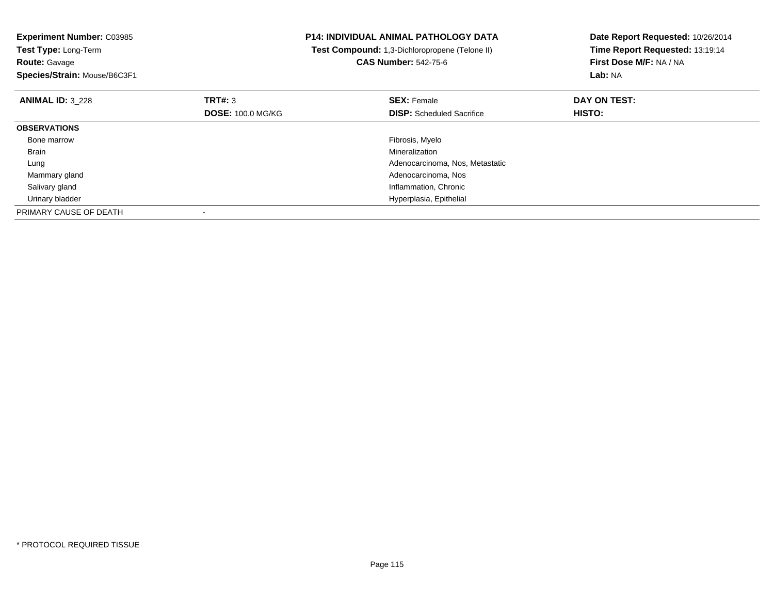| <b>Experiment Number: C03985</b><br>Test Type: Long-Term<br><b>Route: Gavage</b> |                          | <b>P14: INDIVIDUAL ANIMAL PATHOLOGY DATA</b><br>Test Compound: 1,3-Dichloropropene (Telone II)<br><b>CAS Number: 542-75-6</b> | Date Report Requested: 10/26/2014<br>Time Report Requested: 13:19:14<br>First Dose M/F: NA / NA |
|----------------------------------------------------------------------------------|--------------------------|-------------------------------------------------------------------------------------------------------------------------------|-------------------------------------------------------------------------------------------------|
| Species/Strain: Mouse/B6C3F1                                                     |                          |                                                                                                                               | Lab: NA                                                                                         |
| <b>ANIMAL ID: 3 228</b>                                                          | TRT#: 3                  | <b>SEX: Female</b>                                                                                                            | DAY ON TEST:                                                                                    |
|                                                                                  | <b>DOSE: 100.0 MG/KG</b> | <b>DISP:</b> Scheduled Sacrifice                                                                                              | HISTO:                                                                                          |
| <b>OBSERVATIONS</b>                                                              |                          |                                                                                                                               |                                                                                                 |
| Bone marrow                                                                      |                          | Fibrosis, Myelo                                                                                                               |                                                                                                 |
| Brain                                                                            |                          | Mineralization                                                                                                                |                                                                                                 |
| Lung                                                                             |                          | Adenocarcinoma, Nos, Metastatic                                                                                               |                                                                                                 |
| Mammary gland                                                                    |                          | Adenocarcinoma, Nos                                                                                                           |                                                                                                 |
| Salivary gland                                                                   |                          | Inflammation, Chronic                                                                                                         |                                                                                                 |
| Urinary bladder                                                                  |                          | Hyperplasia, Epithelial                                                                                                       |                                                                                                 |
| PRIMARY CAUSE OF DEATH                                                           |                          |                                                                                                                               |                                                                                                 |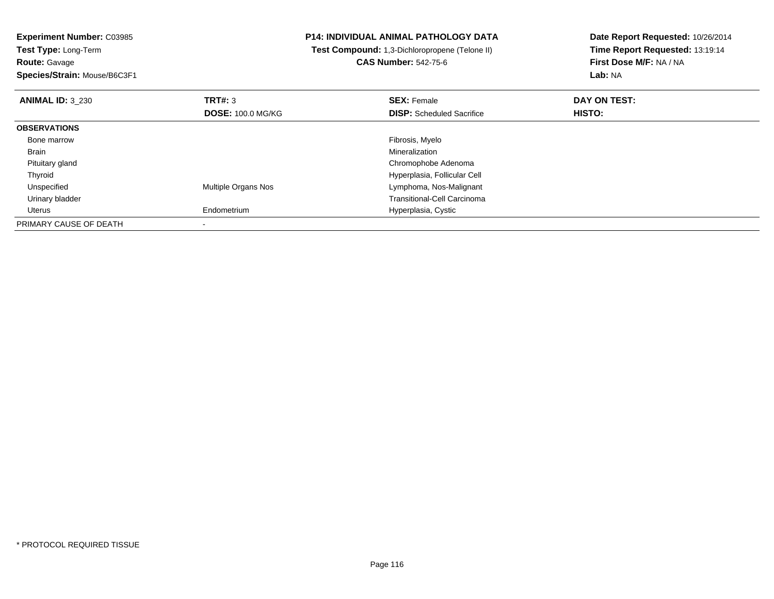# **Route:** Gavage

**Species/Strain:** Mouse/B6C3F1

## **P14: INDIVIDUAL ANIMAL PATHOLOGY DATA**

#### **Test Compound:** 1,3-Dichloropropene (Telone II)**CAS Number:** 542-75-6

| <b>ANIMAL ID: 3 230</b> | TRT#: 3                  | <b>SEX: Female</b>                 | DAY ON TEST:  |  |
|-------------------------|--------------------------|------------------------------------|---------------|--|
|                         | <b>DOSE: 100.0 MG/KG</b> | <b>DISP:</b> Scheduled Sacrifice   | <b>HISTO:</b> |  |
| <b>OBSERVATIONS</b>     |                          |                                    |               |  |
| Bone marrow             |                          | Fibrosis, Myelo                    |               |  |
| Brain                   |                          | Mineralization                     |               |  |
| Pituitary gland         |                          | Chromophobe Adenoma                |               |  |
| Thyroid                 |                          | Hyperplasia, Follicular Cell       |               |  |
| Unspecified             | Multiple Organs Nos      | Lymphoma, Nos-Malignant            |               |  |
| Urinary bladder         |                          | <b>Transitional-Cell Carcinoma</b> |               |  |
| Uterus                  | Endometrium              | Hyperplasia, Cystic                |               |  |
| PRIMARY CAUSE OF DEATH  |                          |                                    |               |  |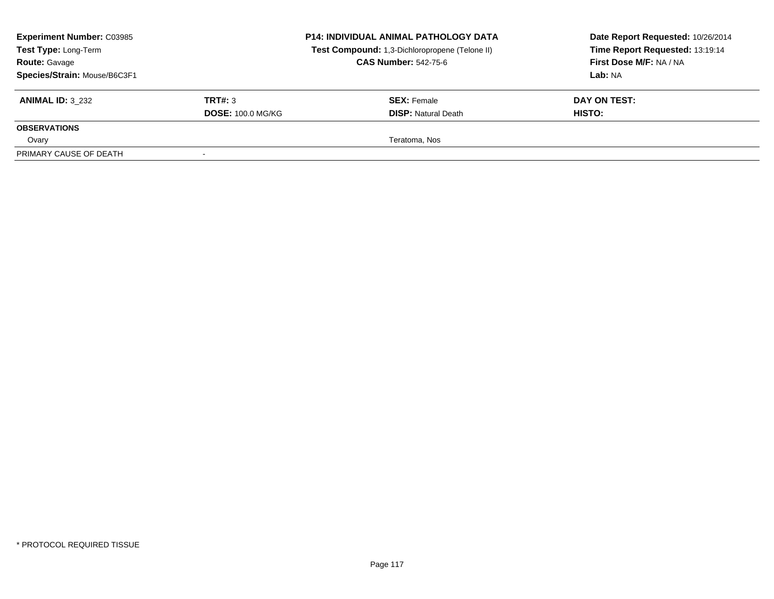| <b>Experiment Number: C03985</b><br>Test Type: Long-Term<br><b>Route: Gavage</b><br>Species/Strain: Mouse/B6C3F1 |                          | <b>P14: INDIVIDUAL ANIMAL PATHOLOGY DATA</b><br>Test Compound: 1,3-Dichloropropene (Telone II)<br><b>CAS Number: 542-75-6</b> | Date Report Requested: 10/26/2014<br>Time Report Requested: 13:19:14<br>First Dose M/F: NA / NA<br>Lab: NA |
|------------------------------------------------------------------------------------------------------------------|--------------------------|-------------------------------------------------------------------------------------------------------------------------------|------------------------------------------------------------------------------------------------------------|
| <b>ANIMAL ID: 3 232</b>                                                                                          | TRT#: 3                  | <b>SEX:</b> Female                                                                                                            | DAY ON TEST:                                                                                               |
|                                                                                                                  | <b>DOSE: 100.0 MG/KG</b> | <b>DISP:</b> Natural Death                                                                                                    | HISTO:                                                                                                     |
| <b>OBSERVATIONS</b>                                                                                              |                          |                                                                                                                               |                                                                                                            |
| Ovary                                                                                                            |                          | Teratoma, Nos                                                                                                                 |                                                                                                            |
| PRIMARY CAUSE OF DEATH                                                                                           |                          |                                                                                                                               |                                                                                                            |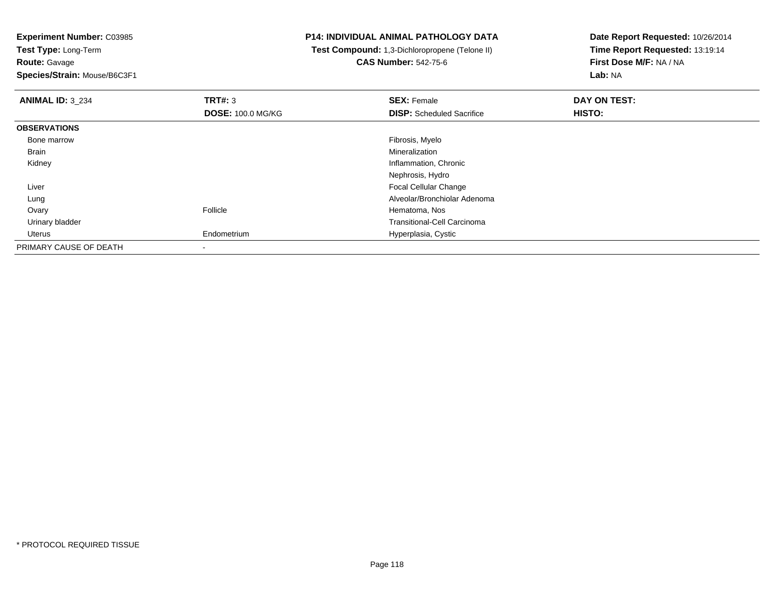**Experiment Number:** C03985

**Test Type:** Long-Term**Route:** Gavage

**Species/Strain:** Mouse/B6C3F1

## **P14: INDIVIDUAL ANIMAL PATHOLOGY DATA**

 **Test Compound:** 1,3-Dichloropropene (Telone II)**CAS Number:** 542-75-6

| <b>ANIMAL ID: 3 234</b> | TRT#: 3                  | <b>SEX: Female</b>                 | DAY ON TEST: |  |
|-------------------------|--------------------------|------------------------------------|--------------|--|
|                         | <b>DOSE: 100.0 MG/KG</b> | <b>DISP:</b> Scheduled Sacrifice   | HISTO:       |  |
| <b>OBSERVATIONS</b>     |                          |                                    |              |  |
| Bone marrow             |                          | Fibrosis, Myelo                    |              |  |
| Brain                   |                          | Mineralization                     |              |  |
| Kidney                  |                          | Inflammation, Chronic              |              |  |
|                         |                          | Nephrosis, Hydro                   |              |  |
| Liver                   |                          | <b>Focal Cellular Change</b>       |              |  |
| Lung                    |                          | Alveolar/Bronchiolar Adenoma       |              |  |
| Ovary                   | Follicle                 | Hematoma, Nos                      |              |  |
| Urinary bladder         |                          | <b>Transitional-Cell Carcinoma</b> |              |  |
| Uterus                  | Endometrium              | Hyperplasia, Cystic                |              |  |
| PRIMARY CAUSE OF DEATH  |                          |                                    |              |  |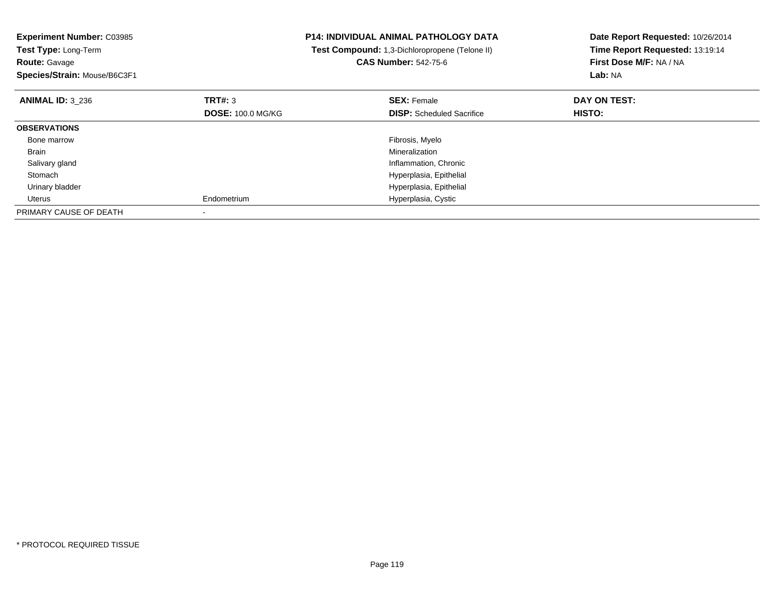| <b>Experiment Number: C03985</b><br>Test Type: Long-Term<br><b>Route: Gavage</b><br>Species/Strain: Mouse/B6C3F1 |                          | <b>P14: INDIVIDUAL ANIMAL PATHOLOGY DATA</b><br>Test Compound: 1,3-Dichloropropene (Telone II)<br><b>CAS Number: 542-75-6</b> | Date Report Requested: 10/26/2014<br>Time Report Requested: 13:19:14<br>First Dose M/F: NA / NA<br><b>Lab: NA</b> |
|------------------------------------------------------------------------------------------------------------------|--------------------------|-------------------------------------------------------------------------------------------------------------------------------|-------------------------------------------------------------------------------------------------------------------|
| <b>ANIMAL ID: 3 236</b>                                                                                          | TRT#: 3                  | <b>SEX: Female</b>                                                                                                            | DAY ON TEST:                                                                                                      |
|                                                                                                                  | <b>DOSE: 100.0 MG/KG</b> | <b>DISP:</b> Scheduled Sacrifice                                                                                              | HISTO:                                                                                                            |
| <b>OBSERVATIONS</b>                                                                                              |                          |                                                                                                                               |                                                                                                                   |
| Bone marrow                                                                                                      |                          | Fibrosis, Myelo                                                                                                               |                                                                                                                   |
| Brain                                                                                                            |                          | Mineralization                                                                                                                |                                                                                                                   |
| Salivary gland                                                                                                   |                          | Inflammation, Chronic                                                                                                         |                                                                                                                   |
| Stomach                                                                                                          |                          | Hyperplasia, Epithelial                                                                                                       |                                                                                                                   |
| Urinary bladder                                                                                                  |                          | Hyperplasia, Epithelial                                                                                                       |                                                                                                                   |
| Uterus                                                                                                           | Endometrium              | Hyperplasia, Cystic                                                                                                           |                                                                                                                   |
| PRIMARY CAUSE OF DEATH                                                                                           |                          |                                                                                                                               |                                                                                                                   |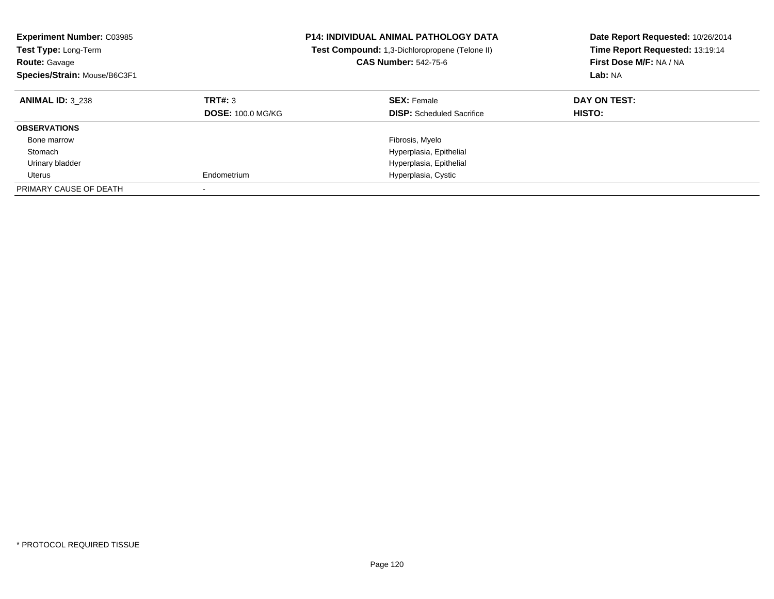| <b>Experiment Number: C03985</b><br><b>P14: INDIVIDUAL ANIMAL PATHOLOGY DATA</b><br><b>Test Type: Long-Term</b><br><b>Test Compound:</b> 1,3-Dichloropropene (Telone II)<br><b>CAS Number: 542-75-6</b><br><b>Route: Gavage</b><br>Species/Strain: Mouse/B6C3F1 |                                     |                                                        | Date Report Requested: 10/26/2014<br>Time Report Requested: 13:19:14<br>First Dose M/F: NA / NA<br>Lab: NA |
|-----------------------------------------------------------------------------------------------------------------------------------------------------------------------------------------------------------------------------------------------------------------|-------------------------------------|--------------------------------------------------------|------------------------------------------------------------------------------------------------------------|
| <b>ANIMAL ID: 3 238</b>                                                                                                                                                                                                                                         | TRT#: 3<br><b>DOSE: 100.0 MG/KG</b> | <b>SEX: Female</b><br><b>DISP:</b> Scheduled Sacrifice | DAY ON TEST:<br><b>HISTO:</b>                                                                              |
| <b>OBSERVATIONS</b>                                                                                                                                                                                                                                             |                                     |                                                        |                                                                                                            |
| Bone marrow                                                                                                                                                                                                                                                     |                                     | Fibrosis, Myelo                                        |                                                                                                            |
| Stomach                                                                                                                                                                                                                                                         |                                     | Hyperplasia, Epithelial                                |                                                                                                            |
| Urinary bladder                                                                                                                                                                                                                                                 |                                     | Hyperplasia, Epithelial                                |                                                                                                            |
| Uterus                                                                                                                                                                                                                                                          | Endometrium                         | Hyperplasia, Cystic                                    |                                                                                                            |
| PRIMARY CAUSE OF DEATH                                                                                                                                                                                                                                          |                                     |                                                        |                                                                                                            |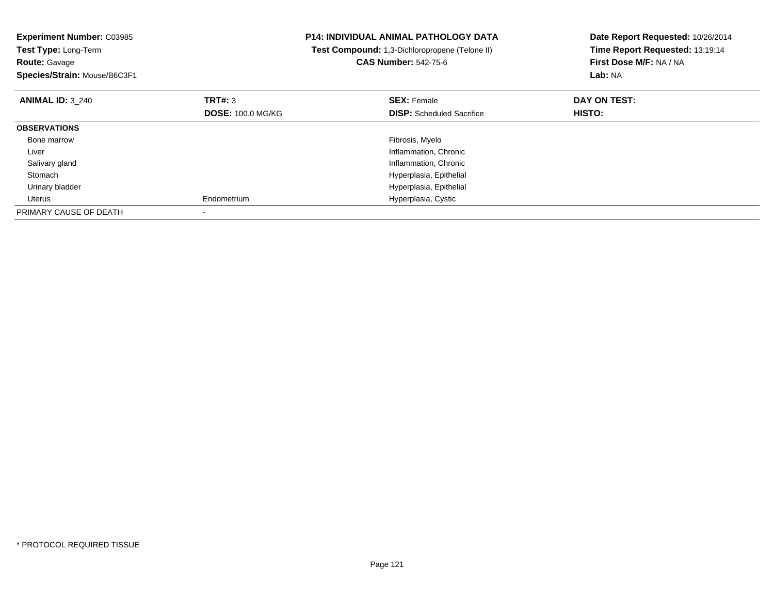| <b>Experiment Number: C03985</b><br>Test Type: Long-Term<br><b>Route: Gavage</b><br>Species/Strain: Mouse/B6C3F1 |                          | <b>P14: INDIVIDUAL ANIMAL PATHOLOGY DATA</b><br>Test Compound: 1,3-Dichloropropene (Telone II)<br><b>CAS Number: 542-75-6</b> | Date Report Requested: 10/26/2014<br>Time Report Requested: 13:19:14<br>First Dose M/F: NA / NA<br>Lab: NA |
|------------------------------------------------------------------------------------------------------------------|--------------------------|-------------------------------------------------------------------------------------------------------------------------------|------------------------------------------------------------------------------------------------------------|
| <b>ANIMAL ID: 3_240</b>                                                                                          | TRT#: 3                  | <b>SEX: Female</b>                                                                                                            | DAY ON TEST:                                                                                               |
|                                                                                                                  | <b>DOSE: 100.0 MG/KG</b> | <b>DISP:</b> Scheduled Sacrifice                                                                                              | HISTO:                                                                                                     |
| <b>OBSERVATIONS</b>                                                                                              |                          |                                                                                                                               |                                                                                                            |
| Bone marrow                                                                                                      |                          | Fibrosis, Myelo                                                                                                               |                                                                                                            |
| Liver                                                                                                            |                          | Inflammation, Chronic                                                                                                         |                                                                                                            |
| Salivary gland                                                                                                   |                          | Inflammation, Chronic                                                                                                         |                                                                                                            |
| Stomach                                                                                                          |                          | Hyperplasia, Epithelial                                                                                                       |                                                                                                            |
| Urinary bladder                                                                                                  |                          | Hyperplasia, Epithelial                                                                                                       |                                                                                                            |
| Uterus                                                                                                           | Endometrium              | Hyperplasia, Cystic                                                                                                           |                                                                                                            |
| PRIMARY CAUSE OF DEATH                                                                                           |                          |                                                                                                                               |                                                                                                            |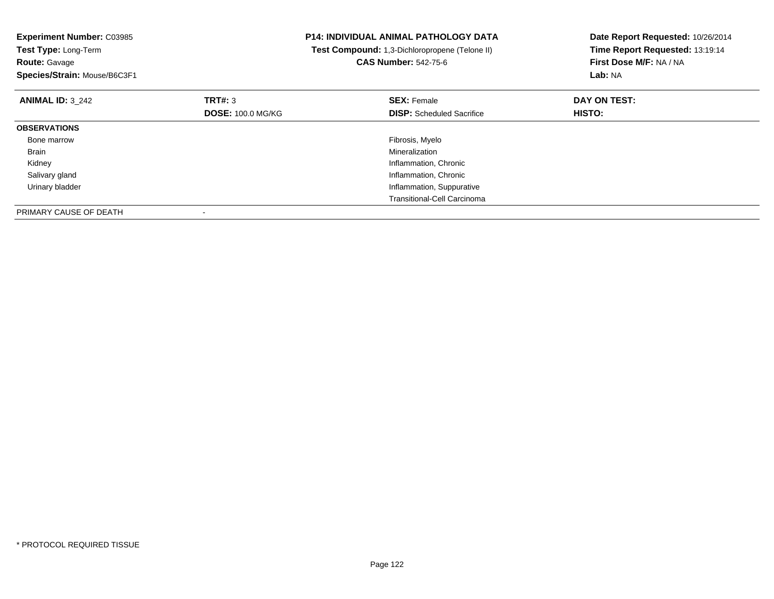| <b>Experiment Number: C03985</b><br>Test Type: Long-Term<br><b>Route: Gavage</b> |                          | P14: INDIVIDUAL ANIMAL PATHOLOGY DATA<br>Test Compound: 1,3-Dichloropropene (Telone II)<br><b>CAS Number: 542-75-6</b> | Date Report Requested: 10/26/2014<br>Time Report Requested: 13:19:14<br>First Dose M/F: NA / NA |
|----------------------------------------------------------------------------------|--------------------------|------------------------------------------------------------------------------------------------------------------------|-------------------------------------------------------------------------------------------------|
| Species/Strain: Mouse/B6C3F1                                                     |                          |                                                                                                                        | Lab: NA                                                                                         |
| <b>ANIMAL ID: 3 242</b>                                                          | <b>TRT#: 3</b>           | <b>SEX: Female</b>                                                                                                     | DAY ON TEST:                                                                                    |
|                                                                                  | <b>DOSE: 100.0 MG/KG</b> | <b>DISP:</b> Scheduled Sacrifice                                                                                       | HISTO:                                                                                          |
| <b>OBSERVATIONS</b>                                                              |                          |                                                                                                                        |                                                                                                 |
| Bone marrow                                                                      |                          | Fibrosis, Myelo                                                                                                        |                                                                                                 |
| Brain                                                                            |                          | Mineralization                                                                                                         |                                                                                                 |
| Kidney                                                                           |                          | Inflammation, Chronic                                                                                                  |                                                                                                 |
| Salivary gland                                                                   |                          | Inflammation, Chronic                                                                                                  |                                                                                                 |
| Urinary bladder                                                                  |                          | Inflammation, Suppurative                                                                                              |                                                                                                 |
|                                                                                  |                          | <b>Transitional-Cell Carcinoma</b>                                                                                     |                                                                                                 |
| PRIMARY CAUSE OF DEATH                                                           |                          |                                                                                                                        |                                                                                                 |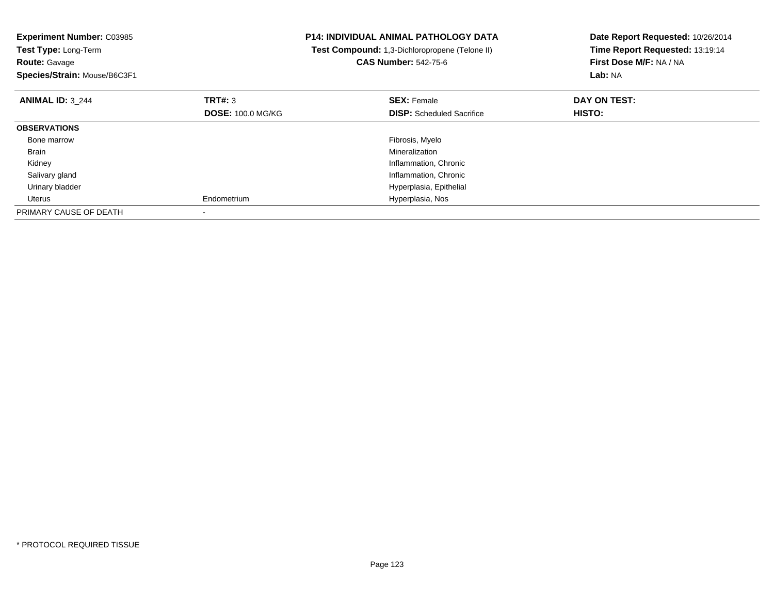| <b>Experiment Number: C03985</b><br>Test Type: Long-Term<br><b>Route: Gavage</b><br>Species/Strain: Mouse/B6C3F1 |                                     | <b>P14: INDIVIDUAL ANIMAL PATHOLOGY DATA</b><br>Test Compound: 1,3-Dichloropropene (Telone II)<br><b>CAS Number: 542-75-6</b> | Date Report Requested: 10/26/2014<br>Time Report Requested: 13:19:14<br>First Dose M/F: NA / NA<br>Lab: NA |
|------------------------------------------------------------------------------------------------------------------|-------------------------------------|-------------------------------------------------------------------------------------------------------------------------------|------------------------------------------------------------------------------------------------------------|
| <b>ANIMAL ID: 3 244</b>                                                                                          | TRT#: 3<br><b>DOSE: 100.0 MG/KG</b> | <b>SEX: Female</b><br><b>DISP:</b> Scheduled Sacrifice                                                                        | DAY ON TEST:<br><b>HISTO:</b>                                                                              |
| <b>OBSERVATIONS</b>                                                                                              |                                     |                                                                                                                               |                                                                                                            |
| Bone marrow                                                                                                      |                                     | Fibrosis, Myelo                                                                                                               |                                                                                                            |
| Brain                                                                                                            |                                     | Mineralization                                                                                                                |                                                                                                            |
| Kidney                                                                                                           |                                     | Inflammation, Chronic                                                                                                         |                                                                                                            |
| Salivary gland                                                                                                   |                                     | Inflammation, Chronic                                                                                                         |                                                                                                            |
| Urinary bladder                                                                                                  |                                     | Hyperplasia, Epithelial                                                                                                       |                                                                                                            |
| Uterus                                                                                                           | Endometrium                         | Hyperplasia, Nos                                                                                                              |                                                                                                            |
| PRIMARY CAUSE OF DEATH                                                                                           |                                     |                                                                                                                               |                                                                                                            |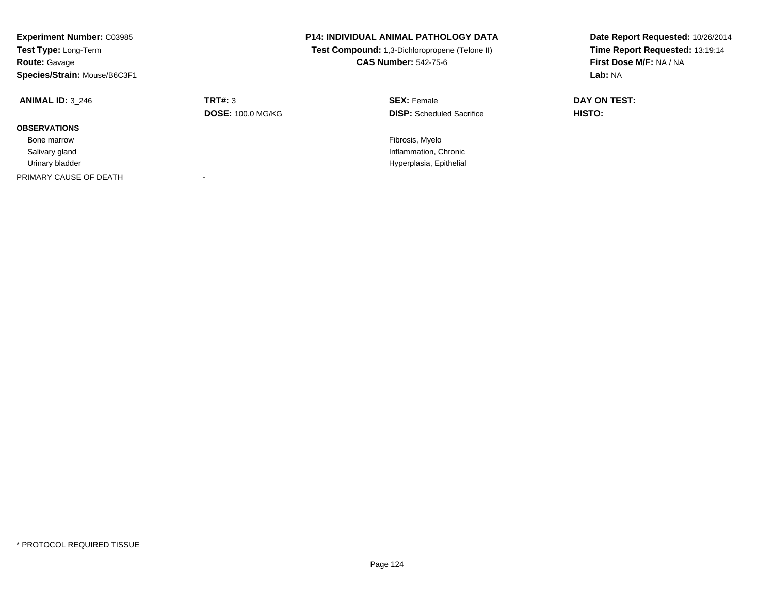| <b>Experiment Number: C03985</b><br>Test Type: Long-Term<br><b>Route: Gavage</b><br>Species/Strain: Mouse/B6C3F1 |                          | <b>P14: INDIVIDUAL ANIMAL PATHOLOGY DATA</b><br>Test Compound: 1,3-Dichloropropene (Telone II)<br><b>CAS Number: 542-75-6</b> | Date Report Requested: 10/26/2014<br>Time Report Requested: 13:19:14<br>First Dose M/F: NA / NA<br>Lab: NA |
|------------------------------------------------------------------------------------------------------------------|--------------------------|-------------------------------------------------------------------------------------------------------------------------------|------------------------------------------------------------------------------------------------------------|
| <b>ANIMAL ID: 3 246</b>                                                                                          | TRT#: 3                  | <b>SEX:</b> Female                                                                                                            | DAY ON TEST:                                                                                               |
|                                                                                                                  | <b>DOSE: 100.0 MG/KG</b> | <b>DISP:</b> Scheduled Sacrifice                                                                                              | HISTO:                                                                                                     |
| <b>OBSERVATIONS</b>                                                                                              |                          |                                                                                                                               |                                                                                                            |
| Bone marrow                                                                                                      |                          | Fibrosis, Myelo                                                                                                               |                                                                                                            |
| Salivary gland                                                                                                   |                          | Inflammation, Chronic                                                                                                         |                                                                                                            |
| Urinary bladder                                                                                                  |                          | Hyperplasia, Epithelial                                                                                                       |                                                                                                            |
| PRIMARY CAUSE OF DEATH                                                                                           |                          |                                                                                                                               |                                                                                                            |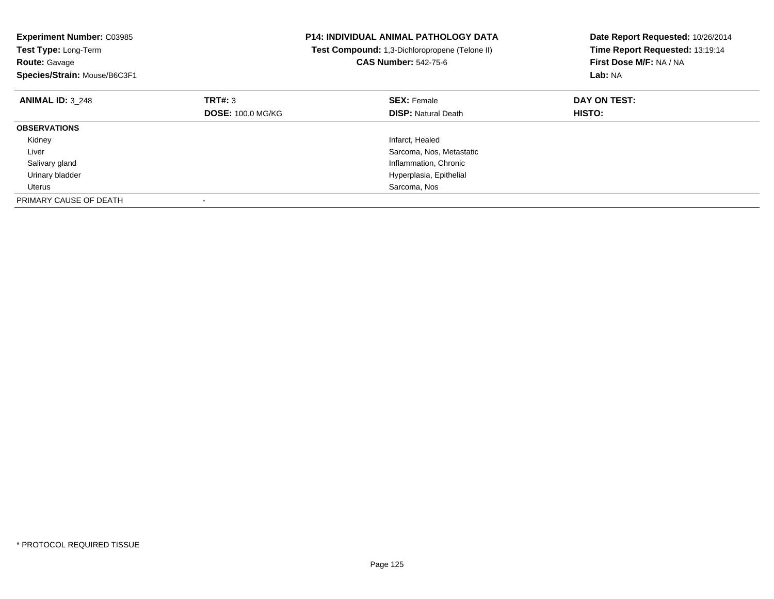| <b>Experiment Number: C03985</b><br>Test Type: Long-Term<br><b>Route: Gavage</b><br>Species/Strain: Mouse/B6C3F1 |                          | <b>P14: INDIVIDUAL ANIMAL PATHOLOGY DATA</b><br>Test Compound: 1,3-Dichloropropene (Telone II)<br><b>CAS Number: 542-75-6</b> | Date Report Requested: 10/26/2014<br>Time Report Requested: 13:19:14<br>First Dose M/F: NA / NA<br>Lab: NA |
|------------------------------------------------------------------------------------------------------------------|--------------------------|-------------------------------------------------------------------------------------------------------------------------------|------------------------------------------------------------------------------------------------------------|
| <b>ANIMAL ID: 3 248</b>                                                                                          | TRT#: 3                  | <b>SEX: Female</b>                                                                                                            | DAY ON TEST:                                                                                               |
|                                                                                                                  | <b>DOSE: 100.0 MG/KG</b> | <b>DISP:</b> Natural Death                                                                                                    | <b>HISTO:</b>                                                                                              |
| <b>OBSERVATIONS</b>                                                                                              |                          |                                                                                                                               |                                                                                                            |
| Kidney                                                                                                           |                          | Infarct, Healed                                                                                                               |                                                                                                            |
| Liver                                                                                                            |                          | Sarcoma, Nos, Metastatic                                                                                                      |                                                                                                            |
| Salivary gland                                                                                                   |                          | Inflammation, Chronic                                                                                                         |                                                                                                            |
| Urinary bladder                                                                                                  |                          | Hyperplasia, Epithelial                                                                                                       |                                                                                                            |
| Uterus                                                                                                           |                          | Sarcoma, Nos                                                                                                                  |                                                                                                            |
| PRIMARY CAUSE OF DEATH                                                                                           |                          |                                                                                                                               |                                                                                                            |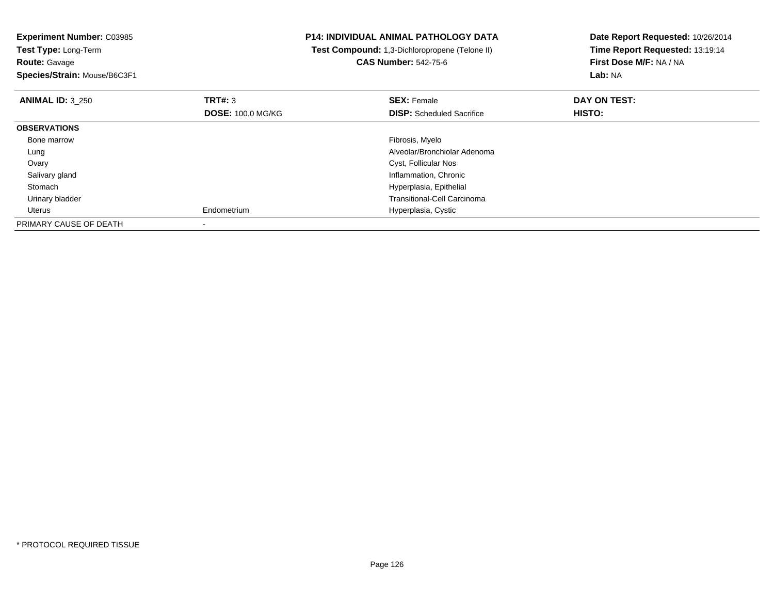| <b>Experiment Number: C03985</b><br>Test Type: Long-Term<br><b>Route: Gavage</b><br>Species/Strain: Mouse/B6C3F1 |                          | <b>P14: INDIVIDUAL ANIMAL PATHOLOGY DATA</b><br>Test Compound: 1,3-Dichloropropene (Telone II)<br><b>CAS Number: 542-75-6</b> | Date Report Requested: 10/26/2014<br>Time Report Requested: 13:19:14<br>First Dose M/F: NA / NA<br>Lab: NA |
|------------------------------------------------------------------------------------------------------------------|--------------------------|-------------------------------------------------------------------------------------------------------------------------------|------------------------------------------------------------------------------------------------------------|
| <b>ANIMAL ID: 3 250</b>                                                                                          | <b>TRT#: 3</b>           | <b>SEX: Female</b>                                                                                                            | DAY ON TEST:                                                                                               |
|                                                                                                                  | <b>DOSE: 100.0 MG/KG</b> | <b>DISP:</b> Scheduled Sacrifice                                                                                              | HISTO:                                                                                                     |
| <b>OBSERVATIONS</b>                                                                                              |                          |                                                                                                                               |                                                                                                            |
| Bone marrow                                                                                                      |                          | Fibrosis, Myelo                                                                                                               |                                                                                                            |
| Lung                                                                                                             |                          | Alveolar/Bronchiolar Adenoma                                                                                                  |                                                                                                            |
| Ovary                                                                                                            |                          | Cyst, Follicular Nos                                                                                                          |                                                                                                            |
| Salivary gland                                                                                                   |                          | Inflammation, Chronic                                                                                                         |                                                                                                            |
| Stomach                                                                                                          |                          | Hyperplasia, Epithelial                                                                                                       |                                                                                                            |
| Urinary bladder                                                                                                  |                          | <b>Transitional-Cell Carcinoma</b>                                                                                            |                                                                                                            |
| Uterus                                                                                                           | Endometrium              | Hyperplasia, Cystic                                                                                                           |                                                                                                            |
| PRIMARY CAUSE OF DEATH                                                                                           |                          |                                                                                                                               |                                                                                                            |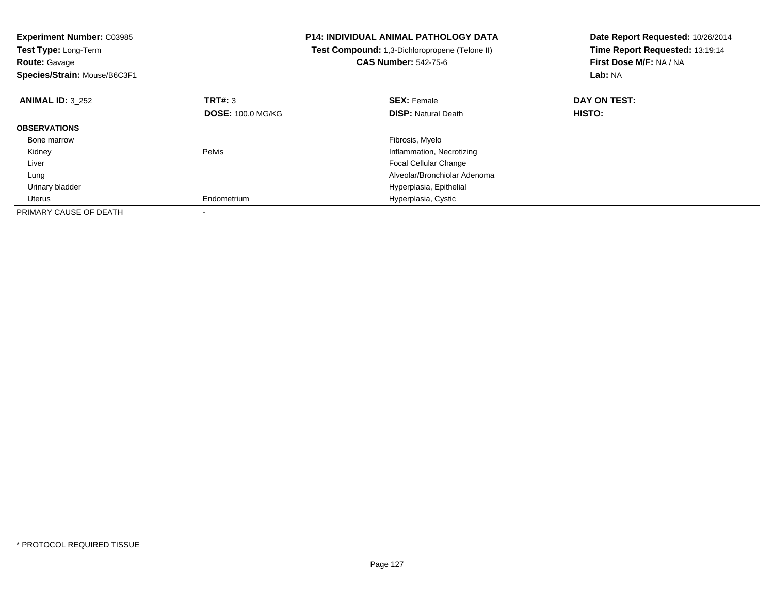| <b>Experiment Number: C03985</b><br>Test Type: Long-Term<br><b>Route: Gavage</b><br>Species/Strain: Mouse/B6C3F1 |                          | <b>P14: INDIVIDUAL ANIMAL PATHOLOGY DATA</b><br>Test Compound: 1,3-Dichloropropene (Telone II)<br><b>CAS Number: 542-75-6</b> | Date Report Requested: 10/26/2014<br>Time Report Requested: 13:19:14<br>First Dose M/F: NA / NA<br>Lab: NA |
|------------------------------------------------------------------------------------------------------------------|--------------------------|-------------------------------------------------------------------------------------------------------------------------------|------------------------------------------------------------------------------------------------------------|
| <b>ANIMAL ID: 3 252</b>                                                                                          | <b>TRT#: 3</b>           | <b>SEX: Female</b>                                                                                                            | DAY ON TEST:                                                                                               |
|                                                                                                                  | <b>DOSE: 100.0 MG/KG</b> | <b>DISP:</b> Natural Death                                                                                                    | <b>HISTO:</b>                                                                                              |
| <b>OBSERVATIONS</b>                                                                                              |                          |                                                                                                                               |                                                                                                            |
| Bone marrow                                                                                                      |                          | Fibrosis, Myelo                                                                                                               |                                                                                                            |
| Kidney                                                                                                           | Pelvis                   | Inflammation, Necrotizing                                                                                                     |                                                                                                            |
| Liver                                                                                                            |                          | <b>Focal Cellular Change</b>                                                                                                  |                                                                                                            |
| Lung                                                                                                             |                          | Alveolar/Bronchiolar Adenoma                                                                                                  |                                                                                                            |
| Urinary bladder                                                                                                  |                          | Hyperplasia, Epithelial                                                                                                       |                                                                                                            |
| Uterus                                                                                                           | Endometrium              | Hyperplasia, Cystic                                                                                                           |                                                                                                            |
| PRIMARY CAUSE OF DEATH                                                                                           |                          |                                                                                                                               |                                                                                                            |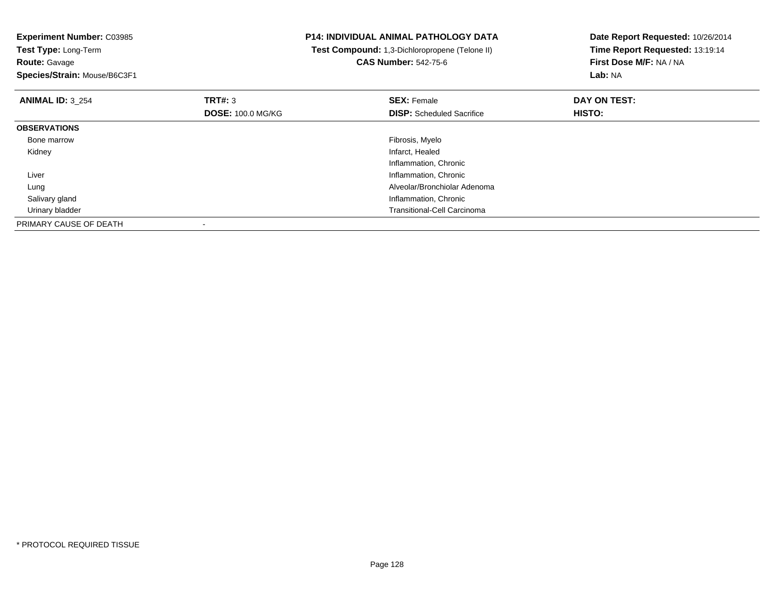**Experiment Number:** C03985**Test Type:** Long-Term**Route:** Gavage **Species/Strain:** Mouse/B6C3F1**P14: INDIVIDUAL ANIMAL PATHOLOGY DATA Test Compound:** 1,3-Dichloropropene (Telone II)**CAS Number:** 542-75-6**Date Report Requested:** 10/26/2014**Time Report Requested:** 13:19:14**First Dose M/F:** NA / NA**Lab:** NA**ANIMAL ID:** 3\_254**TRT#:** 3 **SEX:** Female **DAY ON TEST: DOSE:** 100.0 MG/KG**DISP:** Scheduled Sacrifice **HISTO: OBSERVATIONS** Bone marroww which is a state of the state of the state of the state of the state of the Fibrosis, Myelo state of the state of the state of the state of the state of the state of the state of the state of the state of the state of th Kidneyy which is a state of the control of the control of the control of the control of the control of the control of the control of the control of the control of the control of the control of the control of the control of the c Inflammation, Chronic**Inflammation, Chronic Chronic Chronic Chronic Chronic Chronic Chronic Chronic Chronic Chronic Chronic Chronic Chronic Chronic Chronic Chronic Chronic Chronic Chronic Chronic Chronic Chronic Chronic Chronic Chronic Chronic**  Liver Alveolar/Bronchiolar Adenoma Lung Salivary gland Inflammation, Chronic Urinary bladder Transitional-Cell CarcinomaPRIMARY CAUSE OF DEATH-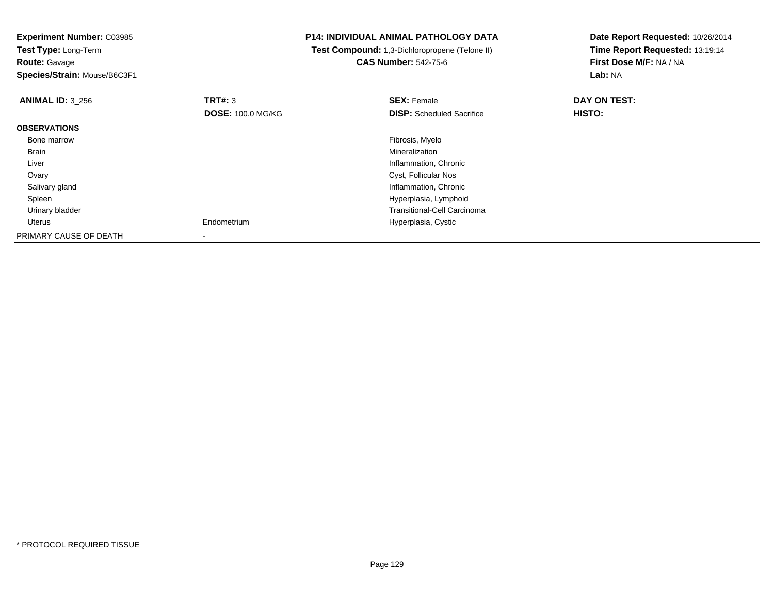**Route:** Gavage

**Species/Strain:** Mouse/B6C3F1

## **P14: INDIVIDUAL ANIMAL PATHOLOGY DATA**

 **Test Compound:** 1,3-Dichloropropene (Telone II)**CAS Number:** 542-75-6

| <b>ANIMAL ID: 3 256</b> | TRT#: 3                  | <b>SEX: Female</b>                 | DAY ON TEST:  |  |
|-------------------------|--------------------------|------------------------------------|---------------|--|
|                         | <b>DOSE: 100.0 MG/KG</b> | <b>DISP:</b> Scheduled Sacrifice   | <b>HISTO:</b> |  |
| <b>OBSERVATIONS</b>     |                          |                                    |               |  |
| Bone marrow             |                          | Fibrosis, Myelo                    |               |  |
| Brain                   |                          | Mineralization                     |               |  |
| Liver                   |                          | Inflammation, Chronic              |               |  |
| Ovary                   |                          | Cyst, Follicular Nos               |               |  |
| Salivary gland          |                          | Inflammation, Chronic              |               |  |
| Spleen                  |                          | Hyperplasia, Lymphoid              |               |  |
| Urinary bladder         |                          | <b>Transitional-Cell Carcinoma</b> |               |  |
| Uterus                  | Endometrium              | Hyperplasia, Cystic                |               |  |
| PRIMARY CAUSE OF DEATH  |                          |                                    |               |  |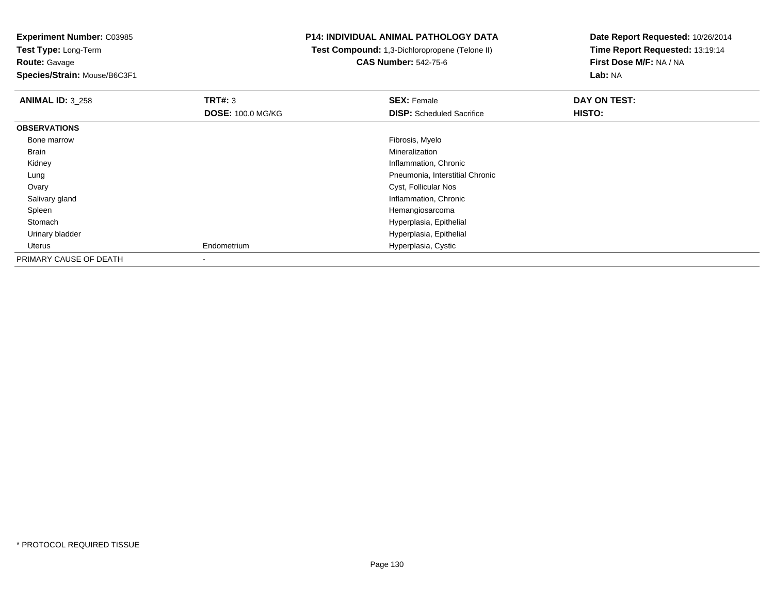**Route:** Gavage

**Species/Strain:** Mouse/B6C3F1

## **P14: INDIVIDUAL ANIMAL PATHOLOGY DATA**

 **Test Compound:** 1,3-Dichloropropene (Telone II)**CAS Number:** 542-75-6

| <b>ANIMAL ID: 3 258</b> | TRT#: 3                  | <b>SEX: Female</b>               | DAY ON TEST: |
|-------------------------|--------------------------|----------------------------------|--------------|
|                         | <b>DOSE: 100.0 MG/KG</b> | <b>DISP:</b> Scheduled Sacrifice | HISTO:       |
| <b>OBSERVATIONS</b>     |                          |                                  |              |
| Bone marrow             |                          | Fibrosis, Myelo                  |              |
| Brain                   |                          | Mineralization                   |              |
| Kidney                  |                          | Inflammation, Chronic            |              |
| Lung                    |                          | Pneumonia, Interstitial Chronic  |              |
| Ovary                   |                          | Cyst, Follicular Nos             |              |
| Salivary gland          |                          | Inflammation, Chronic            |              |
| Spleen                  |                          | Hemangiosarcoma                  |              |
| Stomach                 |                          | Hyperplasia, Epithelial          |              |
| Urinary bladder         |                          | Hyperplasia, Epithelial          |              |
| Uterus                  | Endometrium              | Hyperplasia, Cystic              |              |
| PRIMARY CAUSE OF DEATH  |                          |                                  |              |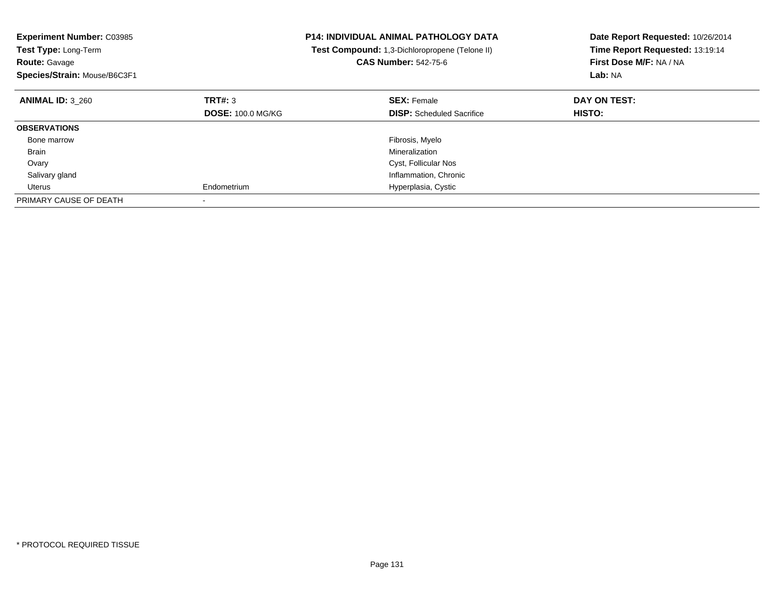| <b>Experiment Number: C03985</b><br><b>Test Type: Long-Term</b><br><b>Route: Gavage</b><br>Species/Strain: Mouse/B6C3F1 |                          | <b>P14: INDIVIDUAL ANIMAL PATHOLOGY DATA</b><br>Test Compound: 1,3-Dichloropropene (Telone II)<br><b>CAS Number: 542-75-6</b> | Date Report Requested: 10/26/2014<br>Time Report Requested: 13:19:14<br>First Dose M/F: NA / NA<br>Lab: NA |
|-------------------------------------------------------------------------------------------------------------------------|--------------------------|-------------------------------------------------------------------------------------------------------------------------------|------------------------------------------------------------------------------------------------------------|
| <b>ANIMAL ID: 3 260</b>                                                                                                 | TRT#: 3                  | <b>SEX: Female</b>                                                                                                            | DAY ON TEST:                                                                                               |
|                                                                                                                         | <b>DOSE: 100.0 MG/KG</b> | <b>DISP:</b> Scheduled Sacrifice                                                                                              | <b>HISTO:</b>                                                                                              |
| <b>OBSERVATIONS</b>                                                                                                     |                          |                                                                                                                               |                                                                                                            |
| Bone marrow                                                                                                             |                          | Fibrosis, Myelo                                                                                                               |                                                                                                            |
| Brain                                                                                                                   |                          | Mineralization                                                                                                                |                                                                                                            |
| Ovary                                                                                                                   |                          | Cyst, Follicular Nos                                                                                                          |                                                                                                            |
| Salivary gland                                                                                                          |                          | Inflammation, Chronic                                                                                                         |                                                                                                            |
| Uterus                                                                                                                  | Endometrium              | Hyperplasia, Cystic                                                                                                           |                                                                                                            |
| PRIMARY CAUSE OF DEATH                                                                                                  |                          |                                                                                                                               |                                                                                                            |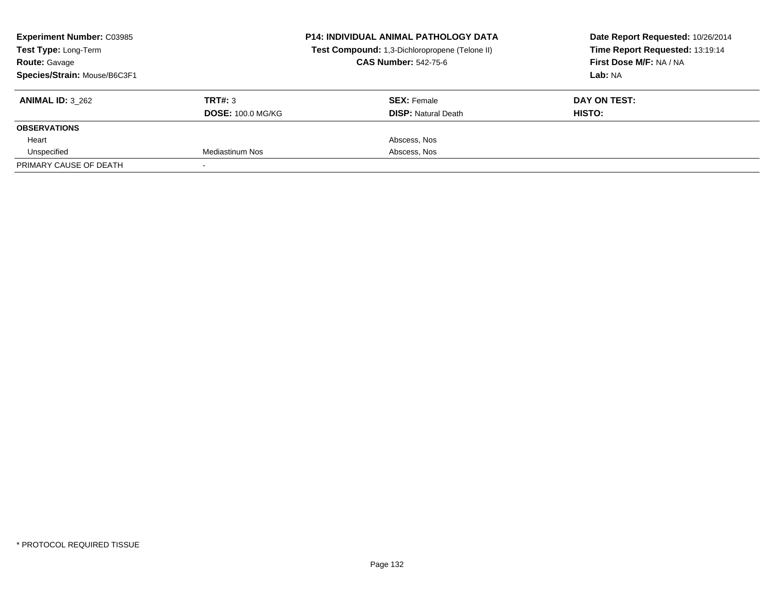| <b>Experiment Number: C03985</b><br>Test Type: Long-Term<br><b>Route: Gavage</b><br>Species/Strain: Mouse/B6C3F1 |                                     | <b>P14: INDIVIDUAL ANIMAL PATHOLOGY DATA</b><br>Test Compound: 1,3-Dichloropropene (Telone II)<br><b>CAS Number: 542-75-6</b> | Date Report Requested: 10/26/2014<br>Time Report Requested: 13:19:14<br>First Dose M/F: NA / NA<br>Lab: NA |
|------------------------------------------------------------------------------------------------------------------|-------------------------------------|-------------------------------------------------------------------------------------------------------------------------------|------------------------------------------------------------------------------------------------------------|
| <b>ANIMAL ID: 3 262</b>                                                                                          | TRT#: 3<br><b>DOSE: 100.0 MG/KG</b> | <b>SEX:</b> Female<br><b>DISP:</b> Natural Death                                                                              | DAY ON TEST:<br>HISTO:                                                                                     |
| <b>OBSERVATIONS</b>                                                                                              |                                     |                                                                                                                               |                                                                                                            |
| Heart                                                                                                            |                                     | Abscess, Nos                                                                                                                  |                                                                                                            |
| Unspecified                                                                                                      | Mediastinum Nos                     | Abscess, Nos                                                                                                                  |                                                                                                            |
| PRIMARY CAUSE OF DEATH                                                                                           |                                     |                                                                                                                               |                                                                                                            |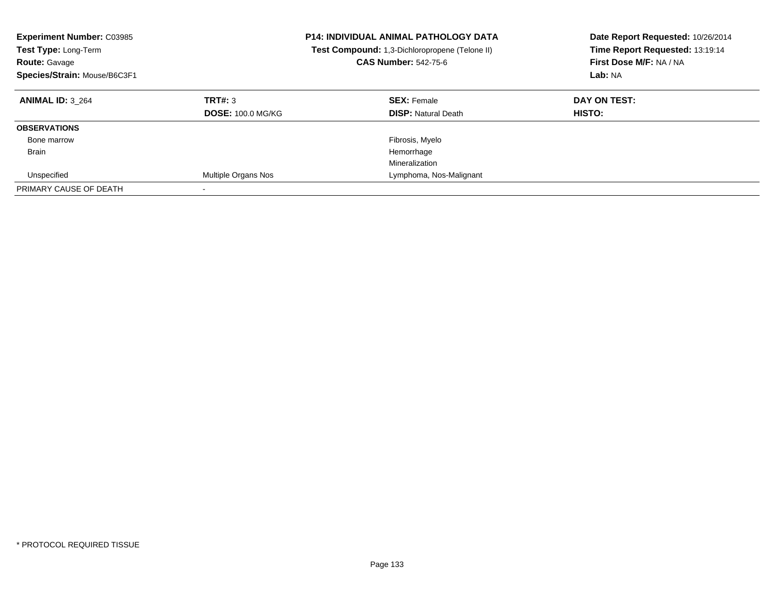| <b>Experiment Number: C03985</b><br><b>Test Type: Long-Term</b><br><b>Route: Gavage</b><br>Species/Strain: Mouse/B6C3F1 | <b>P14: INDIVIDUAL ANIMAL PATHOLOGY DATA</b><br>Test Compound: 1,3-Dichloropropene (Telone II)<br><b>CAS Number: 542-75-6</b> |                                                  | Date Report Requested: 10/26/2014<br>Time Report Requested: 13:19:14<br>First Dose M/F: NA / NA<br>Lab: NA |
|-------------------------------------------------------------------------------------------------------------------------|-------------------------------------------------------------------------------------------------------------------------------|--------------------------------------------------|------------------------------------------------------------------------------------------------------------|
| <b>ANIMAL ID: 3 264</b>                                                                                                 | TRT#: 3<br><b>DOSE: 100.0 MG/KG</b>                                                                                           | <b>SEX: Female</b><br><b>DISP:</b> Natural Death | DAY ON TEST:<br>HISTO:                                                                                     |
| <b>OBSERVATIONS</b>                                                                                                     |                                                                                                                               |                                                  |                                                                                                            |
| Bone marrow                                                                                                             |                                                                                                                               | Fibrosis, Myelo                                  |                                                                                                            |
| <b>Brain</b>                                                                                                            |                                                                                                                               | Hemorrhage                                       |                                                                                                            |
|                                                                                                                         |                                                                                                                               | Mineralization                                   |                                                                                                            |
| Unspecified                                                                                                             | Multiple Organs Nos                                                                                                           | Lymphoma, Nos-Malignant                          |                                                                                                            |
| PRIMARY CAUSE OF DEATH                                                                                                  |                                                                                                                               |                                                  |                                                                                                            |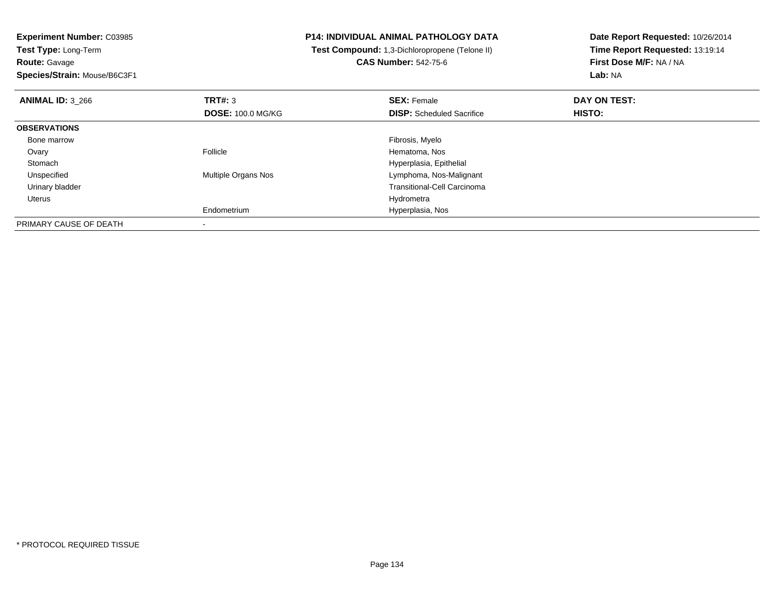**Experiment Number:** C03985**Test Type:** Long-Term**Route:** Gavage

**Species/Strain:** Mouse/B6C3F1

## **P14: INDIVIDUAL ANIMAL PATHOLOGY DATA**

 **Test Compound:** 1,3-Dichloropropene (Telone II)**CAS Number:** 542-75-6

| <b>ANIMAL ID: 3 266</b> | TRT#: 3<br><b>DOSE: 100.0 MG/KG</b> | <b>SEX: Female</b><br><b>DISP:</b> Scheduled Sacrifice | DAY ON TEST:<br><b>HISTO:</b> |  |
|-------------------------|-------------------------------------|--------------------------------------------------------|-------------------------------|--|
| <b>OBSERVATIONS</b>     |                                     |                                                        |                               |  |
| Bone marrow             |                                     | Fibrosis, Myelo                                        |                               |  |
| Ovary                   | Follicle                            | Hematoma, Nos                                          |                               |  |
| Stomach                 |                                     | Hyperplasia, Epithelial                                |                               |  |
| Unspecified             | Multiple Organs Nos                 | Lymphoma, Nos-Malignant                                |                               |  |
| Urinary bladder         |                                     | <b>Transitional-Cell Carcinoma</b>                     |                               |  |
| Uterus                  |                                     | Hydrometra                                             |                               |  |
|                         | Endometrium                         | Hyperplasia, Nos                                       |                               |  |
| PRIMARY CAUSE OF DEATH  |                                     |                                                        |                               |  |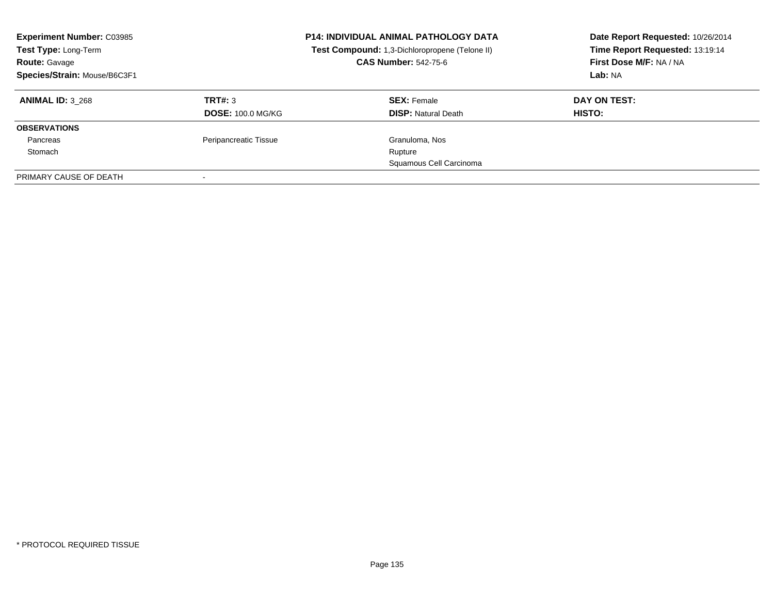| <b>Experiment Number: C03985</b><br>Test Type: Long-Term<br><b>Route: Gavage</b><br>Species/Strain: Mouse/B6C3F1 |                          | <b>P14: INDIVIDUAL ANIMAL PATHOLOGY DATA</b><br>Test Compound: 1,3-Dichloropropene (Telone II)<br><b>CAS Number: 542-75-6</b> | Date Report Requested: 10/26/2014<br>Time Report Requested: 13:19:14<br>First Dose M/F: NA / NA<br>Lab: NA |
|------------------------------------------------------------------------------------------------------------------|--------------------------|-------------------------------------------------------------------------------------------------------------------------------|------------------------------------------------------------------------------------------------------------|
| <b>ANIMAL ID: 3 268</b>                                                                                          | TRT#: 3                  | <b>SEX: Female</b>                                                                                                            | DAY ON TEST:                                                                                               |
|                                                                                                                  | <b>DOSE: 100.0 MG/KG</b> | <b>DISP: Natural Death</b>                                                                                                    | HISTO:                                                                                                     |
| <b>OBSERVATIONS</b>                                                                                              |                          |                                                                                                                               |                                                                                                            |
| Pancreas                                                                                                         | Peripancreatic Tissue    | Granuloma, Nos                                                                                                                |                                                                                                            |
| Stomach                                                                                                          |                          | Rupture                                                                                                                       |                                                                                                            |
|                                                                                                                  |                          | Squamous Cell Carcinoma                                                                                                       |                                                                                                            |
| PRIMARY CAUSE OF DEATH                                                                                           | -                        |                                                                                                                               |                                                                                                            |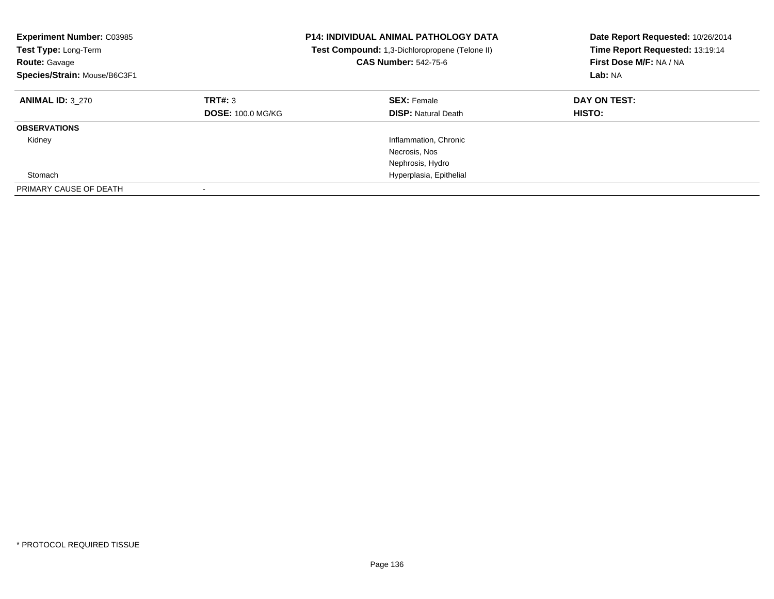| <b>Experiment Number: C03985</b><br><b>Test Type: Long-Term</b><br><b>Route: Gavage</b><br>Species/Strain: Mouse/B6C3F1 |                                     | <b>P14: INDIVIDUAL ANIMAL PATHOLOGY DATA</b><br><b>Test Compound:</b> 1,3-Dichloropropene (Telone II)<br><b>CAS Number: 542-75-6</b> | Date Report Requested: 10/26/2014<br>Time Report Requested: 13:19:14<br>First Dose M/F: NA / NA<br>Lab: NA |
|-------------------------------------------------------------------------------------------------------------------------|-------------------------------------|--------------------------------------------------------------------------------------------------------------------------------------|------------------------------------------------------------------------------------------------------------|
| <b>ANIMAL ID: 3 270</b>                                                                                                 | TRT#: 3<br><b>DOSE: 100.0 MG/KG</b> | <b>SEX: Female</b><br><b>DISP: Natural Death</b>                                                                                     | DAY ON TEST:<br><b>HISTO:</b>                                                                              |
| <b>OBSERVATIONS</b>                                                                                                     |                                     |                                                                                                                                      |                                                                                                            |
| Kidney                                                                                                                  |                                     | Inflammation, Chronic<br>Necrosis, Nos                                                                                               |                                                                                                            |
|                                                                                                                         |                                     | Nephrosis, Hydro                                                                                                                     |                                                                                                            |
| Stomach                                                                                                                 |                                     | Hyperplasia, Epithelial                                                                                                              |                                                                                                            |
| PRIMARY CAUSE OF DEATH                                                                                                  | $\overline{\phantom{a}}$            |                                                                                                                                      |                                                                                                            |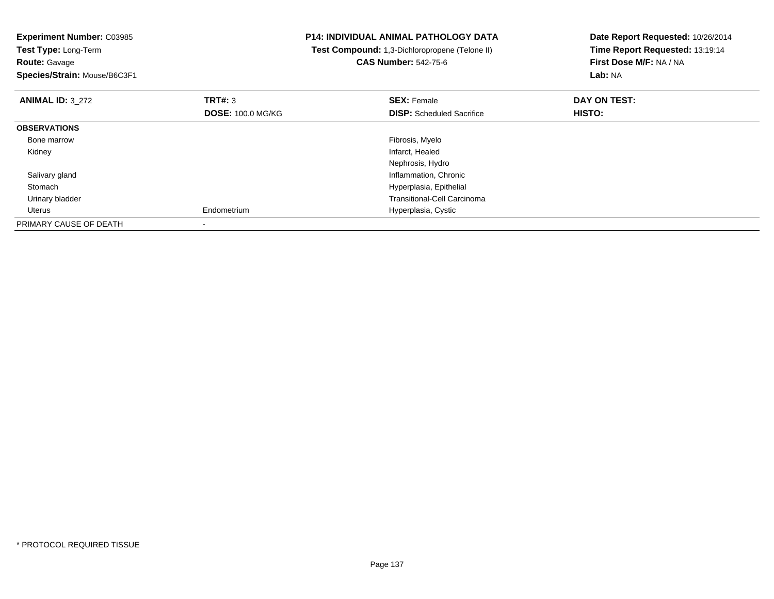| <b>Experiment Number: C03985</b><br>Test Type: Long-Term<br><b>Route: Gavage</b><br>Species/Strain: Mouse/B6C3F1 |                                            | <b>P14: INDIVIDUAL ANIMAL PATHOLOGY DATA</b><br>Test Compound: 1,3-Dichloropropene (Telone II)<br><b>CAS Number: 542-75-6</b> | Date Report Requested: 10/26/2014<br>Time Report Requested: 13:19:14<br>First Dose M/F: NA / NA<br>Lab: NA |
|------------------------------------------------------------------------------------------------------------------|--------------------------------------------|-------------------------------------------------------------------------------------------------------------------------------|------------------------------------------------------------------------------------------------------------|
| <b>ANIMAL ID: 3 272</b>                                                                                          | <b>TRT#: 3</b><br><b>DOSE: 100.0 MG/KG</b> | <b>SEX: Female</b><br><b>DISP:</b> Scheduled Sacrifice                                                                        | DAY ON TEST:<br>HISTO:                                                                                     |
| <b>OBSERVATIONS</b>                                                                                              |                                            |                                                                                                                               |                                                                                                            |
| Bone marrow                                                                                                      |                                            | Fibrosis, Myelo                                                                                                               |                                                                                                            |
| Kidney                                                                                                           |                                            | Infarct, Healed                                                                                                               |                                                                                                            |
|                                                                                                                  |                                            | Nephrosis, Hydro                                                                                                              |                                                                                                            |
| Salivary gland                                                                                                   |                                            | Inflammation, Chronic                                                                                                         |                                                                                                            |
| Stomach                                                                                                          |                                            | Hyperplasia, Epithelial                                                                                                       |                                                                                                            |
| Urinary bladder                                                                                                  |                                            | <b>Transitional-Cell Carcinoma</b>                                                                                            |                                                                                                            |
| Uterus                                                                                                           | Endometrium                                | Hyperplasia, Cystic                                                                                                           |                                                                                                            |
| PRIMARY CAUSE OF DEATH                                                                                           |                                            |                                                                                                                               |                                                                                                            |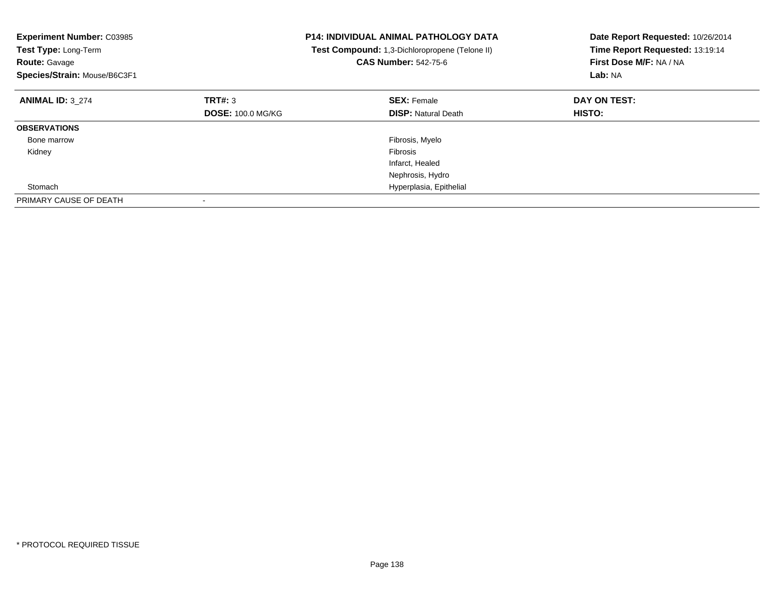| <b>Experiment Number: C03985</b><br>Test Type: Long-Term<br><b>Route: Gavage</b><br>Species/Strain: Mouse/B6C3F1 |                          | <b>P14: INDIVIDUAL ANIMAL PATHOLOGY DATA</b><br>Test Compound: 1,3-Dichloropropene (Telone II)<br><b>CAS Number: 542-75-6</b> | Date Report Requested: 10/26/2014<br>Time Report Requested: 13:19:14<br>First Dose M/F: NA / NA<br>Lab: NA |
|------------------------------------------------------------------------------------------------------------------|--------------------------|-------------------------------------------------------------------------------------------------------------------------------|------------------------------------------------------------------------------------------------------------|
| <b>ANIMAL ID: 3 274</b>                                                                                          | TRT#: 3                  | <b>SEX: Female</b>                                                                                                            | DAY ON TEST:                                                                                               |
|                                                                                                                  | <b>DOSE: 100.0 MG/KG</b> | <b>DISP:</b> Natural Death                                                                                                    | HISTO:                                                                                                     |
| <b>OBSERVATIONS</b>                                                                                              |                          |                                                                                                                               |                                                                                                            |
| Bone marrow                                                                                                      |                          | Fibrosis, Myelo                                                                                                               |                                                                                                            |
| Kidney                                                                                                           |                          | Fibrosis                                                                                                                      |                                                                                                            |
|                                                                                                                  |                          | Infarct, Healed                                                                                                               |                                                                                                            |
|                                                                                                                  |                          | Nephrosis, Hydro                                                                                                              |                                                                                                            |
| Stomach                                                                                                          |                          | Hyperplasia, Epithelial                                                                                                       |                                                                                                            |
| PRIMARY CAUSE OF DEATH                                                                                           |                          |                                                                                                                               |                                                                                                            |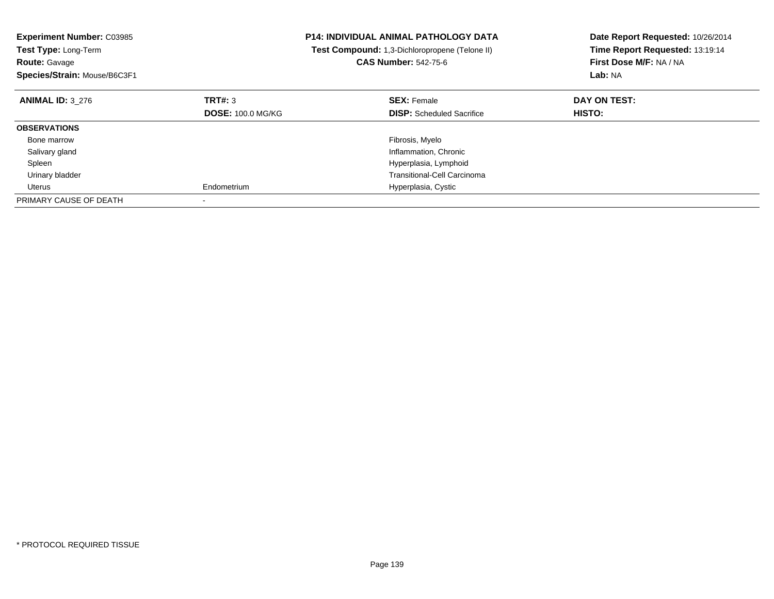| <b>Experiment Number: C03985</b><br>Test Type: Long-Term<br><b>Route: Gavage</b><br>Species/Strain: Mouse/B6C3F1 |                          | <b>P14: INDIVIDUAL ANIMAL PATHOLOGY DATA</b><br>Test Compound: 1,3-Dichloropropene (Telone II)<br><b>CAS Number: 542-75-6</b> | Date Report Requested: 10/26/2014<br>Time Report Requested: 13:19:14<br>First Dose M/F: NA / NA<br>Lab: NA |
|------------------------------------------------------------------------------------------------------------------|--------------------------|-------------------------------------------------------------------------------------------------------------------------------|------------------------------------------------------------------------------------------------------------|
| <b>ANIMAL ID: 3 276</b>                                                                                          | TRT#: 3                  | <b>SEX: Female</b>                                                                                                            | DAY ON TEST:                                                                                               |
|                                                                                                                  | <b>DOSE: 100.0 MG/KG</b> | <b>DISP:</b> Scheduled Sacrifice                                                                                              | <b>HISTO:</b>                                                                                              |
| <b>OBSERVATIONS</b>                                                                                              |                          |                                                                                                                               |                                                                                                            |
| Bone marrow                                                                                                      |                          | Fibrosis, Myelo                                                                                                               |                                                                                                            |
| Salivary gland                                                                                                   |                          | Inflammation, Chronic                                                                                                         |                                                                                                            |
| Spleen                                                                                                           |                          | Hyperplasia, Lymphoid                                                                                                         |                                                                                                            |
| Urinary bladder                                                                                                  |                          | <b>Transitional-Cell Carcinoma</b>                                                                                            |                                                                                                            |
| Uterus                                                                                                           | Endometrium              | Hyperplasia, Cystic                                                                                                           |                                                                                                            |
| PRIMARY CAUSE OF DEATH                                                                                           |                          |                                                                                                                               |                                                                                                            |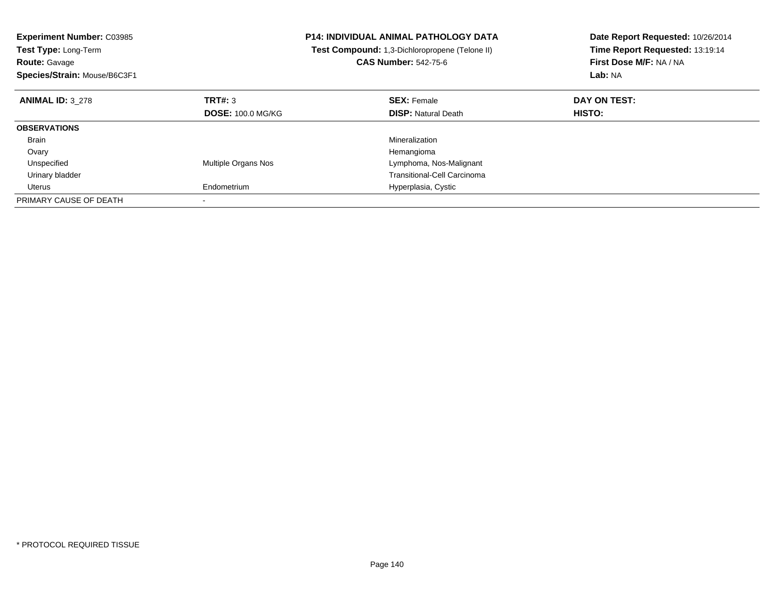| <b>Experiment Number: C03985</b><br>Test Type: Long-Term |                            | <b>P14: INDIVIDUAL ANIMAL PATHOLOGY DATA</b><br>Test Compound: 1,3-Dichloropropene (Telone II) | Date Report Requested: 10/26/2014<br>Time Report Requested: 13:19:14 |
|----------------------------------------------------------|----------------------------|------------------------------------------------------------------------------------------------|----------------------------------------------------------------------|
| <b>Route: Gavage</b>                                     |                            | <b>CAS Number: 542-75-6</b>                                                                    | First Dose M/F: NA / NA                                              |
| Species/Strain: Mouse/B6C3F1                             |                            |                                                                                                | Lab: NA                                                              |
| <b>ANIMAL ID: 3 278</b>                                  | TRT#: 3                    | <b>SEX: Female</b>                                                                             | DAY ON TEST:                                                         |
|                                                          | <b>DOSE: 100.0 MG/KG</b>   | <b>DISP: Natural Death</b>                                                                     | <b>HISTO:</b>                                                        |
| <b>OBSERVATIONS</b>                                      |                            |                                                                                                |                                                                      |
| Brain                                                    |                            | Mineralization                                                                                 |                                                                      |
| Ovary                                                    |                            | Hemangioma                                                                                     |                                                                      |
| Unspecified                                              | <b>Multiple Organs Nos</b> | Lymphoma, Nos-Malignant                                                                        |                                                                      |
| Urinary bladder                                          |                            | <b>Transitional-Cell Carcinoma</b>                                                             |                                                                      |
| Uterus                                                   | Endometrium                | Hyperplasia, Cystic                                                                            |                                                                      |
| PRIMARY CAUSE OF DEATH                                   |                            |                                                                                                |                                                                      |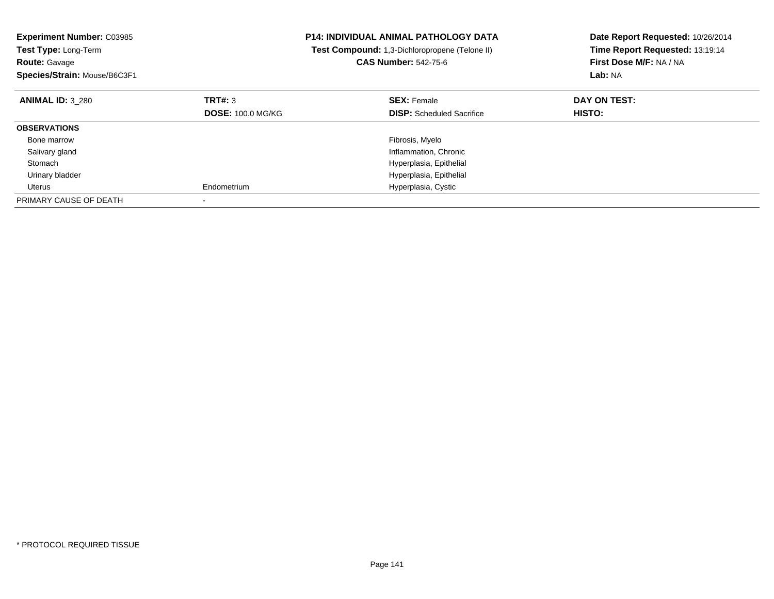| <b>Experiment Number: C03985</b><br>Test Type: Long-Term<br><b>Route: Gavage</b><br>Species/Strain: Mouse/B6C3F1 |                          | <b>P14: INDIVIDUAL ANIMAL PATHOLOGY DATA</b><br>Test Compound: 1,3-Dichloropropene (Telone II)<br><b>CAS Number: 542-75-6</b> | Date Report Requested: 10/26/2014<br>Time Report Requested: 13:19:14<br>First Dose M/F: NA / NA<br>Lab: NA |
|------------------------------------------------------------------------------------------------------------------|--------------------------|-------------------------------------------------------------------------------------------------------------------------------|------------------------------------------------------------------------------------------------------------|
| <b>ANIMAL ID: 3 280</b>                                                                                          | TRT#: 3                  | <b>SEX: Female</b>                                                                                                            | DAY ON TEST:                                                                                               |
|                                                                                                                  | <b>DOSE: 100.0 MG/KG</b> | <b>DISP:</b> Scheduled Sacrifice                                                                                              | <b>HISTO:</b>                                                                                              |
| <b>OBSERVATIONS</b>                                                                                              |                          |                                                                                                                               |                                                                                                            |
| Bone marrow                                                                                                      |                          | Fibrosis, Myelo                                                                                                               |                                                                                                            |
| Salivary gland                                                                                                   |                          | Inflammation, Chronic                                                                                                         |                                                                                                            |
| Stomach                                                                                                          |                          | Hyperplasia, Epithelial                                                                                                       |                                                                                                            |
| Urinary bladder                                                                                                  |                          | Hyperplasia, Epithelial                                                                                                       |                                                                                                            |
| Uterus                                                                                                           | Endometrium              | Hyperplasia, Cystic                                                                                                           |                                                                                                            |
| PRIMARY CAUSE OF DEATH                                                                                           |                          |                                                                                                                               |                                                                                                            |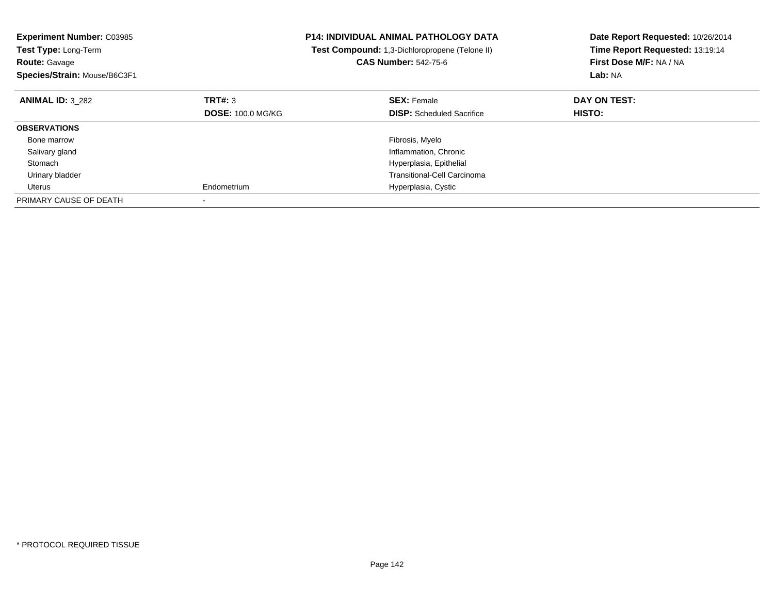| <b>Experiment Number: C03985</b><br><b>Test Type: Long-Term</b><br><b>Route: Gavage</b><br>Species/Strain: Mouse/B6C3F1 |                          | <b>P14: INDIVIDUAL ANIMAL PATHOLOGY DATA</b><br>Test Compound: 1,3-Dichloropropene (Telone II)<br><b>CAS Number: 542-75-6</b> | Date Report Requested: 10/26/2014<br>Time Report Requested: 13:19:14<br>First Dose M/F: NA / NA<br>Lab: NA |
|-------------------------------------------------------------------------------------------------------------------------|--------------------------|-------------------------------------------------------------------------------------------------------------------------------|------------------------------------------------------------------------------------------------------------|
| <b>ANIMAL ID: 3 282</b>                                                                                                 | TRT#: 3                  | <b>SEX: Female</b>                                                                                                            | DAY ON TEST:                                                                                               |
|                                                                                                                         | <b>DOSE: 100.0 MG/KG</b> | <b>DISP:</b> Scheduled Sacrifice                                                                                              | HISTO:                                                                                                     |
| <b>OBSERVATIONS</b>                                                                                                     |                          |                                                                                                                               |                                                                                                            |
| Bone marrow                                                                                                             |                          | Fibrosis, Myelo                                                                                                               |                                                                                                            |
| Salivary gland                                                                                                          |                          | Inflammation, Chronic                                                                                                         |                                                                                                            |
| Stomach                                                                                                                 |                          | Hyperplasia, Epithelial                                                                                                       |                                                                                                            |
| Urinary bladder                                                                                                         |                          | <b>Transitional-Cell Carcinoma</b>                                                                                            |                                                                                                            |
| Uterus                                                                                                                  | Endometrium              | Hyperplasia, Cystic                                                                                                           |                                                                                                            |
| PRIMARY CAUSE OF DEATH                                                                                                  |                          |                                                                                                                               |                                                                                                            |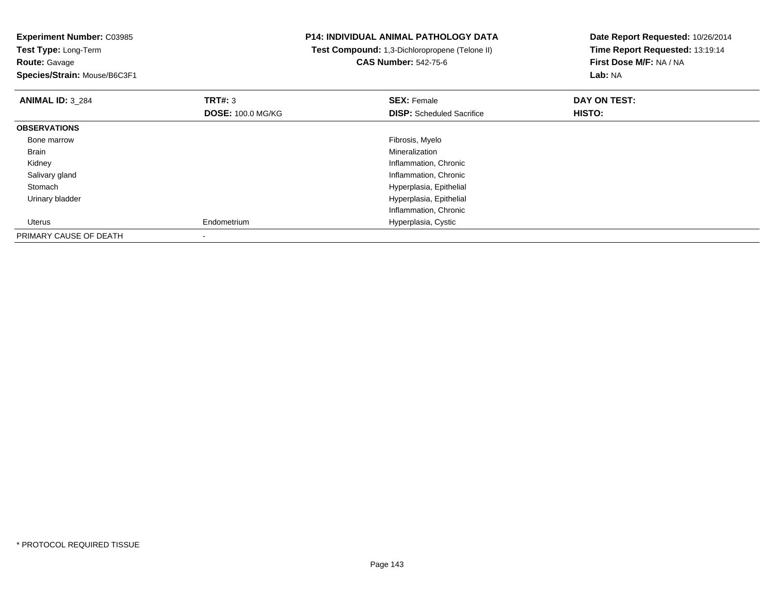**Experiment Number:** C03985**Test Type:** Long-Term**Route:** Gavage **Species/Strain:** Mouse/B6C3F1**P14: INDIVIDUAL ANIMAL PATHOLOGY DATA Test Compound:** 1,3-Dichloropropene (Telone II)**CAS Number:** 542-75-6**Date Report Requested:** 10/26/2014**Time Report Requested:** 13:19:14**First Dose M/F:** NA / NA**Lab:** NA**ANIMAL ID:** 3\_284**TRT#:** 3 **SEX:** Female **DAY ON TEST: DOSE:** 100.0 MG/KG**DISP:** Scheduled Sacrifice **HISTO: OBSERVATIONS** Bone marroww which is a state of the state of the state of the state of the state of the Fibrosis, Myelo state of the state of the state of the state of the state of the state of the state of the state of the state of the state of th Brainn and the control of the control of the control of the control of the control of the control of the control of the control of the control of the control of the control of the control of the control of the control of the co Kidney Inflammation, Chronic Salivary gland Inflammation, Chronic Stomach Hyperplasia, Epithelial Urinary bladder Hyperplasia, Epithelial Inflammation, Chronic Uterus Endometrium Hyperplasia, Cystic PRIMARY CAUSE OF DEATH-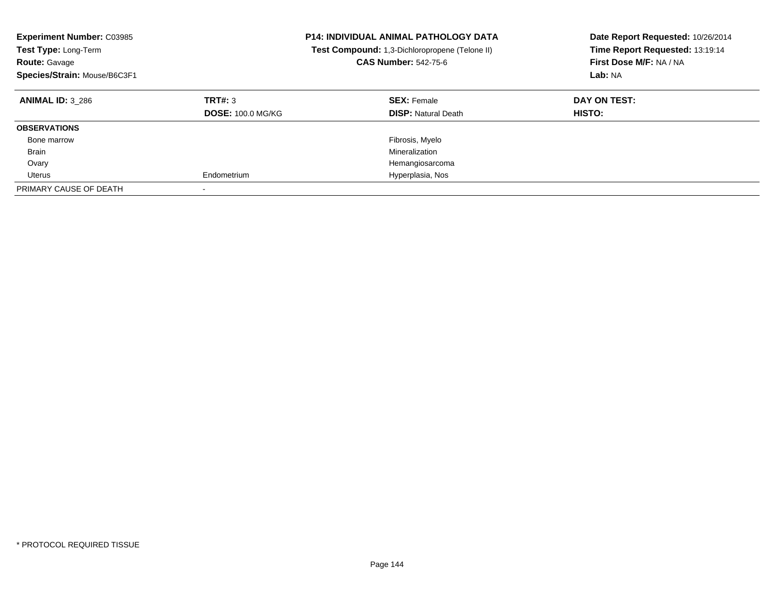| <b>Experiment Number: C03985</b><br>Test Type: Long-Term<br><b>Route: Gavage</b><br>Species/Strain: Mouse/B6C3F1 |                                     | <b>P14: INDIVIDUAL ANIMAL PATHOLOGY DATA</b><br><b>Test Compound:</b> 1,3-Dichloropropene (Telone II)<br><b>CAS Number: 542-75-6</b> | Date Report Requested: 10/26/2014<br>Time Report Requested: 13:19:14<br>First Dose M/F: NA / NA<br>Lab: NA |
|------------------------------------------------------------------------------------------------------------------|-------------------------------------|--------------------------------------------------------------------------------------------------------------------------------------|------------------------------------------------------------------------------------------------------------|
| <b>ANIMAL ID: 3 286</b>                                                                                          | TRT#: 3<br><b>DOSE: 100.0 MG/KG</b> | <b>SEX: Female</b><br><b>DISP:</b> Natural Death                                                                                     | DAY ON TEST:<br><b>HISTO:</b>                                                                              |
| <b>OBSERVATIONS</b>                                                                                              |                                     |                                                                                                                                      |                                                                                                            |
| Bone marrow                                                                                                      |                                     | Fibrosis, Myelo                                                                                                                      |                                                                                                            |
| <b>Brain</b>                                                                                                     |                                     | Mineralization                                                                                                                       |                                                                                                            |
| Ovary                                                                                                            |                                     | Hemangiosarcoma                                                                                                                      |                                                                                                            |
| Uterus                                                                                                           | Endometrium                         | Hyperplasia, Nos                                                                                                                     |                                                                                                            |
| PRIMARY CAUSE OF DEATH                                                                                           |                                     |                                                                                                                                      |                                                                                                            |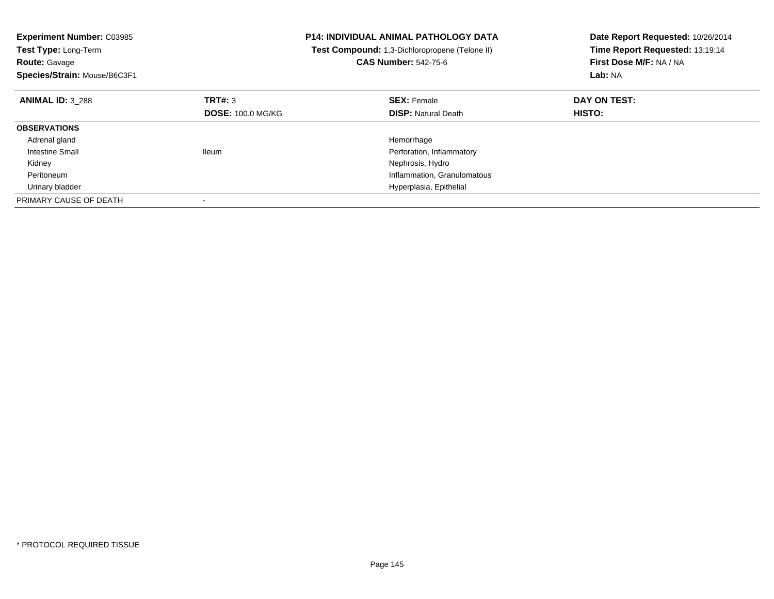| <b>Experiment Number: C03985</b><br>Test Type: Long-Term<br><b>Route: Gavage</b><br>Species/Strain: Mouse/B6C3F1 |                          | <b>P14: INDIVIDUAL ANIMAL PATHOLOGY DATA</b><br>Test Compound: 1,3-Dichloropropene (Telone II)<br><b>CAS Number: 542-75-6</b> | Date Report Requested: 10/26/2014<br>Time Report Requested: 13:19:14<br>First Dose M/F: NA / NA<br>Lab: NA |
|------------------------------------------------------------------------------------------------------------------|--------------------------|-------------------------------------------------------------------------------------------------------------------------------|------------------------------------------------------------------------------------------------------------|
| <b>ANIMAL ID: 3 288</b>                                                                                          | TRT#: 3                  | <b>SEX: Female</b>                                                                                                            | DAY ON TEST:                                                                                               |
|                                                                                                                  | <b>DOSE: 100.0 MG/KG</b> | <b>DISP: Natural Death</b>                                                                                                    | HISTO:                                                                                                     |
| <b>OBSERVATIONS</b>                                                                                              |                          |                                                                                                                               |                                                                                                            |
| Adrenal gland                                                                                                    |                          | Hemorrhage                                                                                                                    |                                                                                                            |
| Intestine Small                                                                                                  | <b>Ileum</b>             | Perforation, Inflammatory                                                                                                     |                                                                                                            |
| Kidney                                                                                                           |                          | Nephrosis, Hydro                                                                                                              |                                                                                                            |
| Peritoneum                                                                                                       |                          | Inflammation, Granulomatous                                                                                                   |                                                                                                            |
| Urinary bladder                                                                                                  |                          | Hyperplasia, Epithelial                                                                                                       |                                                                                                            |
| PRIMARY CAUSE OF DEATH                                                                                           |                          |                                                                                                                               |                                                                                                            |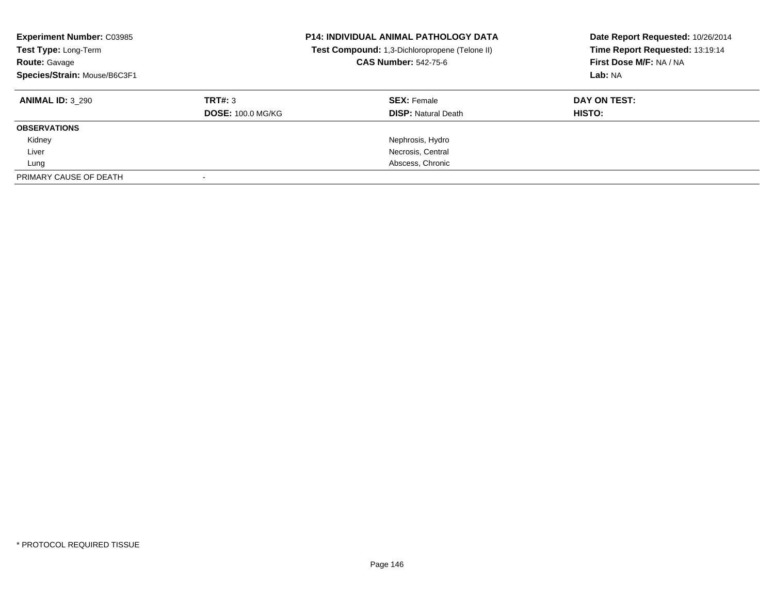| <b>Experiment Number: C03985</b><br>Test Type: Long-Term<br><b>Route: Gavage</b><br>Species/Strain: Mouse/B6C3F1 |                          | <b>P14: INDIVIDUAL ANIMAL PATHOLOGY DATA</b><br>Test Compound: 1,3-Dichloropropene (Telone II)<br><b>CAS Number: 542-75-6</b> | Date Report Requested: 10/26/2014<br>Time Report Requested: 13:19:14<br>First Dose M/F: NA / NA<br>Lab: NA |
|------------------------------------------------------------------------------------------------------------------|--------------------------|-------------------------------------------------------------------------------------------------------------------------------|------------------------------------------------------------------------------------------------------------|
| <b>ANIMAL ID: 3 290</b>                                                                                          | TRT#: 3                  | <b>SEX:</b> Female                                                                                                            | DAY ON TEST:                                                                                               |
|                                                                                                                  | <b>DOSE: 100.0 MG/KG</b> | <b>DISP:</b> Natural Death                                                                                                    | HISTO:                                                                                                     |
| <b>OBSERVATIONS</b>                                                                                              |                          |                                                                                                                               |                                                                                                            |
| Kidney                                                                                                           |                          | Nephrosis, Hydro                                                                                                              |                                                                                                            |
| Liver                                                                                                            |                          | Necrosis, Central                                                                                                             |                                                                                                            |
| Lung                                                                                                             |                          | Abscess, Chronic                                                                                                              |                                                                                                            |
| PRIMARY CAUSE OF DEATH                                                                                           |                          |                                                                                                                               |                                                                                                            |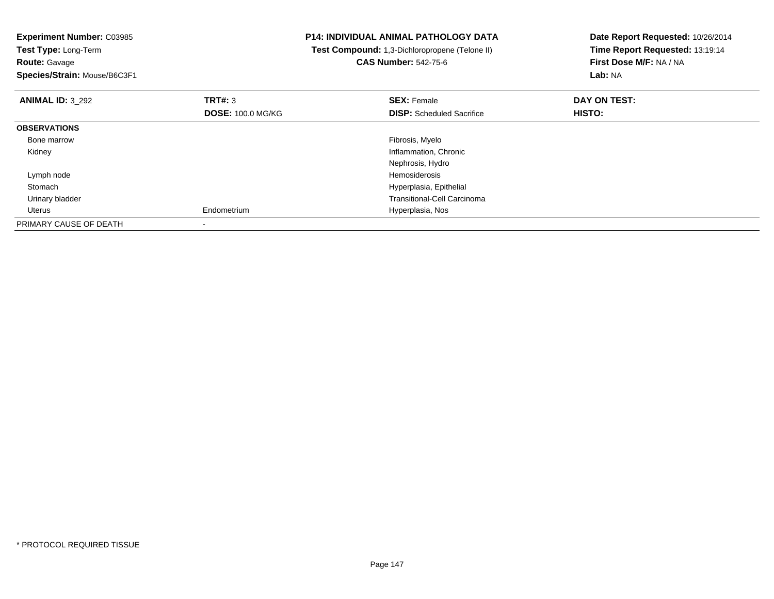| <b>Experiment Number: C03985</b><br>Test Type: Long-Term<br><b>Route: Gavage</b><br>Species/Strain: Mouse/B6C3F1 |                                     | <b>P14: INDIVIDUAL ANIMAL PATHOLOGY DATA</b><br>Test Compound: 1,3-Dichloropropene (Telone II)<br><b>CAS Number: 542-75-6</b> | Date Report Requested: 10/26/2014<br>Time Report Requested: 13:19:14<br>First Dose M/F: NA / NA<br>Lab: NA |
|------------------------------------------------------------------------------------------------------------------|-------------------------------------|-------------------------------------------------------------------------------------------------------------------------------|------------------------------------------------------------------------------------------------------------|
| <b>ANIMAL ID: 3 292</b>                                                                                          | TRT#: 3<br><b>DOSE: 100.0 MG/KG</b> | <b>SEX: Female</b><br><b>DISP:</b> Scheduled Sacrifice                                                                        | DAY ON TEST:<br>HISTO:                                                                                     |
| <b>OBSERVATIONS</b>                                                                                              |                                     |                                                                                                                               |                                                                                                            |
| Bone marrow                                                                                                      |                                     | Fibrosis, Myelo                                                                                                               |                                                                                                            |
| Kidney                                                                                                           |                                     | Inflammation, Chronic                                                                                                         |                                                                                                            |
|                                                                                                                  |                                     | Nephrosis, Hydro                                                                                                              |                                                                                                            |
| Lymph node                                                                                                       |                                     | <b>Hemosiderosis</b>                                                                                                          |                                                                                                            |
| Stomach                                                                                                          |                                     | Hyperplasia, Epithelial                                                                                                       |                                                                                                            |
| Urinary bladder                                                                                                  |                                     | <b>Transitional-Cell Carcinoma</b>                                                                                            |                                                                                                            |
| Uterus                                                                                                           | Endometrium                         | Hyperplasia, Nos                                                                                                              |                                                                                                            |
| PRIMARY CAUSE OF DEATH                                                                                           |                                     |                                                                                                                               |                                                                                                            |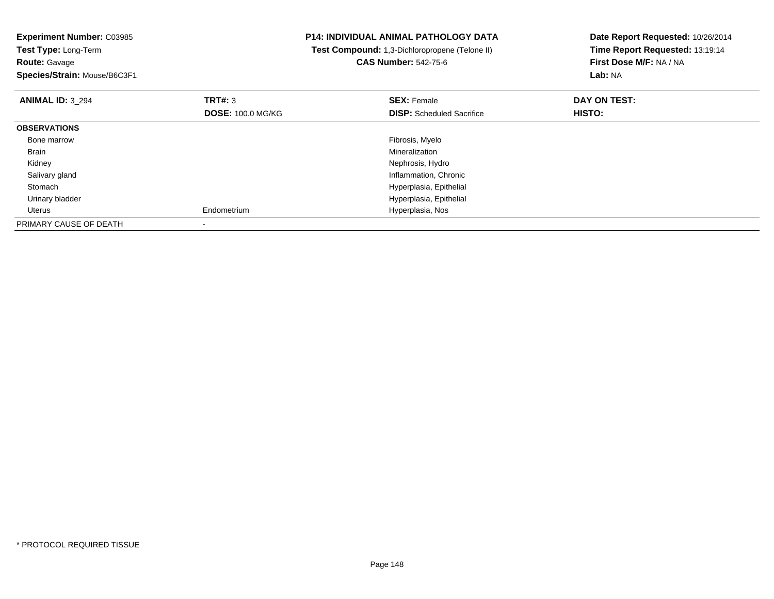| <b>Experiment Number: C03985</b><br>Test Type: Long-Term<br><b>Route: Gavage</b><br>Species/Strain: Mouse/B6C3F1 |                                            | <b>P14: INDIVIDUAL ANIMAL PATHOLOGY DATA</b><br>Test Compound: 1,3-Dichloropropene (Telone II)<br><b>CAS Number: 542-75-6</b> | Date Report Requested: 10/26/2014<br>Time Report Requested: 13:19:14<br>First Dose M/F: NA / NA<br>Lab: NA |
|------------------------------------------------------------------------------------------------------------------|--------------------------------------------|-------------------------------------------------------------------------------------------------------------------------------|------------------------------------------------------------------------------------------------------------|
| <b>ANIMAL ID: 3 294</b>                                                                                          | <b>TRT#:</b> 3<br><b>DOSE: 100.0 MG/KG</b> | <b>SEX: Female</b><br><b>DISP:</b> Scheduled Sacrifice                                                                        | DAY ON TEST:<br>HISTO:                                                                                     |
| <b>OBSERVATIONS</b>                                                                                              |                                            |                                                                                                                               |                                                                                                            |
| Bone marrow                                                                                                      |                                            | Fibrosis, Myelo                                                                                                               |                                                                                                            |
| Brain                                                                                                            |                                            | Mineralization                                                                                                                |                                                                                                            |
| Kidney                                                                                                           |                                            | Nephrosis, Hydro                                                                                                              |                                                                                                            |
| Salivary gland                                                                                                   |                                            | Inflammation, Chronic                                                                                                         |                                                                                                            |
| Stomach                                                                                                          |                                            | Hyperplasia, Epithelial                                                                                                       |                                                                                                            |
| Urinary bladder                                                                                                  |                                            | Hyperplasia, Epithelial                                                                                                       |                                                                                                            |
| Uterus                                                                                                           | Endometrium                                | Hyperplasia, Nos                                                                                                              |                                                                                                            |
| PRIMARY CAUSE OF DEATH                                                                                           |                                            |                                                                                                                               |                                                                                                            |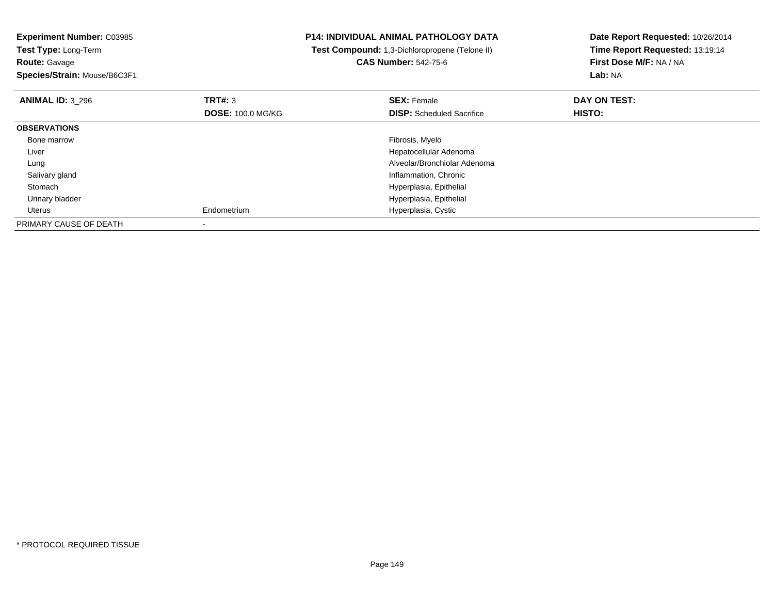| <b>Experiment Number: C03985</b><br>Test Type: Long-Term<br><b>Route: Gavage</b><br>Species/Strain: Mouse/B6C3F1 |                          | <b>P14: INDIVIDUAL ANIMAL PATHOLOGY DATA</b><br>Test Compound: 1,3-Dichloropropene (Telone II)<br><b>CAS Number: 542-75-6</b> | Date Report Requested: 10/26/2014<br>Time Report Requested: 13:19:14<br>First Dose M/F: NA / NA<br>Lab: NA |
|------------------------------------------------------------------------------------------------------------------|--------------------------|-------------------------------------------------------------------------------------------------------------------------------|------------------------------------------------------------------------------------------------------------|
| <b>ANIMAL ID: 3 296</b>                                                                                          | <b>TRT#: 3</b>           | <b>SEX: Female</b>                                                                                                            | DAY ON TEST:                                                                                               |
|                                                                                                                  | <b>DOSE: 100.0 MG/KG</b> | <b>DISP:</b> Scheduled Sacrifice                                                                                              | HISTO:                                                                                                     |
| <b>OBSERVATIONS</b>                                                                                              |                          |                                                                                                                               |                                                                                                            |
| Bone marrow                                                                                                      |                          | Fibrosis, Myelo                                                                                                               |                                                                                                            |
| Liver                                                                                                            |                          | Hepatocellular Adenoma                                                                                                        |                                                                                                            |
| Lung                                                                                                             |                          | Alveolar/Bronchiolar Adenoma                                                                                                  |                                                                                                            |
| Salivary gland                                                                                                   |                          | Inflammation, Chronic                                                                                                         |                                                                                                            |
| Stomach                                                                                                          |                          | Hyperplasia, Epithelial                                                                                                       |                                                                                                            |
| Urinary bladder                                                                                                  |                          | Hyperplasia, Epithelial                                                                                                       |                                                                                                            |
| Uterus                                                                                                           | Endometrium              | Hyperplasia, Cystic                                                                                                           |                                                                                                            |
| PRIMARY CAUSE OF DEATH                                                                                           |                          |                                                                                                                               |                                                                                                            |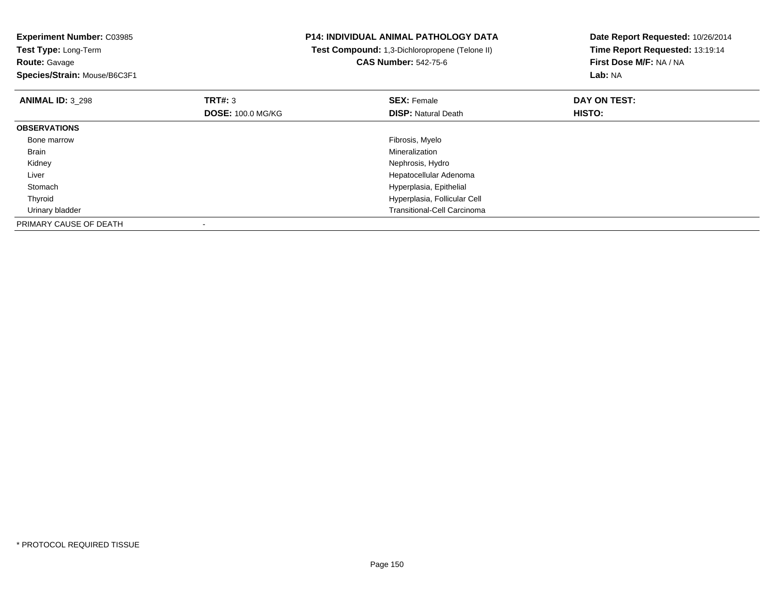**Experiment Number:** C03985**Test Type:** Long-Term**Route:** Gavage **Species/Strain:** Mouse/B6C3F1**P14: INDIVIDUAL ANIMAL PATHOLOGY DATA Test Compound:** 1,3-Dichloropropene (Telone II)**CAS Number:** 542-75-6**Date Report Requested:** 10/26/2014**Time Report Requested:** 13:19:14**First Dose M/F:** NA / NA**Lab:** NA**ANIMAL ID:** 3\_298**REX:** Female **DAY ON TEST: SEX:** Female **SEX:** Female **DOSE:** 100.0 MG/KG**DISP:** Natural Death **HISTO: OBSERVATIONS** Bone marroww which is a state of the state of the state of the state of the state of the Fibrosis, Myelo state of the state of the state of the state of the state of the state of the state of the state of the state of the state of th Brainn and the control of the control of the control of the control of the control of the control of the control of the control of the control of the control of the control of the control of the control of the control of the co Kidney Nephrosis, Hydro Hepatocellular Adenoma Liver Stomach Hyperplasia, Epithelial Thyroid Hyperplasia, Follicular Cell Urinary bladder Transitional-Cell CarcinomaPRIMARY CAUSE OF DEATH-